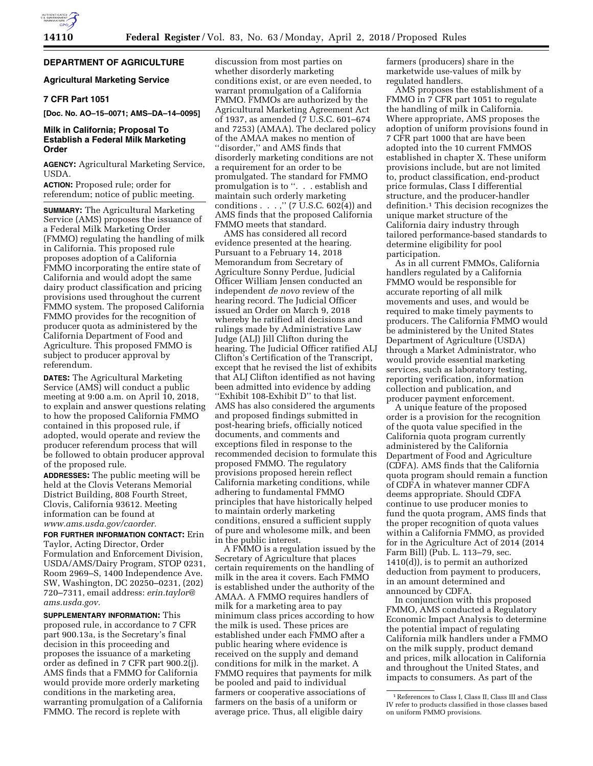# **DEPARTMENT OF AGRICULTURE**

# **Agricultural Marketing Service**

# **7 CFR Part 1051**

**[Doc. No. AO–15–0071; AMS–DA–14–0095]** 

# **Milk in California; Proposal To Establish a Federal Milk Marketing Order**

**AGENCY:** Agricultural Marketing Service, USDA.

**ACTION:** Proposed rule; order for referendum; notice of public meeting.

**SUMMARY:** The Agricultural Marketing Service (AMS) proposes the issuance of a Federal Milk Marketing Order (FMMO) regulating the handling of milk in California. This proposed rule proposes adoption of a California FMMO incorporating the entire state of California and would adopt the same dairy product classification and pricing provisions used throughout the current FMMO system. The proposed California FMMO provides for the recognition of producer quota as administered by the California Department of Food and Agriculture. This proposed FMMO is subject to producer approval by referendum.

**DATES:** The Agricultural Marketing Service (AMS) will conduct a public meeting at 9:00 a.m. on April 10, 2018, to explain and answer questions relating to how the proposed California FMMO contained in this proposed rule, if adopted, would operate and review the producer referendum process that will be followed to obtain producer approval of the proposed rule.

**ADDRESSES:** The public meeting will be held at the Clovis Veterans Memorial District Building, 808 Fourth Street, Clovis, California 93612. Meeting information can be found at *[www.ams.usda.gov/caorder.](http://www.ams.usda.gov/caorder)* 

**FOR FURTHER INFORMATION CONTACT:** Erin Taylor, Acting Director, Order Formulation and Enforcement Division, USDA/AMS/Dairy Program, STOP 0231, Room 2969–S, 1400 Independence Ave. SW, Washington, DC 20250–0231, (202) 720–7311, email address: *[erin.taylor@](mailto:erin.taylor@ams.usda.gov) [ams.usda.gov.](mailto:erin.taylor@ams.usda.gov)* 

**SUPPLEMENTARY INFORMATION:** This proposed rule, in accordance to 7 CFR part 900.13a, is the Secretary's final decision in this proceeding and proposes the issuance of a marketing order as defined in 7 CFR part 900.2(j). AMS finds that a FMMO for California would provide more orderly marketing conditions in the marketing area, warranting promulgation of a California FMMO. The record is replete with

discussion from most parties on whether disorderly marketing conditions exist, or are even needed, to warrant promulgation of a California FMMO. FMMOs are authorized by the Agricultural Marketing Agreement Act of 1937, as amended (7 U.S.C. 601–674 and 7253) (AMAA). The declared policy of the AMAA makes no mention of ''disorder,'' and AMS finds that disorderly marketing conditions are not a requirement for an order to be promulgated. The standard for FMMO promulgation is to ''. . . establish and maintain such orderly marketing conditions  $\ldots$ ," (7 U.S.C. 602(4)) and AMS finds that the proposed California FMMO meets that standard.

AMS has considered all record evidence presented at the hearing. Pursuant to a February 14, 2018 Memorandum from Secretary of Agriculture Sonny Perdue, Judicial Officer William Jensen conducted an independent *de novo* review of the hearing record. The Judicial Officer issued an Order on March 9, 2018 whereby he ratified all decisions and rulings made by Administrative Law Judge (ALJ) Jill Clifton during the hearing. The Judicial Officer ratified ALJ Clifton's Certification of the Transcript, except that he revised the list of exhibits that ALJ Clifton identified as not having been admitted into evidence by adding ''Exhibit 108-Exhibit D'' to that list. AMS has also considered the arguments and proposed findings submitted in post-hearing briefs, officially noticed documents, and comments and exceptions filed in response to the recommended decision to formulate this proposed FMMO. The regulatory provisions proposed herein reflect California marketing conditions, while adhering to fundamental FMMO principles that have historically helped to maintain orderly marketing conditions, ensured a sufficient supply of pure and wholesome milk, and been in the public interest.

A FMMO is a regulation issued by the Secretary of Agriculture that places certain requirements on the handling of milk in the area it covers. Each FMMO is established under the authority of the AMAA. A FMMO requires handlers of milk for a marketing area to pay minimum class prices according to how the milk is used. These prices are established under each FMMO after a public hearing where evidence is received on the supply and demand conditions for milk in the market. A FMMO requires that payments for milk be pooled and paid to individual farmers or cooperative associations of farmers on the basis of a uniform or average price. Thus, all eligible dairy

farmers (producers) share in the marketwide use-values of milk by regulated handlers.

AMS proposes the establishment of a FMMO in 7 CFR part 1051 to regulate the handling of milk in California. Where appropriate, AMS proposes the adoption of uniform provisions found in 7 CFR part 1000 that are have been adopted into the 10 current FMMOS established in chapter X. These uniform provisions include, but are not limited to, product classification, end-product price formulas, Class I differential structure, and the producer-handler definition.1 This decision recognizes the unique market structure of the California dairy industry through tailored performance-based standards to determine eligibility for pool participation.

As in all current FMMOs, California handlers regulated by a California FMMO would be responsible for accurate reporting of all milk movements and uses, and would be required to make timely payments to producers. The California FMMO would be administered by the United States Department of Agriculture (USDA) through a Market Administrator, who would provide essential marketing services, such as laboratory testing, reporting verification, information collection and publication, and producer payment enforcement.

A unique feature of the proposed order is a provision for the recognition of the quota value specified in the California quota program currently administered by the California Department of Food and Agriculture (CDFA). AMS finds that the California quota program should remain a function of CDFA in whatever manner CDFA deems appropriate. Should CDFA continue to use producer monies to fund the quota program, AMS finds that the proper recognition of quota values within a California FMMO, as provided for in the Agriculture Act of 2014 (2014 Farm Bill) (Pub. L. 113–79, sec. 1410(d)), is to permit an authorized deduction from payment to producers, in an amount determined and announced by CDFA.

In conjunction with this proposed FMMO, AMS conducted a Regulatory Economic Impact Analysis to determine the potential impact of regulating California milk handlers under a FMMO on the milk supply, product demand and prices, milk allocation in California and throughout the United States, and impacts to consumers. As part of the

<sup>1</sup>References to Class I, Class II, Class III and Class IV refer to products classified in those classes based on uniform FMMO provisions.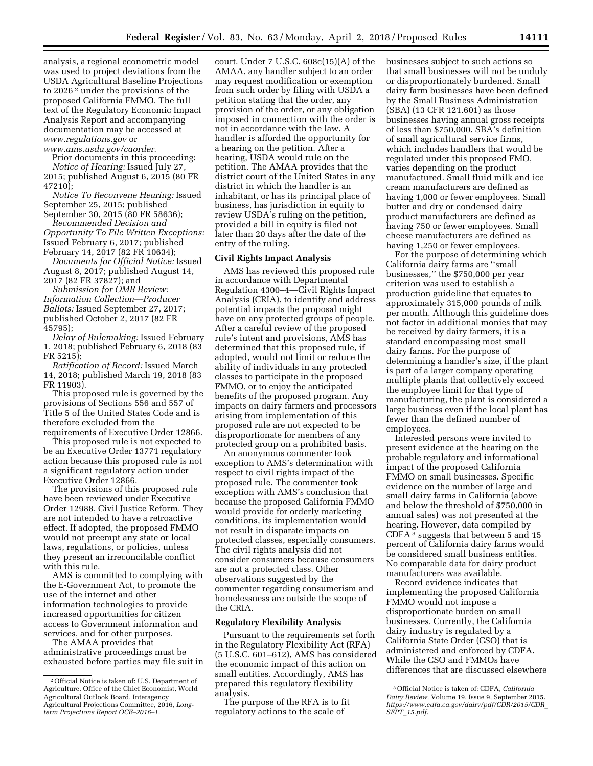analysis, a regional econometric model was used to project deviations from the USDA Agricultural Baseline Projections to 2026 2 under the provisions of the proposed California FMMO. The full text of the Regulatory Economic Impact Analysis Report and accompanying documentation may be accessed at *[www.regulations.gov](http://www.regulations.gov)* or

*[www.ams.usda.gov/caorder.](http://www.ams.usda.gov/caorder)* 

Prior documents in this proceeding: *Notice of Hearing:* Issued July 27, 2015; published August 6, 2015 (80 FR 47210);

*Notice To Reconvene Hearing:* Issued September 25, 2015; published September 30, 2015 (80 FR 58636);

*Recommended Decision and Opportunity To File Written Exceptions:*  Issued February 6, 2017; published February 14, 2017 (82 FR 10634);

*Documents for Official Notice:* Issued August 8, 2017; published August 14, 2017 (82 FR 37827); and

*Submission for OMB Review: Information Collection—Producer Ballots:* Issued September 27, 2017; published October 2, 2017 (82 FR 45795);

*Delay of Rulemaking:* Issued February 1, 2018; published February 6, 2018 (83 FR 5215);

*Ratification of Record:* Issued March 14, 2018; published March 19, 2018 (83 FR 11903).

This proposed rule is governed by the provisions of Sections 556 and 557 of Title 5 of the United States Code and is therefore excluded from the requirements of Executive Order 12866.

This proposed rule is not expected to be an Executive Order 13771 regulatory action because this proposed rule is not a significant regulatory action under Executive Order 12866.

The provisions of this proposed rule have been reviewed under Executive Order 12988, Civil Justice Reform. They are not intended to have a retroactive effect. If adopted, the proposed FMMO would not preempt any state or local laws, regulations, or policies, unless they present an irreconcilable conflict with this rule.

AMS is committed to complying with the E-Government Act, to promote the use of the internet and other information technologies to provide increased opportunities for citizen access to Government information and services, and for other purposes.

The AMAA provides that administrative proceedings must be exhausted before parties may file suit in

court. Under 7 U.S.C. 608c(15)(A) of the AMAA, any handler subject to an order may request modification or exemption from such order by filing with USDA a petition stating that the order, any provision of the order, or any obligation imposed in connection with the order is not in accordance with the law. A handler is afforded the opportunity for a hearing on the petition. After a hearing, USDA would rule on the petition. The AMAA provides that the district court of the United States in any district in which the handler is an inhabitant, or has its principal place of business, has jurisdiction in equity to review USDA's ruling on the petition, provided a bill in equity is filed not later than 20 days after the date of the entry of the ruling.

# **Civil Rights Impact Analysis**

AMS has reviewed this proposed rule in accordance with Departmental Regulation 4300–4—Civil Rights Impact Analysis (CRIA), to identify and address potential impacts the proposal might have on any protected groups of people. After a careful review of the proposed rule's intent and provisions, AMS has determined that this proposed rule, if adopted, would not limit or reduce the ability of individuals in any protected classes to participate in the proposed FMMO, or to enjoy the anticipated benefits of the proposed program. Any impacts on dairy farmers and processors arising from implementation of this proposed rule are not expected to be disproportionate for members of any protected group on a prohibited basis.

An anonymous commenter took exception to AMS's determination with respect to civil rights impact of the proposed rule. The commenter took exception with AMS's conclusion that because the proposed California FMMO would provide for orderly marketing conditions, its implementation would not result in disparate impacts on protected classes, especially consumers. The civil rights analysis did not consider consumers because consumers are not a protected class. Other observations suggested by the commenter regarding consumerism and homelessness are outside the scope of the CRIA.

# **Regulatory Flexibility Analysis**

Pursuant to the requirements set forth in the Regulatory Flexibility Act (RFA) (5 U.S.C. 601–612), AMS has considered the economic impact of this action on small entities. Accordingly, AMS has prepared this regulatory flexibility analysis.

The purpose of the RFA is to fit regulatory actions to the scale of

businesses subject to such actions so that small businesses will not be unduly or disproportionately burdened. Small dairy farm businesses have been defined by the Small Business Administration (SBA) (13 CFR 121.601) as those businesses having annual gross receipts of less than \$750,000. SBA's definition of small agricultural service firms, which includes handlers that would be regulated under this proposed FMO, varies depending on the product manufactured. Small fluid milk and ice cream manufacturers are defined as having 1,000 or fewer employees. Small butter and dry or condensed dairy product manufacturers are defined as having 750 or fewer employees. Small cheese manufacturers are defined as having 1,250 or fewer employees.

For the purpose of determining which California dairy farms are ''small businesses,'' the \$750,000 per year criterion was used to establish a production guideline that equates to approximately 315,000 pounds of milk per month. Although this guideline does not factor in additional monies that may be received by dairy farmers, it is a standard encompassing most small dairy farms. For the purpose of determining a handler's size, if the plant is part of a larger company operating multiple plants that collectively exceed the employee limit for that type of manufacturing, the plant is considered a large business even if the local plant has fewer than the defined number of employees.

Interested persons were invited to present evidence at the hearing on the probable regulatory and informational impact of the proposed California FMMO on small businesses. Specific evidence on the number of large and small dairy farms in California (above and below the threshold of \$750,000 in annual sales) was not presented at the hearing. However, data compiled by CDFA 3 suggests that between 5 and 15 percent of California dairy farms would be considered small business entities. No comparable data for dairy product manufacturers was available.

Record evidence indicates that implementing the proposed California FMMO would not impose a disproportionate burden on small businesses. Currently, the California dairy industry is regulated by a California State Order (CSO) that is administered and enforced by CDFA. While the CSO and FMMOs have differences that are discussed elsewhere

<sup>2</sup>Official Notice is taken of: U.S. Department of Agriculture, Office of the Chief Economist, World Agricultural Outlook Board, Interagency Agricultural Projections Committee, 2016, *Longterm Projections Report OCE–2016–1.* 

<sup>3</sup>Official Notice is taken of: CDFA, *California Dairy Review,* Volume 19, Issue 9, September 2015. *[https://www.cdfa.ca.gov/dairy/pdf/CDR/2015/CDR](https://www.cdfa.ca.gov/dairy/pdf/CDR/2015/CDR_SEPT_15.pdf)*\_ *SEPT*\_*[15.pdf.](https://www.cdfa.ca.gov/dairy/pdf/CDR/2015/CDR_SEPT_15.pdf)*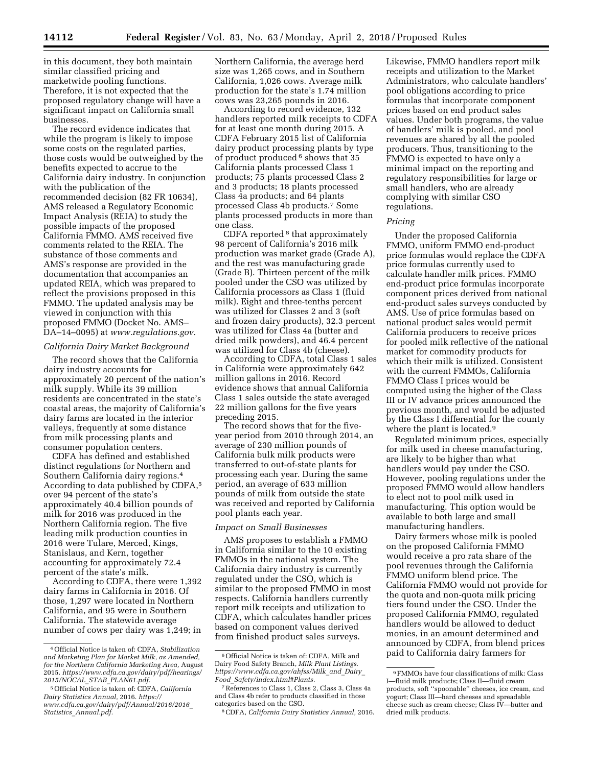in this document, they both maintain similar classified pricing and marketwide pooling functions. Therefore, it is not expected that the proposed regulatory change will have a significant impact on California small businesses.

The record evidence indicates that while the program is likely to impose some costs on the regulated parties, those costs would be outweighed by the benefits expected to accrue to the California dairy industry. In conjunction with the publication of the recommended decision (82 FR 10634), AMS released a Regulatory Economic Impact Analysis (REIA) to study the possible impacts of the proposed California FMMO. AMS received five comments related to the REIA. The substance of those comments and AMS's response are provided in the documentation that accompanies an updated REIA, which was prepared to reflect the provisions proposed in this FMMO. The updated analysis may be viewed in conjunction with this proposed FMMO (Docket No. AMS– DA–14–0095) at *[www.regulations.gov.](http://www.regulations.gov)* 

# *California Dairy Market Background*

The record shows that the California dairy industry accounts for approximately 20 percent of the nation's milk supply. While its 39 million residents are concentrated in the state's coastal areas, the majority of California's dairy farms are located in the interior valleys, frequently at some distance from milk processing plants and consumer population centers.

CDFA has defined and established distinct regulations for Northern and Southern California dairy regions.4 According to data published by CDFA,5 over 94 percent of the state's approximately 40.4 billion pounds of milk for 2016 was produced in the Northern California region. The five leading milk production counties in 2016 were Tulare, Merced, Kings, Stanislaus, and Kern, together accounting for approximately 72.4 percent of the state's milk.

According to CDFA, there were 1,392 dairy farms in California in 2016. Of those, 1,297 were located in Northern California, and 95 were in Southern California. The statewide average number of cows per dairy was 1,249; in Northern California, the average herd size was 1,265 cows, and in Southern California, 1,026 cows. Average milk production for the state's 1.74 million cows was 23,265 pounds in 2016.

According to record evidence, 132 handlers reported milk receipts to CDFA for at least one month during 2015. A CDFA February 2015 list of California dairy product processing plants by type of product produced 6 shows that 35 California plants processed Class 1 products; 75 plants processed Class 2 and 3 products; 18 plants processed Class 4a products; and 64 plants processed Class 4b products.7 Some plants processed products in more than one class.

CDFA reported 8 that approximately 98 percent of California's 2016 milk production was market grade (Grade A), and the rest was manufacturing grade (Grade B). Thirteen percent of the milk pooled under the CSO was utilized by California processors as Class 1 (fluid milk). Eight and three-tenths percent was utilized for Classes 2 and 3 (soft and frozen dairy products), 32.3 percent was utilized for Class 4a (butter and dried milk powders), and 46.4 percent was utilized for Class 4b (cheese).

According to CDFA, total Class 1 sales in California were approximately 642 million gallons in 2016. Record evidence shows that annual California Class 1 sales outside the state averaged 22 million gallons for the five years preceding 2015.

The record shows that for the fiveyear period from 2010 through 2014, an average of 230 million pounds of California bulk milk products were transferred to out-of-state plants for processing each year. During the same period, an average of 633 million pounds of milk from outside the state was received and reported by California pool plants each year.

#### *Impact on Small Businesses*

AMS proposes to establish a FMMO in California similar to the 10 existing FMMOs in the national system. The California dairy industry is currently regulated under the CSO, which is similar to the proposed FMMO in most respects. California handlers currently report milk receipts and utilization to CDFA, which calculates handler prices based on component values derived from finished product sales surveys.

Likewise, FMMO handlers report milk receipts and utilization to the Market Administrators, who calculate handlers' pool obligations according to price formulas that incorporate component prices based on end product sales values. Under both programs, the value of handlers' milk is pooled, and pool revenues are shared by all the pooled producers. Thus, transitioning to the FMMO is expected to have only a minimal impact on the reporting and regulatory responsibilities for large or small handlers, who are already complying with similar CSO regulations.

# *Pricing*

Under the proposed California FMMO, uniform FMMO end-product price formulas would replace the CDFA price formulas currently used to calculate handler milk prices. FMMO end-product price formulas incorporate component prices derived from national end-product sales surveys conducted by AMS. Use of price formulas based on national product sales would permit California producers to receive prices for pooled milk reflective of the national market for commodity products for which their milk is utilized. Consistent with the current FMMOs, California FMMO Class I prices would be computed using the higher of the Class III or IV advance prices announced the previous month, and would be adjusted by the Class I differential for the county where the plant is located.<sup>9</sup>

Regulated minimum prices, especially for milk used in cheese manufacturing, are likely to be higher than what handlers would pay under the CSO. However, pooling regulations under the proposed FMMO would allow handlers to elect not to pool milk used in manufacturing. This option would be available to both large and small manufacturing handlers.

Dairy farmers whose milk is pooled on the proposed California FMMO would receive a pro rata share of the pool revenues through the California FMMO uniform blend price. The California FMMO would not provide for the quota and non-quota milk pricing tiers found under the CSO. Under the proposed California FMMO, regulated handlers would be allowed to deduct monies, in an amount determined and announced by CDFA, from blend prices paid to California dairy farmers for

<sup>4</sup>Official Notice is taken of: CDFA, *Stabilization and Marketing Plan for Market Milk, as Amended, for the Northern California Marketing Area,* August 2015. *[https://www.cdfa.ca.gov/dairy/pdf/hearings/](https://www.cdfa.ca.gov/dairy/pdf/hearings/2015/NOCAL_STAB_PLAN61.pdf) [2015/NOCAL](https://www.cdfa.ca.gov/dairy/pdf/hearings/2015/NOCAL_STAB_PLAN61.pdf)*\_*STAB*\_*PLAN61.pdf.* 

<sup>5</sup>Official Notice is taken of: CDFA, *California Dairy Statistics Annual,* 2016. *[https://](https://www.cdfa.ca.gov/dairy/pdf/Annual/2016/2016_Statistics_Annual.pdf) [www.cdfa.ca.gov/dairy/pdf/Annual/2016/2016](https://www.cdfa.ca.gov/dairy/pdf/Annual/2016/2016_Statistics_Annual.pdf)*\_ *Statistics*\_*[Annual.pdf.](https://www.cdfa.ca.gov/dairy/pdf/Annual/2016/2016_Statistics_Annual.pdf)* 

<sup>6</sup>Official Notice is taken of: CDFA, Milk and Dairy Food Safety Branch, *Milk Plant Listings. [https://www.cdfa.ca.gov/ahfss/Milk](https://www.cdfa.ca.gov/ahfss/Milk_and_Dairy_Food_Safety/index.html#Plants)*\_*and*\_*Dairy*\_ *Food*\_*[Safety/index.html#Plants.](https://www.cdfa.ca.gov/ahfss/Milk_and_Dairy_Food_Safety/index.html#Plants)* 

<sup>7</sup>References to Class 1, Class 2, Class 3, Class 4a and Class 4b refer to products classified in those categories based on the CSO.

<sup>8</sup>CDFA, *California Dairy Statistics Annual,* 2016.

<sup>9</sup>FMMOs have four classifications of milk: Class I—fluid milk products; Class II—fluid cream products, soft ''spoonable'' cheeses, ice cream, and yogurt; Class III—hard cheeses and spreadable cheese such as cream cheese; Class IV—butter and dried milk products.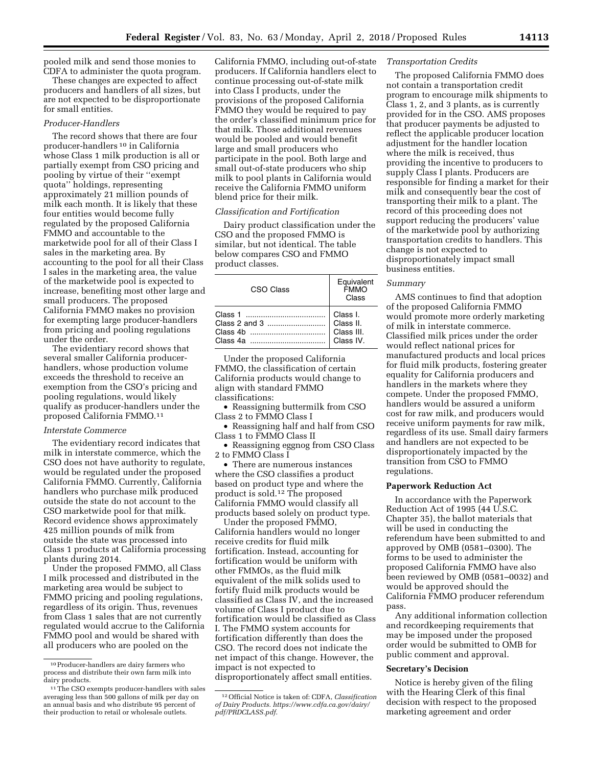pooled milk and send those monies to CDFA to administer the quota program.

These changes are expected to affect producers and handlers of all sizes, but are not expected to be disproportionate for small entities.

# *Producer-Handlers*

The record shows that there are four producer-handlers 10 in California whose Class 1 milk production is all or partially exempt from CSO pricing and pooling by virtue of their ''exempt quota'' holdings, representing approximately 21 million pounds of milk each month. It is likely that these four entities would become fully regulated by the proposed California FMMO and accountable to the marketwide pool for all of their Class I sales in the marketing area. By accounting to the pool for all their Class I sales in the marketing area, the value of the marketwide pool is expected to increase, benefiting most other large and small producers. The proposed California FMMO makes no provision for exempting large producer-handlers from pricing and pooling regulations under the order.

The evidentiary record shows that several smaller California producerhandlers, whose production volume exceeds the threshold to receive an exemption from the CSO's pricing and pooling regulations, would likely qualify as producer-handlers under the proposed California FMMO.11

# *Interstate Commerce*

The evidentiary record indicates that milk in interstate commerce, which the CSO does not have authority to regulate, would be regulated under the proposed California FMMO. Currently, California handlers who purchase milk produced outside the state do not account to the CSO marketwide pool for that milk. Record evidence shows approximately 425 million pounds of milk from outside the state was processed into Class 1 products at California processing plants during 2014.

Under the proposed FMMO, all Class I milk processed and distributed in the marketing area would be subject to FMMO pricing and pooling regulations, regardless of its origin. Thus, revenues from Class 1 sales that are not currently regulated would accrue to the California FMMO pool and would be shared with all producers who are pooled on the

California FMMO, including out-of-state producers. If California handlers elect to continue processing out-of-state milk into Class I products, under the provisions of the proposed California FMMO they would be required to pay the order's classified minimum price for that milk. Those additional revenues would be pooled and would benefit large and small producers who participate in the pool. Both large and small out-of-state producers who ship milk to pool plants in California would receive the California FMMO uniform blend price for their milk.

# *Classification and Fortification*

Dairy product classification under the CSO and the proposed FMMO is similar, but not identical. The table below compares CSO and FMMO product classes.

| CSO Class     | Equivalent<br><b>FMMO</b><br>Class |
|---------------|------------------------------------|
|               | Class I.                           |
| Class 2 and 3 | Class II.                          |
|               | Class III.                         |
|               | Class IV.                          |

Under the proposed California FMMO, the classification of certain California products would change to align with standard FMMO classifications:

• Reassigning buttermilk from CSO Class 2 to FMMO Class I

• Reassigning half and half from CSO Class 1 to FMMO Class II

• Reassigning eggnog from CSO Class 2 to FMMO Class I

• There are numerous instances where the CSO classifies a product based on product type and where the product is sold.12 The proposed California FMMO would classify all products based solely on product type.

Under the proposed FMMO, California handlers would no longer receive credits for fluid milk fortification. Instead, accounting for fortification would be uniform with other FMMOs, as the fluid milk equivalent of the milk solids used to fortify fluid milk products would be classified as Class IV, and the increased volume of Class I product due to fortification would be classified as Class I. The FMMO system accounts for fortification differently than does the CSO. The record does not indicate the net impact of this change. However, the impact is not expected to disproportionately affect small entities.

### *Transportation Credits*

The proposed California FMMO does not contain a transportation credit program to encourage milk shipments to Class 1, 2, and 3 plants, as is currently provided for in the CSO. AMS proposes that producer payments be adjusted to reflect the applicable producer location adjustment for the handler location where the milk is received, thus providing the incentive to producers to supply Class I plants. Producers are responsible for finding a market for their milk and consequently bear the cost of transporting their milk to a plant. The record of this proceeding does not support reducing the producers' value of the marketwide pool by authorizing transportation credits to handlers. This change is not expected to disproportionately impact small business entities.

#### *Summary*

AMS continues to find that adoption of the proposed California FMMO would promote more orderly marketing of milk in interstate commerce. Classified milk prices under the order would reflect national prices for manufactured products and local prices for fluid milk products, fostering greater equality for California producers and handlers in the markets where they compete. Under the proposed FMMO, handlers would be assured a uniform cost for raw milk, and producers would receive uniform payments for raw milk, regardless of its use. Small dairy farmers and handlers are not expected to be disproportionately impacted by the transition from CSO to FMMO regulations.

#### **Paperwork Reduction Act**

In accordance with the Paperwork Reduction Act of 1995 (44 U.S.C. Chapter 35), the ballot materials that will be used in conducting the referendum have been submitted to and approved by OMB (0581–0300). The forms to be used to administer the proposed California FMMO have also been reviewed by OMB (0581–0032) and would be approved should the California FMMO producer referendum pass.

Any additional information collection and recordkeeping requirements that may be imposed under the proposed order would be submitted to OMB for public comment and approval.

### **Secretary's Decision**

Notice is hereby given of the filing with the Hearing Clerk of this final decision with respect to the proposed marketing agreement and order

<sup>10</sup>Producer-handlers are dairy farmers who process and distribute their own farm milk into dairy products.

<sup>&</sup>lt;sup>11</sup> The CSO exempts producer-handlers with sales averaging less than 500 gallons of milk per day on an annual basis and who distribute 95 percent of their production to retail or wholesale outlets.

<sup>12</sup>Official Notice is taken of: CDFA, *Classification of Dairy Products. [https://www.cdfa.ca.gov/dairy/](https://www.cdfa.ca.gov/dairy/pdf/PRDCLASS.pdf)  [pdf/PRDCLASS.pdf](https://www.cdfa.ca.gov/dairy/pdf/PRDCLASS.pdf)*.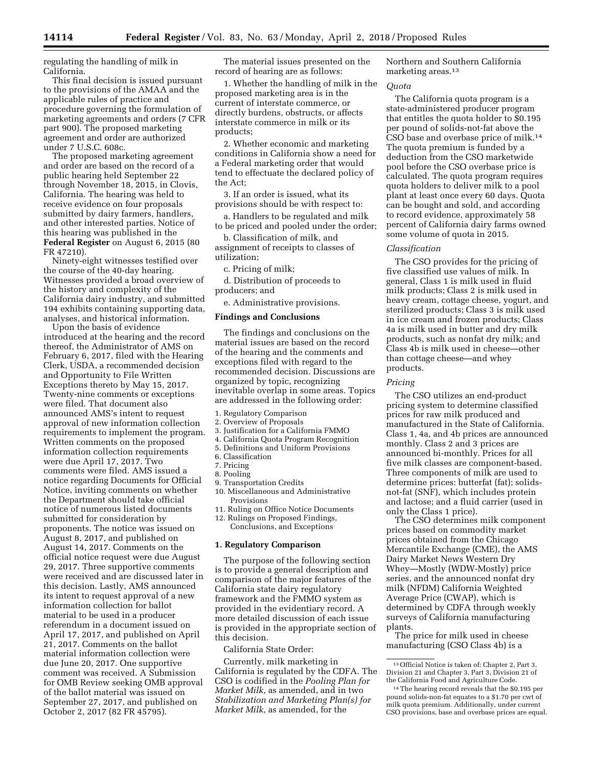regulating the handling of milk in California.

This final decision is issued pursuant to the provisions of the AMAA and the applicable rules of practice and procedure governing the formulation of marketing agreements and orders (7 CFR part 900). The proposed marketing agreement and order are authorized under 7 U.S.C. 608c.

The proposed marketing agreement and order are based on the record of a public hearing held September 22 through November 18, 2015, in Clovis, California. The hearing was held to receive evidence on four proposals submitted by dairy farmers, handlers, and other interested parties. Notice of this hearing was published in the **Federal Register** on August 6, 2015 (80 FR 47210).

Ninety-eight witnesses testified over the course of the 40-day hearing. Witnesses provided a broad overview of the history and complexity of the California dairy industry, and submitted 194 exhibits containing supporting data, analyses, and historical information.

Upon the basis of evidence introduced at the hearing and the record thereof, the Administrator of AMS on February 6, 2017, filed with the Hearing Clerk, USDA, a recommended decision and Opportunity to File Written Exceptions thereto by May 15, 2017. Twenty-nine comments or exceptions were filed. That document also announced AMS's intent to request approval of new information collection requirements to implement the program. Written comments on the proposed information collection requirements were due April 17, 2017. Two comments were filed. AMS issued a notice regarding Documents for Official Notice, inviting comments on whether the Department should take official notice of numerous listed documents submitted for consideration by proponents. The notice was issued on August 8, 2017, and published on August 14, 2017. Comments on the official notice request were due August 29, 2017. Three supportive comments were received and are discussed later in this decision. Lastly, AMS announced its intent to request approval of a new information collection for ballot material to be used in a producer referendum in a document issued on April 17, 2017, and published on April 21, 2017. Comments on the ballot material information collection were due June 20, 2017. One supportive comment was received. A Submission for OMB Review seeking OMB approval of the ballot material was issued on September 27, 2017, and published on October 2, 2017 (82 FR 45795).

The material issues presented on the record of hearing are as follows:

1. Whether the handling of milk in the proposed marketing area is in the current of interstate commerce, or directly burdens, obstructs, or affects interstate commerce in milk or its products;

2. Whether economic and marketing conditions in California show a need for a Federal marketing order that would tend to effectuate the declared policy of the Act;

3. If an order is issued, what its provisions should be with respect to:

a. Handlers to be regulated and milk to be priced and pooled under the order;

b. Classification of milk, and assignment of receipts to classes of utilization;

c. Pricing of milk;

d. Distribution of proceeds to producers; and

e. Administrative provisions.

# **Findings and Conclusions**

The findings and conclusions on the material issues are based on the record of the hearing and the comments and exceptions filed with regard to the recommended decision. Discussions are organized by topic, recognizing inevitable overlap in some areas. Topics are addressed in the following order:

- 2. Overview of Proposals
- 3. Justification for a California FMMO
- 4. California Quota Program Recognition
- 5. Definitions and Uniform Provisions
- 6. Classification
- 7. Pricing
- 8. Pooling
- 9. Transportation Credits
- 10. Miscellaneous and Administrative Provisions
- 11. Ruling on Office Notice Documents
- 12. Rulings on Proposed Findings, Conclusions, and Exceptions

#### **1. Regulatory Comparison**

The purpose of the following section is to provide a general description and comparison of the major features of the California state dairy regulatory framework and the FMMO system as provided in the evidentiary record. A more detailed discussion of each issue is provided in the appropriate section of this decision.

California State Order:

Currently, milk marketing in California is regulated by the CDFA. The CSO is codified in the *Pooling Plan for Market Milk,* as amended, and in two *Stabilization and Marketing Plan(s) for Market Milk,* as amended, for the

Northern and Southern California marketing areas.13

#### *Quota*

The California quota program is a state-administered producer program that entitles the quota holder to \$0.195 per pound of solids-not-fat above the CSO base and overbase price of milk.14 The quota premium is funded by a deduction from the CSO marketwide pool before the CSO overbase price is calculated. The quota program requires quota holders to deliver milk to a pool plant at least once every 60 days. Quota can be bought and sold, and according to record evidence, approximately 58 percent of California dairy farms owned some volume of quota in 2015.

#### *Classification*

The CSO provides for the pricing of five classified use values of milk. In general, Class 1 is milk used in fluid milk products; Class 2 is milk used in heavy cream, cottage cheese, yogurt, and sterilized products; Class 3 is milk used in ice cream and frozen products; Class 4a is milk used in butter and dry milk products, such as nonfat dry milk; and Class 4b is milk used in cheese—other than cottage cheese—and whey products.

# *Pricing*

The CSO utilizes an end-product pricing system to determine classified prices for raw milk produced and manufactured in the State of California. Class 1, 4a, and 4b prices are announced monthly. Class 2 and 3 prices are announced bi-monthly. Prices for all five milk classes are component-based. Three components of milk are used to determine prices: butterfat (fat); solidsnot-fat (SNF), which includes protein and lactose; and a fluid carrier (used in only the Class 1 price).

The CSO determines milk component prices based on commodity market prices obtained from the Chicago Mercantile Exchange (CME), the AMS Dairy Market News Western Dry Whey—Mostly (WDW-Mostly) price series, and the announced nonfat dry milk (NFDM) California Weighted Average Price (CWAP), which is determined by CDFA through weekly surveys of California manufacturing plants.

The price for milk used in cheese manufacturing (CSO Class 4b) is a

<sup>1.</sup> Regulatory Comparison

<sup>13</sup>Official Notice is taken of: Chapter 2, Part 3, Division 21 and Chapter 3, Part 3, Division 21 of the California Food and Agriculture Code.

<sup>14</sup>The hearing record reveals that the \$0.195 per pound solids-non-fat equates to a \$1.70 per cwt of milk quota premium. Additionally, under current CSO provisions, base and overbase prices are equal.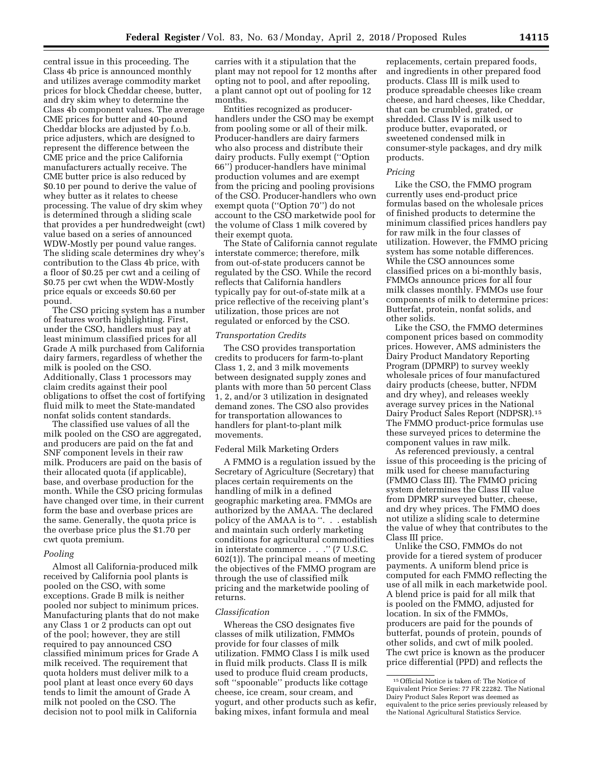central issue in this proceeding. The Class 4b price is announced monthly and utilizes average commodity market prices for block Cheddar cheese, butter, and dry skim whey to determine the Class 4b component values. The average CME prices for butter and 40-pound Cheddar blocks are adjusted by f.o.b. price adjusters, which are designed to represent the difference between the CME price and the price California manufacturers actually receive. The CME butter price is also reduced by \$0.10 per pound to derive the value of whey butter as it relates to cheese processing. The value of dry skim whey is determined through a sliding scale that provides a per hundredweight (cwt) value based on a series of announced WDW-Mostly per pound value ranges. The sliding scale determines dry whey's contribution to the Class 4b price, with a floor of \$0.25 per cwt and a ceiling of \$0.75 per cwt when the WDW-Mostly price equals or exceeds \$0.60 per pound.

The CSO pricing system has a number of features worth highlighting. First, under the CSO, handlers must pay at least minimum classified prices for all Grade A milk purchased from California dairy farmers, regardless of whether the milk is pooled on the CSO. Additionally, Class 1 processors may claim credits against their pool obligations to offset the cost of fortifying fluid milk to meet the State-mandated nonfat solids content standards.

The classified use values of all the milk pooled on the CSO are aggregated, and producers are paid on the fat and SNF component levels in their raw milk. Producers are paid on the basis of their allocated quota (if applicable), base, and overbase production for the month. While the CSO pricing formulas have changed over time, in their current form the base and overbase prices are the same. Generally, the quota price is the overbase price plus the \$1.70 per cwt quota premium.

# *Pooling*

Almost all California-produced milk received by California pool plants is pooled on the CSO, with some exceptions. Grade B milk is neither pooled nor subject to minimum prices. Manufacturing plants that do not make any Class 1 or 2 products can opt out of the pool; however, they are still required to pay announced CSO classified minimum prices for Grade A milk received. The requirement that quota holders must deliver milk to a pool plant at least once every 60 days tends to limit the amount of Grade A milk not pooled on the CSO. The decision not to pool milk in California

carries with it a stipulation that the plant may not repool for 12 months after opting not to pool, and after repooling, a plant cannot opt out of pooling for 12 months.

Entities recognized as producerhandlers under the CSO may be exempt from pooling some or all of their milk. Producer-handlers are dairy farmers who also process and distribute their dairy products. Fully exempt (''Option 66'') producer-handlers have minimal production volumes and are exempt from the pricing and pooling provisions of the CSO. Producer-handlers who own exempt quota (''Option 70'') do not account to the CSO marketwide pool for the volume of Class 1 milk covered by their exempt quota.

The State of California cannot regulate interstate commerce; therefore, milk from out-of-state producers cannot be regulated by the CSO. While the record reflects that California handlers typically pay for out-of-state milk at a price reflective of the receiving plant's utilization, those prices are not regulated or enforced by the CSO.

# *Transportation Credits*

The CSO provides transportation credits to producers for farm-to-plant Class 1, 2, and 3 milk movements between designated supply zones and plants with more than 50 percent Class 1, 2, and/or 3 utilization in designated demand zones. The CSO also provides for transportation allowances to handlers for plant-to-plant milk movements.

# Federal Milk Marketing Orders

A FMMO is a regulation issued by the Secretary of Agriculture (Secretary) that places certain requirements on the handling of milk in a defined geographic marketing area. FMMOs are authorized by the AMAA. The declared policy of the AMAA is to ''. . . establish and maintain such orderly marketing conditions for agricultural commodities in interstate commerce . . .'' (7 U.S.C. 602(1)). The principal means of meeting the objectives of the FMMO program are through the use of classified milk pricing and the marketwide pooling of returns.

# *Classification*

Whereas the CSO designates five classes of milk utilization, FMMOs provide for four classes of milk utilization. FMMO Class I is milk used in fluid milk products. Class II is milk used to produce fluid cream products, soft ''spoonable'' products like cottage cheese, ice cream, sour cream, and yogurt, and other products such as kefir, baking mixes, infant formula and meal

replacements, certain prepared foods, and ingredients in other prepared food products. Class III is milk used to produce spreadable cheeses like cream cheese, and hard cheeses, like Cheddar, that can be crumbled, grated, or shredded. Class IV is milk used to produce butter, evaporated, or sweetened condensed milk in consumer-style packages, and dry milk products.

#### *Pricing*

Like the CSO, the FMMO program currently uses end-product price formulas based on the wholesale prices of finished products to determine the minimum classified prices handlers pay for raw milk in the four classes of utilization. However, the FMMO pricing system has some notable differences. While the CSO announces some classified prices on a bi-monthly basis, FMMOs announce prices for all four milk classes monthly. FMMOs use four components of milk to determine prices: Butterfat, protein, nonfat solids, and other solids.

Like the CSO, the FMMO determines component prices based on commodity prices. However, AMS administers the Dairy Product Mandatory Reporting Program (DPMRP) to survey weekly wholesale prices of four manufactured dairy products (cheese, butter, NFDM and dry whey), and releases weekly average survey prices in the National Dairy Product Sales Report (NDPSR).15 The FMMO product-price formulas use these surveyed prices to determine the component values in raw milk.

As referenced previously, a central issue of this proceeding is the pricing of milk used for cheese manufacturing (FMMO Class III). The FMMO pricing system determines the Class III value from DPMRP surveyed butter, cheese, and dry whey prices. The FMMO does not utilize a sliding scale to determine the value of whey that contributes to the Class III price.

Unlike the CSO, FMMOs do not provide for a tiered system of producer payments. A uniform blend price is computed for each FMMO reflecting the use of all milk in each marketwide pool. A blend price is paid for all milk that is pooled on the FMMO, adjusted for location. In six of the FMMOs, producers are paid for the pounds of butterfat, pounds of protein, pounds of other solids, and cwt of milk pooled. The cwt price is known as the producer price differential (PPD) and reflects the

<sup>15</sup>Official Notice is taken of: The Notice of Equivalent Price Series: 77 FR 22282. The National Dairy Product Sales Report was deemed as equivalent to the price series previously released by the National Agricultural Statistics Service.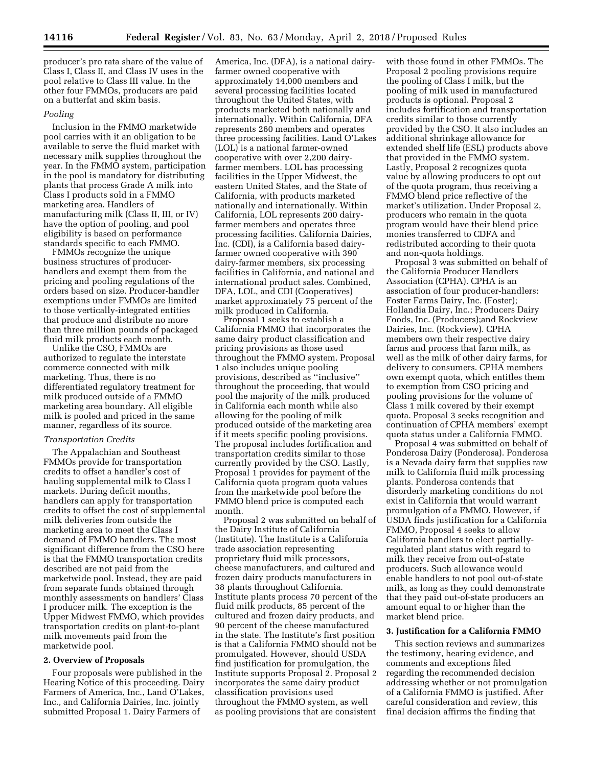producer's pro rata share of the value of Class I, Class II, and Class IV uses in the pool relative to Class III value. In the other four FMMOs, producers are paid on a butterfat and skim basis.

# *Pooling*

Inclusion in the FMMO marketwide pool carries with it an obligation to be available to serve the fluid market with necessary milk supplies throughout the year. In the FMMO system, participation in the pool is mandatory for distributing plants that process Grade A milk into Class I products sold in a FMMO marketing area. Handlers of manufacturing milk (Class II, III, or IV) have the option of pooling, and pool eligibility is based on performance standards specific to each FMMO.

FMMOs recognize the unique business structures of producerhandlers and exempt them from the pricing and pooling regulations of the orders based on size. Producer-handler exemptions under FMMOs are limited to those vertically-integrated entities that produce and distribute no more than three million pounds of packaged fluid milk products each month.

Unlike the CSO, FMMOs are authorized to regulate the interstate commerce connected with milk marketing. Thus, there is no differentiated regulatory treatment for milk produced outside of a FMMO marketing area boundary. All eligible milk is pooled and priced in the same manner, regardless of its source.

#### *Transportation Credits*

The Appalachian and Southeast FMMOs provide for transportation credits to offset a handler's cost of hauling supplemental milk to Class I markets. During deficit months, handlers can apply for transportation credits to offset the cost of supplemental milk deliveries from outside the marketing area to meet the Class I demand of FMMO handlers. The most significant difference from the CSO here is that the FMMO transportation credits described are not paid from the marketwide pool. Instead, they are paid from separate funds obtained through monthly assessments on handlers' Class I producer milk. The exception is the Upper Midwest FMMO, which provides transportation credits on plant-to-plant milk movements paid from the marketwide pool.

### **2. Overview of Proposals**

Four proposals were published in the Hearing Notice of this proceeding. Dairy Farmers of America, Inc., Land O'Lakes, Inc., and California Dairies, Inc. jointly submitted Proposal 1. Dairy Farmers of

America, Inc. (DFA), is a national dairyfarmer owned cooperative with approximately 14,000 members and several processing facilities located throughout the United States, with products marketed both nationally and internationally. Within California, DFA represents 260 members and operates three processing facilities. Land O'Lakes (LOL) is a national farmer-owned cooperative with over 2,200 dairyfarmer members. LOL has processing facilities in the Upper Midwest, the eastern United States, and the State of California, with products marketed nationally and internationally. Within California, LOL represents 200 dairyfarmer members and operates three processing facilities. California Dairies, Inc. (CDI), is a California based dairyfarmer owned cooperative with 390 dairy-farmer members, six processing facilities in California, and national and international product sales. Combined, DFA, LOL, and CDI (Cooperatives) market approximately 75 percent of the milk produced in California.

Proposal 1 seeks to establish a California FMMO that incorporates the same dairy product classification and pricing provisions as those used throughout the FMMO system. Proposal 1 also includes unique pooling provisions, described as ''inclusive'' throughout the proceeding, that would pool the majority of the milk produced in California each month while also allowing for the pooling of milk produced outside of the marketing area if it meets specific pooling provisions. The proposal includes fortification and transportation credits similar to those currently provided by the CSO. Lastly, Proposal 1 provides for payment of the California quota program quota values from the marketwide pool before the FMMO blend price is computed each month.

Proposal 2 was submitted on behalf of the Dairy Institute of California (Institute). The Institute is a California trade association representing proprietary fluid milk processors, cheese manufacturers, and cultured and frozen dairy products manufacturers in 38 plants throughout California. Institute plants process 70 percent of the fluid milk products, 85 percent of the cultured and frozen dairy products, and 90 percent of the cheese manufactured in the state. The Institute's first position is that a California FMMO should not be promulgated. However, should USDA find justification for promulgation, the Institute supports Proposal 2. Proposal 2 incorporates the same dairy product classification provisions used throughout the FMMO system, as well as pooling provisions that are consistent

with those found in other FMMOs. The Proposal 2 pooling provisions require the pooling of Class I milk, but the pooling of milk used in manufactured products is optional. Proposal 2 includes fortification and transportation credits similar to those currently provided by the CSO. It also includes an additional shrinkage allowance for extended shelf life (ESL) products above that provided in the FMMO system. Lastly, Proposal 2 recognizes quota value by allowing producers to opt out of the quota program, thus receiving a FMMO blend price reflective of the market's utilization. Under Proposal 2, producers who remain in the quota program would have their blend price monies transferred to CDFA and redistributed according to their quota and non-quota holdings.

Proposal 3 was submitted on behalf of the California Producer Handlers Association (CPHA). CPHA is an association of four producer-handlers: Foster Farms Dairy, Inc. (Foster); Hollandia Dairy, Inc.; Producers Dairy Foods, Inc. (Producers);and Rockview Dairies, Inc. (Rockview). CPHA members own their respective dairy farms and process that farm milk, as well as the milk of other dairy farms, for delivery to consumers. CPHA members own exempt quota, which entitles them to exemption from CSO pricing and pooling provisions for the volume of Class 1 milk covered by their exempt quota. Proposal 3 seeks recognition and continuation of CPHA members' exempt quota status under a California FMMO.

Proposal 4 was submitted on behalf of Ponderosa Dairy (Ponderosa). Ponderosa is a Nevada dairy farm that supplies raw milk to California fluid milk processing plants. Ponderosa contends that disorderly marketing conditions do not exist in California that would warrant promulgation of a FMMO. However, if USDA finds justification for a California FMMO, Proposal 4 seeks to allow California handlers to elect partiallyregulated plant status with regard to milk they receive from out-of-state producers. Such allowance would enable handlers to not pool out-of-state milk, as long as they could demonstrate that they paid out-of-state producers an amount equal to or higher than the market blend price.

#### **3. Justification for a California FMMO**

This section reviews and summarizes the testimony, hearing evidence, and comments and exceptions filed regarding the recommended decision addressing whether or not promulgation of a California FMMO is justified. After careful consideration and review, this final decision affirms the finding that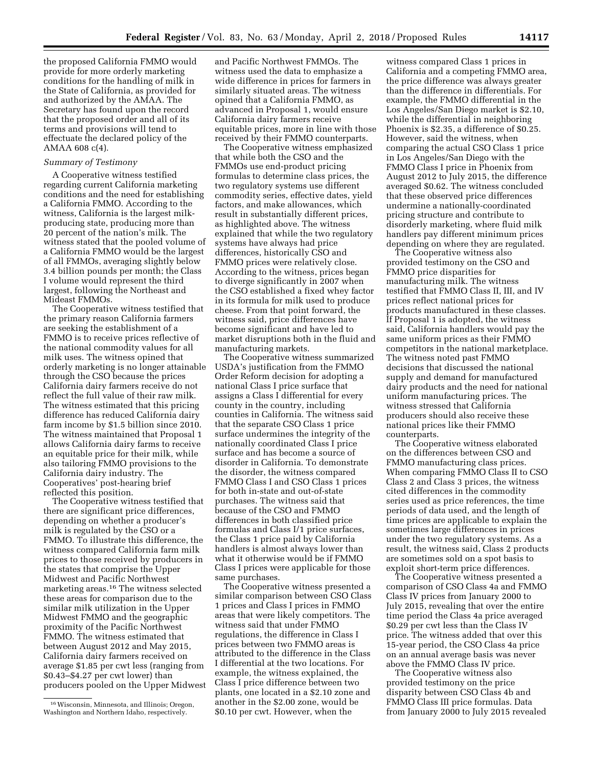the proposed California FMMO would provide for more orderly marketing conditions for the handling of milk in the State of California, as provided for and authorized by the AMAA. The Secretary has found upon the record that the proposed order and all of its terms and provisions will tend to effectuate the declared policy of the AMAA 608 c(4).

### *Summary of Testimony*

A Cooperative witness testified regarding current California marketing conditions and the need for establishing a California FMMO. According to the witness, California is the largest milkproducing state, producing more than 20 percent of the nation's milk. The witness stated that the pooled volume of a California FMMO would be the largest of all FMMOs, averaging slightly below 3.4 billion pounds per month; the Class I volume would represent the third largest, following the Northeast and Mideast FMMOs.

The Cooperative witness testified that the primary reason California farmers are seeking the establishment of a FMMO is to receive prices reflective of the national commodity values for all milk uses. The witness opined that orderly marketing is no longer attainable through the CSO because the prices California dairy farmers receive do not reflect the full value of their raw milk. The witness estimated that this pricing difference has reduced California dairy farm income by \$1.5 billion since 2010. The witness maintained that Proposal 1 allows California dairy farms to receive an equitable price for their milk, while also tailoring FMMO provisions to the California dairy industry. The Cooperatives' post-hearing brief reflected this position.

The Cooperative witness testified that there are significant price differences, depending on whether a producer's milk is regulated by the CSO or a FMMO. To illustrate this difference, the witness compared California farm milk prices to those received by producers in the states that comprise the Upper Midwest and Pacific Northwest marketing areas.16 The witness selected these areas for comparison due to the similar milk utilization in the Upper Midwest FMMO and the geographic proximity of the Pacific Northwest FMMO. The witness estimated that between August 2012 and May 2015, California dairy farmers received on average \$1.85 per cwt less (ranging from \$0.43–\$4.27 per cwt lower) than producers pooled on the Upper Midwest

16Wisconsin, Minnesota, and Illinois; Oregon, Washington and Northern Idaho, respectively.

and Pacific Northwest FMMOs. The witness used the data to emphasize a wide difference in prices for farmers in similarly situated areas. The witness opined that a California FMMO, as advanced in Proposal 1, would ensure California dairy farmers receive equitable prices, more in line with those received by their FMMO counterparts.

The Cooperative witness emphasized that while both the CSO and the FMMOs use end-product pricing formulas to determine class prices, the two regulatory systems use different commodity series, effective dates, yield factors, and make allowances, which result in substantially different prices, as highlighted above. The witness explained that while the two regulatory systems have always had price differences, historically CSO and FMMO prices were relatively close. According to the witness, prices began to diverge significantly in 2007 when the CSO established a fixed whey factor in its formula for milk used to produce cheese. From that point forward, the witness said, price differences have become significant and have led to market disruptions both in the fluid and manufacturing markets.

The Cooperative witness summarized USDA's justification from the FMMO Order Reform decision for adopting a national Class I price surface that assigns a Class I differential for every county in the country, including counties in California. The witness said that the separate CSO Class 1 price surface undermines the integrity of the nationally coordinated Class I price surface and has become a source of disorder in California. To demonstrate the disorder, the witness compared FMMO Class I and CSO Class 1 prices for both in-state and out-of-state purchases. The witness said that because of the CSO and FMMO differences in both classified price formulas and Class I/1 price surfaces, the Class 1 price paid by California handlers is almost always lower than what it otherwise would be if FMMO Class I prices were applicable for those same purchases.

The Cooperative witness presented a similar comparison between CSO Class 1 prices and Class I prices in FMMO areas that were likely competitors. The witness said that under FMMO regulations, the difference in Class I prices between two FMMO areas is attributed to the difference in the Class I differential at the two locations. For example, the witness explained, the Class I price difference between two plants, one located in a \$2.10 zone and another in the \$2.00 zone, would be \$0.10 per cwt. However, when the

witness compared Class 1 prices in California and a competing FMMO area, the price difference was always greater than the difference in differentials. For example, the FMMO differential in the Los Angeles/San Diego market is \$2.10, while the differential in neighboring Phoenix is \$2.35, a difference of \$0.25. However, said the witness, when comparing the actual CSO Class 1 price in Los Angeles/San Diego with the FMMO Class I price in Phoenix from August 2012 to July 2015, the difference averaged \$0.62. The witness concluded that these observed price differences undermine a nationally-coordinated pricing structure and contribute to disorderly marketing, where fluid milk handlers pay different minimum prices depending on where they are regulated.

The Cooperative witness also provided testimony on the CSO and FMMO price disparities for manufacturing milk. The witness testified that FMMO Class II, III, and IV prices reflect national prices for products manufactured in these classes. If Proposal 1 is adopted, the witness said, California handlers would pay the same uniform prices as their FMMO competitors in the national marketplace. The witness noted past FMMO decisions that discussed the national supply and demand for manufactured dairy products and the need for national uniform manufacturing prices. The witness stressed that California producers should also receive these national prices like their FMMO counterparts.

The Cooperative witness elaborated on the differences between CSO and FMMO manufacturing class prices. When comparing FMMO Class II to CSO Class 2 and Class 3 prices, the witness cited differences in the commodity series used as price references, the time periods of data used, and the length of time prices are applicable to explain the sometimes large differences in prices under the two regulatory systems. As a result, the witness said, Class 2 products are sometimes sold on a spot basis to exploit short-term price differences.

The Cooperative witness presented a comparison of CSO Class 4a and FMMO Class IV prices from January 2000 to July 2015, revealing that over the entire time period the Class 4a price averaged \$0.29 per cwt less than the Class IV price. The witness added that over this 15-year period, the CSO Class 4a price on an annual average basis was never above the FMMO Class IV price.

The Cooperative witness also provided testimony on the price disparity between CSO Class 4b and FMMO Class III price formulas. Data from January 2000 to July 2015 revealed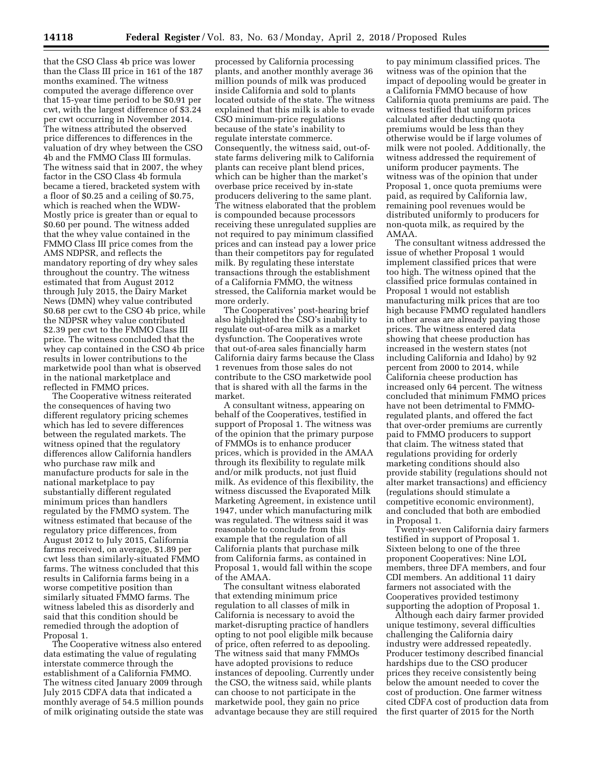that the CSO Class 4b price was lower than the Class III price in 161 of the 187 months examined. The witness computed the average difference over that 15-year time period to be \$0.91 per cwt, with the largest difference of \$3.24 per cwt occurring in November 2014. The witness attributed the observed price differences to differences in the valuation of dry whey between the CSO 4b and the FMMO Class III formulas. The witness said that in 2007, the whey factor in the CSO Class 4b formula became a tiered, bracketed system with a floor of \$0.25 and a ceiling of \$0.75, which is reached when the WDW-Mostly price is greater than or equal to \$0.60 per pound. The witness added that the whey value contained in the FMMO Class III price comes from the AMS NDPSR, and reflects the mandatory reporting of dry whey sales throughout the country. The witness estimated that from August 2012 through July 2015, the Dairy Market News (DMN) whey value contributed \$0.68 per cwt to the CSO 4b price, while the NDPSR whey value contributed \$2.39 per cwt to the FMMO Class III price. The witness concluded that the whey cap contained in the CSO 4b price results in lower contributions to the marketwide pool than what is observed in the national marketplace and reflected in FMMO prices.

The Cooperative witness reiterated the consequences of having two different regulatory pricing schemes which has led to severe differences between the regulated markets. The witness opined that the regulatory differences allow California handlers who purchase raw milk and manufacture products for sale in the national marketplace to pay substantially different regulated minimum prices than handlers regulated by the FMMO system. The witness estimated that because of the regulatory price differences, from August 2012 to July 2015, California farms received, on average, \$1.89 per cwt less than similarly-situated FMMO farms. The witness concluded that this results in California farms being in a worse competitive position than similarly situated FMMO farms. The witness labeled this as disorderly and said that this condition should be remedied through the adoption of Proposal 1.

The Cooperative witness also entered data estimating the value of regulating interstate commerce through the establishment of a California FMMO. The witness cited January 2009 through July 2015 CDFA data that indicated a monthly average of 54.5 million pounds of milk originating outside the state was

processed by California processing plants, and another monthly average 36 million pounds of milk was produced inside California and sold to plants located outside of the state. The witness explained that this milk is able to evade CSO minimum-price regulations because of the state's inability to regulate interstate commerce. Consequently, the witness said, out-ofstate farms delivering milk to California plants can receive plant blend prices, which can be higher than the market's overbase price received by in-state producers delivering to the same plant. The witness elaborated that the problem is compounded because processors receiving these unregulated supplies are not required to pay minimum classified prices and can instead pay a lower price than their competitors pay for regulated milk. By regulating these interstate transactions through the establishment of a California FMMO, the witness stressed, the California market would be more orderly.

The Cooperatives' post-hearing brief also highlighted the CSO's inability to regulate out-of-area milk as a market dysfunction. The Cooperatives wrote that out-of-area sales financially harm California dairy farms because the Class 1 revenues from those sales do not contribute to the CSO marketwide pool that is shared with all the farms in the market.

A consultant witness, appearing on behalf of the Cooperatives, testified in support of Proposal 1. The witness was of the opinion that the primary purpose of FMMOs is to enhance producer prices, which is provided in the AMAA through its flexibility to regulate milk and/or milk products, not just fluid milk. As evidence of this flexibility, the witness discussed the Evaporated Milk Marketing Agreement, in existence until 1947, under which manufacturing milk was regulated. The witness said it was reasonable to conclude from this example that the regulation of all California plants that purchase milk from California farms, as contained in Proposal 1, would fall within the scope of the AMAA.

The consultant witness elaborated that extending minimum price regulation to all classes of milk in California is necessary to avoid the market-disrupting practice of handlers opting to not pool eligible milk because of price, often referred to as depooling. The witness said that many FMMOs have adopted provisions to reduce instances of depooling. Currently under the CSO, the witness said, while plants can choose to not participate in the marketwide pool, they gain no price advantage because they are still required

to pay minimum classified prices. The witness was of the opinion that the impact of depooling would be greater in a California FMMO because of how California quota premiums are paid. The witness testified that uniform prices calculated after deducting quota premiums would be less than they otherwise would be if large volumes of milk were not pooled. Additionally, the witness addressed the requirement of uniform producer payments. The witness was of the opinion that under Proposal 1, once quota premiums were paid, as required by California law, remaining pool revenues would be distributed uniformly to producers for non-quota milk, as required by the AMAA.

The consultant witness addressed the issue of whether Proposal 1 would implement classified prices that were too high. The witness opined that the classified price formulas contained in Proposal 1 would not establish manufacturing milk prices that are too high because FMMO regulated handlers in other areas are already paying those prices. The witness entered data showing that cheese production has increased in the western states (not including California and Idaho) by 92 percent from 2000 to 2014, while California cheese production has increased only 64 percent. The witness concluded that minimum FMMO prices have not been detrimental to FMMOregulated plants, and offered the fact that over-order premiums are currently paid to FMMO producers to support that claim. The witness stated that regulations providing for orderly marketing conditions should also provide stability (regulations should not alter market transactions) and efficiency (regulations should stimulate a competitive economic environment), and concluded that both are embodied in Proposal 1.

Twenty-seven California dairy farmers testified in support of Proposal 1. Sixteen belong to one of the three proponent Cooperatives: Nine LOL members, three DFA members, and four CDI members. An additional 11 dairy farmers not associated with the Cooperatives provided testimony supporting the adoption of Proposal 1.

Although each dairy farmer provided unique testimony, several difficulties challenging the California dairy industry were addressed repeatedly. Producer testimony described financial hardships due to the CSO producer prices they receive consistently being below the amount needed to cover the cost of production. One farmer witness cited CDFA cost of production data from the first quarter of 2015 for the North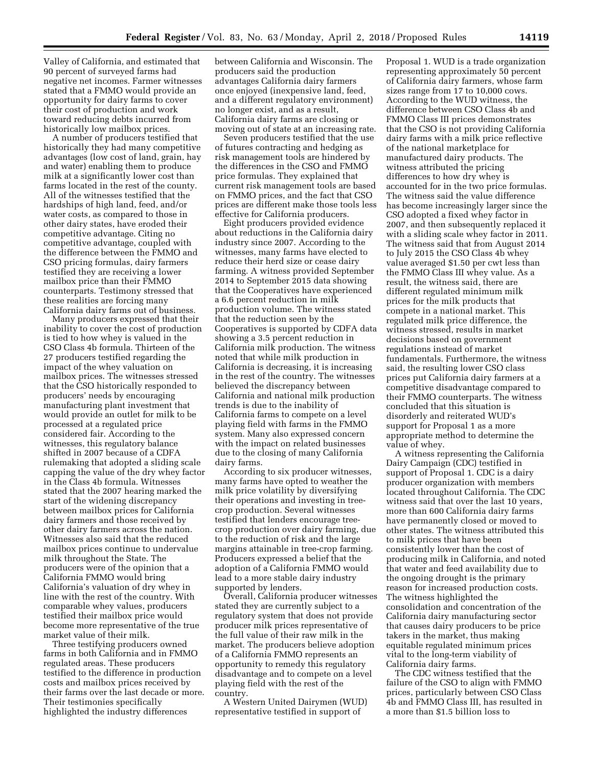Valley of California, and estimated that 90 percent of surveyed farms had negative net incomes. Farmer witnesses stated that a FMMO would provide an opportunity for dairy farms to cover their cost of production and work toward reducing debts incurred from historically low mailbox prices.

A number of producers testified that historically they had many competitive advantages (low cost of land, grain, hay and water) enabling them to produce milk at a significantly lower cost than farms located in the rest of the county. All of the witnesses testified that the hardships of high land, feed, and/or water costs, as compared to those in other dairy states, have eroded their competitive advantage. Citing no competitive advantage, coupled with the difference between the FMMO and CSO pricing formulas, dairy farmers testified they are receiving a lower mailbox price than their FMMO counterparts. Testimony stressed that these realities are forcing many California dairy farms out of business.

Many producers expressed that their inability to cover the cost of production is tied to how whey is valued in the CSO Class 4b formula. Thirteen of the 27 producers testified regarding the impact of the whey valuation on mailbox prices. The witnesses stressed that the CSO historically responded to producers' needs by encouraging manufacturing plant investment that would provide an outlet for milk to be processed at a regulated price considered fair. According to the witnesses, this regulatory balance shifted in 2007 because of a CDFA rulemaking that adopted a sliding scale capping the value of the dry whey factor in the Class 4b formula. Witnesses stated that the 2007 hearing marked the start of the widening discrepancy between mailbox prices for California dairy farmers and those received by other dairy farmers across the nation. Witnesses also said that the reduced mailbox prices continue to undervalue milk throughout the State. The producers were of the opinion that a California FMMO would bring California's valuation of dry whey in line with the rest of the country. With comparable whey values, producers testified their mailbox price would become more representative of the true market value of their milk.

Three testifying producers owned farms in both California and in FMMO regulated areas. These producers testified to the difference in production costs and mailbox prices received by their farms over the last decade or more. Their testimonies specifically highlighted the industry differences

between California and Wisconsin. The producers said the production advantages California dairy farmers once enjoyed (inexpensive land, feed, and a different regulatory environment) no longer exist, and as a result, California dairy farms are closing or moving out of state at an increasing rate.

Seven producers testified that the use of futures contracting and hedging as risk management tools are hindered by the differences in the CSO and FMMO price formulas. They explained that current risk management tools are based on FMMO prices, and the fact that CSO prices are different make those tools less effective for California producers.

Eight producers provided evidence about reductions in the California dairy industry since 2007. According to the witnesses, many farms have elected to reduce their herd size or cease dairy farming. A witness provided September 2014 to September 2015 data showing that the Cooperatives have experienced a 6.6 percent reduction in milk production volume. The witness stated that the reduction seen by the Cooperatives is supported by CDFA data showing a 3.5 percent reduction in California milk production. The witness noted that while milk production in California is decreasing, it is increasing in the rest of the country. The witnesses believed the discrepancy between California and national milk production trends is due to the inability of California farms to compete on a level playing field with farms in the FMMO system. Many also expressed concern with the impact on related businesses due to the closing of many California dairy farms.

According to six producer witnesses, many farms have opted to weather the milk price volatility by diversifying their operations and investing in treecrop production. Several witnesses testified that lenders encourage treecrop production over dairy farming, due to the reduction of risk and the large margins attainable in tree-crop farming. Producers expressed a belief that the adoption of a California FMMO would lead to a more stable dairy industry supported by lenders.

Overall, California producer witnesses stated they are currently subject to a regulatory system that does not provide producer milk prices representative of the full value of their raw milk in the market. The producers believe adoption of a California FMMO represents an opportunity to remedy this regulatory disadvantage and to compete on a level playing field with the rest of the country.

A Western United Dairymen (WUD) representative testified in support of

Proposal 1. WUD is a trade organization representing approximately 50 percent of California dairy farmers, whose farm sizes range from 17 to 10,000 cows. According to the WUD witness, the difference between CSO Class 4b and FMMO Class III prices demonstrates that the CSO is not providing California dairy farms with a milk price reflective of the national marketplace for manufactured dairy products. The witness attributed the pricing differences to how dry whey is accounted for in the two price formulas. The witness said the value difference has become increasingly larger since the CSO adopted a fixed whey factor in 2007, and then subsequently replaced it with a sliding scale whey factor in 2011. The witness said that from August 2014 to July 2015 the CSO Class 4b whey value averaged \$1.50 per cwt less than the FMMO Class III whey value. As a result, the witness said, there are different regulated minimum milk prices for the milk products that compete in a national market. This regulated milk price difference, the witness stressed, results in market decisions based on government regulations instead of market fundamentals. Furthermore, the witness said, the resulting lower CSO class prices put California dairy farmers at a competitive disadvantage compared to their FMMO counterparts. The witness concluded that this situation is disorderly and reiterated WUD's support for Proposal 1 as a more appropriate method to determine the value of whey.

A witness representing the California Dairy Campaign (CDC) testified in support of Proposal 1. CDC is a dairy producer organization with members located throughout California. The CDC witness said that over the last 10 years, more than 600 California dairy farms have permanently closed or moved to other states. The witness attributed this to milk prices that have been consistently lower than the cost of producing milk in California, and noted that water and feed availability due to the ongoing drought is the primary reason for increased production costs. The witness highlighted the consolidation and concentration of the California dairy manufacturing sector that causes dairy producers to be price takers in the market, thus making equitable regulated minimum prices vital to the long-term viability of California dairy farms.

The CDC witness testified that the failure of the CSO to align with FMMO prices, particularly between CSO Class 4b and FMMO Class III, has resulted in a more than \$1.5 billion loss to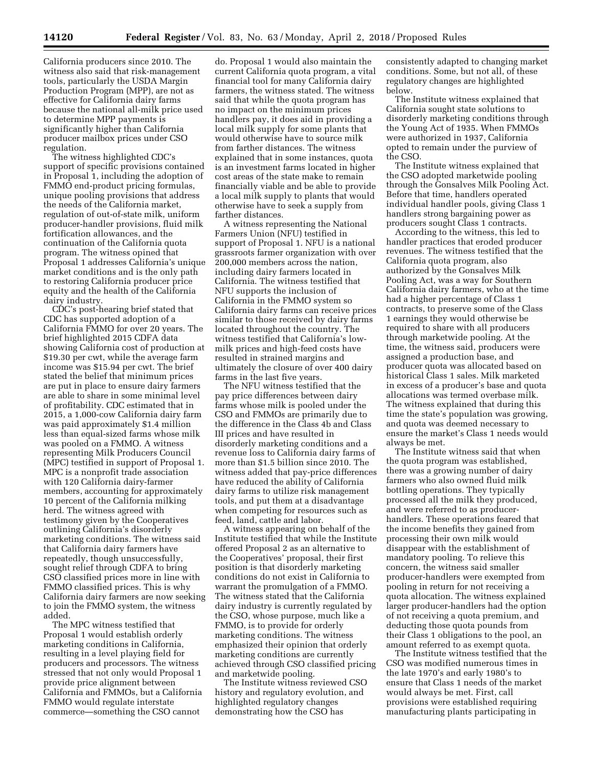California producers since 2010. The witness also said that risk-management tools, particularly the USDA Margin Production Program (MPP), are not as effective for California dairy farms because the national all-milk price used to determine MPP payments is significantly higher than California producer mailbox prices under CSO regulation.

The witness highlighted CDC's support of specific provisions contained in Proposal 1, including the adoption of FMMO end-product pricing formulas, unique pooling provisions that address the needs of the California market, regulation of out-of-state milk, uniform producer-handler provisions, fluid milk fortification allowances, and the continuation of the California quota program. The witness opined that Proposal 1 addresses California's unique market conditions and is the only path to restoring California producer price equity and the health of the California dairy industry.

CDC's post-hearing brief stated that CDC has supported adoption of a California FMMO for over 20 years. The brief highlighted 2015 CDFA data showing California cost of production at \$19.30 per cwt, while the average farm income was \$15.94 per cwt. The brief stated the belief that minimum prices are put in place to ensure dairy farmers are able to share in some minimal level of profitability. CDC estimated that in 2015, a 1,000-cow California dairy farm was paid approximately \$1.4 million less than equal-sized farms whose milk was pooled on a FMMO. A witness representing Milk Producers Council (MPC) testified in support of Proposal 1. MPC is a nonprofit trade association with 120 California dairy-farmer members, accounting for approximately 10 percent of the California milking herd. The witness agreed with testimony given by the Cooperatives outlining California's disorderly marketing conditions. The witness said that California dairy farmers have repeatedly, though unsuccessfully, sought relief through CDFA to bring CSO classified prices more in line with FMMO classified prices. This is why California dairy farmers are now seeking to join the FMMO system, the witness added.

The MPC witness testified that Proposal 1 would establish orderly marketing conditions in California, resulting in a level playing field for producers and processors. The witness stressed that not only would Proposal 1 provide price alignment between California and FMMOs, but a California FMMO would regulate interstate commerce—something the CSO cannot

do. Proposal 1 would also maintain the current California quota program, a vital financial tool for many California dairy farmers, the witness stated. The witness said that while the quota program has no impact on the minimum prices handlers pay, it does aid in providing a local milk supply for some plants that would otherwise have to source milk from farther distances. The witness explained that in some instances, quota is an investment farms located in higher cost areas of the state make to remain financially viable and be able to provide a local milk supply to plants that would otherwise have to seek a supply from farther distances.

A witness representing the National Farmers Union (NFU) testified in support of Proposal 1. NFU is a national grassroots farmer organization with over 200,000 members across the nation, including dairy farmers located in California. The witness testified that NFU supports the inclusion of California in the FMMO system so California dairy farms can receive prices similar to those received by dairy farms located throughout the country. The witness testified that California's lowmilk prices and high-feed costs have resulted in strained margins and ultimately the closure of over 400 dairy farms in the last five years.

The NFU witness testified that the pay price differences between dairy farms whose milk is pooled under the CSO and FMMOs are primarily due to the difference in the Class 4b and Class III prices and have resulted in disorderly marketing conditions and a revenue loss to California dairy farms of more than \$1.5 billion since 2010. The witness added that pay-price differences have reduced the ability of California dairy farms to utilize risk management tools, and put them at a disadvantage when competing for resources such as feed, land, cattle and labor.

A witness appearing on behalf of the Institute testified that while the Institute offered Proposal 2 as an alternative to the Cooperatives' proposal, their first position is that disorderly marketing conditions do not exist in California to warrant the promulgation of a FMMO. The witness stated that the California dairy industry is currently regulated by the CSO, whose purpose, much like a FMMO, is to provide for orderly marketing conditions. The witness emphasized their opinion that orderly marketing conditions are currently achieved through CSO classified pricing and marketwide pooling.

The Institute witness reviewed CSO history and regulatory evolution, and highlighted regulatory changes demonstrating how the CSO has

consistently adapted to changing market conditions. Some, but not all, of these regulatory changes are highlighted below.

The Institute witness explained that California sought state solutions to disorderly marketing conditions through the Young Act of 1935. When FMMOs were authorized in 1937, California opted to remain under the purview of the CSO.

The Institute witness explained that the CSO adopted marketwide pooling through the Gonsalves Milk Pooling Act. Before that time, handlers operated individual handler pools, giving Class 1 handlers strong bargaining power as producers sought Class 1 contracts.

According to the witness, this led to handler practices that eroded producer revenues. The witness testified that the California quota program, also authorized by the Gonsalves Milk Pooling Act, was a way for Southern California dairy farmers, who at the time had a higher percentage of Class 1 contracts, to preserve some of the Class 1 earnings they would otherwise be required to share with all producers through marketwide pooling. At the time, the witness said, producers were assigned a production base, and producer quota was allocated based on historical Class 1 sales. Milk marketed in excess of a producer's base and quota allocations was termed overbase milk. The witness explained that during this time the state's population was growing, and quota was deemed necessary to ensure the market's Class 1 needs would always be met.

The Institute witness said that when the quota program was established, there was a growing number of dairy farmers who also owned fluid milk bottling operations. They typically processed all the milk they produced, and were referred to as producerhandlers. These operations feared that the income benefits they gained from processing their own milk would disappear with the establishment of mandatory pooling. To relieve this concern, the witness said smaller producer-handlers were exempted from pooling in return for not receiving a quota allocation. The witness explained larger producer-handlers had the option of not receiving a quota premium, and deducting those quota pounds from their Class 1 obligations to the pool, an amount referred to as exempt quota.

The Institute witness testified that the CSO was modified numerous times in the late 1970's and early 1980's to ensure that Class 1 needs of the market would always be met. First, call provisions were established requiring manufacturing plants participating in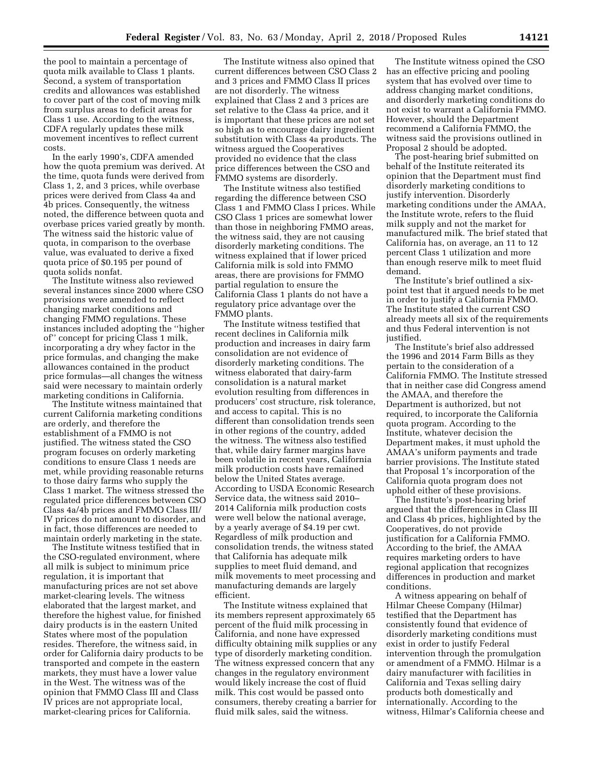the pool to maintain a percentage of quota milk available to Class 1 plants. Second, a system of transportation credits and allowances was established to cover part of the cost of moving milk from surplus areas to deficit areas for Class 1 use. According to the witness, CDFA regularly updates these milk movement incentives to reflect current costs.

In the early 1990's, CDFA amended how the quota premium was derived. At the time, quota funds were derived from Class 1, 2, and 3 prices, while overbase prices were derived from Class 4a and 4b prices. Consequently, the witness noted, the difference between quota and overbase prices varied greatly by month. The witness said the historic value of quota, in comparison to the overbase value, was evaluated to derive a fixed quota price of \$0.195 per pound of quota solids nonfat.

The Institute witness also reviewed several instances since 2000 where CSO provisions were amended to reflect changing market conditions and changing FMMO regulations. These instances included adopting the ''higher of'' concept for pricing Class 1 milk, incorporating a dry whey factor in the price formulas, and changing the make allowances contained in the product price formulas—all changes the witness said were necessary to maintain orderly marketing conditions in California.

The Institute witness maintained that current California marketing conditions are orderly, and therefore the establishment of a FMMO is not justified. The witness stated the CSO program focuses on orderly marketing conditions to ensure Class 1 needs are met, while providing reasonable returns to those dairy farms who supply the Class 1 market. The witness stressed the regulated price differences between CSO Class 4a/4b prices and FMMO Class III/ IV prices do not amount to disorder, and in fact, those differences are needed to maintain orderly marketing in the state.

The Institute witness testified that in the CSO-regulated environment, where all milk is subject to minimum price regulation, it is important that manufacturing prices are not set above market-clearing levels. The witness elaborated that the largest market, and therefore the highest value, for finished dairy products is in the eastern United States where most of the population resides. Therefore, the witness said, in order for California dairy products to be transported and compete in the eastern markets, they must have a lower value in the West. The witness was of the opinion that FMMO Class III and Class IV prices are not appropriate local, market-clearing prices for California.

The Institute witness also opined that current differences between CSO Class 2 and 3 prices and FMMO Class II prices are not disorderly. The witness explained that Class 2 and 3 prices are set relative to the Class 4a price, and it is important that these prices are not set so high as to encourage dairy ingredient substitution with Class 4a products. The witness argued the Cooperatives provided no evidence that the class price differences between the CSO and FMMO systems are disorderly.

The Institute witness also testified regarding the difference between CSO Class 1 and FMMO Class I prices. While CSO Class 1 prices are somewhat lower than those in neighboring FMMO areas, the witness said, they are not causing disorderly marketing conditions. The witness explained that if lower priced California milk is sold into FMMO areas, there are provisions for FMMO partial regulation to ensure the California Class 1 plants do not have a regulatory price advantage over the FMMO plants.

The Institute witness testified that recent declines in California milk production and increases in dairy farm consolidation are not evidence of disorderly marketing conditions. The witness elaborated that dairy-farm consolidation is a natural market evolution resulting from differences in producers' cost structure, risk tolerance, and access to capital. This is no different than consolidation trends seen in other regions of the country, added the witness. The witness also testified that, while dairy farmer margins have been volatile in recent years, California milk production costs have remained below the United States average. According to USDA Economic Research Service data, the witness said 2010– 2014 California milk production costs were well below the national average, by a yearly average of \$4.19 per cwt. Regardless of milk production and consolidation trends, the witness stated that California has adequate milk supplies to meet fluid demand, and milk movements to meet processing and manufacturing demands are largely efficient.

The Institute witness explained that its members represent approximately 65 percent of the fluid milk processing in California, and none have expressed difficulty obtaining milk supplies or any type of disorderly marketing condition. The witness expressed concern that any changes in the regulatory environment would likely increase the cost of fluid milk. This cost would be passed onto consumers, thereby creating a barrier for fluid milk sales, said the witness.

The Institute witness opined the CSO has an effective pricing and pooling system that has evolved over time to address changing market conditions, and disorderly marketing conditions do not exist to warrant a California FMMO. However, should the Department recommend a California FMMO, the witness said the provisions outlined in Proposal 2 should be adopted.

The post-hearing brief submitted on behalf of the Institute reiterated its opinion that the Department must find disorderly marketing conditions to justify intervention. Disorderly marketing conditions under the AMAA, the Institute wrote, refers to the fluid milk supply and not the market for manufactured milk. The brief stated that California has, on average, an 11 to 12 percent Class 1 utilization and more than enough reserve milk to meet fluid demand.

The Institute's brief outlined a sixpoint test that it argued needs to be met in order to justify a California FMMO. The Institute stated the current CSO already meets all six of the requirements and thus Federal intervention is not justified.

The Institute's brief also addressed the 1996 and 2014 Farm Bills as they pertain to the consideration of a California FMMO. The Institute stressed that in neither case did Congress amend the AMAA, and therefore the Department is authorized, but not required, to incorporate the California quota program. According to the Institute, whatever decision the Department makes, it must uphold the AMAA's uniform payments and trade barrier provisions. The Institute stated that Proposal 1's incorporation of the California quota program does not uphold either of these provisions.

The Institute's post-hearing brief argued that the differences in Class III and Class 4b prices, highlighted by the Cooperatives, do not provide justification for a California FMMO. According to the brief, the AMAA requires marketing orders to have regional application that recognizes differences in production and market conditions.

A witness appearing on behalf of Hilmar Cheese Company (Hilmar) testified that the Department has consistently found that evidence of disorderly marketing conditions must exist in order to justify Federal intervention through the promulgation or amendment of a FMMO. Hilmar is a dairy manufacturer with facilities in California and Texas selling dairy products both domestically and internationally. According to the witness, Hilmar's California cheese and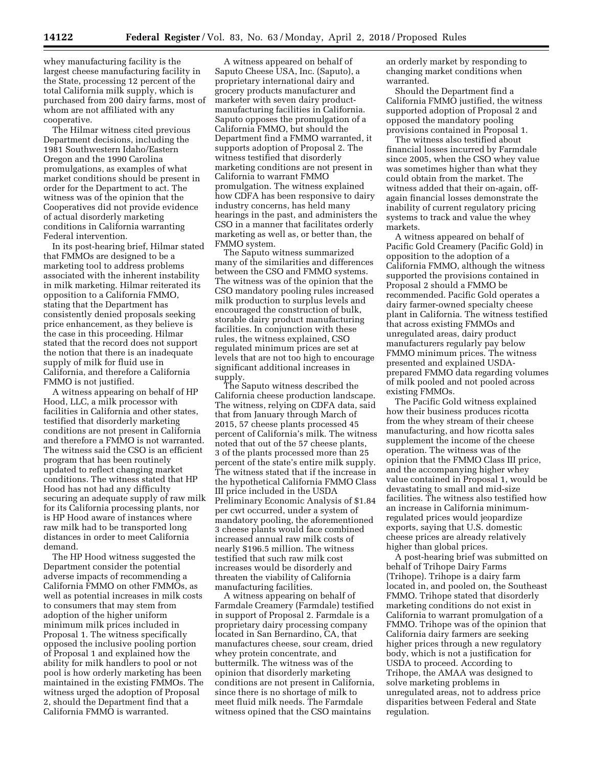The Hilmar witness cited previous Department decisions, including the 1981 Southwestern Idaho/Eastern Oregon and the 1990 Carolina promulgations, as examples of what market conditions should be present in order for the Department to act. The witness was of the opinion that the Cooperatives did not provide evidence of actual disorderly marketing conditions in California warranting Federal intervention.

In its post-hearing brief, Hilmar stated that FMMOs are designed to be a marketing tool to address problems associated with the inherent instability in milk marketing. Hilmar reiterated its opposition to a California FMMO, stating that the Department has consistently denied proposals seeking price enhancement, as they believe is the case in this proceeding. Hilmar stated that the record does not support the notion that there is an inadequate supply of milk for fluid use in California, and therefore a California FMMO is not justified.

A witness appearing on behalf of HP Hood, LLC, a milk processor with facilities in California and other states, testified that disorderly marketing conditions are not present in California and therefore a FMMO is not warranted. The witness said the CSO is an efficient program that has been routinely updated to reflect changing market conditions. The witness stated that HP Hood has not had any difficulty securing an adequate supply of raw milk for its California processing plants, nor is HP Hood aware of instances where raw milk had to be transported long distances in order to meet California demand.

The HP Hood witness suggested the Department consider the potential adverse impacts of recommending a California FMMO on other FMMOs, as well as potential increases in milk costs to consumers that may stem from adoption of the higher uniform minimum milk prices included in Proposal 1. The witness specifically opposed the inclusive pooling portion of Proposal 1 and explained how the ability for milk handlers to pool or not pool is how orderly marketing has been maintained in the existing FMMOs. The witness urged the adoption of Proposal 2, should the Department find that a California FMMO is warranted.

A witness appeared on behalf of Saputo Cheese USA, Inc. (Saputo), a proprietary international dairy and grocery products manufacturer and marketer with seven dairy productmanufacturing facilities in California. Saputo opposes the promulgation of a California FMMO, but should the Department find a FMMO warranted, it supports adoption of Proposal 2. The witness testified that disorderly marketing conditions are not present in California to warrant FMMO promulgation. The witness explained how CDFA has been responsive to dairy industry concerns, has held many hearings in the past, and administers the CSO in a manner that facilitates orderly marketing as well as, or better than, the FMMO system.

The Saputo witness summarized many of the similarities and differences between the CSO and FMMO systems. The witness was of the opinion that the CSO mandatory pooling rules increased milk production to surplus levels and encouraged the construction of bulk, storable dairy product manufacturing facilities. In conjunction with these rules, the witness explained, CSO regulated minimum prices are set at levels that are not too high to encourage significant additional increases in supply.

The Saputo witness described the California cheese production landscape. The witness, relying on CDFA data, said that from January through March of 2015, 57 cheese plants processed 45 percent of California's milk. The witness noted that out of the 57 cheese plants, 3 of the plants processed more than 25 percent of the state's entire milk supply. The witness stated that if the increase in the hypothetical California FMMO Class III price included in the USDA Preliminary Economic Analysis of \$1.84 per cwt occurred, under a system of mandatory pooling, the aforementioned 3 cheese plants would face combined increased annual raw milk costs of nearly \$196.5 million. The witness testified that such raw milk cost increases would be disorderly and threaten the viability of California manufacturing facilities.

A witness appearing on behalf of Farmdale Creamery (Farmdale) testified in support of Proposal 2. Farmdale is a proprietary dairy processing company located in San Bernardino, CA, that manufactures cheese, sour cream, dried whey protein concentrate, and buttermilk. The witness was of the opinion that disorderly marketing conditions are not present in California, since there is no shortage of milk to meet fluid milk needs. The Farmdale witness opined that the CSO maintains

an orderly market by responding to changing market conditions when warranted.

Should the Department find a California FMMO justified, the witness supported adoption of Proposal 2 and opposed the mandatory pooling provisions contained in Proposal 1.

The witness also testified about financial losses incurred by Farmdale since 2005, when the CSO whey value was sometimes higher than what they could obtain from the market. The witness added that their on-again, offagain financial losses demonstrate the inability of current regulatory pricing systems to track and value the whey markets.

A witness appeared on behalf of Pacific Gold Creamery (Pacific Gold) in opposition to the adoption of a California FMMO, although the witness supported the provisions contained in Proposal 2 should a FMMO be recommended. Pacific Gold operates a dairy farmer-owned specialty cheese plant in California. The witness testified that across existing FMMOs and unregulated areas, dairy product manufacturers regularly pay below FMMO minimum prices. The witness presented and explained USDAprepared FMMO data regarding volumes of milk pooled and not pooled across existing FMMOs.

The Pacific Gold witness explained how their business produces ricotta from the whey stream of their cheese manufacturing, and how ricotta sales supplement the income of the cheese operation. The witness was of the opinion that the FMMO Class III price, and the accompanying higher whey value contained in Proposal 1, would be devastating to small and mid-size facilities. The witness also testified how an increase in California minimumregulated prices would jeopardize exports, saying that U.S. domestic cheese prices are already relatively higher than global prices.

A post-hearing brief was submitted on behalf of Trihope Dairy Farms (Trihope). Trihope is a dairy farm located in, and pooled on, the Southeast FMMO. Trihope stated that disorderly marketing conditions do not exist in California to warrant promulgation of a FMMO. Trihope was of the opinion that California dairy farmers are seeking higher prices through a new regulatory body, which is not a justification for USDA to proceed. According to Trihope, the AMAA was designed to solve marketing problems in unregulated areas, not to address price disparities between Federal and State regulation.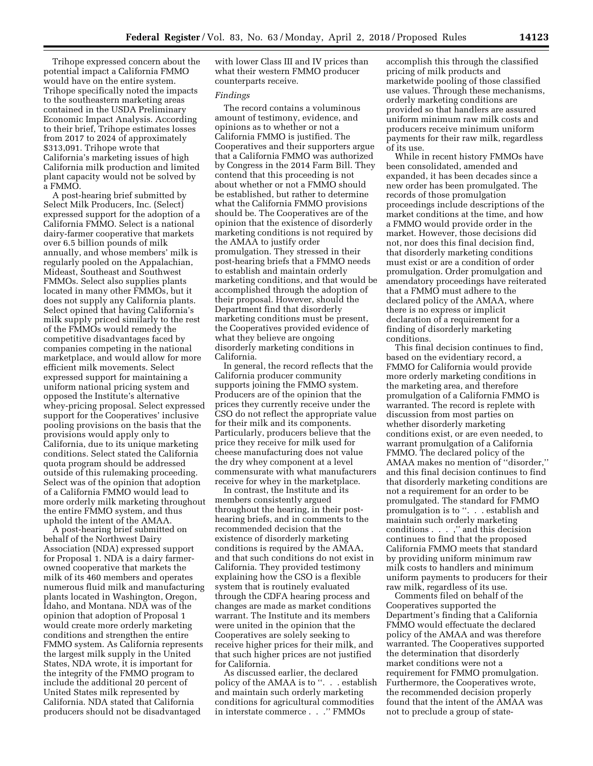Trihope expressed concern about the potential impact a California FMMO would have on the entire system. Trihope specifically noted the impacts to the southeastern marketing areas contained in the USDA Preliminary Economic Impact Analysis. According to their brief, Trihope estimates losses from 2017 to 2024 of approximately \$313,091. Trihope wrote that California's marketing issues of high California milk production and limited plant capacity would not be solved by a FMMO.

A post-hearing brief submitted by Select Milk Producers, Inc. (Select) expressed support for the adoption of a California FMMO. Select is a national dairy-farmer cooperative that markets over 6.5 billion pounds of milk annually, and whose members' milk is regularly pooled on the Appalachian, Mideast, Southeast and Southwest FMMOs. Select also supplies plants located in many other FMMOs, but it does not supply any California plants. Select opined that having California's milk supply priced similarly to the rest of the FMMOs would remedy the competitive disadvantages faced by companies competing in the national marketplace, and would allow for more efficient milk movements. Select expressed support for maintaining a uniform national pricing system and opposed the Institute's alternative whey-pricing proposal. Select expressed support for the Cooperatives' inclusive pooling provisions on the basis that the provisions would apply only to California, due to its unique marketing conditions. Select stated the California quota program should be addressed outside of this rulemaking proceeding. Select was of the opinion that adoption of a California FMMO would lead to more orderly milk marketing throughout the entire FMMO system, and thus uphold the intent of the AMAA.

A post-hearing brief submitted on behalf of the Northwest Dairy Association (NDA) expressed support for Proposal 1. NDA is a dairy farmerowned cooperative that markets the milk of its 460 members and operates numerous fluid milk and manufacturing plants located in Washington, Oregon, Idaho, and Montana. NDA was of the opinion that adoption of Proposal 1 would create more orderly marketing conditions and strengthen the entire FMMO system. As California represents the largest milk supply in the United States, NDA wrote, it is important for the integrity of the FMMO program to include the additional 20 percent of United States milk represented by California. NDA stated that California producers should not be disadvantaged

with lower Class III and IV prices than what their western FMMO producer counterparts receive.

# *Findings*

The record contains a voluminous amount of testimony, evidence, and opinions as to whether or not a California FMMO is justified. The Cooperatives and their supporters argue that a California FMMO was authorized by Congress in the 2014 Farm Bill. They contend that this proceeding is not about whether or not a FMMO should be established, but rather to determine what the California FMMO provisions should be. The Cooperatives are of the opinion that the existence of disorderly marketing conditions is not required by the AMAA to justify order promulgation. They stressed in their post-hearing briefs that a FMMO needs to establish and maintain orderly marketing conditions, and that would be accomplished through the adoption of their proposal. However, should the Department find that disorderly marketing conditions must be present, the Cooperatives provided evidence of what they believe are ongoing disorderly marketing conditions in California.

In general, the record reflects that the California producer community supports joining the FMMO system. Producers are of the opinion that the prices they currently receive under the CSO do not reflect the appropriate value for their milk and its components. Particularly, producers believe that the price they receive for milk used for cheese manufacturing does not value the dry whey component at a level commensurate with what manufacturers receive for whey in the marketplace.

In contrast, the Institute and its members consistently argued throughout the hearing, in their posthearing briefs, and in comments to the recommended decision that the existence of disorderly marketing conditions is required by the AMAA, and that such conditions do not exist in California. They provided testimony explaining how the CSO is a flexible system that is routinely evaluated through the CDFA hearing process and changes are made as market conditions warrant. The Institute and its members were united in the opinion that the Cooperatives are solely seeking to receive higher prices for their milk, and that such higher prices are not justified for California.

As discussed earlier, the declared policy of the AMAA is to ''. . . establish and maintain such orderly marketing conditions for agricultural commodities in interstate commerce . . .'' FMMOs

accomplish this through the classified pricing of milk products and marketwide pooling of those classified use values. Through these mechanisms, orderly marketing conditions are provided so that handlers are assured uniform minimum raw milk costs and producers receive minimum uniform payments for their raw milk, regardless of its use.

While in recent history FMMOs have been consolidated, amended and expanded, it has been decades since a new order has been promulgated. The records of those promulgation proceedings include descriptions of the market conditions at the time, and how a FMMO would provide order in the market. However, those decisions did not, nor does this final decision find, that disorderly marketing conditions must exist or are a condition of order promulgation. Order promulgation and amendatory proceedings have reiterated that a FMMO must adhere to the declared policy of the AMAA, where there is no express or implicit declaration of a requirement for a finding of disorderly marketing conditions.

This final decision continues to find, based on the evidentiary record, a FMMO for California would provide more orderly marketing conditions in the marketing area, and therefore promulgation of a California FMMO is warranted. The record is replete with discussion from most parties on whether disorderly marketing conditions exist, or are even needed, to warrant promulgation of a California FMMO. The declared policy of the AMAA makes no mention of ''disorder,'' and this final decision continues to find that disorderly marketing conditions are not a requirement for an order to be promulgated. The standard for FMMO promulgation is to ''. . . establish and maintain such orderly marketing conditions . . . ,'' and this decision continues to find that the proposed California FMMO meets that standard by providing uniform minimum raw milk costs to handlers and minimum uniform payments to producers for their raw milk, regardless of its use.

Comments filed on behalf of the Cooperatives supported the Department's finding that a California FMMO would effectuate the declared policy of the AMAA and was therefore warranted. The Cooperatives supported the determination that disorderly market conditions were not a requirement for FMMO promulgation. Furthermore, the Cooperatives wrote, the recommended decision properly found that the intent of the AMAA was not to preclude a group of state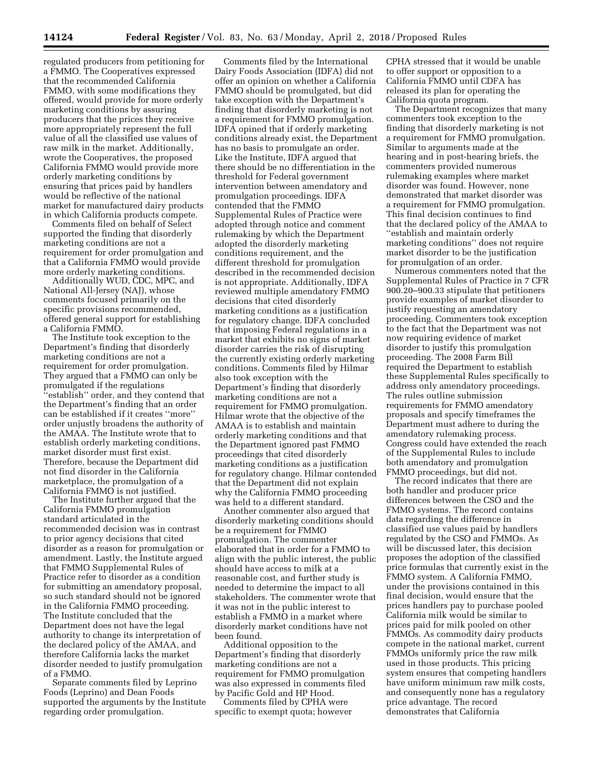regulated producers from petitioning for a FMMO. The Cooperatives expressed that the recommended California FMMO, with some modifications they offered, would provide for more orderly marketing conditions by assuring producers that the prices they receive more appropriately represent the full value of all the classified use values of raw milk in the market. Additionally, wrote the Cooperatives, the proposed California FMMO would provide more orderly marketing conditions by ensuring that prices paid by handlers would be reflective of the national market for manufactured dairy products in which California products compete.

Comments filed on behalf of Select supported the finding that disorderly marketing conditions are not a requirement for order promulgation and that a California FMMO would provide more orderly marketing conditions.

Additionally WUD, CDC, MPC, and National All-Jersey (NAJ), whose comments focused primarily on the specific provisions recommended, offered general support for establishing a California FMMO.

The Institute took exception to the Department's finding that disorderly marketing conditions are not a requirement for order promulgation. They argued that a FMMO can only be promulgated if the regulations ''establish'' order, and they contend that the Department's finding that an order can be established if it creates ''more'' order unjustly broadens the authority of the AMAA. The Institute wrote that to establish orderly marketing conditions, market disorder must first exist. Therefore, because the Department did not find disorder in the California marketplace, the promulgation of a California FMMO is not justified.

The Institute further argued that the California FMMO promulgation standard articulated in the recommended decision was in contrast to prior agency decisions that cited disorder as a reason for promulgation or amendment. Lastly, the Institute argued that FMMO Supplemental Rules of Practice refer to disorder as a condition for submitting an amendatory proposal, so such standard should not be ignored in the California FMMO proceeding. The Institute concluded that the Department does not have the legal authority to change its interpretation of the declared policy of the AMAA, and therefore California lacks the market disorder needed to justify promulgation of a FMMO.

Separate comments filed by Leprino Foods (Leprino) and Dean Foods supported the arguments by the Institute regarding order promulgation.

Comments filed by the International Dairy Foods Association (IDFA) did not offer an opinion on whether a California FMMO should be promulgated, but did take exception with the Department's finding that disorderly marketing is not a requirement for FMMO promulgation. IDFA opined that if orderly marketing conditions already exist, the Department has no basis to promulgate an order. Like the Institute, IDFA argued that there should be no differentiation in the threshold for Federal government intervention between amendatory and promulgation proceedings. IDFA contended that the FMMO Supplemental Rules of Practice were adopted through notice and comment rulemaking by which the Department adopted the disorderly marketing conditions requirement, and the different threshold for promulgation described in the recommended decision is not appropriate. Additionally, IDFA reviewed multiple amendatory FMMO decisions that cited disorderly marketing conditions as a justification for regulatory change. IDFA concluded that imposing Federal regulations in a market that exhibits no signs of market disorder carries the risk of disrupting the currently existing orderly marketing conditions. Comments filed by Hilmar also took exception with the Department's finding that disorderly marketing conditions are not a requirement for FMMO promulgation. Hilmar wrote that the objective of the AMAA is to establish and maintain orderly marketing conditions and that the Department ignored past FMMO proceedings that cited disorderly marketing conditions as a justification for regulatory change. Hilmar contended that the Department did not explain why the California FMMO proceeding was held to a different standard.

Another commenter also argued that disorderly marketing conditions should be a requirement for FMMO promulgation. The commenter elaborated that in order for a FMMO to align with the public interest, the public should have access to milk at a reasonable cost, and further study is needed to determine the impact to all stakeholders. The commenter wrote that it was not in the public interest to establish a FMMO in a market where disorderly market conditions have not been found.

Additional opposition to the Department's finding that disorderly marketing conditions are not a requirement for FMMO promulgation was also expressed in comments filed by Pacific Gold and HP Hood.

Comments filed by CPHA were specific to exempt quota; however

CPHA stressed that it would be unable to offer support or opposition to a California FMMO until CDFA has released its plan for operating the California quota program.

The Department recognizes that many commenters took exception to the finding that disorderly marketing is not a requirement for FMMO promulgation. Similar to arguments made at the hearing and in post-hearing briefs, the commenters provided numerous rulemaking examples where market disorder was found. However, none demonstrated that market disorder was a requirement for FMMO promulgation. This final decision continues to find that the declared policy of the AMAA to ''establish and maintain orderly marketing conditions'' does not require market disorder to be the justification for promulgation of an order.

Numerous commenters noted that the Supplemental Rules of Practice in 7 CFR 900.20–900.33 stipulate that petitioners provide examples of market disorder to justify requesting an amendatory proceeding. Commenters took exception to the fact that the Department was not now requiring evidence of market disorder to justify this promulgation proceeding. The 2008 Farm Bill required the Department to establish these Supplemental Rules specifically to address only amendatory proceedings. The rules outline submission requirements for FMMO amendatory proposals and specify timeframes the Department must adhere to during the amendatory rulemaking process. Congress could have extended the reach of the Supplemental Rules to include both amendatory and promulgation FMMO proceedings, but did not.

The record indicates that there are both handler and producer price differences between the CSO and the FMMO systems. The record contains data regarding the difference in classified use values paid by handlers regulated by the CSO and FMMOs. As will be discussed later, this decision proposes the adoption of the classified price formulas that currently exist in the FMMO system. A California FMMO, under the provisions contained in this final decision, would ensure that the prices handlers pay to purchase pooled California milk would be similar to prices paid for milk pooled on other FMMOs. As commodity dairy products compete in the national market, current FMMOs uniformly price the raw milk used in those products. This pricing system ensures that competing handlers have uniform minimum raw milk costs, and consequently none has a regulatory price advantage. The record demonstrates that California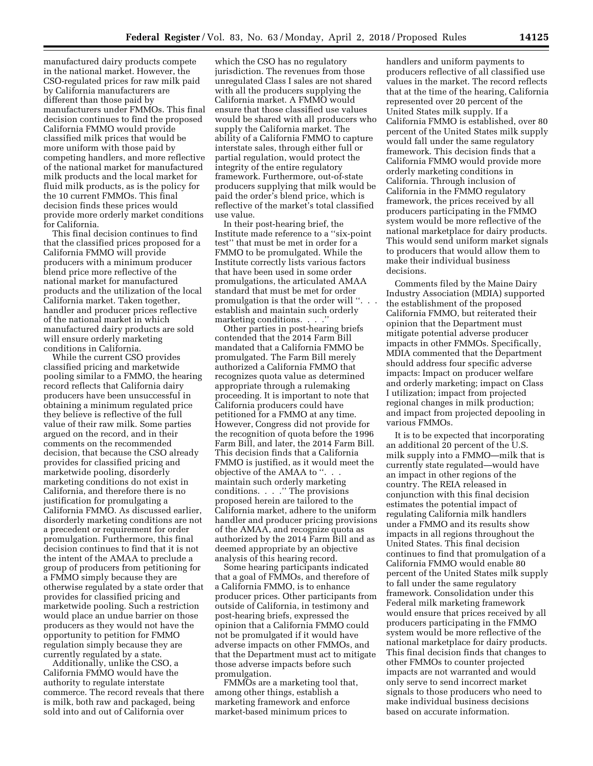manufactured dairy products compete in the national market. However, the CSO-regulated prices for raw milk paid by California manufacturers are different than those paid by manufacturers under FMMOs. This final decision continues to find the proposed California FMMO would provide classified milk prices that would be more uniform with those paid by competing handlers, and more reflective of the national market for manufactured milk products and the local market for fluid milk products, as is the policy for the 10 current FMMOs. This final decision finds these prices would provide more orderly market conditions for California.

This final decision continues to find that the classified prices proposed for a California FMMO will provide producers with a minimum producer blend price more reflective of the national market for manufactured products and the utilization of the local California market. Taken together, handler and producer prices reflective of the national market in which manufactured dairy products are sold will ensure orderly marketing conditions in California.

While the current CSO provides classified pricing and marketwide pooling similar to a FMMO, the hearing record reflects that California dairy producers have been unsuccessful in obtaining a minimum regulated price they believe is reflective of the full value of their raw milk. Some parties argued on the record, and in their comments on the recommended decision, that because the CSO already provides for classified pricing and marketwide pooling, disorderly marketing conditions do not exist in California, and therefore there is no justification for promulgating a California FMMO. As discussed earlier, disorderly marketing conditions are not a precedent or requirement for order promulgation. Furthermore, this final decision continues to find that it is not the intent of the AMAA to preclude a group of producers from petitioning for a FMMO simply because they are otherwise regulated by a state order that provides for classified pricing and marketwide pooling. Such a restriction would place an undue barrier on those producers as they would not have the opportunity to petition for FMMO regulation simply because they are currently regulated by a state.

Additionally, unlike the CSO, a California FMMO would have the authority to regulate interstate commerce. The record reveals that there is milk, both raw and packaged, being sold into and out of California over

which the CSO has no regulatory jurisdiction. The revenues from those unregulated Class I sales are not shared with all the producers supplying the California market. A FMMO would ensure that those classified use values would be shared with all producers who supply the California market. The ability of a California FMMO to capture interstate sales, through either full or partial regulation, would protect the integrity of the entire regulatory framework. Furthermore, out-of-state producers supplying that milk would be paid the order's blend price, which is reflective of the market's total classified use value.

In their post-hearing brief, the Institute made reference to a ''six-point test'' that must be met in order for a FMMO to be promulgated. While the Institute correctly lists various factors that have been used in some order promulgations, the articulated AMAA standard that must be met for order promulgation is that the order will ". establish and maintain such orderly marketing conditions. . . .''

Other parties in post-hearing briefs contended that the 2014 Farm Bill mandated that a California FMMO be promulgated. The Farm Bill merely authorized a California FMMO that recognizes quota value as determined appropriate through a rulemaking proceeding. It is important to note that California producers could have petitioned for a FMMO at any time. However, Congress did not provide for the recognition of quota before the 1996 Farm Bill, and later, the 2014 Farm Bill. This decision finds that a California FMMO is justified, as it would meet the objective of the AMAA to ''. . . maintain such orderly marketing conditions. . . .'' The provisions proposed herein are tailored to the California market, adhere to the uniform handler and producer pricing provisions of the AMAA, and recognize quota as authorized by the 2014 Farm Bill and as deemed appropriate by an objective analysis of this hearing record.

Some hearing participants indicated that a goal of FMMOs, and therefore of a California FMMO, is to enhance producer prices. Other participants from outside of California, in testimony and post-hearing briefs, expressed the opinion that a California FMMO could not be promulgated if it would have adverse impacts on other FMMOs, and that the Department must act to mitigate those adverse impacts before such promulgation.

FMMOs are a marketing tool that, among other things, establish a marketing framework and enforce market-based minimum prices to

handlers and uniform payments to producers reflective of all classified use values in the market. The record reflects that at the time of the hearing, California represented over 20 percent of the United States milk supply. If a California FMMO is established, over 80 percent of the United States milk supply would fall under the same regulatory framework. This decision finds that a California FMMO would provide more orderly marketing conditions in California. Through inclusion of California in the FMMO regulatory framework, the prices received by all producers participating in the FMMO system would be more reflective of the national marketplace for dairy products. This would send uniform market signals to producers that would allow them to make their individual business decisions.

Comments filed by the Maine Dairy Industry Association (MDIA) supported the establishment of the proposed California FMMO, but reiterated their opinion that the Department must mitigate potential adverse producer impacts in other FMMOs. Specifically, MDIA commented that the Department should address four specific adverse impacts: Impact on producer welfare and orderly marketing; impact on Class I utilization; impact from projected regional changes in milk production; and impact from projected depooling in various FMMOs.

It is to be expected that incorporating an additional 20 percent of the U.S. milk supply into a FMMO—milk that is currently state regulated—would have an impact in other regions of the country. The REIA released in conjunction with this final decision estimates the potential impact of regulating California milk handlers under a FMMO and its results show impacts in all regions throughout the United States. This final decision continues to find that promulgation of a California FMMO would enable 80 percent of the United States milk supply to fall under the same regulatory framework. Consolidation under this Federal milk marketing framework would ensure that prices received by all producers participating in the FMMO system would be more reflective of the national marketplace for dairy products. This final decision finds that changes to other FMMOs to counter projected impacts are not warranted and would only serve to send incorrect market signals to those producers who need to make individual business decisions based on accurate information.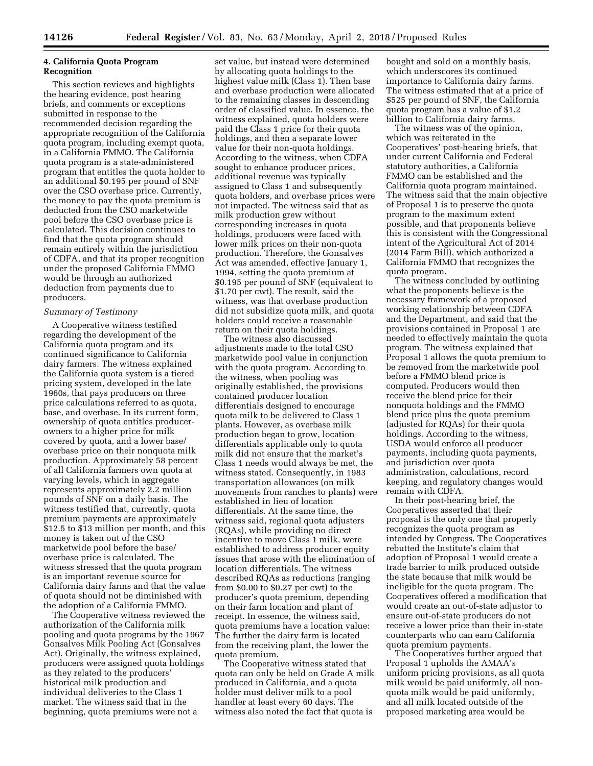# **4. California Quota Program Recognition**

This section reviews and highlights the hearing evidence, post hearing briefs, and comments or exceptions submitted in response to the recommended decision regarding the appropriate recognition of the California quota program, including exempt quota, in a California FMMO. The California quota program is a state-administered program that entitles the quota holder to an additional \$0.195 per pound of SNF over the CSO overbase price. Currently, the money to pay the quota premium is deducted from the CSO marketwide pool before the CSO overbase price is calculated. This decision continues to find that the quota program should remain entirely within the jurisdiction of CDFA, and that its proper recognition under the proposed California FMMO would be through an authorized deduction from payments due to producers.

# *Summary of Testimony*

A Cooperative witness testified regarding the development of the California quota program and its continued significance to California dairy farmers. The witness explained the California quota system is a tiered pricing system, developed in the late 1960s, that pays producers on three price calculations referred to as quota, base, and overbase. In its current form, ownership of quota entitles producerowners to a higher price for milk covered by quota, and a lower base/ overbase price on their nonquota milk production. Approximately 58 percent of all California farmers own quota at varying levels, which in aggregate represents approximately 2.2 million pounds of SNF on a daily basis. The witness testified that, currently, quota premium payments are approximately \$12.5 to \$13 million per month, and this money is taken out of the CSO marketwide pool before the base/ overbase price is calculated. The witness stressed that the quota program is an important revenue source for California dairy farms and that the value of quota should not be diminished with the adoption of a California FMMO.

The Cooperative witness reviewed the authorization of the California milk pooling and quota programs by the 1967 Gonsalves Milk Pooling Act (Gonsalves Act). Originally, the witness explained, producers were assigned quota holdings as they related to the producers' historical milk production and individual deliveries to the Class 1 market. The witness said that in the beginning, quota premiums were not a

set value, but instead were determined by allocating quota holdings to the highest value milk (Class 1). Then base and overbase production were allocated to the remaining classes in descending order of classified value. In essence, the witness explained, quota holders were paid the Class 1 price for their quota holdings, and then a separate lower value for their non-quota holdings. According to the witness, when CDFA sought to enhance producer prices, additional revenue was typically assigned to Class 1 and subsequently quota holders, and overbase prices were not impacted. The witness said that as milk production grew without corresponding increases in quota holdings, producers were faced with lower milk prices on their non-quota production. Therefore, the Gonsalves Act was amended, effective January 1, 1994, setting the quota premium at \$0.195 per pound of SNF (equivalent to \$1.70 per cwt). The result, said the witness, was that overbase production did not subsidize quota milk, and quota holders could receive a reasonable return on their quota holdings.

The witness also discussed adjustments made to the total CSO marketwide pool value in conjunction with the quota program. According to the witness, when pooling was originally established, the provisions contained producer location differentials designed to encourage quota milk to be delivered to Class 1 plants. However, as overbase milk production began to grow, location differentials applicable only to quota milk did not ensure that the market's Class 1 needs would always be met, the witness stated. Consequently, in 1983 transportation allowances (on milk movements from ranches to plants) were established in lieu of location differentials. At the same time, the witness said, regional quota adjusters (RQAs), while providing no direct incentive to move Class 1 milk, were established to address producer equity issues that arose with the elimination of location differentials. The witness described RQAs as reductions (ranging from \$0.00 to \$0.27 per cwt) to the producer's quota premium, depending on their farm location and plant of receipt. In essence, the witness said, quota premiums have a location value: The further the dairy farm is located from the receiving plant, the lower the quota premium.

The Cooperative witness stated that quota can only be held on Grade A milk produced in California, and a quota holder must deliver milk to a pool handler at least every 60 days. The witness also noted the fact that quota is

bought and sold on a monthly basis, which underscores its continued importance to California dairy farms. The witness estimated that at a price of \$525 per pound of SNF, the California quota program has a value of \$1.2 billion to California dairy farms.

The witness was of the opinion, which was reiterated in the Cooperatives' post-hearing briefs, that under current California and Federal statutory authorities, a California FMMO can be established and the California quota program maintained. The witness said that the main objective of Proposal 1 is to preserve the quota program to the maximum extent possible, and that proponents believe this is consistent with the Congressional intent of the Agricultural Act of 2014 (2014 Farm Bill), which authorized a California FMMO that recognizes the quota program.

The witness concluded by outlining what the proponents believe is the necessary framework of a proposed working relationship between CDFA and the Department, and said that the provisions contained in Proposal 1 are needed to effectively maintain the quota program. The witness explained that Proposal 1 allows the quota premium to be removed from the marketwide pool before a FMMO blend price is computed. Producers would then receive the blend price for their nonquota holdings and the FMMO blend price plus the quota premium (adjusted for RQAs) for their quota holdings. According to the witness, USDA would enforce all producer payments, including quota payments, and jurisdiction over quota administration, calculations, record keeping, and regulatory changes would remain with CDFA.

In their post-hearing brief, the Cooperatives asserted that their proposal is the only one that properly recognizes the quota program as intended by Congress. The Cooperatives rebutted the Institute's claim that adoption of Proposal 1 would create a trade barrier to milk produced outside the state because that milk would be ineligible for the quota program. The Cooperatives offered a modification that would create an out-of-state adjustor to ensure out-of-state producers do not receive a lower price than their in-state counterparts who can earn California quota premium payments.

The Cooperatives further argued that Proposal 1 upholds the AMAA's uniform pricing provisions, as all quota milk would be paid uniformly, all nonquota milk would be paid uniformly, and all milk located outside of the proposed marketing area would be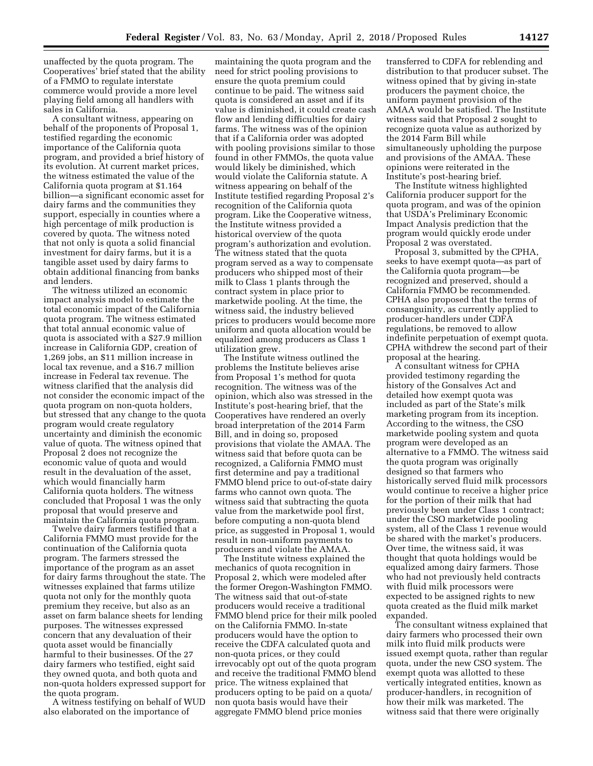unaffected by the quota program. The Cooperatives' brief stated that the ability of a FMMO to regulate interstate commerce would provide a more level playing field among all handlers with sales in California.

A consultant witness, appearing on behalf of the proponents of Proposal 1, testified regarding the economic importance of the California quota program, and provided a brief history of its evolution. At current market prices, the witness estimated the value of the California quota program at \$1.164 billion—a significant economic asset for dairy farms and the communities they support, especially in counties where a high percentage of milk production is covered by quota. The witness noted that not only is quota a solid financial investment for dairy farms, but it is a tangible asset used by dairy farms to obtain additional financing from banks and lenders.

The witness utilized an economic impact analysis model to estimate the total economic impact of the California quota program. The witness estimated that total annual economic value of quota is associated with a \$27.9 million increase in California GDP, creation of 1,269 jobs, an \$11 million increase in local tax revenue, and a \$16.7 million increase in Federal tax revenue. The witness clarified that the analysis did not consider the economic impact of the quota program on non-quota holders, but stressed that any change to the quota program would create regulatory uncertainty and diminish the economic value of quota. The witness opined that Proposal 2 does not recognize the economic value of quota and would result in the devaluation of the asset, which would financially harm California quota holders. The witness concluded that Proposal 1 was the only proposal that would preserve and maintain the California quota program.

Twelve dairy farmers testified that a California FMMO must provide for the continuation of the California quota program. The farmers stressed the importance of the program as an asset for dairy farms throughout the state. The witnesses explained that farms utilize quota not only for the monthly quota premium they receive, but also as an asset on farm balance sheets for lending purposes. The witnesses expressed concern that any devaluation of their quota asset would be financially harmful to their businesses. Of the 27 dairy farmers who testified, eight said they owned quota, and both quota and non-quota holders expressed support for the quota program.

A witness testifying on behalf of WUD also elaborated on the importance of

maintaining the quota program and the need for strict pooling provisions to ensure the quota premium could continue to be paid. The witness said quota is considered an asset and if its value is diminished, it could create cash flow and lending difficulties for dairy farms. The witness was of the opinion that if a California order was adopted with pooling provisions similar to those found in other FMMOs, the quota value would likely be diminished, which would violate the California statute. A witness appearing on behalf of the Institute testified regarding Proposal 2's recognition of the California quota program. Like the Cooperative witness, the Institute witness provided a historical overview of the quota program's authorization and evolution. The witness stated that the quota program served as a way to compensate producers who shipped most of their milk to Class 1 plants through the contract system in place prior to marketwide pooling. At the time, the witness said, the industry believed prices to producers would become more uniform and quota allocation would be equalized among producers as Class 1 utilization grew.

The Institute witness outlined the problems the Institute believes arise from Proposal 1's method for quota recognition. The witness was of the opinion, which also was stressed in the Institute's post-hearing brief, that the Cooperatives have rendered an overly broad interpretation of the 2014 Farm Bill, and in doing so, proposed provisions that violate the AMAA. The witness said that before quota can be recognized, a California FMMO must first determine and pay a traditional FMMO blend price to out-of-state dairy farms who cannot own quota. The witness said that subtracting the quota value from the marketwide pool first, before computing a non-quota blend price, as suggested in Proposal 1, would result in non-uniform payments to producers and violate the AMAA.

The Institute witness explained the mechanics of quota recognition in Proposal 2, which were modeled after the former Oregon-Washington FMMO. The witness said that out-of-state producers would receive a traditional FMMO blend price for their milk pooled on the California FMMO. In-state producers would have the option to receive the CDFA calculated quota and non-quota prices, or they could irrevocably opt out of the quota program and receive the traditional FMMO blend price. The witness explained that producers opting to be paid on a quota/ non quota basis would have their aggregate FMMO blend price monies

transferred to CDFA for reblending and distribution to that producer subset. The witness opined that by giving in-state producers the payment choice, the uniform payment provision of the AMAA would be satisfied. The Institute witness said that Proposal 2 sought to recognize quota value as authorized by the 2014 Farm Bill while simultaneously upholding the purpose and provisions of the AMAA. These opinions were reiterated in the Institute's post-hearing brief.

The Institute witness highlighted California producer support for the quota program, and was of the opinion that USDA's Preliminary Economic Impact Analysis prediction that the program would quickly erode under Proposal 2 was overstated.

Proposal 3, submitted by the CPHA, seeks to have exempt quota—as part of the California quota program—be recognized and preserved, should a California FMMO be recommended. CPHA also proposed that the terms of consanguinity, as currently applied to producer-handlers under CDFA regulations, be removed to allow indefinite perpetuation of exempt quota. CPHA withdrew the second part of their proposal at the hearing.

A consultant witness for CPHA provided testimony regarding the history of the Gonsalves Act and detailed how exempt quota was included as part of the State's milk marketing program from its inception. According to the witness, the CSO marketwide pooling system and quota program were developed as an alternative to a FMMO. The witness said the quota program was originally designed so that farmers who historically served fluid milk processors would continue to receive a higher price for the portion of their milk that had previously been under Class 1 contract; under the CSO marketwide pooling system, all of the Class 1 revenue would be shared with the market's producers. Over time, the witness said, it was thought that quota holdings would be equalized among dairy farmers. Those who had not previously held contracts with fluid milk processors were expected to be assigned rights to new quota created as the fluid milk market expanded.

The consultant witness explained that dairy farmers who processed their own milk into fluid milk products were issued exempt quota, rather than regular quota, under the new CSO system. The exempt quota was allotted to these vertically integrated entities, known as producer-handlers, in recognition of how their milk was marketed. The witness said that there were originally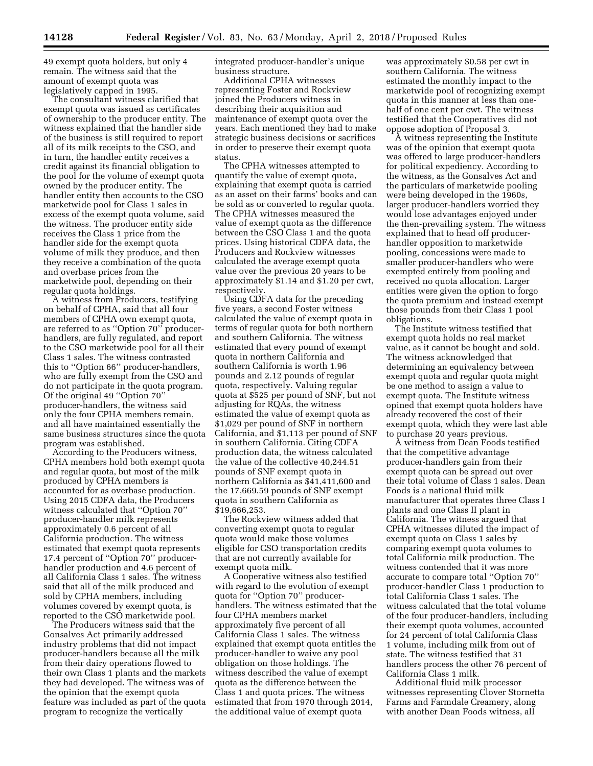49 exempt quota holders, but only 4 remain. The witness said that the amount of exempt quota was legislatively capped in 1995.

The consultant witness clarified that exempt quota was issued as certificates of ownership to the producer entity. The witness explained that the handler side of the business is still required to report all of its milk receipts to the CSO, and in turn, the handler entity receives a credit against its financial obligation to the pool for the volume of exempt quota owned by the producer entity. The handler entity then accounts to the CSO marketwide pool for Class 1 sales in excess of the exempt quota volume, said the witness. The producer entity side receives the Class 1 price from the handler side for the exempt quota volume of milk they produce, and then they receive a combination of the quota and overbase prices from the marketwide pool, depending on their regular quota holdings.

A witness from Producers, testifying on behalf of CPHA, said that all four members of CPHA own exempt quota, are referred to as ''Option 70'' producerhandlers, are fully regulated, and report to the CSO marketwide pool for all their Class 1 sales. The witness contrasted this to ''Option 66'' producer-handlers, who are fully exempt from the CSO and do not participate in the quota program. Of the original 49 ''Option 70'' producer-handlers, the witness said only the four CPHA members remain, and all have maintained essentially the same business structures since the quota program was established.

According to the Producers witness, CPHA members hold both exempt quota and regular quota, but most of the milk produced by CPHA members is accounted for as overbase production. Using 2015 CDFA data, the Producers witness calculated that ''Option 70'' producer-handler milk represents approximately 0.6 percent of all California production. The witness estimated that exempt quota represents 17.4 percent of ''Option 70'' producerhandler production and 4.6 percent of all California Class 1 sales. The witness said that all of the milk produced and sold by CPHA members, including volumes covered by exempt quota, is reported to the CSO marketwide pool.

The Producers witness said that the Gonsalves Act primarily addressed industry problems that did not impact producer-handlers because all the milk from their dairy operations flowed to their own Class 1 plants and the markets they had developed. The witness was of the opinion that the exempt quota feature was included as part of the quota program to recognize the vertically

integrated producer-handler's unique business structure.

Additional CPHA witnesses representing Foster and Rockview joined the Producers witness in describing their acquisition and maintenance of exempt quota over the years. Each mentioned they had to make strategic business decisions or sacrifices in order to preserve their exempt quota status.

The CPHA witnesses attempted to quantify the value of exempt quota, explaining that exempt quota is carried as an asset on their farms' books and can be sold as or converted to regular quota. The CPHA witnesses measured the value of exempt quota as the difference between the CSO Class 1 and the quota prices. Using historical CDFA data, the Producers and Rockview witnesses calculated the average exempt quota value over the previous 20 years to be approximately \$1.14 and \$1.20 per cwt, respectively.

Using CDFA data for the preceding five years, a second Foster witness calculated the value of exempt quota in terms of regular quota for both northern and southern California. The witness estimated that every pound of exempt quota in northern California and southern California is worth 1.96 pounds and 2.12 pounds of regular quota, respectively. Valuing regular quota at \$525 per pound of SNF, but not adjusting for RQAs, the witness estimated the value of exempt quota as \$1,029 per pound of SNF in northern California, and \$1,113 per pound of SNF in southern California. Citing CDFA production data, the witness calculated the value of the collective 40,244.51 pounds of SNF exempt quota in northern California as \$41,411,600 and the 17,669.59 pounds of SNF exempt quota in southern California as \$19,666,253.

The Rockview witness added that converting exempt quota to regular quota would make those volumes eligible for CSO transportation credits that are not currently available for exempt quota milk.

A Cooperative witness also testified with regard to the evolution of exempt quota for ''Option 70'' producerhandlers. The witness estimated that the four CPHA members market approximately five percent of all California Class 1 sales. The witness explained that exempt quota entitles the producer-handler to waive any pool obligation on those holdings. The witness described the value of exempt quota as the difference between the Class 1 and quota prices. The witness estimated that from 1970 through 2014, the additional value of exempt quota

was approximately \$0.58 per cwt in southern California. The witness estimated the monthly impact to the marketwide pool of recognizing exempt quota in this manner at less than onehalf of one cent per cwt. The witness testified that the Cooperatives did not oppose adoption of Proposal 3.

A witness representing the Institute was of the opinion that exempt quota was offered to large producer-handlers for political expediency. According to the witness, as the Gonsalves Act and the particulars of marketwide pooling were being developed in the 1960s, larger producer-handlers worried they would lose advantages enjoyed under the then-prevailing system. The witness explained that to head off producerhandler opposition to marketwide pooling, concessions were made to smaller producer-handlers who were exempted entirely from pooling and received no quota allocation. Larger entities were given the option to forgo the quota premium and instead exempt those pounds from their Class 1 pool obligations.

The Institute witness testified that exempt quota holds no real market value, as it cannot be bought and sold. The witness acknowledged that determining an equivalency between exempt quota and regular quota might be one method to assign a value to exempt quota. The Institute witness opined that exempt quota holders have already recovered the cost of their exempt quota, which they were last able to purchase 20 years previous.

A witness from Dean Foods testified that the competitive advantage producer-handlers gain from their exempt quota can be spread out over their total volume of Class 1 sales. Dean Foods is a national fluid milk manufacturer that operates three Class I plants and one Class II plant in California. The witness argued that CPHA witnesses diluted the impact of exempt quota on Class 1 sales by comparing exempt quota volumes to total California milk production. The witness contended that it was more accurate to compare total ''Option 70'' producer-handler Class 1 production to total California Class 1 sales. The witness calculated that the total volume of the four producer-handlers, including their exempt quota volumes, accounted for 24 percent of total California Class 1 volume, including milk from out of state. The witness testified that 31 handlers process the other 76 percent of California Class 1 milk.

Additional fluid milk processor witnesses representing Clover Stornetta Farms and Farmdale Creamery, along with another Dean Foods witness, all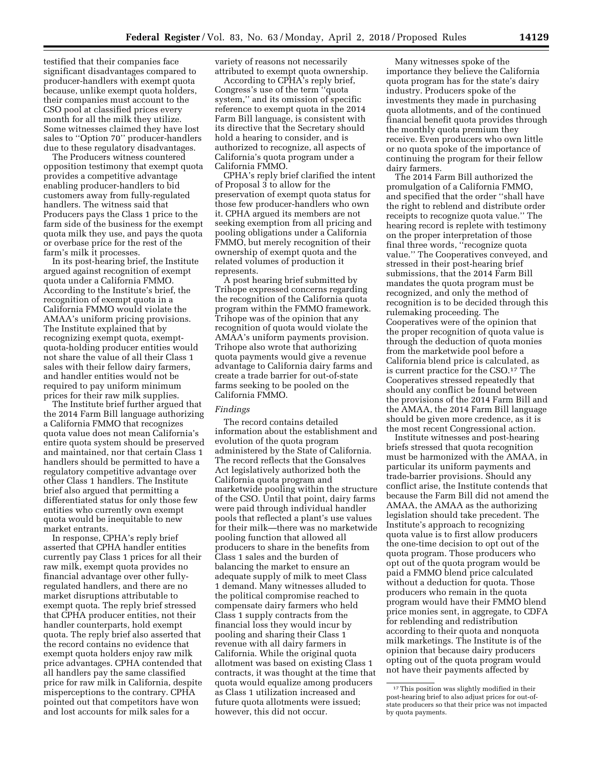testified that their companies face significant disadvantages compared to producer-handlers with exempt quota because, unlike exempt quota holders, their companies must account to the CSO pool at classified prices every month for all the milk they utilize. Some witnesses claimed they have lost sales to ''Option 70'' producer-handlers due to these regulatory disadvantages.

The Producers witness countered opposition testimony that exempt quota provides a competitive advantage enabling producer-handlers to bid customers away from fully-regulated handlers. The witness said that Producers pays the Class 1 price to the farm side of the business for the exempt quota milk they use, and pays the quota or overbase price for the rest of the farm's milk it processes.

In its post-hearing brief, the Institute argued against recognition of exempt quota under a California FMMO. According to the Institute's brief, the recognition of exempt quota in a California FMMO would violate the AMAA's uniform pricing provisions. The Institute explained that by recognizing exempt quota, exemptquota-holding producer entities would not share the value of all their Class 1 sales with their fellow dairy farmers, and handler entities would not be required to pay uniform minimum prices for their raw milk supplies.

The Institute brief further argued that the 2014 Farm Bill language authorizing a California FMMO that recognizes quota value does not mean California's entire quota system should be preserved and maintained, nor that certain Class 1 handlers should be permitted to have a regulatory competitive advantage over other Class 1 handlers. The Institute brief also argued that permitting a differentiated status for only those few entities who currently own exempt quota would be inequitable to new market entrants.

In response, CPHA's reply brief asserted that CPHA handler entities currently pay Class 1 prices for all their raw milk, exempt quota provides no financial advantage over other fullyregulated handlers, and there are no market disruptions attributable to exempt quota. The reply brief stressed that CPHA producer entities, not their handler counterparts, hold exempt quota. The reply brief also asserted that the record contains no evidence that exempt quota holders enjoy raw milk price advantages. CPHA contended that all handlers pay the same classified price for raw milk in California, despite misperceptions to the contrary. CPHA pointed out that competitors have won and lost accounts for milk sales for a

variety of reasons not necessarily attributed to exempt quota ownership.

According to CPHA's reply brief, Congress's use of the term ''quota system,'' and its omission of specific reference to exempt quota in the 2014 Farm Bill language, is consistent with its directive that the Secretary should hold a hearing to consider, and is authorized to recognize, all aspects of California's quota program under a California FMMO.

CPHA's reply brief clarified the intent of Proposal 3 to allow for the preservation of exempt quota status for those few producer-handlers who own it. CPHA argued its members are not seeking exemption from all pricing and pooling obligations under a California FMMO, but merely recognition of their ownership of exempt quota and the related volumes of production it represents.

A post hearing brief submitted by Trihope expressed concerns regarding the recognition of the California quota program within the FMMO framework. Trihope was of the opinion that any recognition of quota would violate the AMAA's uniform payments provision. Trihope also wrote that authorizing quota payments would give a revenue advantage to California dairy farms and create a trade barrier for out-of-state farms seeking to be pooled on the California FMMO.

# *Findings*

The record contains detailed information about the establishment and evolution of the quota program administered by the State of California. The record reflects that the Gonsalves Act legislatively authorized both the California quota program and marketwide pooling within the structure of the CSO. Until that point, dairy farms were paid through individual handler pools that reflected a plant's use values for their milk—there was no marketwide pooling function that allowed all producers to share in the benefits from Class 1 sales and the burden of balancing the market to ensure an adequate supply of milk to meet Class 1 demand. Many witnesses alluded to the political compromise reached to compensate dairy farmers who held Class 1 supply contracts from the financial loss they would incur by pooling and sharing their Class 1 revenue with all dairy farmers in California. While the original quota allotment was based on existing Class 1 contracts, it was thought at the time that quota would equalize among producers as Class 1 utilization increased and future quota allotments were issued; however, this did not occur.

Many witnesses spoke of the importance they believe the California quota program has for the state's dairy industry. Producers spoke of the investments they made in purchasing quota allotments, and of the continued financial benefit quota provides through the monthly quota premium they receive. Even producers who own little or no quota spoke of the importance of continuing the program for their fellow dairy farmers.

The 2014 Farm Bill authorized the promulgation of a California FMMO, and specified that the order ''shall have the right to reblend and distribute order receipts to recognize quota value.'' The hearing record is replete with testimony on the proper interpretation of those final three words, ''recognize quota value.'' The Cooperatives conveyed, and stressed in their post-hearing brief submissions, that the 2014 Farm Bill mandates the quota program must be recognized, and only the method of recognition is to be decided through this rulemaking proceeding. The Cooperatives were of the opinion that the proper recognition of quota value is through the deduction of quota monies from the marketwide pool before a California blend price is calculated, as is current practice for the CSO.17 The Cooperatives stressed repeatedly that should any conflict be found between the provisions of the 2014 Farm Bill and the AMAA, the 2014 Farm Bill language should be given more credence, as it is the most recent Congressional action.

Institute witnesses and post-hearing briefs stressed that quota recognition must be harmonized with the AMAA, in particular its uniform payments and trade-barrier provisions. Should any conflict arise, the Institute contends that because the Farm Bill did not amend the AMAA, the AMAA as the authorizing legislation should take precedent. The Institute's approach to recognizing quota value is to first allow producers the one-time decision to opt out of the quota program. Those producers who opt out of the quota program would be paid a FMMO blend price calculated without a deduction for quota. Those producers who remain in the quota program would have their FMMO blend price monies sent, in aggregate, to CDFA for reblending and redistribution according to their quota and nonquota milk marketings. The Institute is of the opinion that because dairy producers opting out of the quota program would not have their payments affected by

<sup>17</sup>This position was slightly modified in their post-hearing brief to also adjust prices for out-ofstate producers so that their price was not impacted by quota payments.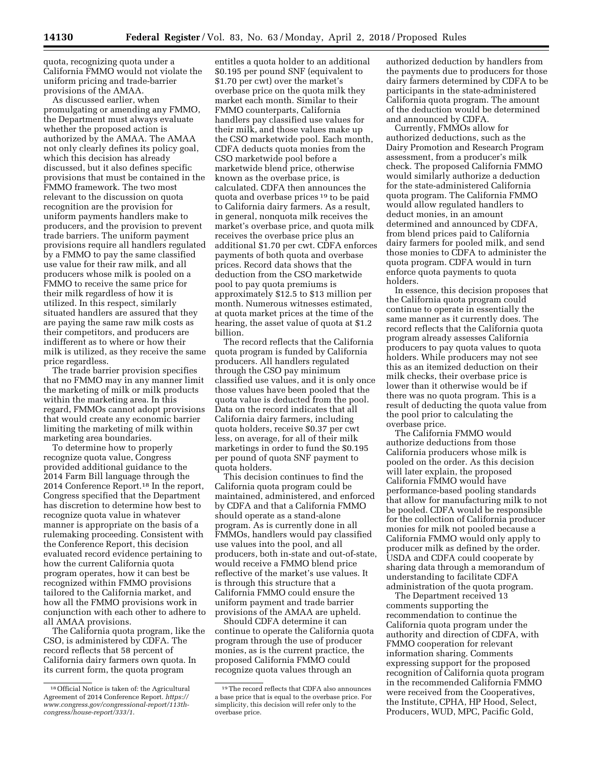quota, recognizing quota under a California FMMO would not violate the uniform pricing and trade-barrier provisions of the AMAA.

As discussed earlier, when promulgating or amending any FMMO, the Department must always evaluate whether the proposed action is authorized by the AMAA. The AMAA not only clearly defines its policy goal, which this decision has already discussed, but it also defines specific provisions that must be contained in the FMMO framework. The two most relevant to the discussion on quota recognition are the provision for uniform payments handlers make to producers, and the provision to prevent trade barriers. The uniform payment provisions require all handlers regulated by a FMMO to pay the same classified use value for their raw milk, and all producers whose milk is pooled on a FMMO to receive the same price for their milk regardless of how it is utilized. In this respect, similarly situated handlers are assured that they are paying the same raw milk costs as their competitors, and producers are indifferent as to where or how their milk is utilized, as they receive the same price regardless.

The trade barrier provision specifies that no FMMO may in any manner limit the marketing of milk or milk products within the marketing area. In this regard, FMMOs cannot adopt provisions that would create any economic barrier limiting the marketing of milk within marketing area boundaries.

To determine how to properly recognize quota value, Congress provided additional guidance to the 2014 Farm Bill language through the 2014 Conference Report.18 In the report, Congress specified that the Department has discretion to determine how best to recognize quota value in whatever manner is appropriate on the basis of a rulemaking proceeding. Consistent with the Conference Report, this decision evaluated record evidence pertaining to how the current California quota program operates, how it can best be recognized within FMMO provisions tailored to the California market, and how all the FMMO provisions work in conjunction with each other to adhere to all AMAA provisions.

The California quota program, like the CSO, is administered by CDFA. The record reflects that 58 percent of California dairy farmers own quota. In its current form, the quota program

entitles a quota holder to an additional \$0.195 per pound SNF (equivalent to \$1.70 per cwt) over the market's overbase price on the quota milk they market each month. Similar to their FMMO counterparts, California handlers pay classified use values for their milk, and those values make up the CSO marketwide pool. Each month, CDFA deducts quota monies from the CSO marketwide pool before a marketwide blend price, otherwise known as the overbase price, is calculated. CDFA then announces the quota and overbase prices 19 to be paid to California dairy farmers. As a result, in general, nonquota milk receives the market's overbase price, and quota milk receives the overbase price plus an additional \$1.70 per cwt. CDFA enforces payments of both quota and overbase prices. Record data shows that the deduction from the CSO marketwide pool to pay quota premiums is approximately \$12.5 to \$13 million per month. Numerous witnesses estimated, at quota market prices at the time of the hearing, the asset value of quota at \$1.2 billion.

The record reflects that the California quota program is funded by California producers. All handlers regulated through the CSO pay minimum classified use values, and it is only once those values have been pooled that the quota value is deducted from the pool. Data on the record indicates that all California dairy farmers, including quota holders, receive \$0.37 per cwt less, on average, for all of their milk marketings in order to fund the \$0.195 per pound of quota SNF payment to quota holders.

This decision continues to find the California quota program could be maintained, administered, and enforced by CDFA and that a California FMMO should operate as a stand-alone program. As is currently done in all FMMOs, handlers would pay classified use values into the pool, and all producers, both in-state and out-of-state, would receive a FMMO blend price reflective of the market's use values. It is through this structure that a California FMMO could ensure the uniform payment and trade barrier provisions of the AMAA are upheld.

Should CDFA determine it can continue to operate the California quota program through the use of producer monies, as is the current practice, the proposed California FMMO could recognize quota values through an

authorized deduction by handlers from the payments due to producers for those dairy farmers determined by CDFA to be participants in the state-administered California quota program. The amount of the deduction would be determined and announced by CDFA.

Currently, FMMOs allow for authorized deductions, such as the Dairy Promotion and Research Program assessment, from a producer's milk check. The proposed California FMMO would similarly authorize a deduction for the state-administered California quota program. The California FMMO would allow regulated handlers to deduct monies, in an amount determined and announced by CDFA, from blend prices paid to California dairy farmers for pooled milk, and send those monies to CDFA to administer the quota program. CDFA would in turn enforce quota payments to quota holders.

In essence, this decision proposes that the California quota program could continue to operate in essentially the same manner as it currently does. The record reflects that the California quota program already assesses California producers to pay quota values to quota holders. While producers may not see this as an itemized deduction on their milk checks, their overbase price is lower than it otherwise would be if there was no quota program. This is a result of deducting the quota value from the pool prior to calculating the overbase price.

The California FMMO would authorize deductions from those California producers whose milk is pooled on the order. As this decision will later explain, the proposed California FMMO would have performance-based pooling standards that allow for manufacturing milk to not be pooled. CDFA would be responsible for the collection of California producer monies for milk not pooled because a California FMMO would only apply to producer milk as defined by the order. USDA and CDFA could cooperate by sharing data through a memorandum of understanding to facilitate CDFA administration of the quota program.

The Department received 13 comments supporting the recommendation to continue the California quota program under the authority and direction of CDFA, with FMMO cooperation for relevant information sharing. Comments expressing support for the proposed recognition of California quota program in the recommended California FMMO were received from the Cooperatives, the Institute, CPHA, HP Hood, Select, Producers, WUD, MPC, Pacific Gold,

<sup>18</sup>Official Notice is taken of: the Agricultural Agreement of 2014 Conference Report. *[https://](https://www.congress.gov/congressional-report/113th-congress/house-report/333/1) [www.congress.gov/congressional-report/113th](https://www.congress.gov/congressional-report/113th-congress/house-report/333/1)[congress/house-report/333/1](https://www.congress.gov/congressional-report/113th-congress/house-report/333/1)*.

<sup>19</sup>The record reflects that CDFA also announces a base price that is equal to the overbase price. For simplicity, this decision will refer only to the overbase price.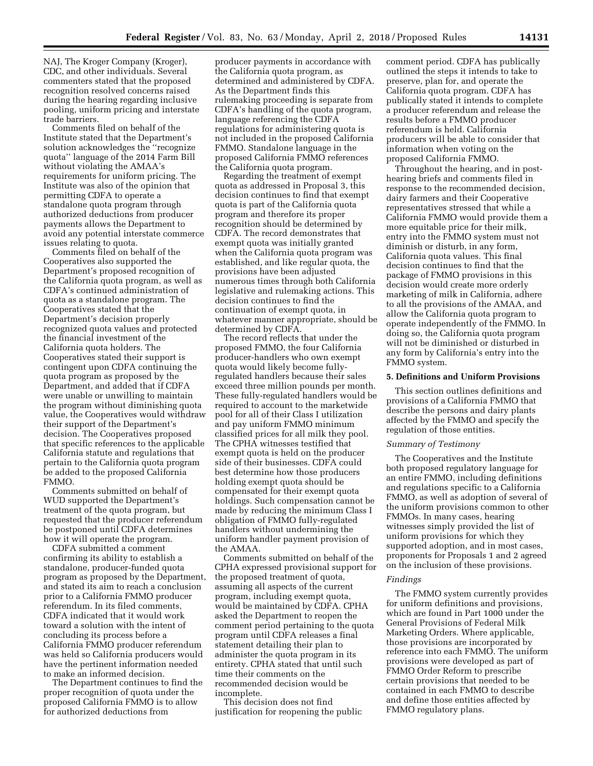NAJ, The Kroger Company (Kroger), CDC, and other individuals. Several commenters stated that the proposed recognition resolved concerns raised during the hearing regarding inclusive pooling, uniform pricing and interstate trade barriers.

Comments filed on behalf of the Institute stated that the Department's solution acknowledges the ''recognize quota'' language of the 2014 Farm Bill without violating the AMAA's requirements for uniform pricing. The Institute was also of the opinion that permitting CDFA to operate a standalone quota program through authorized deductions from producer payments allows the Department to avoid any potential interstate commerce issues relating to quota.

Comments filed on behalf of the Cooperatives also supported the Department's proposed recognition of the California quota program, as well as CDFA's continued administration of quota as a standalone program. The Cooperatives stated that the Department's decision properly recognized quota values and protected the financial investment of the California quota holders. The Cooperatives stated their support is contingent upon CDFA continuing the quota program as proposed by the Department, and added that if CDFA were unable or unwilling to maintain the program without diminishing quota value, the Cooperatives would withdraw their support of the Department's decision. The Cooperatives proposed that specific references to the applicable California statute and regulations that pertain to the California quota program be added to the proposed California FMMO.

Comments submitted on behalf of WUD supported the Department's treatment of the quota program, but requested that the producer referendum be postponed until CDFA determines how it will operate the program.

CDFA submitted a comment confirming its ability to establish a standalone, producer-funded quota program as proposed by the Department, and stated its aim to reach a conclusion prior to a California FMMO producer referendum. In its filed comments, CDFA indicated that it would work toward a solution with the intent of concluding its process before a California FMMO producer referendum was held so California producers would have the pertinent information needed to make an informed decision.

The Department continues to find the proper recognition of quota under the proposed California FMMO is to allow for authorized deductions from

producer payments in accordance with the California quota program, as determined and administered by CDFA. As the Department finds this rulemaking proceeding is separate from CDFA's handling of the quota program, language referencing the CDFA regulations for administering quota is not included in the proposed California FMMO. Standalone language in the proposed California FMMO references the California quota program.

Regarding the treatment of exempt quota as addressed in Proposal 3, this decision continues to find that exempt quota is part of the California quota program and therefore its proper recognition should be determined by CDFA. The record demonstrates that exempt quota was initially granted when the California quota program was established, and like regular quota, the provisions have been adjusted numerous times through both California legislative and rulemaking actions. This decision continues to find the continuation of exempt quota, in whatever manner appropriate, should be determined by CDFA.

The record reflects that under the proposed FMMO, the four California producer-handlers who own exempt quota would likely become fullyregulated handlers because their sales exceed three million pounds per month. These fully-regulated handlers would be required to account to the marketwide pool for all of their Class I utilization and pay uniform FMMO minimum classified prices for all milk they pool. The CPHA witnesses testified that exempt quota is held on the producer side of their businesses. CDFA could best determine how those producers holding exempt quota should be compensated for their exempt quota holdings. Such compensation cannot be made by reducing the minimum Class I obligation of FMMO fully-regulated handlers without undermining the uniform handler payment provision of the AMAA.

Comments submitted on behalf of the CPHA expressed provisional support for the proposed treatment of quota, assuming all aspects of the current program, including exempt quota, would be maintained by CDFA. CPHA asked the Department to reopen the comment period pertaining to the quota program until CDFA releases a final statement detailing their plan to administer the quota program in its entirety. CPHA stated that until such time their comments on the recommended decision would be incomplete.

This decision does not find justification for reopening the public comment period. CDFA has publically outlined the steps it intends to take to preserve, plan for, and operate the California quota program. CDFA has publically stated it intends to complete a producer referendum and release the results before a FMMO producer referendum is held. California producers will be able to consider that information when voting on the proposed California FMMO.

Throughout the hearing, and in posthearing briefs and comments filed in response to the recommended decision, dairy farmers and their Cooperative representatives stressed that while a California FMMO would provide them a more equitable price for their milk, entry into the FMMO system must not diminish or disturb, in any form, California quota values. This final decision continues to find that the package of FMMO provisions in this decision would create more orderly marketing of milk in California, adhere to all the provisions of the AMAA, and allow the California quota program to operate independently of the FMMO. In doing so, the California quota program will not be diminished or disturbed in any form by California's entry into the FMMO system.

#### **5. Definitions and Uniform Provisions**

This section outlines definitions and provisions of a California FMMO that describe the persons and dairy plants affected by the FMMO and specify the regulation of those entities.

#### *Summary of Testimony*

The Cooperatives and the Institute both proposed regulatory language for an entire FMMO, including definitions and regulations specific to a California FMMO, as well as adoption of several of the uniform provisions common to other FMMOs. In many cases, hearing witnesses simply provided the list of uniform provisions for which they supported adoption, and in most cases, proponents for Proposals 1 and 2 agreed on the inclusion of these provisions.

#### *Findings*

The FMMO system currently provides for uniform definitions and provisions, which are found in Part 1000 under the General Provisions of Federal Milk Marketing Orders. Where applicable, those provisions are incorporated by reference into each FMMO. The uniform provisions were developed as part of FMMO Order Reform to prescribe certain provisions that needed to be contained in each FMMO to describe and define those entities affected by FMMO regulatory plans.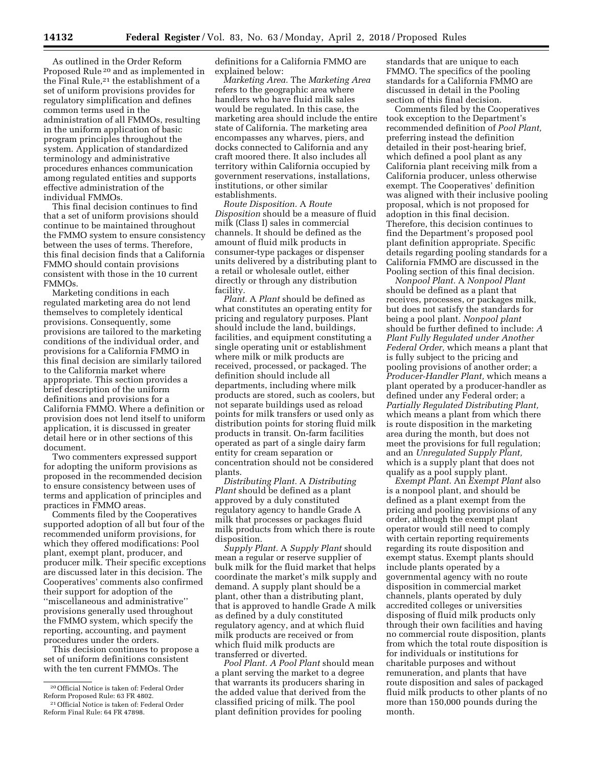As outlined in the Order Reform Proposed Rule 20 and as implemented in the Final Rule,<sup>21</sup> the establishment of a set of uniform provisions provides for regulatory simplification and defines common terms used in the administration of all FMMOs, resulting in the uniform application of basic program principles throughout the system. Application of standardized terminology and administrative procedures enhances communication among regulated entities and supports effective administration of the individual FMMOs.

This final decision continues to find that a set of uniform provisions should continue to be maintained throughout the FMMO system to ensure consistency between the uses of terms. Therefore, this final decision finds that a California FMMO should contain provisions consistent with those in the 10 current FMMOs.

Marketing conditions in each regulated marketing area do not lend themselves to completely identical provisions. Consequently, some provisions are tailored to the marketing conditions of the individual order, and provisions for a California FMMO in this final decision are similarly tailored to the California market where appropriate. This section provides a brief description of the uniform definitions and provisions for a California FMMO. Where a definition or provision does not lend itself to uniform application, it is discussed in greater detail here or in other sections of this document.

Two commenters expressed support for adopting the uniform provisions as proposed in the recommended decision to ensure consistency between uses of terms and application of principles and practices in FMMO areas.

Comments filed by the Cooperatives supported adoption of all but four of the recommended uniform provisions, for which they offered modifications: Pool plant, exempt plant, producer, and producer milk. Their specific exceptions are discussed later in this decision. The Cooperatives' comments also confirmed their support for adoption of the ''miscellaneous and administrative'' provisions generally used throughout the FMMO system, which specify the reporting, accounting, and payment procedures under the orders.

This decision continues to propose a set of uniform definitions consistent with the ten current FMMOs. The

definitions for a California FMMO are explained below:

*Marketing Area.* The *Marketing Area*  refers to the geographic area where handlers who have fluid milk sales would be regulated. In this case, the marketing area should include the entire state of California. The marketing area encompasses any wharves, piers, and docks connected to California and any craft moored there. It also includes all territory within California occupied by government reservations, installations, institutions, or other similar establishments.

*Route Disposition.* A *Route Disposition* should be a measure of fluid milk (Class I) sales in commercial channels. It should be defined as the amount of fluid milk products in consumer-type packages or dispenser units delivered by a distributing plant to a retail or wholesale outlet, either directly or through any distribution facility.

*Plant.* A *Plant* should be defined as what constitutes an operating entity for pricing and regulatory purposes. Plant should include the land, buildings, facilities, and equipment constituting a single operating unit or establishment where milk or milk products are received, processed, or packaged. The definition should include all departments, including where milk products are stored, such as coolers, but not separate buildings used as reload points for milk transfers or used only as distribution points for storing fluid milk products in transit. On-farm facilities operated as part of a single dairy farm entity for cream separation or concentration should not be considered plants.

*Distributing Plant.* A *Distributing Plant* should be defined as a plant approved by a duly constituted regulatory agency to handle Grade A milk that processes or packages fluid milk products from which there is route disposition.

*Supply Plant.* A *Supply Plant* should mean a regular or reserve supplier of bulk milk for the fluid market that helps coordinate the market's milk supply and demand. A supply plant should be a plant, other than a distributing plant, that is approved to handle Grade A milk as defined by a duly constituted regulatory agency, and at which fluid milk products are received or from which fluid milk products are transferred or diverted.

*Pool Plant. A Pool Plant* should mean a plant serving the market to a degree that warrants its producers sharing in the added value that derived from the classified pricing of milk. The pool plant definition provides for pooling

standards that are unique to each FMMO. The specifics of the pooling standards for a California FMMO are discussed in detail in the Pooling section of this final decision.

Comments filed by the Cooperatives took exception to the Department's recommended definition of *Pool Plant,*  preferring instead the definition detailed in their post-hearing brief, which defined a pool plant as any California plant receiving milk from a California producer, unless otherwise exempt. The Cooperatives' definition was aligned with their inclusive pooling proposal, which is not proposed for adoption in this final decision. Therefore, this decision continues to find the Department's proposed pool plant definition appropriate. Specific details regarding pooling standards for a California FMMO are discussed in the Pooling section of this final decision.

*Nonpool Plant.* A *Nonpool Plant*  should be defined as a plant that receives, processes, or packages milk, but does not satisfy the standards for being a pool plant. *Nonpool plant*  should be further defined to include: *A Plant Fully Regulated under Another Federal Order,* which means a plant that is fully subject to the pricing and pooling provisions of another order; a *Producer-Handler Plant,* which means a plant operated by a producer-handler as defined under any Federal order; a *Partially Regulated Distributing Plant,*  which means a plant from which there is route disposition in the marketing area during the month, but does not meet the provisions for full regulation; and an *Unregulated Supply Plant,*  which is a supply plant that does not qualify as a pool supply plant.

*Exempt Plant.* An *Exempt Plant* also is a nonpool plant, and should be defined as a plant exempt from the pricing and pooling provisions of any order, although the exempt plant operator would still need to comply with certain reporting requirements regarding its route disposition and exempt status. Exempt plants should include plants operated by a governmental agency with no route disposition in commercial market channels, plants operated by duly accredited colleges or universities disposing of fluid milk products only through their own facilities and having no commercial route disposition, plants from which the total route disposition is for individuals or institutions for charitable purposes and without remuneration, and plants that have route disposition and sales of packaged fluid milk products to other plants of no more than 150,000 pounds during the month.

<sup>20</sup>Official Notice is taken of: Federal Order Reform Proposed Rule: 63 FR 4802.

<sup>21</sup>Official Notice is taken of: Federal Order Reform Final Rule: 64 FR 47898.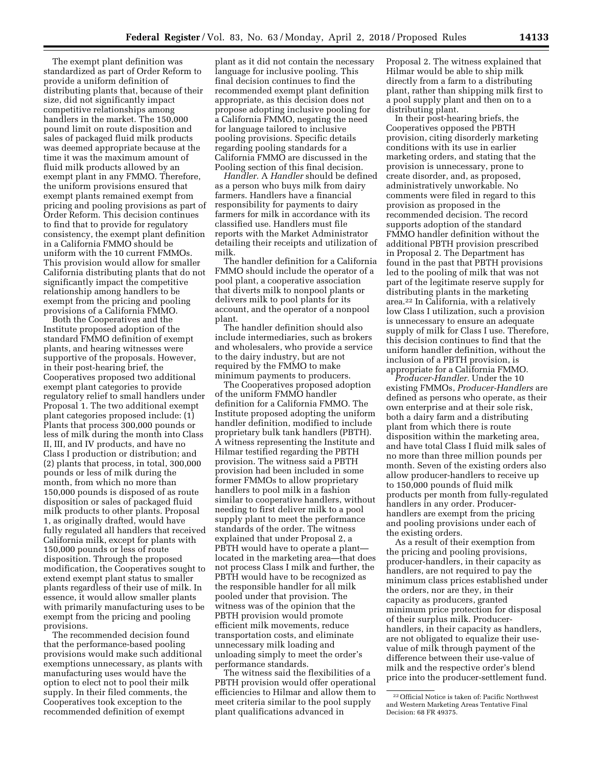The exempt plant definition was standardized as part of Order Reform to provide a uniform definition of distributing plants that, because of their size, did not significantly impact competitive relationships among handlers in the market. The 150,000 pound limit on route disposition and sales of packaged fluid milk products was deemed appropriate because at the time it was the maximum amount of fluid milk products allowed by an exempt plant in any FMMO. Therefore, the uniform provisions ensured that exempt plants remained exempt from pricing and pooling provisions as part of Order Reform. This decision continues to find that to provide for regulatory consistency, the exempt plant definition in a California FMMO should be uniform with the 10 current FMMOs. This provision would allow for smaller California distributing plants that do not significantly impact the competitive relationship among handlers to be exempt from the pricing and pooling provisions of a California FMMO.

Both the Cooperatives and the Institute proposed adoption of the standard FMMO definition of exempt plants, and hearing witnesses were supportive of the proposals. However, in their post-hearing brief, the Cooperatives proposed two additional exempt plant categories to provide regulatory relief to small handlers under Proposal 1. The two additional exempt plant categories proposed include: (1) Plants that process 300,000 pounds or less of milk during the month into Class II, III, and IV products, and have no Class I production or distribution; and (2) plants that process, in total, 300,000 pounds or less of milk during the month, from which no more than 150,000 pounds is disposed of as route disposition or sales of packaged fluid milk products to other plants. Proposal 1, as originally drafted, would have fully regulated all handlers that received California milk, except for plants with 150,000 pounds or less of route disposition. Through the proposed modification, the Cooperatives sought to extend exempt plant status to smaller plants regardless of their use of milk. In essence, it would allow smaller plants with primarily manufacturing uses to be exempt from the pricing and pooling provisions.

The recommended decision found that the performance-based pooling provisions would make such additional exemptions unnecessary, as plants with manufacturing uses would have the option to elect not to pool their milk supply. In their filed comments, the Cooperatives took exception to the recommended definition of exempt

plant as it did not contain the necessary language for inclusive pooling. This final decision continues to find the recommended exempt plant definition appropriate, as this decision does not propose adopting inclusive pooling for a California FMMO, negating the need for language tailored to inclusive pooling provisions. Specific details regarding pooling standards for a California FMMO are discussed in the Pooling section of this final decision.

*Handler.* A *Handler* should be defined as a person who buys milk from dairy farmers. Handlers have a financial responsibility for payments to dairy farmers for milk in accordance with its classified use. Handlers must file reports with the Market Administrator detailing their receipts and utilization of milk.

The handler definition for a California FMMO should include the operator of a pool plant, a cooperative association that diverts milk to nonpool plants or delivers milk to pool plants for its account, and the operator of a nonpool plant.

The handler definition should also include intermediaries, such as brokers and wholesalers, who provide a service to the dairy industry, but are not required by the FMMO to make minimum payments to producers.

The Cooperatives proposed adoption of the uniform FMMO handler definition for a California FMMO. The Institute proposed adopting the uniform handler definition, modified to include proprietary bulk tank handlers (PBTH). A witness representing the Institute and Hilmar testified regarding the PBTH provision. The witness said a PBTH provision had been included in some former FMMOs to allow proprietary handlers to pool milk in a fashion similar to cooperative handlers, without needing to first deliver milk to a pool supply plant to meet the performance standards of the order. The witness explained that under Proposal 2, a PBTH would have to operate a plant located in the marketing area—that does not process Class I milk and further, the PBTH would have to be recognized as the responsible handler for all milk pooled under that provision. The witness was of the opinion that the PBTH provision would promote efficient milk movements, reduce transportation costs, and eliminate unnecessary milk loading and unloading simply to meet the order's performance standards.

The witness said the flexibilities of a PBTH provision would offer operational efficiencies to Hilmar and allow them to meet criteria similar to the pool supply plant qualifications advanced in

Proposal 2. The witness explained that Hilmar would be able to ship milk directly from a farm to a distributing plant, rather than shipping milk first to a pool supply plant and then on to a distributing plant.

In their post-hearing briefs, the Cooperatives opposed the PBTH provision, citing disorderly marketing conditions with its use in earlier marketing orders, and stating that the provision is unnecessary, prone to create disorder, and, as proposed, administratively unworkable. No comments were filed in regard to this provision as proposed in the recommended decision. The record supports adoption of the standard FMMO handler definition without the additional PBTH provision prescribed in Proposal 2. The Department has found in the past that PBTH provisions led to the pooling of milk that was not part of the legitimate reserve supply for distributing plants in the marketing area.22 In California, with a relatively low Class I utilization, such a provision is unnecessary to ensure an adequate supply of milk for Class I use. Therefore, this decision continues to find that the uniform handler definition, without the inclusion of a PBTH provision, is appropriate for a California FMMO.

*Producer-Handler.* Under the 10 existing FMMOs, *Producer-Handlers* are defined as persons who operate, as their own enterprise and at their sole risk, both a dairy farm and a distributing plant from which there is route disposition within the marketing area, and have total Class I fluid milk sales of no more than three million pounds per month. Seven of the existing orders also allow producer-handlers to receive up to 150,000 pounds of fluid milk products per month from fully-regulated handlers in any order. Producerhandlers are exempt from the pricing and pooling provisions under each of the existing orders.

As a result of their exemption from the pricing and pooling provisions, producer-handlers, in their capacity as handlers, are not required to pay the minimum class prices established under the orders, nor are they, in their capacity as producers, granted minimum price protection for disposal of their surplus milk. Producerhandlers, in their capacity as handlers, are not obligated to equalize their usevalue of milk through payment of the difference between their use-value of milk and the respective order's blend price into the producer-settlement fund.

<sup>22</sup>Official Notice is taken of: Pacific Northwest and Western Marketing Areas Tentative Final Decision: 68 FR 49375.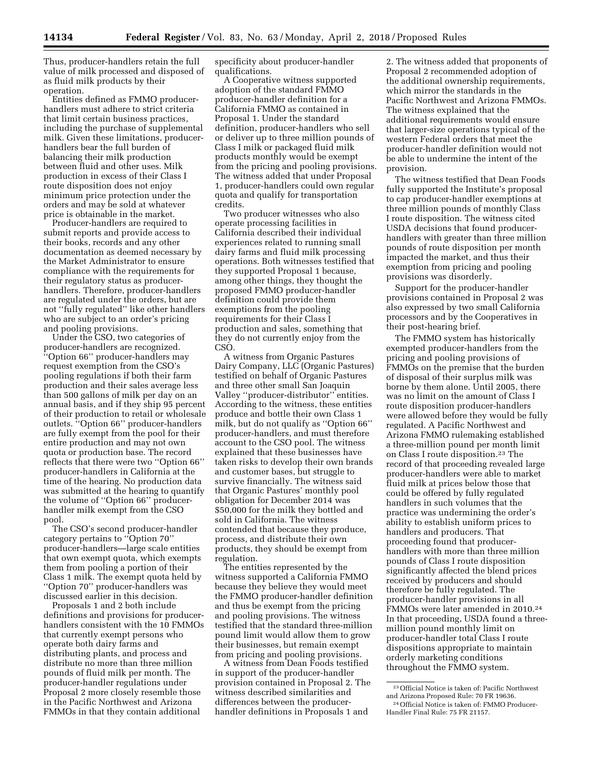Thus, producer-handlers retain the full value of milk processed and disposed of as fluid milk products by their operation.

Entities defined as FMMO producerhandlers must adhere to strict criteria that limit certain business practices, including the purchase of supplemental milk. Given these limitations, producerhandlers bear the full burden of balancing their milk production between fluid and other uses. Milk production in excess of their Class I route disposition does not enjoy minimum price protection under the orders and may be sold at whatever price is obtainable in the market.

Producer-handlers are required to submit reports and provide access to their books, records and any other documentation as deemed necessary by the Market Administrator to ensure compliance with the requirements for their regulatory status as producerhandlers. Therefore, producer-handlers are regulated under the orders, but are not ''fully regulated'' like other handlers who are subject to an order's pricing and pooling provisions.

Under the CSO, two categories of producer-handlers are recognized. ''Option 66'' producer-handlers may request exemption from the CSO's pooling regulations if both their farm production and their sales average less than 500 gallons of milk per day on an annual basis, and if they ship 95 percent of their production to retail or wholesale outlets. ''Option 66'' producer-handlers are fully exempt from the pool for their entire production and may not own quota or production base. The record reflects that there were two ''Option 66'' producer-handlers in California at the time of the hearing. No production data was submitted at the hearing to quantify the volume of ''Option 66'' producerhandler milk exempt from the CSO pool.

The CSO's second producer-handler category pertains to ''Option 70'' producer-handlers—large scale entities that own exempt quota, which exempts them from pooling a portion of their Class 1 milk. The exempt quota held by ''Option 70'' producer-handlers was discussed earlier in this decision.

Proposals 1 and 2 both include definitions and provisions for producerhandlers consistent with the 10 FMMOs that currently exempt persons who operate both dairy farms and distributing plants, and process and distribute no more than three million pounds of fluid milk per month. The producer-handler regulations under Proposal 2 more closely resemble those in the Pacific Northwest and Arizona FMMOs in that they contain additional

specificity about producer-handler qualifications.

A Cooperative witness supported adoption of the standard FMMO producer-handler definition for a California FMMO as contained in Proposal 1. Under the standard definition, producer-handlers who sell or deliver up to three million pounds of Class I milk or packaged fluid milk products monthly would be exempt from the pricing and pooling provisions. The witness added that under Proposal 1, producer-handlers could own regular quota and qualify for transportation credits.

Two producer witnesses who also operate processing facilities in California described their individual experiences related to running small dairy farms and fluid milk processing operations. Both witnesses testified that they supported Proposal 1 because, among other things, they thought the proposed FMMO producer-handler definition could provide them exemptions from the pooling requirements for their Class I production and sales, something that they do not currently enjoy from the CSO.

A witness from Organic Pastures Dairy Company, LLC (Organic Pastures) testified on behalf of Organic Pastures and three other small San Joaquin Valley ''producer-distributor'' entities. According to the witness, these entities produce and bottle their own Class 1 milk, but do not qualify as ''Option 66'' producer-handlers, and must therefore account to the CSO pool. The witness explained that these businesses have taken risks to develop their own brands and customer bases, but struggle to survive financially. The witness said that Organic Pastures' monthly pool obligation for December 2014 was \$50,000 for the milk they bottled and sold in California. The witness contended that because they produce, process, and distribute their own products, they should be exempt from regulation.

The entities represented by the witness supported a California FMMO because they believe they would meet the FMMO producer-handler definition and thus be exempt from the pricing and pooling provisions. The witness testified that the standard three-million pound limit would allow them to grow their businesses, but remain exempt from pricing and pooling provisions.

A witness from Dean Foods testified in support of the producer-handler provision contained in Proposal 2. The witness described similarities and differences between the producerhandler definitions in Proposals 1 and

2. The witness added that proponents of Proposal 2 recommended adoption of the additional ownership requirements, which mirror the standards in the Pacific Northwest and Arizona FMMOs. The witness explained that the additional requirements would ensure that larger-size operations typical of the western Federal orders that meet the producer-handler definition would not be able to undermine the intent of the provision.

The witness testified that Dean Foods fully supported the Institute's proposal to cap producer-handler exemptions at three million pounds of monthly Class I route disposition. The witness cited USDA decisions that found producerhandlers with greater than three million pounds of route disposition per month impacted the market, and thus their exemption from pricing and pooling provisions was disorderly.

Support for the producer-handler provisions contained in Proposal 2 was also expressed by two small California processors and by the Cooperatives in their post-hearing brief.

The FMMO system has historically exempted producer-handlers from the pricing and pooling provisions of FMMOs on the premise that the burden of disposal of their surplus milk was borne by them alone. Until 2005, there was no limit on the amount of Class I route disposition producer-handlers were allowed before they would be fully regulated. A Pacific Northwest and Arizona FMMO rulemaking established a three-million pound per month limit on Class I route disposition.23 The record of that proceeding revealed large producer-handlers were able to market fluid milk at prices below those that could be offered by fully regulated handlers in such volumes that the practice was undermining the order's ability to establish uniform prices to handlers and producers. That proceeding found that producerhandlers with more than three million pounds of Class I route disposition significantly affected the blend prices received by producers and should therefore be fully regulated. The producer-handler provisions in all FMMOs were later amended in 2010.24 In that proceeding, USDA found a threemillion pound monthly limit on producer-handler total Class I route dispositions appropriate to maintain orderly marketing conditions throughout the FMMO system.

<sup>23</sup>Official Notice is taken of: Pacific Northwest and Arizona Proposed Rule: 70 FR 19636.

<sup>24</sup>Official Notice is taken of: FMMO Producer-Handler Final Rule: 75 FR 21157.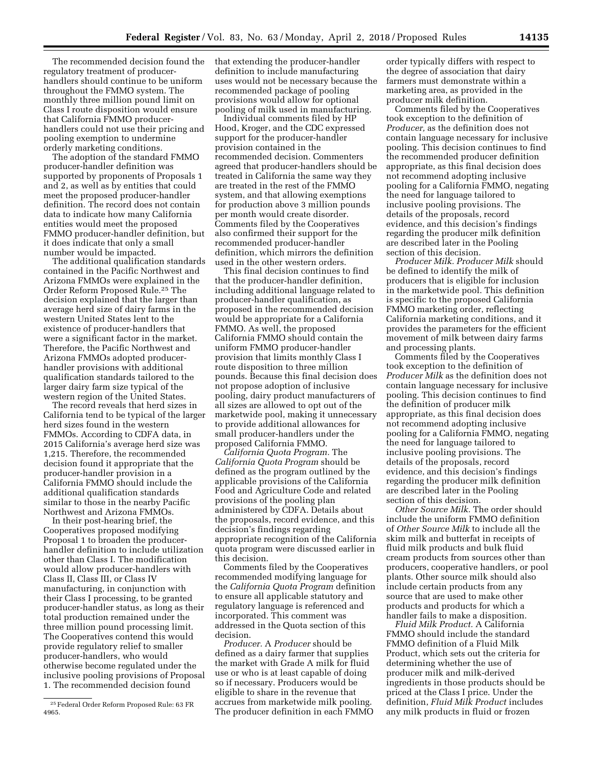The recommended decision found the regulatory treatment of producerhandlers should continue to be uniform throughout the FMMO system. The monthly three million pound limit on Class I route disposition would ensure that California FMMO producerhandlers could not use their pricing and pooling exemption to undermine orderly marketing conditions.

The adoption of the standard FMMO producer-handler definition was supported by proponents of Proposals 1 and 2, as well as by entities that could meet the proposed producer-handler definition. The record does not contain data to indicate how many California entities would meet the proposed FMMO producer-handler definition, but it does indicate that only a small number would be impacted.

The additional qualification standards contained in the Pacific Northwest and Arizona FMMOs were explained in the Order Reform Proposed Rule.25 The decision explained that the larger than average herd size of dairy farms in the western United States lent to the existence of producer-handlers that were a significant factor in the market. Therefore, the Pacific Northwest and Arizona FMMOs adopted producerhandler provisions with additional qualification standards tailored to the larger dairy farm size typical of the western region of the United States.

The record reveals that herd sizes in California tend to be typical of the larger herd sizes found in the western FMMOs. According to CDFA data, in 2015 California's average herd size was 1,215. Therefore, the recommended decision found it appropriate that the producer-handler provision in a California FMMO should include the additional qualification standards similar to those in the nearby Pacific Northwest and Arizona FMMOs.

In their post-hearing brief, the Cooperatives proposed modifying Proposal 1 to broaden the producerhandler definition to include utilization other than Class I. The modification would allow producer-handlers with Class II, Class III, or Class IV manufacturing, in conjunction with their Class I processing, to be granted producer-handler status, as long as their total production remained under the three million pound processing limit. The Cooperatives contend this would provide regulatory relief to smaller producer-handlers, who would otherwise become regulated under the inclusive pooling provisions of Proposal 1. The recommended decision found

that extending the producer-handler definition to include manufacturing uses would not be necessary because the recommended package of pooling provisions would allow for optional pooling of milk used in manufacturing.

Individual comments filed by HP Hood, Kroger, and the CDC expressed support for the producer-handler provision contained in the recommended decision. Commenters agreed that producer-handlers should be treated in California the same way they are treated in the rest of the FMMO system, and that allowing exemptions for production above 3 million pounds per month would create disorder. Comments filed by the Cooperatives also confirmed their support for the recommended producer-handler definition, which mirrors the definition used in the other western orders.

This final decision continues to find that the producer-handler definition, including additional language related to producer-handler qualification, as proposed in the recommended decision would be appropriate for a California FMMO. As well, the proposed California FMMO should contain the uniform FMMO producer-handler provision that limits monthly Class I route disposition to three million pounds. Because this final decision does not propose adoption of inclusive pooling, dairy product manufacturers of all sizes are allowed to opt out of the marketwide pool, making it unnecessary to provide additional allowances for small producer-handlers under the proposed California FMMO.

*California Quota Program.* The *California Quota Program* should be defined as the program outlined by the applicable provisions of the California Food and Agriculture Code and related provisions of the pooling plan administered by CDFA. Details about the proposals, record evidence, and this decision's findings regarding appropriate recognition of the California quota program were discussed earlier in this decision.

Comments filed by the Cooperatives recommended modifying language for the *California Quota Program* definition to ensure all applicable statutory and regulatory language is referenced and incorporated. This comment was addressed in the Quota section of this decision.

*Producer.* A *Producer* should be defined as a dairy farmer that supplies the market with Grade A milk for fluid use or who is at least capable of doing so if necessary. Producers would be eligible to share in the revenue that accrues from marketwide milk pooling. The producer definition in each FMMO

order typically differs with respect to the degree of association that dairy farmers must demonstrate within a marketing area, as provided in the producer milk definition.

Comments filed by the Cooperatives took exception to the definition of *Producer,* as the definition does not contain language necessary for inclusive pooling. This decision continues to find the recommended producer definition appropriate, as this final decision does not recommend adopting inclusive pooling for a California FMMO, negating the need for language tailored to inclusive pooling provisions. The details of the proposals, record evidence, and this decision's findings regarding the producer milk definition are described later in the Pooling section of this decision.

*Producer Milk. Producer Milk* should be defined to identify the milk of producers that is eligible for inclusion in the marketwide pool. This definition is specific to the proposed California FMMO marketing order, reflecting California marketing conditions, and it provides the parameters for the efficient movement of milk between dairy farms and processing plants.

Comments filed by the Cooperatives took exception to the definition of *Producer Milk* as the definition does not contain language necessary for inclusive pooling. This decision continues to find the definition of producer milk appropriate, as this final decision does not recommend adopting inclusive pooling for a California FMMO, negating the need for language tailored to inclusive pooling provisions. The details of the proposals, record evidence, and this decision's findings regarding the producer milk definition are described later in the Pooling section of this decision.

*Other Source Milk.* The order should include the uniform FMMO definition of *Other Source Milk* to include all the skim milk and butterfat in receipts of fluid milk products and bulk fluid cream products from sources other than producers, cooperative handlers, or pool plants. Other source milk should also include certain products from any source that are used to make other products and products for which a handler fails to make a disposition.

*Fluid Milk Product.* A California FMMO should include the standard FMMO definition of a Fluid Milk Product, which sets out the criteria for determining whether the use of producer milk and milk-derived ingredients in those products should be priced at the Class I price. Under the definition, *Fluid Milk Product* includes any milk products in fluid or frozen

<sup>25</sup>Federal Order Reform Proposed Rule: 63 FR 4965.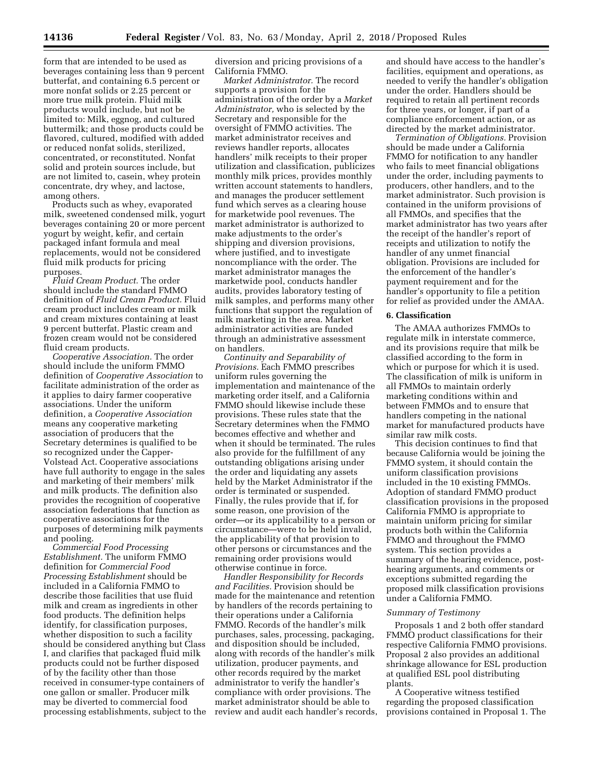form that are intended to be used as beverages containing less than 9 percent butterfat, and containing 6.5 percent or more nonfat solids or 2.25 percent or more true milk protein. Fluid milk products would include, but not be limited to: Milk, eggnog, and cultured buttermilk; and those products could be flavored, cultured, modified with added or reduced nonfat solids, sterilized, concentrated, or reconstituted. Nonfat solid and protein sources include, but are not limited to, casein, whey protein concentrate, dry whey, and lactose, among others.

Products such as whey, evaporated milk, sweetened condensed milk, yogurt beverages containing 20 or more percent yogurt by weight, kefir, and certain packaged infant formula and meal replacements, would not be considered fluid milk products for pricing purposes.

*Fluid Cream Product.* The order should include the standard FMMO definition of *Fluid Cream Product.* Fluid cream product includes cream or milk and cream mixtures containing at least 9 percent butterfat. Plastic cream and frozen cream would not be considered fluid cream products.

*Cooperative Association.* The order should include the uniform FMMO definition of *Cooperative Association* to facilitate administration of the order as it applies to dairy farmer cooperative associations. Under the uniform definition, a *Cooperative Association*  means any cooperative marketing association of producers that the Secretary determines is qualified to be so recognized under the Capper-Volstead Act. Cooperative associations have full authority to engage in the sales and marketing of their members' milk and milk products. The definition also provides the recognition of cooperative association federations that function as cooperative associations for the purposes of determining milk payments and pooling.

*Commercial Food Processing Establishment.* The uniform FMMO definition for *Commercial Food Processing Establishment* should be included in a California FMMO to describe those facilities that use fluid milk and cream as ingredients in other food products. The definition helps identify, for classification purposes, whether disposition to such a facility should be considered anything but Class I, and clarifies that packaged fluid milk products could not be further disposed of by the facility other than those received in consumer-type containers of one gallon or smaller. Producer milk may be diverted to commercial food processing establishments, subject to the diversion and pricing provisions of a California FMMO.

*Market Administrator.* The record supports a provision for the administration of the order by a *Market Administrator,* who is selected by the Secretary and responsible for the oversight of FMMO activities. The market administrator receives and reviews handler reports, allocates handlers' milk receipts to their proper utilization and classification, publicizes monthly milk prices, provides monthly written account statements to handlers, and manages the producer settlement fund which serves as a clearing house for marketwide pool revenues. The market administrator is authorized to make adjustments to the order's shipping and diversion provisions, where justified, and to investigate noncompliance with the order. The market administrator manages the marketwide pool, conducts handler audits, provides laboratory testing of milk samples, and performs many other functions that support the regulation of milk marketing in the area. Market administrator activities are funded through an administrative assessment on handlers.

*Continuity and Separability of Provisions.* Each FMMO prescribes uniform rules governing the implementation and maintenance of the marketing order itself, and a California FMMO should likewise include these provisions. These rules state that the Secretary determines when the FMMO becomes effective and whether and when it should be terminated. The rules also provide for the fulfillment of any outstanding obligations arising under the order and liquidating any assets held by the Market Administrator if the order is terminated or suspended. Finally, the rules provide that if, for some reason, one provision of the order—or its applicability to a person or circumstance—were to be held invalid, the applicability of that provision to other persons or circumstances and the remaining order provisions would otherwise continue in force.

*Handler Responsibility for Records and Facilities.* Provision should be made for the maintenance and retention by handlers of the records pertaining to their operations under a California FMMO. Records of the handler's milk purchases, sales, processing, packaging, and disposition should be included, along with records of the handler's milk utilization, producer payments, and other records required by the market administrator to verify the handler's compliance with order provisions. The market administrator should be able to review and audit each handler's records, and should have access to the handler's facilities, equipment and operations, as needed to verify the handler's obligation under the order. Handlers should be required to retain all pertinent records for three years, or longer, if part of a compliance enforcement action, or as directed by the market administrator.

*Termination of Obligations.* Provision should be made under a California FMMO for notification to any handler who fails to meet financial obligations under the order, including payments to producers, other handlers, and to the market administrator. Such provision is contained in the uniform provisions of all FMMOs, and specifies that the market administrator has two years after the receipt of the handler's report of receipts and utilization to notify the handler of any unmet financial obligation. Provisions are included for the enforcement of the handler's payment requirement and for the handler's opportunity to file a petition for relief as provided under the AMAA.

# **6. Classification**

The AMAA authorizes FMMOs to regulate milk in interstate commerce, and its provisions require that milk be classified according to the form in which or purpose for which it is used. The classification of milk is uniform in all FMMOs to maintain orderly marketing conditions within and between FMMOs and to ensure that handlers competing in the national market for manufactured products have similar raw milk costs.

This decision continues to find that because California would be joining the FMMO system, it should contain the uniform classification provisions included in the 10 existing FMMOs. Adoption of standard FMMO product classification provisions in the proposed California FMMO is appropriate to maintain uniform pricing for similar products both within the California FMMO and throughout the FMMO system. This section provides a summary of the hearing evidence, posthearing arguments, and comments or exceptions submitted regarding the proposed milk classification provisions under a California FMMO.

#### *Summary of Testimony*

Proposals 1 and 2 both offer standard FMMO product classifications for their respective California FMMO provisions. Proposal 2 also provides an additional shrinkage allowance for ESL production at qualified ESL pool distributing plants.

A Cooperative witness testified regarding the proposed classification provisions contained in Proposal 1. The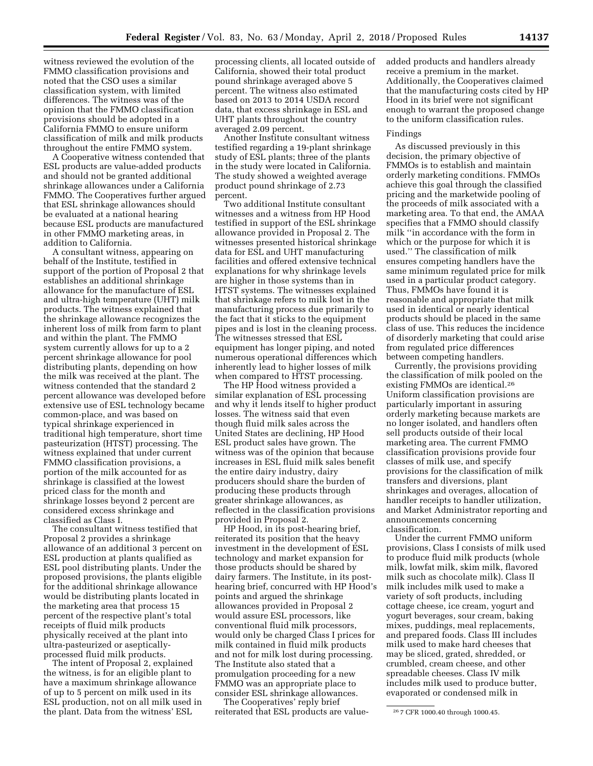witness reviewed the evolution of the FMMO classification provisions and noted that the CSO uses a similar classification system, with limited differences. The witness was of the opinion that the FMMO classification provisions should be adopted in a California FMMO to ensure uniform classification of milk and milk products throughout the entire FMMO system.

A Cooperative witness contended that ESL products are value-added products and should not be granted additional shrinkage allowances under a California FMMO. The Cooperatives further argued that ESL shrinkage allowances should be evaluated at a national hearing because ESL products are manufactured in other FMMO marketing areas, in addition to California.

A consultant witness, appearing on behalf of the Institute, testified in support of the portion of Proposal 2 that establishes an additional shrinkage allowance for the manufacture of ESL and ultra-high temperature (UHT) milk products. The witness explained that the shrinkage allowance recognizes the inherent loss of milk from farm to plant and within the plant. The FMMO system currently allows for up to a 2 percent shrinkage allowance for pool distributing plants, depending on how the milk was received at the plant. The witness contended that the standard 2 percent allowance was developed before extensive use of ESL technology became common-place, and was based on typical shrinkage experienced in traditional high temperature, short time pasteurization (HTST) processing. The witness explained that under current FMMO classification provisions, a portion of the milk accounted for as shrinkage is classified at the lowest priced class for the month and shrinkage losses beyond 2 percent are considered excess shrinkage and classified as Class I.

The consultant witness testified that Proposal 2 provides a shrinkage allowance of an additional 3 percent on ESL production at plants qualified as ESL pool distributing plants. Under the proposed provisions, the plants eligible for the additional shrinkage allowance would be distributing plants located in the marketing area that process 15 percent of the respective plant's total receipts of fluid milk products physically received at the plant into ultra-pasteurized or asepticallyprocessed fluid milk products.

The intent of Proposal 2, explained the witness, is for an eligible plant to have a maximum shrinkage allowance of up to 5 percent on milk used in its ESL production, not on all milk used in the plant. Data from the witness' ESL

processing clients, all located outside of California, showed their total product pound shrinkage averaged above 5 percent. The witness also estimated based on 2013 to 2014 USDA record data, that excess shrinkage in ESL and UHT plants throughout the country averaged 2.09 percent.

Another Institute consultant witness testified regarding a 19-plant shrinkage study of ESL plants; three of the plants in the study were located in California. The study showed a weighted average product pound shrinkage of 2.73 percent.

Two additional Institute consultant witnesses and a witness from HP Hood testified in support of the ESL shrinkage allowance provided in Proposal 2. The witnesses presented historical shrinkage data for ESL and UHT manufacturing facilities and offered extensive technical explanations for why shrinkage levels are higher in those systems than in HTST systems. The witnesses explained that shrinkage refers to milk lost in the manufacturing process due primarily to the fact that it sticks to the equipment pipes and is lost in the cleaning process. The witnesses stressed that ESL equipment has longer piping, and noted numerous operational differences which inherently lead to higher losses of milk when compared to HTST processing.

The HP Hood witness provided a similar explanation of ESL processing and why it lends itself to higher product losses. The witness said that even though fluid milk sales across the United States are declining, HP Hood ESL product sales have grown. The witness was of the opinion that because increases in ESL fluid milk sales benefit the entire dairy industry, dairy producers should share the burden of producing these products through greater shrinkage allowances, as reflected in the classification provisions provided in Proposal 2.

HP Hood, in its post-hearing brief, reiterated its position that the heavy investment in the development of ESL technology and market expansion for those products should be shared by dairy farmers. The Institute, in its posthearing brief, concurred with HP Hood's points and argued the shrinkage allowances provided in Proposal 2 would assure ESL processors, like conventional fluid milk processors, would only be charged Class I prices for milk contained in fluid milk products and not for milk lost during processing. The Institute also stated that a promulgation proceeding for a new FMMO was an appropriate place to consider ESL shrinkage allowances.

The Cooperatives' reply brief reiterated that ESL products are valueadded products and handlers already receive a premium in the market. Additionally, the Cooperatives claimed that the manufacturing costs cited by HP Hood in its brief were not significant enough to warrant the proposed change to the uniform classification rules.

#### Findings

As discussed previously in this decision, the primary objective of FMMOs is to establish and maintain orderly marketing conditions. FMMOs achieve this goal through the classified pricing and the marketwide pooling of the proceeds of milk associated with a marketing area. To that end, the AMAA specifies that a FMMO should classify milk ''in accordance with the form in which or the purpose for which it is used.'' The classification of milk ensures competing handlers have the same minimum regulated price for milk used in a particular product category. Thus, FMMOs have found it is reasonable and appropriate that milk used in identical or nearly identical products should be placed in the same class of use. This reduces the incidence of disorderly marketing that could arise from regulated price differences between competing handlers.

Currently, the provisions providing the classification of milk pooled on the existing FMMOs are identical.26 Uniform classification provisions are particularly important in assuring orderly marketing because markets are no longer isolated, and handlers often sell products outside of their local marketing area. The current FMMO classification provisions provide four classes of milk use, and specify provisions for the classification of milk transfers and diversions, plant shrinkages and overages, allocation of handler receipts to handler utilization, and Market Administrator reporting and announcements concerning classification.

Under the current FMMO uniform provisions, Class I consists of milk used to produce fluid milk products (whole milk, lowfat milk, skim milk, flavored milk such as chocolate milk). Class II milk includes milk used to make a variety of soft products, including cottage cheese, ice cream, yogurt and yogurt beverages, sour cream, baking mixes, puddings, meal replacements, and prepared foods. Class III includes milk used to make hard cheeses that may be sliced, grated, shredded, or crumbled, cream cheese, and other spreadable cheeses. Class IV milk includes milk used to produce butter, evaporated or condensed milk in

<sup>26</sup> 7 CFR 1000.40 through 1000.45.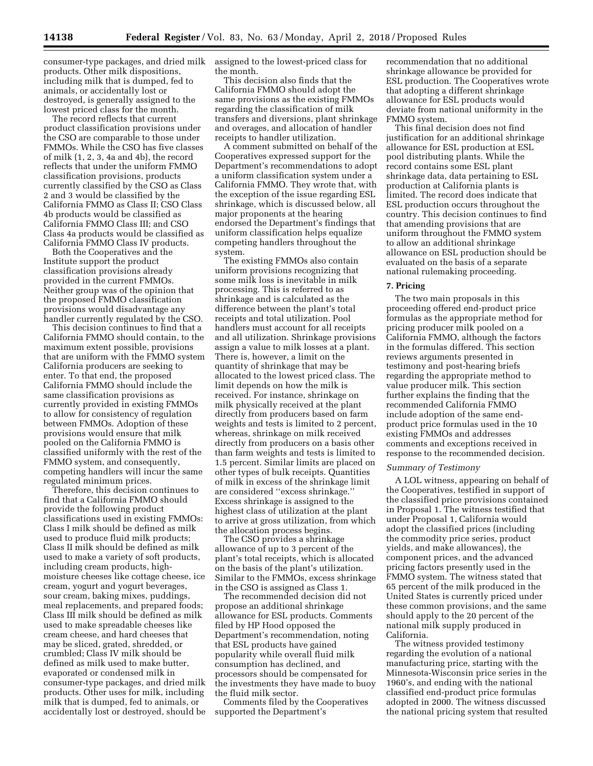consumer-type packages, and dried milk products. Other milk dispositions, including milk that is dumped, fed to animals, or accidentally lost or destroyed, is generally assigned to the lowest priced class for the month.

The record reflects that current product classification provisions under the CSO are comparable to those under FMMOs. While the CSO has five classes of milk (1, 2, 3, 4a and 4b), the record reflects that under the uniform FMMO classification provisions, products currently classified by the CSO as Class 2 and 3 would be classified by the California FMMO as Class II; CSO Class 4b products would be classified as California FMMO Class III; and CSO Class 4a products would be classified as California FMMO Class IV products.

Both the Cooperatives and the Institute support the product classification provisions already provided in the current FMMOs. Neither group was of the opinion that the proposed FMMO classification provisions would disadvantage any handler currently regulated by the CSO.

This decision continues to find that a California FMMO should contain, to the maximum extent possible, provisions that are uniform with the FMMO system California producers are seeking to enter. To that end, the proposed California FMMO should include the same classification provisions as currently provided in existing FMMOs to allow for consistency of regulation between FMMOs. Adoption of these provisions would ensure that milk pooled on the California FMMO is classified uniformly with the rest of the FMMO system, and consequently, competing handlers will incur the same regulated minimum prices.

Therefore, this decision continues to find that a California FMMO should provide the following product classifications used in existing FMMOs: Class I milk should be defined as milk used to produce fluid milk products; Class II milk should be defined as milk used to make a variety of soft products, including cream products, highmoisture cheeses like cottage cheese, ice cream, yogurt and yogurt beverages, sour cream, baking mixes, puddings, meal replacements, and prepared foods; Class III milk should be defined as milk used to make spreadable cheeses like cream cheese, and hard cheeses that may be sliced, grated, shredded, or crumbled; Class IV milk should be defined as milk used to make butter, evaporated or condensed milk in consumer-type packages, and dried milk products. Other uses for milk, including milk that is dumped, fed to animals, or accidentally lost or destroyed, should be assigned to the lowest-priced class for the month.

This decision also finds that the California FMMO should adopt the same provisions as the existing FMMOs regarding the classification of milk transfers and diversions, plant shrinkage and overages, and allocation of handler receipts to handler utilization.

A comment submitted on behalf of the Cooperatives expressed support for the Department's recommendations to adopt a uniform classification system under a California FMMO. They wrote that, with the exception of the issue regarding ESL shrinkage, which is discussed below, all major proponents at the hearing endorsed the Department's findings that uniform classification helps equalize competing handlers throughout the system.

The existing FMMOs also contain uniform provisions recognizing that some milk loss is inevitable in milk processing. This is referred to as shrinkage and is calculated as the difference between the plant's total receipts and total utilization. Pool handlers must account for all receipts and all utilization. Shrinkage provisions assign a value to milk losses at a plant. There is, however, a limit on the quantity of shrinkage that may be allocated to the lowest priced class. The limit depends on how the milk is received. For instance, shrinkage on milk physically received at the plant directly from producers based on farm weights and tests is limited to 2 percent, whereas, shrinkage on milk received directly from producers on a basis other than farm weights and tests is limited to 1.5 percent. Similar limits are placed on other types of bulk receipts. Quantities of milk in excess of the shrinkage limit are considered ''excess shrinkage.'' Excess shrinkage is assigned to the highest class of utilization at the plant to arrive at gross utilization, from which the allocation process begins.

The CSO provides a shrinkage allowance of up to 3 percent of the plant's total receipts, which is allocated on the basis of the plant's utilization. Similar to the FMMOs, excess shrinkage in the CSO is assigned as Class 1.

The recommended decision did not propose an additional shrinkage allowance for ESL products. Comments filed by HP Hood opposed the Department's recommendation, noting that ESL products have gained popularity while overall fluid milk consumption has declined, and processors should be compensated for the investments they have made to buoy the fluid milk sector.

Comments filed by the Cooperatives supported the Department's

recommendation that no additional shrinkage allowance be provided for ESL production. The Cooperatives wrote that adopting a different shrinkage allowance for ESL products would deviate from national uniformity in the FMMO system.

This final decision does not find justification for an additional shrinkage allowance for ESL production at ESL pool distributing plants. While the record contains some ESL plant shrinkage data, data pertaining to ESL production at California plants is limited. The record does indicate that ESL production occurs throughout the country. This decision continues to find that amending provisions that are uniform throughout the FMMO system to allow an additional shrinkage allowance on ESL production should be evaluated on the basis of a separate national rulemaking proceeding.

### **7. Pricing**

The two main proposals in this proceeding offered end-product price formulas as the appropriate method for pricing producer milk pooled on a California FMMO, although the factors in the formulas differed. This section reviews arguments presented in testimony and post-hearing briefs regarding the appropriate method to value producer milk. This section further explains the finding that the recommended California FMMO include adoption of the same endproduct price formulas used in the 10 existing FMMOs and addresses comments and exceptions received in response to the recommended decision.

#### *Summary of Testimony*

A LOL witness, appearing on behalf of the Cooperatives, testified in support of the classified price provisions contained in Proposal 1. The witness testified that under Proposal 1, California would adopt the classified prices (including the commodity price series, product yields, and make allowances), the component prices, and the advanced pricing factors presently used in the FMMO system. The witness stated that 65 percent of the milk produced in the United States is currently priced under these common provisions, and the same should apply to the 20 percent of the national milk supply produced in California.

The witness provided testimony regarding the evolution of a national manufacturing price, starting with the Minnesota-Wisconsin price series in the 1960's, and ending with the national classified end-product price formulas adopted in 2000. The witness discussed the national pricing system that resulted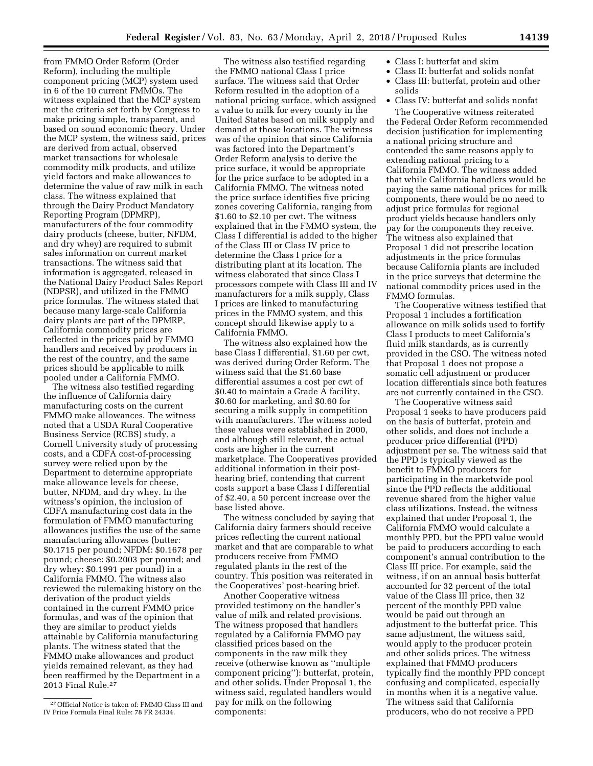from FMMO Order Reform (Order Reform), including the multiple component pricing (MCP) system used in 6 of the 10 current FMMOs. The witness explained that the MCP system met the criteria set forth by Congress to make pricing simple, transparent, and based on sound economic theory. Under the MCP system, the witness said, prices are derived from actual, observed market transactions for wholesale commodity milk products, and utilize yield factors and make allowances to determine the value of raw milk in each class. The witness explained that through the Dairy Product Mandatory Reporting Program (DPMRP), manufacturers of the four commodity dairy products (cheese, butter, NFDM, and dry whey) are required to submit sales information on current market transactions. The witness said that information is aggregated, released in the National Dairy Product Sales Report (NDPSR), and utilized in the FMMO price formulas. The witness stated that because many large-scale California dairy plants are part of the DPMRP, California commodity prices are reflected in the prices paid by FMMO handlers and received by producers in the rest of the country, and the same prices should be applicable to milk pooled under a California FMMO.

The witness also testified regarding the influence of California dairy manufacturing costs on the current FMMO make allowances. The witness noted that a USDA Rural Cooperative Business Service (RCBS) study, a Cornell University study of processing costs, and a CDFA cost-of-processing survey were relied upon by the Department to determine appropriate make allowance levels for cheese, butter, NFDM, and dry whey. In the witness's opinion, the inclusion of CDFA manufacturing cost data in the formulation of FMMO manufacturing allowances justifies the use of the same manufacturing allowances (butter: \$0.1715 per pound; NFDM: \$0.1678 per pound; cheese: \$0.2003 per pound; and dry whey: \$0.1991 per pound) in a California FMMO. The witness also reviewed the rulemaking history on the derivation of the product yields contained in the current FMMO price formulas, and was of the opinion that they are similar to product yields attainable by California manufacturing plants. The witness stated that the FMMO make allowances and product yields remained relevant, as they had been reaffirmed by the Department in a 2013 Final Rule.27

The witness also testified regarding the FMMO national Class I price surface. The witness said that Order Reform resulted in the adoption of a national pricing surface, which assigned a value to milk for every county in the United States based on milk supply and demand at those locations. The witness was of the opinion that since California was factored into the Department's Order Reform analysis to derive the price surface, it would be appropriate for the price surface to be adopted in a California FMMO. The witness noted the price surface identifies five pricing zones covering California, ranging from \$1.60 to \$2.10 per cwt. The witness explained that in the FMMO system, the Class I differential is added to the higher of the Class III or Class IV price to determine the Class I price for a distributing plant at its location. The witness elaborated that since Class I processors compete with Class III and IV manufacturers for a milk supply, Class I prices are linked to manufacturing prices in the FMMO system, and this concept should likewise apply to a California FMMO.

The witness also explained how the base Class I differential, \$1.60 per cwt, was derived during Order Reform. The witness said that the \$1.60 base differential assumes a cost per cwt of \$0.40 to maintain a Grade A facility, \$0.60 for marketing, and \$0.60 for securing a milk supply in competition with manufacturers. The witness noted these values were established in 2000, and although still relevant, the actual costs are higher in the current marketplace. The Cooperatives provided additional information in their posthearing brief, contending that current costs support a base Class I differential of \$2.40, a 50 percent increase over the base listed above.

The witness concluded by saying that California dairy farmers should receive prices reflecting the current national market and that are comparable to what producers receive from FMMO regulated plants in the rest of the country. This position was reiterated in the Cooperatives' post-hearing brief.

Another Cooperative witness provided testimony on the handler's value of milk and related provisions. The witness proposed that handlers regulated by a California FMMO pay classified prices based on the components in the raw milk they receive (otherwise known as ''multiple component pricing''): butterfat, protein, and other solids. Under Proposal 1, the witness said, regulated handlers would pay for milk on the following components:

- Class I: butterfat and skim
- Class II: butterfat and solids nonfat • Class III: butterfat, protein and other solids
- Class IV: butterfat and solids nonfat

The Cooperative witness reiterated the Federal Order Reform recommended decision justification for implementing a national pricing structure and contended the same reasons apply to extending national pricing to a California FMMO. The witness added that while California handlers would be paying the same national prices for milk components, there would be no need to adjust price formulas for regional product yields because handlers only pay for the components they receive. The witness also explained that Proposal 1 did not prescribe location adjustments in the price formulas because California plants are included in the price surveys that determine the national commodity prices used in the FMMO formulas.

The Cooperative witness testified that Proposal 1 includes a fortification allowance on milk solids used to fortify Class I products to meet California's fluid milk standards, as is currently provided in the CSO. The witness noted that Proposal 1 does not propose a somatic cell adjustment or producer location differentials since both features are not currently contained in the CSO.

The Cooperative witness said Proposal 1 seeks to have producers paid on the basis of butterfat, protein and other solids, and does not include a producer price differential (PPD) adjustment per se. The witness said that the PPD is typically viewed as the benefit to FMMO producers for participating in the marketwide pool since the PPD reflects the additional revenue shared from the higher value class utilizations. Instead, the witness explained that under Proposal 1, the California FMMO would calculate a monthly PPD, but the PPD value would be paid to producers according to each component's annual contribution to the Class III price. For example, said the witness, if on an annual basis butterfat accounted for 32 percent of the total value of the Class III price, then 32 percent of the monthly PPD value would be paid out through an adjustment to the butterfat price. This same adjustment, the witness said, would apply to the producer protein and other solids prices. The witness explained that FMMO producers typically find the monthly PPD concept confusing and complicated, especially in months when it is a negative value. The witness said that California producers, who do not receive a PPD

<sup>27</sup>Official Notice is taken of: FMMO Class III and IV Price Formula Final Rule: 78 FR 24334.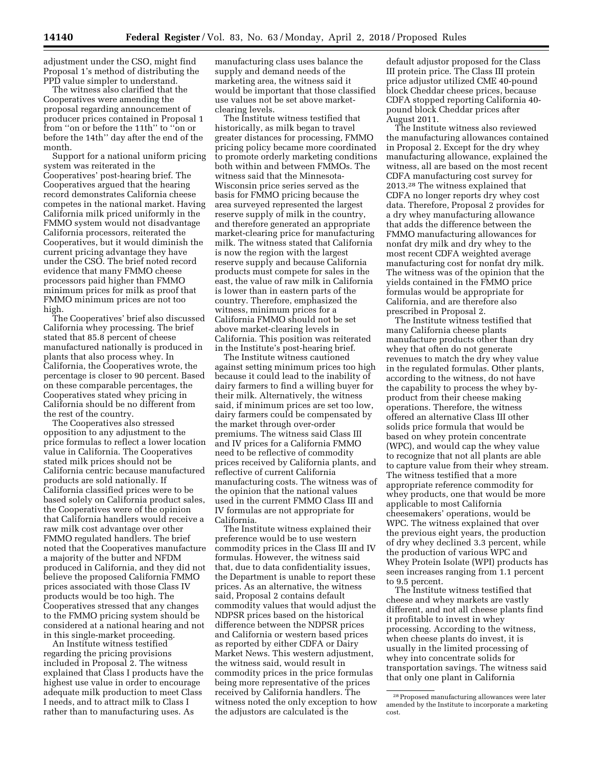adjustment under the CSO, might find Proposal 1's method of distributing the PPD value simpler to understand.

The witness also clarified that the Cooperatives were amending the proposal regarding announcement of producer prices contained in Proposal 1 from ''on or before the 11th'' to ''on or before the 14th'' day after the end of the month.

Support for a national uniform pricing system was reiterated in the Cooperatives' post-hearing brief. The Cooperatives argued that the hearing record demonstrates California cheese competes in the national market. Having California milk priced uniformly in the FMMO system would not disadvantage California processors, reiterated the Cooperatives, but it would diminish the current pricing advantage they have under the CSO. The brief noted record evidence that many FMMO cheese processors paid higher than FMMO minimum prices for milk as proof that FMMO minimum prices are not too high.

The Cooperatives' brief also discussed California whey processing. The brief stated that 85.8 percent of cheese manufactured nationally is produced in plants that also process whey. In California, the Cooperatives wrote, the percentage is closer to 90 percent. Based on these comparable percentages, the Cooperatives stated whey pricing in California should be no different from the rest of the country.

The Cooperatives also stressed opposition to any adjustment to the price formulas to reflect a lower location value in California. The Cooperatives stated milk prices should not be California centric because manufactured products are sold nationally. If California classified prices were to be based solely on California product sales, the Cooperatives were of the opinion that California handlers would receive a raw milk cost advantage over other FMMO regulated handlers. The brief noted that the Cooperatives manufacture a majority of the butter and NFDM produced in California, and they did not believe the proposed California FMMO prices associated with those Class IV products would be too high. The Cooperatives stressed that any changes to the FMMO pricing system should be considered at a national hearing and not in this single-market proceeding.

An Institute witness testified regarding the pricing provisions included in Proposal 2. The witness explained that Class I products have the highest use value in order to encourage adequate milk production to meet Class I needs, and to attract milk to Class I rather than to manufacturing uses. As

manufacturing class uses balance the supply and demand needs of the marketing area, the witness said it would be important that those classified use values not be set above marketclearing levels.

The Institute witness testified that historically, as milk began to travel greater distances for processing, FMMO pricing policy became more coordinated to promote orderly marketing conditions both within and between FMMOs. The witness said that the Minnesota-Wisconsin price series served as the basis for FMMO pricing because the area surveyed represented the largest reserve supply of milk in the country, and therefore generated an appropriate market-clearing price for manufacturing milk. The witness stated that California is now the region with the largest reserve supply and because California products must compete for sales in the east, the value of raw milk in California is lower than in eastern parts of the country. Therefore, emphasized the witness, minimum prices for a California FMMO should not be set above market-clearing levels in California. This position was reiterated in the Institute's post-hearing brief.

The Institute witness cautioned against setting minimum prices too high because it could lead to the inability of dairy farmers to find a willing buyer for their milk. Alternatively, the witness said, if minimum prices are set too low, dairy farmers could be compensated by the market through over-order premiums. The witness said Class III and IV prices for a California FMMO need to be reflective of commodity prices received by California plants, and reflective of current California manufacturing costs. The witness was of the opinion that the national values used in the current FMMO Class III and IV formulas are not appropriate for California.

The Institute witness explained their preference would be to use western commodity prices in the Class III and IV formulas. However, the witness said that, due to data confidentiality issues, the Department is unable to report these prices. As an alternative, the witness said, Proposal 2 contains default commodity values that would adjust the NDPSR prices based on the historical difference between the NDPSR prices and California or western based prices as reported by either CDFA or Dairy Market News. This western adjustment, the witness said, would result in commodity prices in the price formulas being more representative of the prices received by California handlers. The witness noted the only exception to how the adjustors are calculated is the

default adjustor proposed for the Class III protein price. The Class III protein price adjustor utilized CME 40-pound block Cheddar cheese prices, because CDFA stopped reporting California 40 pound block Cheddar prices after August 2011.

The Institute witness also reviewed the manufacturing allowances contained in Proposal 2. Except for the dry whey manufacturing allowance, explained the witness, all are based on the most recent CDFA manufacturing cost survey for 2013.28 The witness explained that CDFA no longer reports dry whey cost data. Therefore, Proposal 2 provides for a dry whey manufacturing allowance that adds the difference between the FMMO manufacturing allowances for nonfat dry milk and dry whey to the most recent CDFA weighted average manufacturing cost for nonfat dry milk. The witness was of the opinion that the yields contained in the FMMO price formulas would be appropriate for California, and are therefore also prescribed in Proposal 2.

The Institute witness testified that many California cheese plants manufacture products other than dry whey that often do not generate revenues to match the dry whey value in the regulated formulas. Other plants, according to the witness, do not have the capability to process the whey byproduct from their cheese making operations. Therefore, the witness offered an alternative Class III other solids price formula that would be based on whey protein concentrate (WPC), and would cap the whey value to recognize that not all plants are able to capture value from their whey stream. The witness testified that a more appropriate reference commodity for whey products, one that would be more applicable to most California cheesemakers' operations, would be WPC. The witness explained that over the previous eight years, the production of dry whey declined 3.3 percent, while the production of various WPC and Whey Protein Isolate (WPI) products has seen increases ranging from 1.1 percent to 9.5 percent.

The Institute witness testified that cheese and whey markets are vastly different, and not all cheese plants find it profitable to invest in whey processing. According to the witness, when cheese plants do invest, it is usually in the limited processing of whey into concentrate solids for transportation savings. The witness said that only one plant in California

<sup>28</sup>Proposed manufacturing allowances were later amended by the Institute to incorporate a marketing cost.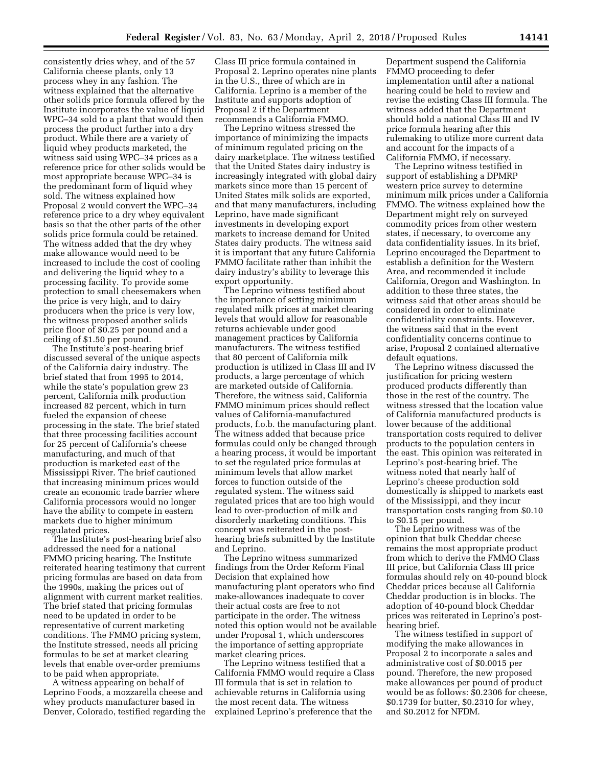consistently dries whey, and of the 57 California cheese plants, only 13 process whey in any fashion. The witness explained that the alternative other solids price formula offered by the Institute incorporates the value of liquid WPC–34 sold to a plant that would then process the product further into a dry product. While there are a variety of liquid whey products marketed, the witness said using WPC–34 prices as a reference price for other solids would be most appropriate because WPC–34 is the predominant form of liquid whey sold. The witness explained how Proposal 2 would convert the WPC–34 reference price to a dry whey equivalent basis so that the other parts of the other solids price formula could be retained. The witness added that the dry whey make allowance would need to be increased to include the cost of cooling and delivering the liquid whey to a processing facility. To provide some protection to small cheesemakers when the price is very high, and to dairy producers when the price is very low, the witness proposed another solids price floor of \$0.25 per pound and a ceiling of \$1.50 per pound.

The Institute's post-hearing brief discussed several of the unique aspects of the California dairy industry. The brief stated that from 1995 to 2014, while the state's population grew 23 percent, California milk production increased 82 percent, which in turn fueled the expansion of cheese processing in the state. The brief stated that three processing facilities account for 25 percent of California's cheese manufacturing, and much of that production is marketed east of the Mississippi River. The brief cautioned that increasing minimum prices would create an economic trade barrier where California processors would no longer have the ability to compete in eastern markets due to higher minimum regulated prices.

The Institute's post-hearing brief also addressed the need for a national FMMO pricing hearing. The Institute reiterated hearing testimony that current pricing formulas are based on data from the 1990s, making the prices out of alignment with current market realities. The brief stated that pricing formulas need to be updated in order to be representative of current marketing conditions. The FMMO pricing system, the Institute stressed, needs all pricing formulas to be set at market clearing levels that enable over-order premiums to be paid when appropriate.

A witness appearing on behalf of Leprino Foods, a mozzarella cheese and whey products manufacturer based in Denver, Colorado, testified regarding the Class III price formula contained in Proposal 2. Leprino operates nine plants in the U.S., three of which are in California. Leprino is a member of the Institute and supports adoption of Proposal 2 if the Department recommends a California FMMO.

The Leprino witness stressed the importance of minimizing the impacts of minimum regulated pricing on the dairy marketplace. The witness testified that the United States dairy industry is increasingly integrated with global dairy markets since more than 15 percent of United States milk solids are exported, and that many manufacturers, including Leprino, have made significant investments in developing export markets to increase demand for United States dairy products. The witness said it is important that any future California FMMO facilitate rather than inhibit the dairy industry's ability to leverage this export opportunity.

The Leprino witness testified about the importance of setting minimum regulated milk prices at market clearing levels that would allow for reasonable returns achievable under good management practices by California manufacturers. The witness testified that 80 percent of California milk production is utilized in Class III and IV products, a large percentage of which are marketed outside of California. Therefore, the witness said, California FMMO minimum prices should reflect values of California-manufactured products, f.o.b. the manufacturing plant. The witness added that because price formulas could only be changed through a hearing process, it would be important to set the regulated price formulas at minimum levels that allow market forces to function outside of the regulated system. The witness said regulated prices that are too high would lead to over-production of milk and disorderly marketing conditions. This concept was reiterated in the posthearing briefs submitted by the Institute and Leprino.

The Leprino witness summarized findings from the Order Reform Final Decision that explained how manufacturing plant operators who find make-allowances inadequate to cover their actual costs are free to not participate in the order. The witness noted this option would not be available under Proposal 1, which underscores the importance of setting appropriate market clearing prices.

The Leprino witness testified that a California FMMO would require a Class III formula that is set in relation to achievable returns in California using the most recent data. The witness explained Leprino's preference that the

Department suspend the California FMMO proceeding to defer implementation until after a national hearing could be held to review and revise the existing Class III formula. The witness added that the Department should hold a national Class III and IV price formula hearing after this rulemaking to utilize more current data and account for the impacts of a California FMMO, if necessary.

The Leprino witness testified in support of establishing a DPMRP western price survey to determine minimum milk prices under a California FMMO. The witness explained how the Department might rely on surveyed commodity prices from other western states, if necessary, to overcome any data confidentiality issues. In its brief, Leprino encouraged the Department to establish a definition for the Western Area, and recommended it include California, Oregon and Washington. In addition to these three states, the witness said that other areas should be considered in order to eliminate confidentiality constraints. However, the witness said that in the event confidentiality concerns continue to arise, Proposal 2 contained alternative default equations.

The Leprino witness discussed the justification for pricing western produced products differently than those in the rest of the country. The witness stressed that the location value of California manufactured products is lower because of the additional transportation costs required to deliver products to the population centers in the east. This opinion was reiterated in Leprino's post-hearing brief. The witness noted that nearly half of Leprino's cheese production sold domestically is shipped to markets east of the Mississippi, and they incur transportation costs ranging from \$0.10 to \$0.15 per pound.

The Leprino witness was of the opinion that bulk Cheddar cheese remains the most appropriate product from which to derive the FMMO Class III price, but California Class III price formulas should rely on 40-pound block Cheddar prices because all California Cheddar production is in blocks. The adoption of 40-pound block Cheddar prices was reiterated in Leprino's posthearing brief.

The witness testified in support of modifying the make allowances in Proposal 2 to incorporate a sales and administrative cost of \$0.0015 per pound. Therefore, the new proposed make allowances per pound of product would be as follows: \$0.2306 for cheese, \$0.1739 for butter, \$0.2310 for whey, and \$0.2012 for NFDM.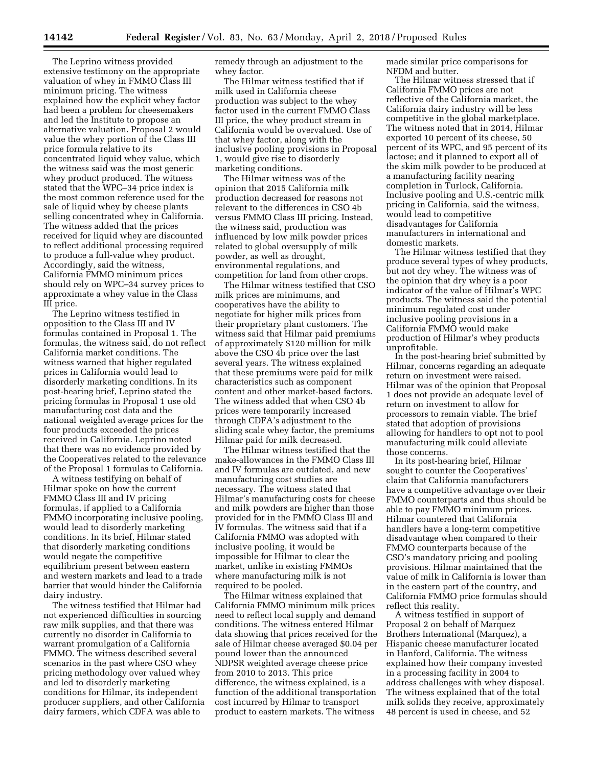The Leprino witness provided extensive testimony on the appropriate valuation of whey in FMMO Class III minimum pricing. The witness explained how the explicit whey factor had been a problem for cheesemakers and led the Institute to propose an alternative valuation. Proposal 2 would value the whey portion of the Class III price formula relative to its concentrated liquid whey value, which the witness said was the most generic whey product produced. The witness stated that the WPC–34 price index is the most common reference used for the sale of liquid whey by cheese plants selling concentrated whey in California. The witness added that the prices received for liquid whey are discounted to reflect additional processing required to produce a full-value whey product. Accordingly, said the witness, California FMMO minimum prices should rely on WPC–34 survey prices to approximate a whey value in the Class III price.

The Leprino witness testified in opposition to the Class III and IV formulas contained in Proposal 1. The formulas, the witness said, do not reflect California market conditions. The witness warned that higher regulated prices in California would lead to disorderly marketing conditions. In its post-hearing brief, Leprino stated the pricing formulas in Proposal 1 use old manufacturing cost data and the national weighted average prices for the four products exceeded the prices received in California. Leprino noted that there was no evidence provided by the Cooperatives related to the relevance of the Proposal 1 formulas to California.

A witness testifying on behalf of Hilmar spoke on how the current FMMO Class III and IV pricing formulas, if applied to a California FMMO incorporating inclusive pooling, would lead to disorderly marketing conditions. In its brief, Hilmar stated that disorderly marketing conditions would negate the competitive equilibrium present between eastern and western markets and lead to a trade barrier that would hinder the California dairy industry.

The witness testified that Hilmar had not experienced difficulties in sourcing raw milk supplies, and that there was currently no disorder in California to warrant promulgation of a California FMMO. The witness described several scenarios in the past where CSO whey pricing methodology over valued whey and led to disorderly marketing conditions for Hilmar, its independent producer suppliers, and other California dairy farmers, which CDFA was able to

remedy through an adjustment to the whey factor.

The Hilmar witness testified that if milk used in California cheese production was subject to the whey factor used in the current FMMO Class III price, the whey product stream in California would be overvalued. Use of that whey factor, along with the inclusive pooling provisions in Proposal 1, would give rise to disorderly marketing conditions.

The Hilmar witness was of the opinion that 2015 California milk production decreased for reasons not relevant to the differences in CSO 4b versus FMMO Class III pricing. Instead, the witness said, production was influenced by low milk powder prices related to global oversupply of milk powder, as well as drought, environmental regulations, and competition for land from other crops.

The Hilmar witness testified that CSO milk prices are minimums, and cooperatives have the ability to negotiate for higher milk prices from their proprietary plant customers. The witness said that Hilmar paid premiums of approximately \$120 million for milk above the CSO 4b price over the last several years. The witness explained that these premiums were paid for milk characteristics such as component content and other market-based factors. The witness added that when CSO 4b prices were temporarily increased through CDFA's adjustment to the sliding scale whey factor, the premiums Hilmar paid for milk decreased.

The Hilmar witness testified that the make-allowances in the FMMO Class III and IV formulas are outdated, and new manufacturing cost studies are necessary. The witness stated that Hilmar's manufacturing costs for cheese and milk powders are higher than those provided for in the FMMO Class III and IV formulas. The witness said that if a California FMMO was adopted with inclusive pooling, it would be impossible for Hilmar to clear the market, unlike in existing FMMOs where manufacturing milk is not required to be pooled.

The Hilmar witness explained that California FMMO minimum milk prices need to reflect local supply and demand conditions. The witness entered Hilmar data showing that prices received for the sale of Hilmar cheese averaged \$0.04 per pound lower than the announced NDPSR weighted average cheese price from 2010 to 2013. This price difference, the witness explained, is a function of the additional transportation cost incurred by Hilmar to transport product to eastern markets. The witness

made similar price comparisons for NFDM and butter.

The Hilmar witness stressed that if California FMMO prices are not reflective of the California market, the California dairy industry will be less competitive in the global marketplace. The witness noted that in 2014, Hilmar exported 10 percent of its cheese, 50 percent of its WPC, and 95 percent of its lactose; and it planned to export all of the skim milk powder to be produced at a manufacturing facility nearing completion in Turlock, California. Inclusive pooling and U.S.-centric milk pricing in California, said the witness, would lead to competitive disadvantages for California manufacturers in international and domestic markets.

The Hilmar witness testified that they produce several types of whey products, but not dry whey. The witness was of the opinion that dry whey is a poor indicator of the value of Hilmar's WPC products. The witness said the potential minimum regulated cost under inclusive pooling provisions in a California FMMO would make production of Hilmar's whey products unprofitable.

In the post-hearing brief submitted by Hilmar, concerns regarding an adequate return on investment were raised. Hilmar was of the opinion that Proposal 1 does not provide an adequate level of return on investment to allow for processors to remain viable. The brief stated that adoption of provisions allowing for handlers to opt not to pool manufacturing milk could alleviate those concerns.

In its post-hearing brief, Hilmar sought to counter the Cooperatives' claim that California manufacturers have a competitive advantage over their FMMO counterparts and thus should be able to pay FMMO minimum prices. Hilmar countered that California handlers have a long-term competitive disadvantage when compared to their FMMO counterparts because of the CSO's mandatory pricing and pooling provisions. Hilmar maintained that the value of milk in California is lower than in the eastern part of the country, and California FMMO price formulas should reflect this reality.

A witness testified in support of Proposal 2 on behalf of Marquez Brothers International (Marquez), a Hispanic cheese manufacturer located in Hanford, California. The witness explained how their company invested in a processing facility in 2004 to address challenges with whey disposal. The witness explained that of the total milk solids they receive, approximately 48 percent is used in cheese, and 52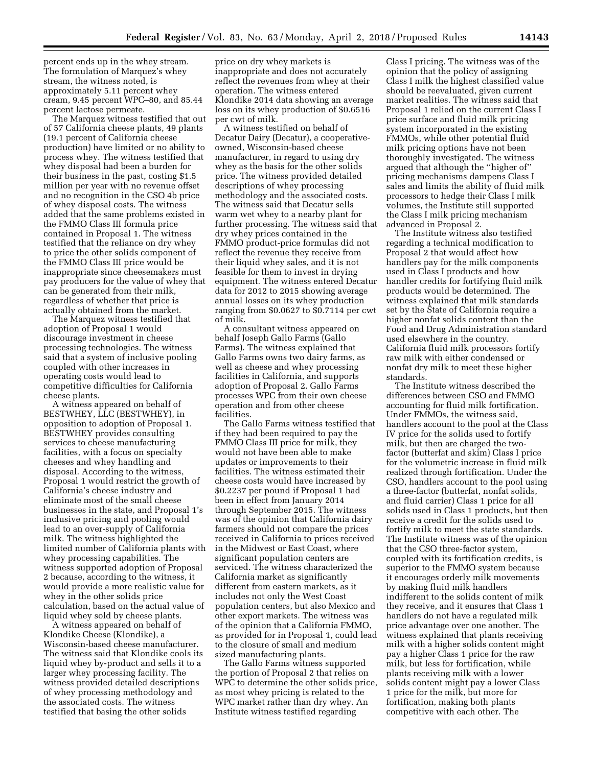percent ends up in the whey stream. The formulation of Marquez's whey stream, the witness noted, is approximately 5.11 percent whey cream, 9.45 percent WPC–80, and 85.44 percent lactose permeate.

The Marquez witness testified that out of 57 California cheese plants, 49 plants (19.1 percent of California cheese production) have limited or no ability to process whey. The witness testified that whey disposal had been a burden for their business in the past, costing \$1.5 million per year with no revenue offset and no recognition in the CSO 4b price of whey disposal costs. The witness added that the same problems existed in the FMMO Class III formula price contained in Proposal 1. The witness testified that the reliance on dry whey to price the other solids component of the FMMO Class III price would be inappropriate since cheesemakers must pay producers for the value of whey that can be generated from their milk, regardless of whether that price is actually obtained from the market.

The Marquez witness testified that adoption of Proposal 1 would discourage investment in cheese processing technologies. The witness said that a system of inclusive pooling coupled with other increases in operating costs would lead to competitive difficulties for California cheese plants.

A witness appeared on behalf of BESTWHEY, LLC (BESTWHEY), in opposition to adoption of Proposal 1. BESTWHEY provides consulting services to cheese manufacturing facilities, with a focus on specialty cheeses and whey handling and disposal. According to the witness, Proposal 1 would restrict the growth of California's cheese industry and eliminate most of the small cheese businesses in the state, and Proposal 1's inclusive pricing and pooling would lead to an over-supply of California milk. The witness highlighted the limited number of California plants with whey processing capabilities. The witness supported adoption of Proposal 2 because, according to the witness, it would provide a more realistic value for whey in the other solids price calculation, based on the actual value of liquid whey sold by cheese plants.

A witness appeared on behalf of Klondike Cheese (Klondike), a Wisconsin-based cheese manufacturer. The witness said that Klondike cools its liquid whey by-product and sells it to a larger whey processing facility. The witness provided detailed descriptions of whey processing methodology and the associated costs. The witness testified that basing the other solids

price on dry whey markets is inappropriate and does not accurately reflect the revenues from whey at their operation. The witness entered Klondike 2014 data showing an average loss on its whey production of \$0.6516 per cwt of milk.

A witness testified on behalf of Decatur Dairy (Decatur), a cooperativeowned, Wisconsin-based cheese manufacturer, in regard to using dry whey as the basis for the other solids price. The witness provided detailed descriptions of whey processing methodology and the associated costs. The witness said that Decatur sells warm wet whey to a nearby plant for further processing. The witness said that dry whey prices contained in the FMMO product-price formulas did not reflect the revenue they receive from their liquid whey sales, and it is not feasible for them to invest in drying equipment. The witness entered Decatur data for 2012 to 2015 showing average annual losses on its whey production ranging from \$0.0627 to \$0.7114 per cwt of milk.

A consultant witness appeared on behalf Joseph Gallo Farms (Gallo Farms). The witness explained that Gallo Farms owns two dairy farms, as well as cheese and whey processing facilities in California, and supports adoption of Proposal 2. Gallo Farms processes WPC from their own cheese operation and from other cheese facilities.

The Gallo Farms witness testified that if they had been required to pay the FMMO Class III price for milk, they would not have been able to make updates or improvements to their facilities. The witness estimated their cheese costs would have increased by \$0.2237 per pound if Proposal 1 had been in effect from January 2014 through September 2015. The witness was of the opinion that California dairy farmers should not compare the prices received in California to prices received in the Midwest or East Coast, where significant population centers are serviced. The witness characterized the California market as significantly different from eastern markets, as it includes not only the West Coast population centers, but also Mexico and other export markets. The witness was of the opinion that a California FMMO, as provided for in Proposal 1, could lead to the closure of small and medium sized manufacturing plants.

The Gallo Farms witness supported the portion of Proposal 2 that relies on WPC to determine the other solids price, as most whey pricing is related to the WPC market rather than dry whey. An Institute witness testified regarding

Class I pricing. The witness was of the opinion that the policy of assigning Class I milk the highest classified value should be reevaluated, given current market realities. The witness said that Proposal 1 relied on the current Class I price surface and fluid milk pricing system incorporated in the existing FMMOs, while other potential fluid milk pricing options have not been thoroughly investigated. The witness argued that although the ''higher of'' pricing mechanisms dampens Class I sales and limits the ability of fluid milk processors to hedge their Class I milk volumes, the Institute still supported the Class I milk pricing mechanism advanced in Proposal 2.

The Institute witness also testified regarding a technical modification to Proposal 2 that would affect how handlers pay for the milk components used in Class I products and how handler credits for fortifying fluid milk products would be determined. The witness explained that milk standards set by the State of California require a higher nonfat solids content than the Food and Drug Administration standard used elsewhere in the country. California fluid milk processors fortify raw milk with either condensed or nonfat dry milk to meet these higher standards.

The Institute witness described the differences between CSO and FMMO accounting for fluid milk fortification. Under FMMOs, the witness said, handlers account to the pool at the Class IV price for the solids used to fortify milk, but then are charged the twofactor (butterfat and skim) Class I price for the volumetric increase in fluid milk realized through fortification. Under the CSO, handlers account to the pool using a three-factor (butterfat, nonfat solids, and fluid carrier) Class 1 price for all solids used in Class 1 products, but then receive a credit for the solids used to fortify milk to meet the state standards. The Institute witness was of the opinion that the CSO three-factor system, coupled with its fortification credits, is superior to the FMMO system because it encourages orderly milk movements by making fluid milk handlers indifferent to the solids content of milk they receive, and it ensures that Class 1 handlers do not have a regulated milk price advantage over one another. The witness explained that plants receiving milk with a higher solids content might pay a higher Class 1 price for the raw milk, but less for fortification, while plants receiving milk with a lower solids content might pay a lower Class 1 price for the milk, but more for fortification, making both plants competitive with each other. The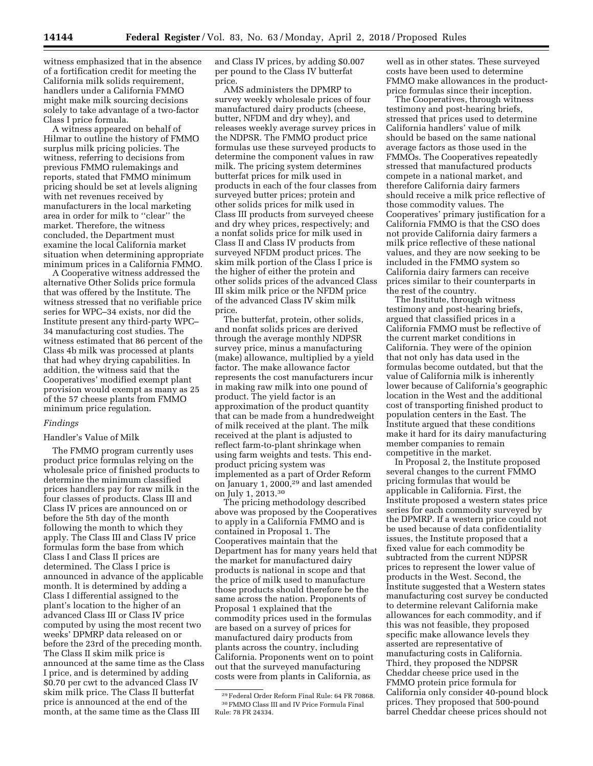witness emphasized that in the absence of a fortification credit for meeting the California milk solids requirement, handlers under a California FMMO might make milk sourcing decisions solely to take advantage of a two-factor Class I price formula.

A witness appeared on behalf of Hilmar to outline the history of FMMO surplus milk pricing policies. The witness, referring to decisions from previous FMMO rulemakings and reports, stated that FMMO minimum pricing should be set at levels aligning with net revenues received by manufacturers in the local marketing area in order for milk to ''clear'' the market. Therefore, the witness concluded, the Department must examine the local California market situation when determining appropriate minimum prices in a California FMMO.

A Cooperative witness addressed the alternative Other Solids price formula that was offered by the Institute. The witness stressed that no verifiable price series for WPC–34 exists, nor did the Institute present any third-party WPC– 34 manufacturing cost studies. The witness estimated that 86 percent of the Class 4b milk was processed at plants that had whey drying capabilities. In addition, the witness said that the Cooperatives' modified exempt plant provision would exempt as many as 25 of the 57 cheese plants from FMMO minimum price regulation.

# *Findings*

#### Handler's Value of Milk

The FMMO program currently uses product price formulas relying on the wholesale price of finished products to determine the minimum classified prices handlers pay for raw milk in the four classes of products. Class III and Class IV prices are announced on or before the 5th day of the month following the month to which they apply. The Class III and Class IV price formulas form the base from which Class I and Class II prices are determined. The Class I price is announced in advance of the applicable month. It is determined by adding a Class I differential assigned to the plant's location to the higher of an advanced Class III or Class IV price computed by using the most recent two weeks' DPMRP data released on or before the 23rd of the preceding month. The Class II skim milk price is announced at the same time as the Class I price, and is determined by adding \$0.70 per cwt to the advanced Class IV skim milk price. The Class II butterfat price is announced at the end of the month, at the same time as the Class III

and Class IV prices, by adding \$0.007 per pound to the Class IV butterfat price.

AMS administers the DPMRP to survey weekly wholesale prices of four manufactured dairy products (cheese, butter, NFDM and dry whey), and releases weekly average survey prices in the NDPSR. The FMMO product price formulas use these surveyed products to determine the component values in raw milk. The pricing system determines butterfat prices for milk used in products in each of the four classes from surveyed butter prices; protein and other solids prices for milk used in Class III products from surveyed cheese and dry whey prices, respectively; and a nonfat solids price for milk used in Class II and Class IV products from surveyed NFDM product prices. The skim milk portion of the Class I price is the higher of either the protein and other solids prices of the advanced Class III skim milk price or the NFDM price of the advanced Class IV skim milk price.

The butterfat, protein, other solids, and nonfat solids prices are derived through the average monthly NDPSR survey price, minus a manufacturing (make) allowance, multiplied by a yield factor. The make allowance factor represents the cost manufacturers incur in making raw milk into one pound of product. The yield factor is an approximation of the product quantity that can be made from a hundredweight of milk received at the plant. The milk received at the plant is adjusted to reflect farm-to-plant shrinkage when using farm weights and tests. This endproduct pricing system was implemented as a part of Order Reform on January 1, 2000,29 and last amended on July 1, 2013.30

The pricing methodology described above was proposed by the Cooperatives to apply in a California FMMO and is contained in Proposal 1. The Cooperatives maintain that the Department has for many years held that the market for manufactured dairy products is national in scope and that the price of milk used to manufacture those products should therefore be the same across the nation. Proponents of Proposal 1 explained that the commodity prices used in the formulas are based on a survey of prices for manufactured dairy products from plants across the country, including California. Proponents went on to point out that the surveyed manufacturing costs were from plants in California, as

well as in other states. These surveyed costs have been used to determine FMMO make allowances in the productprice formulas since their inception.

The Cooperatives, through witness testimony and post-hearing briefs, stressed that prices used to determine California handlers' value of milk should be based on the same national average factors as those used in the FMMOs. The Cooperatives repeatedly stressed that manufactured products compete in a national market, and therefore California dairy farmers should receive a milk price reflective of those commodity values. The Cooperatives' primary justification for a California FMMO is that the CSO does not provide California dairy farmers a milk price reflective of these national values, and they are now seeking to be included in the FMMO system so California dairy farmers can receive prices similar to their counterparts in the rest of the country.

The Institute, through witness testimony and post-hearing briefs, argued that classified prices in a California FMMO must be reflective of the current market conditions in California. They were of the opinion that not only has data used in the formulas become outdated, but that the value of California milk is inherently lower because of California's geographic location in the West and the additional cost of transporting finished product to population centers in the East. The Institute argued that these conditions make it hard for its dairy manufacturing member companies to remain competitive in the market.

In Proposal 2, the Institute proposed several changes to the current FMMO pricing formulas that would be applicable in California. First, the Institute proposed a western states price series for each commodity surveyed by the DPMRP. If a western price could not be used because of data confidentiality issues, the Institute proposed that a fixed value for each commodity be subtracted from the current NDPSR prices to represent the lower value of products in the West. Second, the Institute suggested that a Western states manufacturing cost survey be conducted to determine relevant California make allowances for each commodity, and if this was not feasible, they proposed specific make allowance levels they asserted are representative of manufacturing costs in California. Third, they proposed the NDPSR Cheddar cheese price used in the FMMO protein price formula for California only consider 40-pound block prices. They proposed that 500-pound barrel Cheddar cheese prices should not

<sup>29</sup>Federal Order Reform Final Rule: 64 FR 70868. 30FMMO Class III and IV Price Formula Final Rule: 78 FR 24334.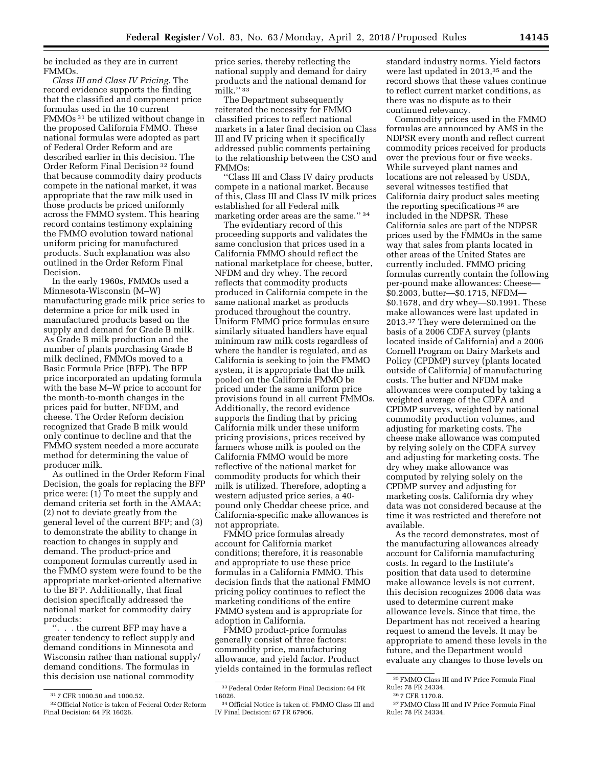be included as they are in current FMMOs.

*Class III and Class IV Pricing.* The record evidence supports the finding that the classified and component price formulas used in the 10 current FMMOs 31 be utilized without change in the proposed California FMMO. These national formulas were adopted as part of Federal Order Reform and are described earlier in this decision. The Order Reform Final Decision 32 found that because commodity dairy products compete in the national market, it was appropriate that the raw milk used in those products be priced uniformly across the FMMO system. This hearing record contains testimony explaining the FMMO evolution toward national uniform pricing for manufactured products. Such explanation was also outlined in the Order Reform Final Decision.

In the early 1960s, FMMOs used a Minnesota-Wisconsin (M–W) manufacturing grade milk price series to determine a price for milk used in manufactured products based on the supply and demand for Grade B milk. As Grade B milk production and the number of plants purchasing Grade B milk declined, FMMOs moved to a Basic Formula Price (BFP). The BFP price incorporated an updating formula with the base M–W price to account for the month-to-month changes in the prices paid for butter, NFDM, and cheese. The Order Reform decision recognized that Grade B milk would only continue to decline and that the FMMO system needed a more accurate method for determining the value of producer milk.

As outlined in the Order Reform Final Decision, the goals for replacing the BFP price were: (1) To meet the supply and demand criteria set forth in the AMAA; (2) not to deviate greatly from the general level of the current BFP; and (3) to demonstrate the ability to change in reaction to changes in supply and demand. The product-price and component formulas currently used in the FMMO system were found to be the appropriate market-oriented alternative to the BFP. Additionally, that final decision specifically addressed the national market for commodity dairy products:

''. . . the current BFP may have a greater tendency to reflect supply and demand conditions in Minnesota and Wisconsin rather than national supply/ demand conditions. The formulas in this decision use national commodity

price series, thereby reflecting the national supply and demand for dairy products and the national demand for milk.'' 33

The Department subsequently reiterated the necessity for FMMO classified prices to reflect national markets in a later final decision on Class III and IV pricing when it specifically addressed public comments pertaining to the relationship between the CSO and FMMOs:

''Class III and Class IV dairy products compete in a national market. Because of this, Class III and Class IV milk prices established for all Federal milk marketing order areas are the same.'' 34

The evidentiary record of this proceeding supports and validates the same conclusion that prices used in a California FMMO should reflect the national marketplace for cheese, butter, NFDM and dry whey. The record reflects that commodity products produced in California compete in the same national market as products produced throughout the country. Uniform FMMO price formulas ensure similarly situated handlers have equal minimum raw milk costs regardless of where the handler is regulated, and as California is seeking to join the FMMO system, it is appropriate that the milk pooled on the California FMMO be priced under the same uniform price provisions found in all current FMMOs. Additionally, the record evidence supports the finding that by pricing California milk under these uniform pricing provisions, prices received by farmers whose milk is pooled on the California FMMO would be more reflective of the national market for commodity products for which their milk is utilized. Therefore, adopting a western adjusted price series, a 40 pound only Cheddar cheese price, and California-specific make allowances is not appropriate.

FMMO price formulas already account for California market conditions; therefore, it is reasonable and appropriate to use these price formulas in a California FMMO. This decision finds that the national FMMO pricing policy continues to reflect the marketing conditions of the entire FMMO system and is appropriate for adoption in California.

FMMO product-price formulas generally consist of three factors: commodity price, manufacturing allowance, and yield factor. Product yields contained in the formulas reflect

standard industry norms. Yield factors were last updated in 2013,35 and the record shows that these values continue to reflect current market conditions, as there was no dispute as to their continued relevancy.

Commodity prices used in the FMMO formulas are announced by AMS in the NDPSR every month and reflect current commodity prices received for products over the previous four or five weeks. While surveyed plant names and locations are not released by USDA, several witnesses testified that California dairy product sales meeting the reporting specifications 36 are included in the NDPSR. These California sales are part of the NDPSR prices used by the FMMOs in the same way that sales from plants located in other areas of the United States are currently included. FMMO pricing formulas currently contain the following per-pound make allowances: Cheese— \$0.2003, butter—\$0.1715, NFDM— \$0.1678, and dry whey—\$0.1991. These make allowances were last updated in 2013.37 They were determined on the basis of a 2006 CDFA survey (plants located inside of California) and a 2006 Cornell Program on Dairy Markets and Policy (CPDMP) survey (plants located outside of California) of manufacturing costs. The butter and NFDM make allowances were computed by taking a weighted average of the CDFA and CPDMP surveys, weighted by national commodity production volumes, and adjusting for marketing costs. The cheese make allowance was computed by relying solely on the CDFA survey and adjusting for marketing costs. The dry whey make allowance was computed by relying solely on the CPDMP survey and adjusting for marketing costs. California dry whey data was not considered because at the time it was restricted and therefore not available.

As the record demonstrates, most of the manufacturing allowances already account for California manufacturing costs. In regard to the Institute's position that data used to determine make allowance levels is not current, this decision recognizes 2006 data was used to determine current make allowance levels. Since that time, the Department has not received a hearing request to amend the levels. It may be appropriate to amend these levels in the future, and the Department would evaluate any changes to those levels on

<sup>31</sup> 7 CFR 1000.50 and 1000.52.

<sup>32</sup>Official Notice is taken of Federal Order Reform Final Decision: 64 FR 16026.

<sup>33</sup>Federal Order Reform Final Decision: 64 FR 16026.

<sup>34</sup>Official Notice is taken of: FMMO Class III and IV Final Decision: 67 FR 67906.

<sup>35</sup>FMMO Class III and IV Price Formula Final Rule: 78 FR 24334.

<sup>36</sup> 7 CFR 1170.8.

<sup>37</sup>FMMO Class III and IV Price Formula Final Rule: 78 FR 24334.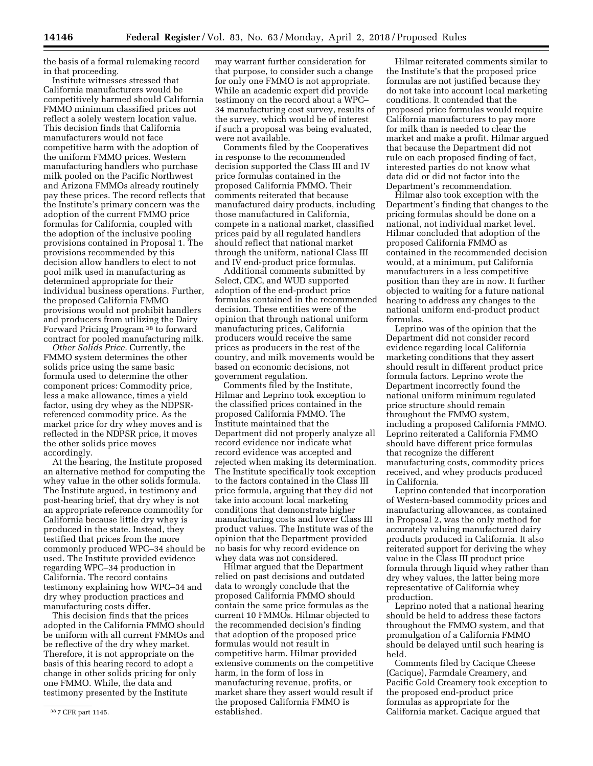the basis of a formal rulemaking record in that proceeding.

Institute witnesses stressed that California manufacturers would be competitively harmed should California FMMO minimum classified prices not reflect a solely western location value. This decision finds that California manufacturers would not face competitive harm with the adoption of the uniform FMMO prices. Western manufacturing handlers who purchase milk pooled on the Pacific Northwest and Arizona FMMOs already routinely pay these prices. The record reflects that the Institute's primary concern was the adoption of the current FMMO price formulas for California, coupled with the adoption of the inclusive pooling provisions contained in Proposal 1. The provisions recommended by this decision allow handlers to elect to not pool milk used in manufacturing as determined appropriate for their individual business operations. Further, the proposed California FMMO provisions would not prohibit handlers and producers from utilizing the Dairy Forward Pricing Program 38 to forward contract for pooled manufacturing milk.

*Other Solids Price.* Currently, the FMMO system determines the other solids price using the same basic formula used to determine the other component prices: Commodity price, less a make allowance, times a yield factor, using dry whey as the NDPSRreferenced commodity price. As the market price for dry whey moves and is reflected in the NDPSR price, it moves the other solids price moves accordingly.

At the hearing, the Institute proposed an alternative method for computing the whey value in the other solids formula. The Institute argued, in testimony and post-hearing brief, that dry whey is not an appropriate reference commodity for California because little dry whey is produced in the state. Instead, they testified that prices from the more commonly produced WPC–34 should be used. The Institute provided evidence regarding WPC–34 production in California. The record contains testimony explaining how WPC–34 and dry whey production practices and manufacturing costs differ.

This decision finds that the prices adopted in the California FMMO should be uniform with all current FMMOs and be reflective of the dry whey market. Therefore, it is not appropriate on the basis of this hearing record to adopt a change in other solids pricing for only one FMMO. While, the data and testimony presented by the Institute

may warrant further consideration for that purpose, to consider such a change for only one FMMO is not appropriate. While an academic expert did provide testimony on the record about a WPC– 34 manufacturing cost survey, results of the survey, which would be of interest if such a proposal was being evaluated, were not available.

Comments filed by the Cooperatives in response to the recommended decision supported the Class III and IV price formulas contained in the proposed California FMMO. Their comments reiterated that because manufactured dairy products, including those manufactured in California, compete in a national market, classified prices paid by all regulated handlers should reflect that national market through the uniform, national Class III and IV end-product price formulas.

Additional comments submitted by Select, CDC, and WUD supported adoption of the end-product price formulas contained in the recommended decision. These entities were of the opinion that through national uniform manufacturing prices, California producers would receive the same prices as producers in the rest of the country, and milk movements would be based on economic decisions, not government regulation.

Comments filed by the Institute, Hilmar and Leprino took exception to the classified prices contained in the proposed California FMMO. The Institute maintained that the Department did not properly analyze all record evidence nor indicate what record evidence was accepted and rejected when making its determination. The Institute specifically took exception to the factors contained in the Class III price formula, arguing that they did not take into account local marketing conditions that demonstrate higher manufacturing costs and lower Class III product values. The Institute was of the opinion that the Department provided no basis for why record evidence on whey data was not considered.

Hilmar argued that the Department relied on past decisions and outdated data to wrongly conclude that the proposed California FMMO should contain the same price formulas as the current 10 FMMOs. Hilmar objected to the recommended decision's finding that adoption of the proposed price formulas would not result in competitive harm. Hilmar provided extensive comments on the competitive harm, in the form of loss in manufacturing revenue, profits, or market share they assert would result if the proposed California FMMO is established.

Hilmar reiterated comments similar to the Institute's that the proposed price formulas are not justified because they do not take into account local marketing conditions. It contended that the proposed price formulas would require California manufacturers to pay more for milk than is needed to clear the market and make a profit. Hilmar argued that because the Department did not rule on each proposed finding of fact, interested parties do not know what data did or did not factor into the Department's recommendation.

Hilmar also took exception with the Department's finding that changes to the pricing formulas should be done on a national, not individual market level. Hilmar concluded that adoption of the proposed California FMMO as contained in the recommended decision would, at a minimum, put California manufacturers in a less competitive position than they are in now. It further objected to waiting for a future national hearing to address any changes to the national uniform end-product product formulas.

Leprino was of the opinion that the Department did not consider record evidence regarding local California marketing conditions that they assert should result in different product price formula factors. Leprino wrote the Department incorrectly found the national uniform minimum regulated price structure should remain throughout the FMMO system, including a proposed California FMMO. Leprino reiterated a California FMMO should have different price formulas that recognize the different manufacturing costs, commodity prices received, and whey products produced in California.

Leprino contended that incorporation of Western-based commodity prices and manufacturing allowances, as contained in Proposal 2, was the only method for accurately valuing manufactured dairy products produced in California. It also reiterated support for deriving the whey value in the Class III product price formula through liquid whey rather than dry whey values, the latter being more representative of California whey production.

Leprino noted that a national hearing should be held to address these factors throughout the FMMO system, and that promulgation of a California FMMO should be delayed until such hearing is held.

Comments filed by Cacique Cheese (Cacique), Farmdale Creamery, and Pacific Gold Creamery took exception to the proposed end-product price formulas as appropriate for the California market. Cacique argued that

<sup>38</sup> 7 CFR part 1145.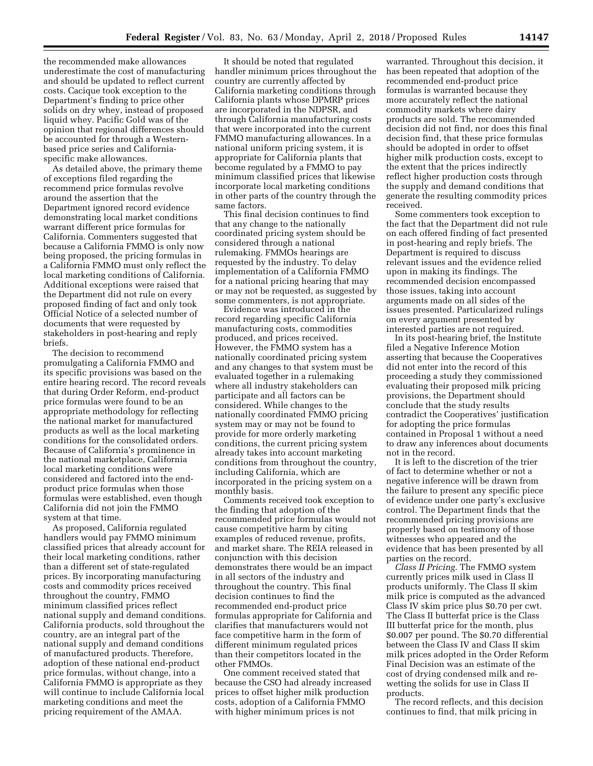the recommended make allowances underestimate the cost of manufacturing and should be updated to reflect current costs. Cacique took exception to the Department's finding to price other solids on dry whey, instead of proposed liquid whey. Pacific Gold was of the opinion that regional differences should be accounted for through a Westernbased price series and Californiaspecific make allowances.

As detailed above, the primary theme of exceptions filed regarding the recommend price formulas revolve around the assertion that the Department ignored record evidence demonstrating local market conditions warrant different price formulas for California. Commenters suggested that because a California FMMO is only now being proposed, the pricing formulas in a California FMMO must only reflect the local marketing conditions of California. Additional exceptions were raised that the Department did not rule on every proposed finding of fact and only took Official Notice of a selected number of documents that were requested by stakeholders in post-hearing and reply briefs.

The decision to recommend promulgating a California FMMO and its specific provisions was based on the entire hearing record. The record reveals that during Order Reform, end-product price formulas were found to be an appropriate methodology for reflecting the national market for manufactured products as well as the local marketing conditions for the consolidated orders. Because of California's prominence in the national marketplace, California local marketing conditions were considered and factored into the endproduct price formulas when those formulas were established, even though California did not join the FMMO system at that time.

As proposed, California regulated handlers would pay FMMO minimum classified prices that already account for their local marketing conditions, rather than a different set of state-regulated prices. By incorporating manufacturing costs and commodity prices received throughout the country, FMMO minimum classified prices reflect national supply and demand conditions. California products, sold throughout the country, are an integral part of the national supply and demand conditions of manufactured products. Therefore, adoption of these national end-product price formulas, without change, into a California FMMO is appropriate as they will continue to include California local marketing conditions and meet the pricing requirement of the AMAA.

It should be noted that regulated handler minimum prices throughout the country are currently affected by California marketing conditions through California plants whose DPMRP prices are incorporated in the NDPSR, and through California manufacturing costs that were incorporated into the current FMMO manufacturing allowances. In a national uniform pricing system, it is appropriate for California plants that become regulated by a FMMO to pay minimum classified prices that likewise incorporate local marketing conditions in other parts of the country through the same factors.

This final decision continues to find that any change to the nationally coordinated pricing system should be considered through a national rulemaking. FMMOs hearings are requested by the industry. To delay implementation of a California FMMO for a national pricing hearing that may or may not be requested, as suggested by some commenters, is not appropriate.

Evidence was introduced in the record regarding specific California manufacturing costs, commodities produced, and prices received. However, the FMMO system has a nationally coordinated pricing system and any changes to that system must be evaluated together in a rulemaking where all industry stakeholders can participate and all factors can be considered. While changes to the nationally coordinated FMMO pricing system may or may not be found to provide for more orderly marketing conditions, the current pricing system already takes into account marketing conditions from throughout the country, including California, which are incorporated in the pricing system on a monthly basis.

Comments received took exception to the finding that adoption of the recommended price formulas would not cause competitive harm by citing examples of reduced revenue, profits, and market share. The REIA released in conjunction with this decision demonstrates there would be an impact in all sectors of the industry and throughout the country. This final decision continues to find the recommended end-product price formulas appropriate for California and clarifies that manufacturers would not face competitive harm in the form of different minimum regulated prices than their competitors located in the other FMMOs.

One comment received stated that because the CSO had already increased prices to offset higher milk production costs, adoption of a California FMMO with higher minimum prices is not

warranted. Throughout this decision, it has been repeated that adoption of the recommended end-product price formulas is warranted because they more accurately reflect the national commodity markets where dairy products are sold. The recommended decision did not find, nor does this final decision find, that these price formulas should be adopted in order to offset higher milk production costs, except to the extent that the prices indirectly reflect higher production costs through the supply and demand conditions that generate the resulting commodity prices received.

Some commenters took exception to the fact that the Department did not rule on each offered finding of fact presented in post-hearing and reply briefs. The Department is required to discuss relevant issues and the evidence relied upon in making its findings. The recommended decision encompassed those issues, taking into account arguments made on all sides of the issues presented. Particularized rulings on every argument presented by interested parties are not required.

In its post-hearing brief, the Institute filed a Negative Inference Motion asserting that because the Cooperatives did not enter into the record of this proceeding a study they commissioned evaluating their proposed milk pricing provisions, the Department should conclude that the study results contradict the Cooperatives' justification for adopting the price formulas contained in Proposal 1 without a need to draw any inferences about documents not in the record.

It is left to the discretion of the trier of fact to determine whether or not a negative inference will be drawn from the failure to present any specific piece of evidence under one party's exclusive control. The Department finds that the recommended pricing provisions are properly based on testimony of those witnesses who appeared and the evidence that has been presented by all parties on the record.

*Class II Pricing.* The FMMO system currently prices milk used in Class II products uniformly. The Class II skim milk price is computed as the advanced Class IV skim price plus \$0.70 per cwt. The Class II butterfat price is the Class III butterfat price for the month, plus \$0.007 per pound. The \$0.70 differential between the Class IV and Class II skim milk prices adopted in the Order Reform Final Decision was an estimate of the cost of drying condensed milk and rewetting the solids for use in Class II products.

The record reflects, and this decision continues to find, that milk pricing in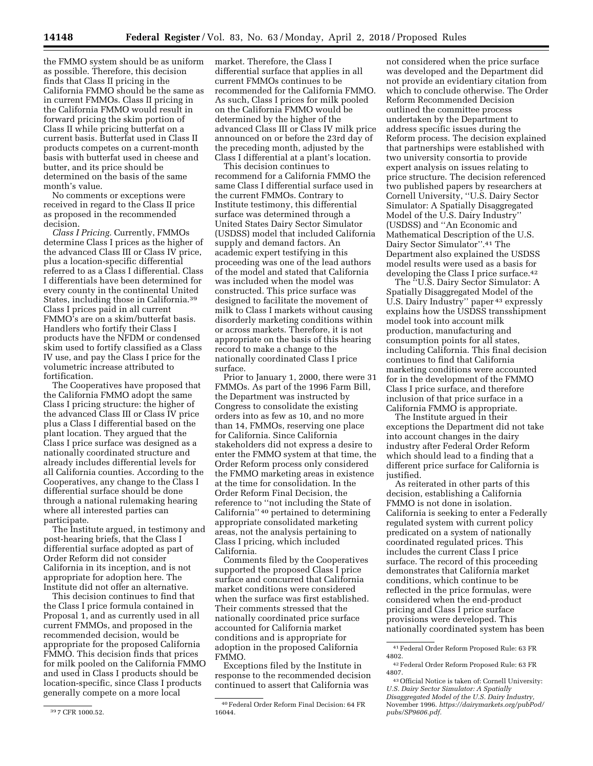the FMMO system should be as uniform as possible. Therefore, this decision finds that Class II pricing in the California FMMO should be the same as in current FMMOs. Class II pricing in the California FMMO would result in forward pricing the skim portion of Class II while pricing butterfat on a current basis. Butterfat used in Class II products competes on a current-month basis with butterfat used in cheese and butter, and its price should be determined on the basis of the same month's value.

No comments or exceptions were received in regard to the Class II price as proposed in the recommended decision.

*Class I Pricing.* Currently, FMMOs determine Class I prices as the higher of the advanced Class III or Class IV price, plus a location-specific differential referred to as a Class I differential. Class I differentials have been determined for every county in the continental United States, including those in California.39 Class I prices paid in all current FMMO's are on a skim/butterfat basis. Handlers who fortify their Class I products have the NFDM or condensed skim used to fortify classified as a Class IV use, and pay the Class I price for the volumetric increase attributed to fortification.

The Cooperatives have proposed that the California FMMO adopt the same Class I pricing structure: the higher of the advanced Class III or Class IV price plus a Class I differential based on the plant location. They argued that the Class I price surface was designed as a nationally coordinated structure and already includes differential levels for all California counties. According to the Cooperatives, any change to the Class I differential surface should be done through a national rulemaking hearing where all interested parties can participate.

The Institute argued, in testimony and post-hearing briefs, that the Class I differential surface adopted as part of Order Reform did not consider California in its inception, and is not appropriate for adoption here. The Institute did not offer an alternative.

This decision continues to find that the Class I price formula contained in Proposal 1, and as currently used in all current FMMOs, and proposed in the recommended decision, would be appropriate for the proposed California FMMO. This decision finds that prices for milk pooled on the California FMMO and used in Class I products should be location-specific, since Class I products generally compete on a more local

market. Therefore, the Class I differential surface that applies in all current FMMOs continues to be recommended for the California FMMO. As such, Class I prices for milk pooled on the California FMMO would be determined by the higher of the advanced Class III or Class IV milk price announced on or before the 23rd day of the preceding month, adjusted by the Class I differential at a plant's location.

This decision continues to recommend for a California FMMO the same Class I differential surface used in the current FMMOs. Contrary to Institute testimony, this differential surface was determined through a United States Dairy Sector Simulator (USDSS) model that included California supply and demand factors. An academic expert testifying in this proceeding was one of the lead authors of the model and stated that California was included when the model was constructed. This price surface was designed to facilitate the movement of milk to Class I markets without causing disorderly marketing conditions within or across markets. Therefore, it is not appropriate on the basis of this hearing record to make a change to the nationally coordinated Class I price surface.

Prior to January 1, 2000, there were 31 FMMOs. As part of the 1996 Farm Bill, the Department was instructed by Congress to consolidate the existing orders into as few as 10, and no more than 14, FMMOs, reserving one place for California. Since California stakeholders did not express a desire to enter the FMMO system at that time, the Order Reform process only considered the FMMO marketing areas in existence at the time for consolidation. In the Order Reform Final Decision, the reference to ''not including the State of California'' 40 pertained to determining appropriate consolidated marketing areas, not the analysis pertaining to Class I pricing, which included California.

Comments filed by the Cooperatives supported the proposed Class I price surface and concurred that California market conditions were considered when the surface was first established. Their comments stressed that the nationally coordinated price surface accounted for California market conditions and is appropriate for adoption in the proposed California FMMO.

Exceptions filed by the Institute in response to the recommended decision continued to assert that California was

not considered when the price surface was developed and the Department did not provide an evidentiary citation from which to conclude otherwise. The Order Reform Recommended Decision outlined the committee process undertaken by the Department to address specific issues during the Reform process. The decision explained that partnerships were established with two university consortia to provide expert analysis on issues relating to price structure. The decision referenced two published papers by researchers at Cornell University, ''U.S. Dairy Sector Simulator: A Spatially Disaggregated Model of the U.S. Dairy Industry'' (USDSS) and ''An Economic and Mathematical Description of the U.S. Dairy Sector Simulator''.41 The Department also explained the USDSS model results were used as a basis for developing the Class I price surface.42

The ''U.S. Dairy Sector Simulator: A Spatially Disaggregated Model of the U.S. Dairy Industry'' paper 43 expressly explains how the USDSS transshipment model took into account milk production, manufacturing and consumption points for all states, including California. This final decision continues to find that California marketing conditions were accounted for in the development of the FMMO Class I price surface, and therefore inclusion of that price surface in a California FMMO is appropriate.

The Institute argued in their exceptions the Department did not take into account changes in the dairy industry after Federal Order Reform which should lead to a finding that a different price surface for California is justified.

As reiterated in other parts of this decision, establishing a California FMMO is not done in isolation. California is seeking to enter a Federally regulated system with current policy predicated on a system of nationally coordinated regulated prices. This includes the current Class I price surface. The record of this proceeding demonstrates that California market conditions, which continue to be reflected in the price formulas, were considered when the end-product pricing and Class I price surface provisions were developed. This nationally coordinated system has been

<sup>39</sup> 7 CFR 1000.52.

<sup>40</sup>Federal Order Reform Final Decision: 64 FR 16044.

<sup>41</sup>Federal Order Reform Proposed Rule: 63 FR 4802.

<sup>42</sup>Federal Order Reform Proposed Rule: 63 FR 4807.

<sup>43</sup>Official Notice is taken of: Cornell University: *U.S. Dairy Sector Simulator: A Spatially Disaggregated Model of the U.S. Dairy Industry,*  November 1996. *[https://dairymarkets.org/pubPod/](https://dairymarkets.org/pubPod/pubs/SP9606.pdf)  [pubs/SP9606.pdf.](https://dairymarkets.org/pubPod/pubs/SP9606.pdf)*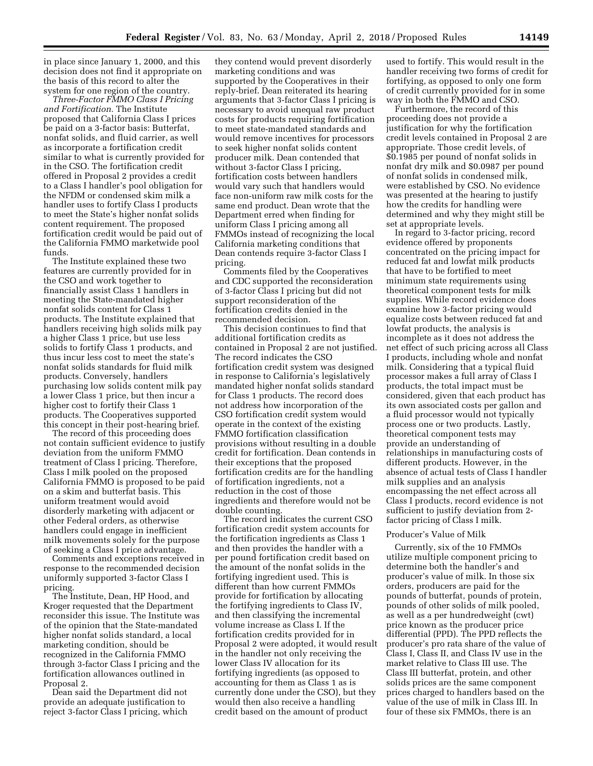in place since January 1, 2000, and this decision does not find it appropriate on the basis of this record to alter the system for one region of the country.

*Three-Factor FMMO Class I Pricing and Fortification.* The Institute proposed that California Class I prices be paid on a 3-factor basis: Butterfat, nonfat solids, and fluid carrier, as well as incorporate a fortification credit similar to what is currently provided for in the CSO. The fortification credit offered in Proposal 2 provides a credit to a Class I handler's pool obligation for the NFDM or condensed skim milk a handler uses to fortify Class I products to meet the State's higher nonfat solids content requirement. The proposed fortification credit would be paid out of the California FMMO marketwide pool funds.

The Institute explained these two features are currently provided for in the CSO and work together to financially assist Class 1 handlers in meeting the State-mandated higher nonfat solids content for Class 1 products. The Institute explained that handlers receiving high solids milk pay a higher Class 1 price, but use less solids to fortify Class 1 products, and thus incur less cost to meet the state's nonfat solids standards for fluid milk products. Conversely, handlers purchasing low solids content milk pay a lower Class 1 price, but then incur a higher cost to fortify their Class 1 products. The Cooperatives supported this concept in their post-hearing brief.

The record of this proceeding does not contain sufficient evidence to justify deviation from the uniform FMMO treatment of Class I pricing. Therefore, Class I milk pooled on the proposed California FMMO is proposed to be paid on a skim and butterfat basis. This uniform treatment would avoid disorderly marketing with adjacent or other Federal orders, as otherwise handlers could engage in inefficient milk movements solely for the purpose of seeking a Class I price advantage.

Comments and exceptions received in response to the recommended decision uniformly supported 3-factor Class I pricing.

The Institute, Dean, HP Hood, and Kroger requested that the Department reconsider this issue. The Institute was of the opinion that the State-mandated higher nonfat solids standard, a local marketing condition, should be recognized in the California FMMO through 3-factor Class I pricing and the fortification allowances outlined in Proposal 2.

Dean said the Department did not provide an adequate justification to reject 3-factor Class I pricing, which they contend would prevent disorderly marketing conditions and was supported by the Cooperatives in their reply-brief. Dean reiterated its hearing arguments that 3-factor Class I pricing is necessary to avoid unequal raw product costs for products requiring fortification to meet state-mandated standards and would remove incentives for processors to seek higher nonfat solids content producer milk. Dean contended that without 3-factor Class I pricing, fortification costs between handlers would vary such that handlers would face non-uniform raw milk costs for the same end product. Dean wrote that the Department erred when finding for uniform Class I pricing among all FMMOs instead of recognizing the local California marketing conditions that Dean contends require 3-factor Class I pricing.

Comments filed by the Cooperatives and CDC supported the reconsideration of 3-factor Class I pricing but did not support reconsideration of the fortification credits denied in the recommended decision.

This decision continues to find that additional fortification credits as contained in Proposal 2 are not justified. The record indicates the CSO fortification credit system was designed in response to California's legislatively mandated higher nonfat solids standard for Class 1 products. The record does not address how incorporation of the CSO fortification credit system would operate in the context of the existing FMMO fortification classification provisions without resulting in a double credit for fortification. Dean contends in their exceptions that the proposed fortification credits are for the handling of fortification ingredients, not a reduction in the cost of those ingredients and therefore would not be double counting.

The record indicates the current CSO fortification credit system accounts for the fortification ingredients as Class 1 and then provides the handler with a per pound fortification credit based on the amount of the nonfat solids in the fortifying ingredient used. This is different than how current FMMOs provide for fortification by allocating the fortifying ingredients to Class IV, and then classifying the incremental volume increase as Class I. If the fortification credits provided for in Proposal 2 were adopted, it would result in the handler not only receiving the lower Class IV allocation for its fortifying ingredients (as opposed to accounting for them as Class 1 as is currently done under the CSO), but they would then also receive a handling credit based on the amount of product

used to fortify. This would result in the handler receiving two forms of credit for fortifying, as opposed to only one form of credit currently provided for in some way in both the FMMO and CSO.

Furthermore, the record of this proceeding does not provide a justification for why the fortification credit levels contained in Proposal 2 are appropriate. Those credit levels, of \$0.1985 per pound of nonfat solids in nonfat dry milk and \$0.0987 per pound of nonfat solids in condensed milk, were established by CSO. No evidence was presented at the hearing to justify how the credits for handling were determined and why they might still be set at appropriate levels.

In regard to 3-factor pricing, record evidence offered by proponents concentrated on the pricing impact for reduced fat and lowfat milk products that have to be fortified to meet minimum state requirements using theoretical component tests for milk supplies. While record evidence does examine how 3-factor pricing would equalize costs between reduced fat and lowfat products, the analysis is incomplete as it does not address the net effect of such pricing across all Class I products, including whole and nonfat milk. Considering that a typical fluid processor makes a full array of Class I products, the total impact must be considered, given that each product has its own associated costs per gallon and a fluid processor would not typically process one or two products. Lastly, theoretical component tests may provide an understanding of relationships in manufacturing costs of different products. However, in the absence of actual tests of Class I handler milk supplies and an analysis encompassing the net effect across all Class I products, record evidence is not sufficient to justify deviation from 2 factor pricing of Class I milk.

#### Producer's Value of Milk

Currently, six of the 10 FMMOs utilize multiple component pricing to determine both the handler's and producer's value of milk. In those six orders, producers are paid for the pounds of butterfat, pounds of protein, pounds of other solids of milk pooled, as well as a per hundredweight (cwt) price known as the producer price differential (PPD). The PPD reflects the producer's pro rata share of the value of Class I, Class II, and Class IV use in the market relative to Class III use. The Class III butterfat, protein, and other solids prices are the same component prices charged to handlers based on the value of the use of milk in Class III. In four of these six FMMOs, there is an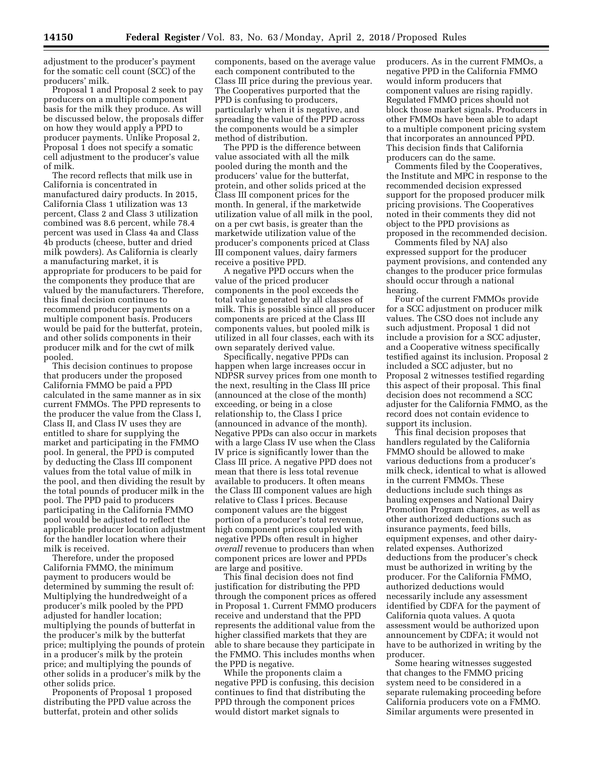adjustment to the producer's payment for the somatic cell count (SCC) of the producers' milk.

Proposal 1 and Proposal 2 seek to pay producers on a multiple component basis for the milk they produce. As will be discussed below, the proposals differ on how they would apply a PPD to producer payments. Unlike Proposal 2, Proposal 1 does not specify a somatic cell adjustment to the producer's value of milk.

The record reflects that milk use in California is concentrated in manufactured dairy products. In 2015, California Class 1 utilization was 13 percent, Class 2 and Class 3 utilization combined was 8.6 percent, while 78.4 percent was used in Class 4a and Class 4b products (cheese, butter and dried milk powders). As California is clearly a manufacturing market, it is appropriate for producers to be paid for the components they produce that are valued by the manufacturers. Therefore, this final decision continues to recommend producer payments on a multiple component basis. Producers would be paid for the butterfat, protein, and other solids components in their producer milk and for the cwt of milk pooled.

This decision continues to propose that producers under the proposed California FMMO be paid a PPD calculated in the same manner as in six current FMMOs. The PPD represents to the producer the value from the Class I, Class II, and Class IV uses they are entitled to share for supplying the market and participating in the FMMO pool. In general, the PPD is computed by deducting the Class III component values from the total value of milk in the pool, and then dividing the result by the total pounds of producer milk in the pool. The PPD paid to producers participating in the California FMMO pool would be adjusted to reflect the applicable producer location adjustment for the handler location where their milk is received.

Therefore, under the proposed California FMMO, the minimum payment to producers would be determined by summing the result of: Multiplying the hundredweight of a producer's milk pooled by the PPD adjusted for handler location; multiplying the pounds of butterfat in the producer's milk by the butterfat price; multiplying the pounds of protein in a producer's milk by the protein price; and multiplying the pounds of other solids in a producer's milk by the other solids price.

Proponents of Proposal 1 proposed distributing the PPD value across the butterfat, protein and other solids

components, based on the average value each component contributed to the Class III price during the previous year. The Cooperatives purported that the PPD is confusing to producers, particularly when it is negative, and spreading the value of the PPD across the components would be a simpler method of distribution.

The PPD is the difference between value associated with all the milk pooled during the month and the producers' value for the butterfat, protein, and other solids priced at the Class III component prices for the month. In general, if the marketwide utilization value of all milk in the pool, on a per cwt basis, is greater than the marketwide utilization value of the producer's components priced at Class III component values, dairy farmers receive a positive PPD.

A negative PPD occurs when the value of the priced producer components in the pool exceeds the total value generated by all classes of milk. This is possible since all producer components are priced at the Class III components values, but pooled milk is utilized in all four classes, each with its own separately derived value.

Specifically, negative PPDs can happen when large increases occur in NDPSR survey prices from one month to the next, resulting in the Class III price (announced at the close of the month) exceeding, or being in a close relationship to, the Class I price (announced in advance of the month). Negative PPDs can also occur in markets with a large Class IV use when the Class IV price is significantly lower than the Class III price. A negative PPD does not mean that there is less total revenue available to producers. It often means the Class III component values are high relative to Class I prices. Because component values are the biggest portion of a producer's total revenue, high component prices coupled with negative PPDs often result in higher *overall* revenue to producers than when component prices are lower and PPDs are large and positive.

This final decision does not find justification for distributing the PPD through the component prices as offered in Proposal 1. Current FMMO producers receive and understand that the PPD represents the additional value from the higher classified markets that they are able to share because they participate in the FMMO. This includes months when the PPD is negative.

While the proponents claim a negative PPD is confusing, this decision continues to find that distributing the PPD through the component prices would distort market signals to

producers. As in the current FMMOs, a negative PPD in the California FMMO would inform producers that component values are rising rapidly. Regulated FMMO prices should not block those market signals. Producers in other FMMOs have been able to adapt to a multiple component pricing system that incorporates an announced PPD. This decision finds that California producers can do the same.

Comments filed by the Cooperatives, the Institute and MPC in response to the recommended decision expressed support for the proposed producer milk pricing provisions. The Cooperatives noted in their comments they did not object to the PPD provisions as proposed in the recommended decision.

Comments filed by NAJ also expressed support for the producer payment provisions, and contended any changes to the producer price formulas should occur through a national hearing.

Four of the current FMMOs provide for a SCC adjustment on producer milk values. The CSO does not include any such adjustment. Proposal 1 did not include a provision for a SCC adjuster, and a Cooperative witness specifically testified against its inclusion. Proposal 2 included a SCC adjuster, but no Proposal 2 witnesses testified regarding this aspect of their proposal. This final decision does not recommend a SCC adjuster for the California FMMO, as the record does not contain evidence to support its inclusion.

This final decision proposes that handlers regulated by the California FMMO should be allowed to make various deductions from a producer's milk check, identical to what is allowed in the current FMMOs. These deductions include such things as hauling expenses and National Dairy Promotion Program charges, as well as other authorized deductions such as insurance payments, feed bills, equipment expenses, and other dairyrelated expenses. Authorized deductions from the producer's check must be authorized in writing by the producer. For the California FMMO, authorized deductions would necessarily include any assessment identified by CDFA for the payment of California quota values. A quota assessment would be authorized upon announcement by CDFA; it would not have to be authorized in writing by the producer.

Some hearing witnesses suggested that changes to the FMMO pricing system need to be considered in a separate rulemaking proceeding before California producers vote on a FMMO. Similar arguments were presented in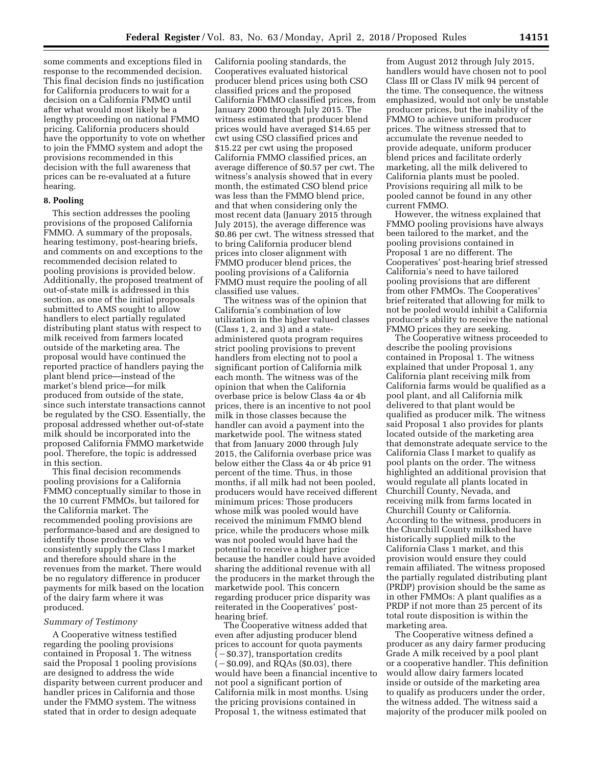some comments and exceptions filed in response to the recommended decision. This final decision finds no justification for California producers to wait for a decision on a California FMMO until after what would most likely be a lengthy proceeding on national FMMO pricing. California producers should have the opportunity to vote on whether to join the FMMO system and adopt the provisions recommended in this decision with the full awareness that prices can be re-evaluated at a future hearing.

# **8. Pooling**

This section addresses the pooling provisions of the proposed California FMMO. A summary of the proposals, hearing testimony, post-hearing briefs, and comments on and exceptions to the recommended decision related to pooling provisions is provided below. Additionally, the proposed treatment of out-of-state milk is addressed in this section, as one of the initial proposals submitted to AMS sought to allow handlers to elect partially regulated distributing plant status with respect to milk received from farmers located outside of the marketing area. The proposal would have continued the reported practice of handlers paying the plant blend price—instead of the market's blend price—for milk produced from outside of the state, since such interstate transactions cannot be regulated by the CSO. Essentially, the proposal addressed whether out-of-state milk should be incorporated into the proposed California FMMO marketwide pool. Therefore, the topic is addressed in this section.

This final decision recommends pooling provisions for a California FMMO conceptually similar to those in the 10 current FMMOs, but tailored for the California market. The recommended pooling provisions are performance-based and are designed to identify those producers who consistently supply the Class I market and therefore should share in the revenues from the market. There would be no regulatory difference in producer payments for milk based on the location of the dairy farm where it was produced.

#### *Summary of Testimony*

A Cooperative witness testified regarding the pooling provisions contained in Proposal 1. The witness said the Proposal 1 pooling provisions are designed to address the wide disparity between current producer and handler prices in California and those under the FMMO system. The witness stated that in order to design adequate

California pooling standards, the Cooperatives evaluated historical producer blend prices using both CSO classified prices and the proposed California FMMO classified prices, from January 2000 through July 2015. The witness estimated that producer blend prices would have averaged \$14.65 per cwt using CSO classified prices and \$15.22 per cwt using the proposed California FMMO classified prices, an average difference of \$0.57 per cwt. The witness's analysis showed that in every month, the estimated CSO blend price was less than the FMMO blend price, and that when considering only the most recent data (January 2015 through July 2015), the average difference was \$0.86 per cwt. The witness stressed that to bring California producer blend prices into closer alignment with FMMO producer blend prices, the pooling provisions of a California FMMO must require the pooling of all classified use values.

The witness was of the opinion that California's combination of low utilization in the higher valued classes (Class 1, 2, and 3) and a stateadministered quota program requires strict pooling provisions to prevent handlers from electing not to pool a significant portion of California milk each month. The witness was of the opinion that when the California overbase price is below Class 4a or 4b prices, there is an incentive to not pool milk in those classes because the handler can avoid a payment into the marketwide pool. The witness stated that from January 2000 through July 2015, the California overbase price was below either the Class 4a or 4b price 91 percent of the time. Thus, in those months, if all milk had not been pooled, producers would have received different minimum prices: Those producers whose milk was pooled would have received the minimum FMMO blend price, while the producers whose milk was not pooled would have had the potential to receive a higher price because the handler could have avoided sharing the additional revenue with all the producers in the market through the marketwide pool. This concern regarding producer price disparity was reiterated in the Cooperatives' posthearing brief.

The Cooperative witness added that even after adjusting producer blend prices to account for quota payments  $(-\$0.37)$ , transportation credits  $(-\$0.09)$ , and RQAs (\$0.03), there would have been a financial incentive to not pool a significant portion of California milk in most months. Using the pricing provisions contained in Proposal 1, the witness estimated that

from August 2012 through July 2015, handlers would have chosen not to pool Class III or Class IV milk 94 percent of the time. The consequence, the witness emphasized, would not only be unstable producer prices, but the inability of the FMMO to achieve uniform producer prices. The witness stressed that to accumulate the revenue needed to provide adequate, uniform producer blend prices and facilitate orderly marketing, all the milk delivered to California plants must be pooled. Provisions requiring all milk to be pooled cannot be found in any other current FMMO.

However, the witness explained that FMMO pooling provisions have always been tailored to the market, and the pooling provisions contained in Proposal 1 are no different. The Cooperatives' post-hearing brief stressed California's need to have tailored pooling provisions that are different from other FMMOs. The Cooperatives' brief reiterated that allowing for milk to not be pooled would inhibit a California producer's ability to receive the national FMMO prices they are seeking.

The Cooperative witness proceeded to describe the pooling provisions contained in Proposal 1. The witness explained that under Proposal 1, any California plant receiving milk from California farms would be qualified as a pool plant, and all California milk delivered to that plant would be qualified as producer milk. The witness said Proposal 1 also provides for plants located outside of the marketing area that demonstrate adequate service to the California Class I market to qualify as pool plants on the order. The witness highlighted an additional provision that would regulate all plants located in Churchill County, Nevada, and receiving milk from farms located in Churchill County or California. According to the witness, producers in the Churchill County milkshed have historically supplied milk to the California Class 1 market, and this provision would ensure they could remain affiliated. The witness proposed the partially regulated distributing plant (PRDP) provision should be the same as in other FMMOs: A plant qualifies as a PRDP if not more than 25 percent of its total route disposition is within the marketing area.

The Cooperative witness defined a producer as any dairy farmer producing Grade A milk received by a pool plant or a cooperative handler. This definition would allow dairy farmers located inside or outside of the marketing area to qualify as producers under the order, the witness added. The witness said a majority of the producer milk pooled on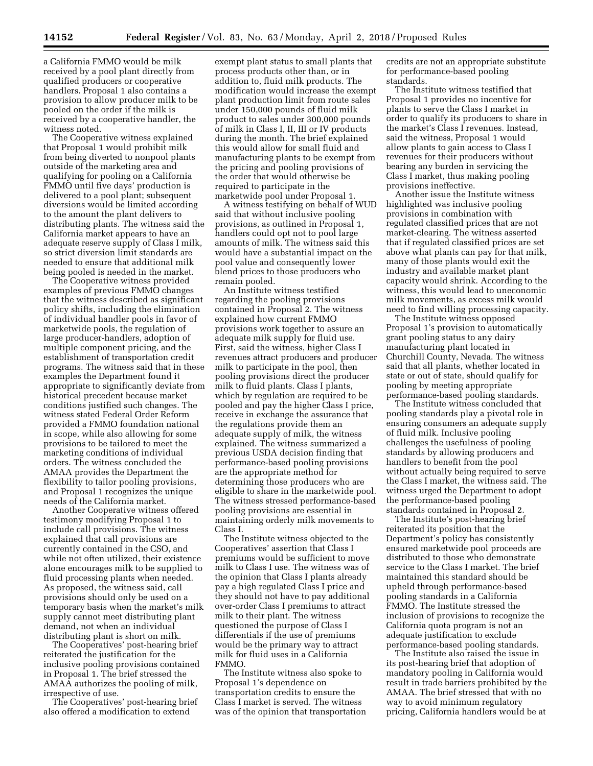a California FMMO would be milk received by a pool plant directly from qualified producers or cooperative handlers. Proposal 1 also contains a provision to allow producer milk to be pooled on the order if the milk is received by a cooperative handler, the witness noted.

The Cooperative witness explained that Proposal 1 would prohibit milk from being diverted to nonpool plants outside of the marketing area and qualifying for pooling on a California FMMO until five days' production is delivered to a pool plant; subsequent diversions would be limited according to the amount the plant delivers to distributing plants. The witness said the California market appears to have an adequate reserve supply of Class I milk, so strict diversion limit standards are needed to ensure that additional milk being pooled is needed in the market.

The Cooperative witness provided examples of previous FMMO changes that the witness described as significant policy shifts, including the elimination of individual handler pools in favor of marketwide pools, the regulation of large producer-handlers, adoption of multiple component pricing, and the establishment of transportation credit programs. The witness said that in these examples the Department found it appropriate to significantly deviate from historical precedent because market conditions justified such changes. The witness stated Federal Order Reform provided a FMMO foundation national in scope, while also allowing for some provisions to be tailored to meet the marketing conditions of individual orders. The witness concluded the AMAA provides the Department the flexibility to tailor pooling provisions, and Proposal 1 recognizes the unique needs of the California market.

Another Cooperative witness offered testimony modifying Proposal 1 to include call provisions. The witness explained that call provisions are currently contained in the CSO, and while not often utilized, their existence alone encourages milk to be supplied to fluid processing plants when needed. As proposed, the witness said, call provisions should only be used on a temporary basis when the market's milk supply cannot meet distributing plant demand, not when an individual distributing plant is short on milk.

The Cooperatives' post-hearing brief reiterated the justification for the inclusive pooling provisions contained in Proposal 1. The brief stressed the AMAA authorizes the pooling of milk, irrespective of use.

The Cooperatives' post-hearing brief also offered a modification to extend

exempt plant status to small plants that process products other than, or in addition to, fluid milk products. The modification would increase the exempt plant production limit from route sales under 150,000 pounds of fluid milk product to sales under 300,000 pounds of milk in Class I, II, III or IV products during the month. The brief explained this would allow for small fluid and manufacturing plants to be exempt from the pricing and pooling provisions of the order that would otherwise be required to participate in the marketwide pool under Proposal 1.

A witness testifying on behalf of WUD said that without inclusive pooling provisions, as outlined in Proposal 1, handlers could opt not to pool large amounts of milk. The witness said this would have a substantial impact on the pool value and consequently lower blend prices to those producers who remain pooled.

An Institute witness testified regarding the pooling provisions contained in Proposal 2. The witness explained how current FMMO provisions work together to assure an adequate milk supply for fluid use. First, said the witness, higher Class I revenues attract producers and producer milk to participate in the pool, then pooling provisions direct the producer milk to fluid plants. Class I plants, which by regulation are required to be pooled and pay the higher Class I price, receive in exchange the assurance that the regulations provide them an adequate supply of milk, the witness explained. The witness summarized a previous USDA decision finding that performance-based pooling provisions are the appropriate method for determining those producers who are eligible to share in the marketwide pool. The witness stressed performance-based pooling provisions are essential in maintaining orderly milk movements to Class I.

The Institute witness objected to the Cooperatives' assertion that Class I premiums would be sufficient to move milk to Class I use. The witness was of the opinion that Class I plants already pay a high regulated Class I price and they should not have to pay additional over-order Class I premiums to attract milk to their plant. The witness questioned the purpose of Class I differentials if the use of premiums would be the primary way to attract milk for fluid uses in a California FMMO.

The Institute witness also spoke to Proposal 1's dependence on transportation credits to ensure the Class I market is served. The witness was of the opinion that transportation credits are not an appropriate substitute for performance-based pooling standards.

The Institute witness testified that Proposal 1 provides no incentive for plants to serve the Class I market in order to qualify its producers to share in the market's Class I revenues. Instead, said the witness, Proposal 1 would allow plants to gain access to Class I revenues for their producers without bearing any burden in servicing the Class I market, thus making pooling provisions ineffective.

Another issue the Institute witness highlighted was inclusive pooling provisions in combination with regulated classified prices that are not market-clearing. The witness asserted that if regulated classified prices are set above what plants can pay for that milk, many of those plants would exit the industry and available market plant capacity would shrink. According to the witness, this would lead to uneconomic milk movements, as excess milk would need to find willing processing capacity.

The Institute witness opposed Proposal 1's provision to automatically grant pooling status to any dairy manufacturing plant located in Churchill County, Nevada. The witness said that all plants, whether located in state or out of state, should qualify for pooling by meeting appropriate performance-based pooling standards.

The Institute witness concluded that pooling standards play a pivotal role in ensuring consumers an adequate supply of fluid milk. Inclusive pooling challenges the usefulness of pooling standards by allowing producers and handlers to benefit from the pool without actually being required to serve the Class I market, the witness said. The witness urged the Department to adopt the performance-based pooling standards contained in Proposal 2.

The Institute's post-hearing brief reiterated its position that the Department's policy has consistently ensured marketwide pool proceeds are distributed to those who demonstrate service to the Class I market. The brief maintained this standard should be upheld through performance-based pooling standards in a California FMMO. The Institute stressed the inclusion of provisions to recognize the California quota program is not an adequate justification to exclude performance-based pooling standards.

The Institute also raised the issue in its post-hearing brief that adoption of mandatory pooling in California would result in trade barriers prohibited by the AMAA. The brief stressed that with no way to avoid minimum regulatory pricing, California handlers would be at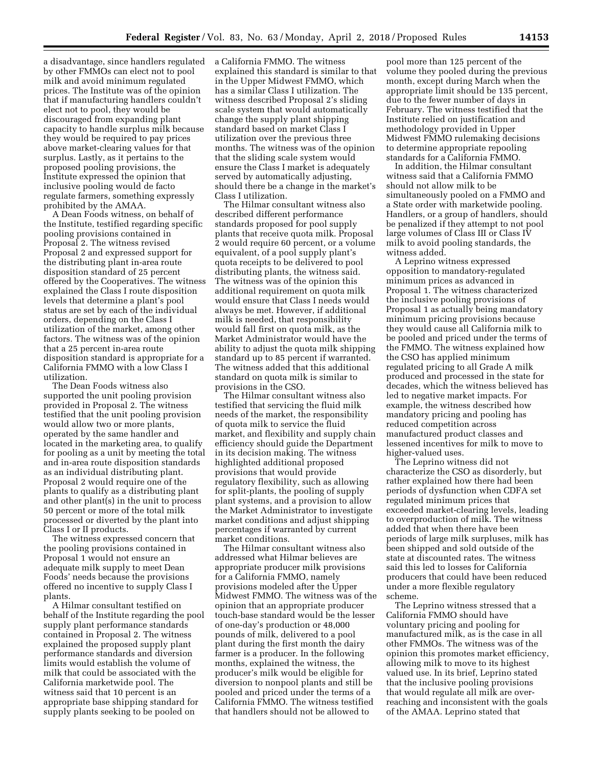a disadvantage, since handlers regulated by other FMMOs can elect not to pool milk and avoid minimum regulated prices. The Institute was of the opinion that if manufacturing handlers couldn't elect not to pool, they would be discouraged from expanding plant capacity to handle surplus milk because they would be required to pay prices above market-clearing values for that surplus. Lastly, as it pertains to the proposed pooling provisions, the Institute expressed the opinion that inclusive pooling would de facto regulate farmers, something expressly prohibited by the AMAA.

A Dean Foods witness, on behalf of the Institute, testified regarding specific pooling provisions contained in Proposal 2. The witness revised Proposal 2 and expressed support for the distributing plant in-area route disposition standard of 25 percent offered by the Cooperatives. The witness explained the Class I route disposition levels that determine a plant's pool status are set by each of the individual orders, depending on the Class I utilization of the market, among other factors. The witness was of the opinion that a 25 percent in-area route disposition standard is appropriate for a California FMMO with a low Class I utilization.

The Dean Foods witness also supported the unit pooling provision provided in Proposal 2. The witness testified that the unit pooling provision would allow two or more plants, operated by the same handler and located in the marketing area, to qualify for pooling as a unit by meeting the total and in-area route disposition standards as an individual distributing plant. Proposal 2 would require one of the plants to qualify as a distributing plant and other plant(s) in the unit to process 50 percent or more of the total milk processed or diverted by the plant into Class I or II products.

The witness expressed concern that the pooling provisions contained in Proposal 1 would not ensure an adequate milk supply to meet Dean Foods' needs because the provisions offered no incentive to supply Class I plants.

A Hilmar consultant testified on behalf of the Institute regarding the pool supply plant performance standards contained in Proposal 2. The witness explained the proposed supply plant performance standards and diversion limits would establish the volume of milk that could be associated with the California marketwide pool. The witness said that 10 percent is an appropriate base shipping standard for supply plants seeking to be pooled on

a California FMMO. The witness explained this standard is similar to that in the Upper Midwest FMMO, which has a similar Class I utilization. The witness described Proposal 2's sliding scale system that would automatically change the supply plant shipping standard based on market Class I utilization over the previous three months. The witness was of the opinion that the sliding scale system would ensure the Class I market is adequately served by automatically adjusting, should there be a change in the market's Class I utilization.

The Hilmar consultant witness also described different performance standards proposed for pool supply plants that receive quota milk. Proposal 2 would require 60 percent, or a volume equivalent, of a pool supply plant's quota receipts to be delivered to pool distributing plants, the witness said. The witness was of the opinion this additional requirement on quota milk would ensure that Class I needs would always be met. However, if additional milk is needed, that responsibility would fall first on quota milk, as the Market Administrator would have the ability to adjust the quota milk shipping standard up to 85 percent if warranted. The witness added that this additional standard on quota milk is similar to provisions in the CSO.

The Hilmar consultant witness also testified that servicing the fluid milk needs of the market, the responsibility of quota milk to service the fluid market, and flexibility and supply chain efficiency should guide the Department in its decision making. The witness highlighted additional proposed provisions that would provide regulatory flexibility, such as allowing for split-plants, the pooling of supply plant systems, and a provision to allow the Market Administrator to investigate market conditions and adjust shipping percentages if warranted by current market conditions.

The Hilmar consultant witness also addressed what Hilmar believes are appropriate producer milk provisions for a California FMMO, namely provisions modeled after the Upper Midwest FMMO. The witness was of the opinion that an appropriate producer touch-base standard would be the lesser of one-day's production or 48,000 pounds of milk, delivered to a pool plant during the first month the dairy farmer is a producer. In the following months, explained the witness, the producer's milk would be eligible for diversion to nonpool plants and still be pooled and priced under the terms of a California FMMO. The witness testified that handlers should not be allowed to

pool more than 125 percent of the volume they pooled during the previous month, except during March when the appropriate limit should be 135 percent, due to the fewer number of days in February. The witness testified that the Institute relied on justification and methodology provided in Upper Midwest FMMO rulemaking decisions to determine appropriate repooling standards for a California FMMO.

In addition, the Hilmar consultant witness said that a California FMMO should not allow milk to be simultaneously pooled on a FMMO and a State order with marketwide pooling. Handlers, or a group of handlers, should be penalized if they attempt to not pool large volumes of Class III or Class IV milk to avoid pooling standards, the witness added.

A Leprino witness expressed opposition to mandatory-regulated minimum prices as advanced in Proposal 1. The witness characterized the inclusive pooling provisions of Proposal 1 as actually being mandatory minimum pricing provisions because they would cause all California milk to be pooled and priced under the terms of the FMMO. The witness explained how the CSO has applied minimum regulated pricing to all Grade A milk produced and processed in the state for decades, which the witness believed has led to negative market impacts. For example, the witness described how mandatory pricing and pooling has reduced competition across manufactured product classes and lessened incentives for milk to move to higher-valued uses.

The Leprino witness did not characterize the CSO as disorderly, but rather explained how there had been periods of dysfunction when CDFA set regulated minimum prices that exceeded market-clearing levels, leading to overproduction of milk. The witness added that when there have been periods of large milk surpluses, milk has been shipped and sold outside of the state at discounted rates. The witness said this led to losses for California producers that could have been reduced under a more flexible regulatory scheme.

The Leprino witness stressed that a California FMMO should have voluntary pricing and pooling for manufactured milk, as is the case in all other FMMOs. The witness was of the opinion this promotes market efficiency, allowing milk to move to its highest valued use. In its brief, Leprino stated that the inclusive pooling provisions that would regulate all milk are overreaching and inconsistent with the goals of the AMAA. Leprino stated that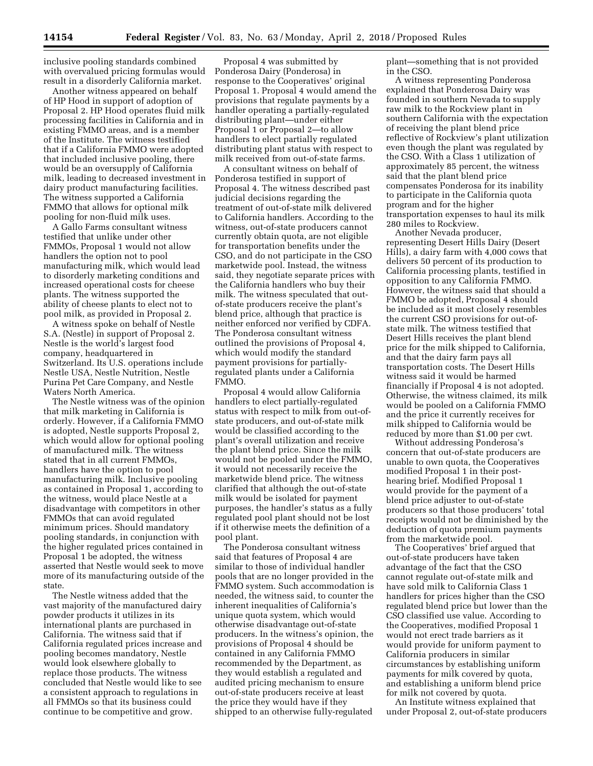inclusive pooling standards combined with overvalued pricing formulas would result in a disorderly California market.

Another witness appeared on behalf of HP Hood in support of adoption of Proposal 2. HP Hood operates fluid milk processing facilities in California and in existing FMMO areas, and is a member of the Institute. The witness testified that if a California FMMO were adopted that included inclusive pooling, there would be an oversupply of California milk, leading to decreased investment in dairy product manufacturing facilities. The witness supported a California FMMO that allows for optional milk pooling for non-fluid milk uses.

A Gallo Farms consultant witness testified that unlike under other FMMOs, Proposal 1 would not allow handlers the option not to pool manufacturing milk, which would lead to disorderly marketing conditions and increased operational costs for cheese plants. The witness supported the ability of cheese plants to elect not to pool milk, as provided in Proposal 2.

A witness spoke on behalf of Nestle S.A. (Nestle) in support of Proposal 2. Nestle is the world's largest food company, headquartered in Switzerland. Its U.S. operations include Nestle USA, Nestle Nutrition, Nestle Purina Pet Care Company, and Nestle Waters North America.

The Nestle witness was of the opinion that milk marketing in California is orderly. However, if a California FMMO is adopted, Nestle supports Proposal 2, which would allow for optional pooling of manufactured milk. The witness stated that in all current FMMOs, handlers have the option to pool manufacturing milk. Inclusive pooling as contained in Proposal 1, according to the witness, would place Nestle at a disadvantage with competitors in other FMMOs that can avoid regulated minimum prices. Should mandatory pooling standards, in conjunction with the higher regulated prices contained in Proposal 1 be adopted, the witness asserted that Nestle would seek to move more of its manufacturing outside of the state.

The Nestle witness added that the vast majority of the manufactured dairy powder products it utilizes in its international plants are purchased in California. The witness said that if California regulated prices increase and pooling becomes mandatory, Nestle would look elsewhere globally to replace those products. The witness concluded that Nestle would like to see a consistent approach to regulations in all FMMOs so that its business could continue to be competitive and grow.

Proposal 4 was submitted by Ponderosa Dairy (Ponderosa) in response to the Cooperatives' original Proposal 1. Proposal 4 would amend the provisions that regulate payments by a handler operating a partially-regulated distributing plant—under either Proposal 1 or Proposal 2—to allow handlers to elect partially regulated distributing plant status with respect to milk received from out-of-state farms.

A consultant witness on behalf of Ponderosa testified in support of Proposal 4. The witness described past judicial decisions regarding the treatment of out-of-state milk delivered to California handlers. According to the witness, out-of-state producers cannot currently obtain quota, are not eligible for transportation benefits under the CSO, and do not participate in the CSO marketwide pool. Instead, the witness said, they negotiate separate prices with the California handlers who buy their milk. The witness speculated that outof-state producers receive the plant's blend price, although that practice is neither enforced nor verified by CDFA. The Ponderosa consultant witness outlined the provisions of Proposal 4, which would modify the standard payment provisions for partiallyregulated plants under a California FMMO.

Proposal 4 would allow California handlers to elect partially-regulated status with respect to milk from out-ofstate producers, and out-of-state milk would be classified according to the plant's overall utilization and receive the plant blend price. Since the milk would not be pooled under the FMMO, it would not necessarily receive the marketwide blend price. The witness clarified that although the out-of-state milk would be isolated for payment purposes, the handler's status as a fully regulated pool plant should not be lost if it otherwise meets the definition of a pool plant.

The Ponderosa consultant witness said that features of Proposal 4 are similar to those of individual handler pools that are no longer provided in the FMMO system. Such accommodation is needed, the witness said, to counter the inherent inequalities of California's unique quota system, which would otherwise disadvantage out-of-state producers. In the witness's opinion, the provisions of Proposal 4 should be contained in any California FMMO recommended by the Department, as they would establish a regulated and audited pricing mechanism to ensure out-of-state producers receive at least the price they would have if they shipped to an otherwise fully-regulated

plant—something that is not provided in the CSO.

A witness representing Ponderosa explained that Ponderosa Dairy was founded in southern Nevada to supply raw milk to the Rockview plant in southern California with the expectation of receiving the plant blend price reflective of Rockview's plant utilization even though the plant was regulated by the CSO. With a Class 1 utilization of approximately 85 percent, the witness said that the plant blend price compensates Ponderosa for its inability to participate in the California quota program and for the higher transportation expenses to haul its milk 280 miles to Rockview.

Another Nevada producer, representing Desert Hills Dairy (Desert Hills), a dairy farm with 4,000 cows that delivers 50 percent of its production to California processing plants, testified in opposition to any California FMMO. However, the witness said that should a FMMO be adopted, Proposal 4 should be included as it most closely resembles the current CSO provisions for out-ofstate milk. The witness testified that Desert Hills receives the plant blend price for the milk shipped to California, and that the dairy farm pays all transportation costs. The Desert Hills witness said it would be harmed financially if Proposal 4 is not adopted. Otherwise, the witness claimed, its milk would be pooled on a California FMMO and the price it currently receives for milk shipped to California would be reduced by more than \$1.00 per cwt.

Without addressing Ponderosa's concern that out-of-state producers are unable to own quota, the Cooperatives modified Proposal 1 in their posthearing brief. Modified Proposal 1 would provide for the payment of a blend price adjuster to out-of-state producers so that those producers' total receipts would not be diminished by the deduction of quota premium payments from the marketwide pool.

The Cooperatives' brief argued that out-of-state producers have taken advantage of the fact that the CSO cannot regulate out-of-state milk and have sold milk to California Class 1 handlers for prices higher than the CSO regulated blend price but lower than the CSO classified use value. According to the Cooperatives, modified Proposal 1 would not erect trade barriers as it would provide for uniform payment to California producers in similar circumstances by establishing uniform payments for milk covered by quota, and establishing a uniform blend price for milk not covered by quota.

An Institute witness explained that under Proposal 2, out-of-state producers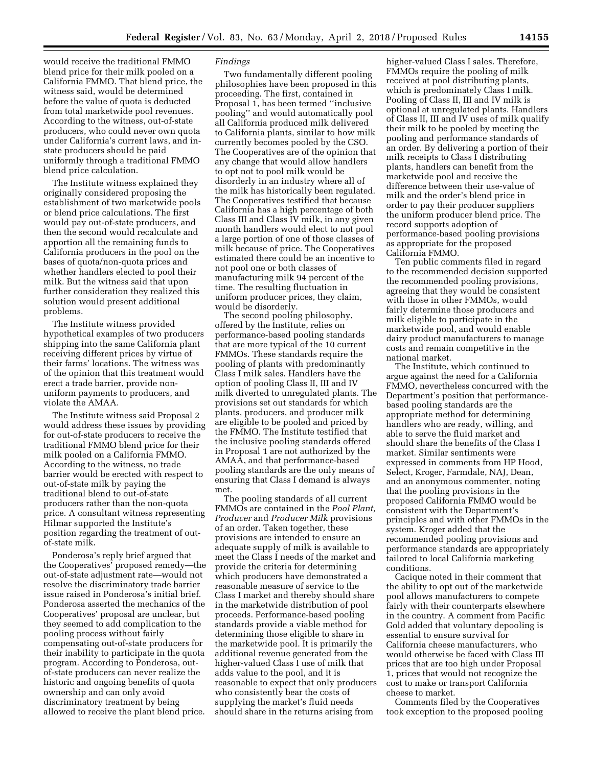would receive the traditional FMMO blend price for their milk pooled on a California FMMO. That blend price, the witness said, would be determined before the value of quota is deducted from total marketwide pool revenues. According to the witness, out-of-state producers, who could never own quota under California's current laws, and instate producers should be paid uniformly through a traditional FMMO blend price calculation.

The Institute witness explained they originally considered proposing the establishment of two marketwide pools or blend price calculations. The first would pay out-of-state producers, and then the second would recalculate and apportion all the remaining funds to California producers in the pool on the bases of quota/non-quota prices and whether handlers elected to pool their milk. But the witness said that upon further consideration they realized this solution would present additional problems.

The Institute witness provided hypothetical examples of two producers shipping into the same California plant receiving different prices by virtue of their farms' locations. The witness was of the opinion that this treatment would erect a trade barrier, provide nonuniform payments to producers, and violate the AMAA.

The Institute witness said Proposal 2 would address these issues by providing for out-of-state producers to receive the traditional FMMO blend price for their milk pooled on a California FMMO. According to the witness, no trade barrier would be erected with respect to out-of-state milk by paying the traditional blend to out-of-state producers rather than the non-quota price. A consultant witness representing Hilmar supported the Institute's position regarding the treatment of outof-state milk.

Ponderosa's reply brief argued that the Cooperatives' proposed remedy—the out-of-state adjustment rate—would not resolve the discriminatory trade barrier issue raised in Ponderosa's initial brief. Ponderosa asserted the mechanics of the Cooperatives' proposal are unclear, but they seemed to add complication to the pooling process without fairly compensating out-of-state producers for their inability to participate in the quota program. According to Ponderosa, outof-state producers can never realize the historic and ongoing benefits of quota ownership and can only avoid discriminatory treatment by being allowed to receive the plant blend price.

### *Findings*

Two fundamentally different pooling philosophies have been proposed in this proceeding. The first, contained in Proposal 1, has been termed ''inclusive pooling'' and would automatically pool all California produced milk delivered to California plants, similar to how milk currently becomes pooled by the CSO. The Cooperatives are of the opinion that any change that would allow handlers to opt not to pool milk would be disorderly in an industry where all of the milk has historically been regulated. The Cooperatives testified that because California has a high percentage of both Class III and Class IV milk, in any given month handlers would elect to not pool a large portion of one of those classes of milk because of price. The Cooperatives estimated there could be an incentive to not pool one or both classes of manufacturing milk 94 percent of the time. The resulting fluctuation in uniform producer prices, they claim, would be disorderly.

The second pooling philosophy, offered by the Institute, relies on performance-based pooling standards that are more typical of the 10 current FMMOs. These standards require the pooling of plants with predominantly Class I milk sales. Handlers have the option of pooling Class II, III and IV milk diverted to unregulated plants. The provisions set out standards for which plants, producers, and producer milk are eligible to be pooled and priced by the FMMO. The Institute testified that the inclusive pooling standards offered in Proposal 1 are not authorized by the AMAA, and that performance-based pooling standards are the only means of ensuring that Class I demand is always met.

The pooling standards of all current FMMOs are contained in the *Pool Plant, Producer* and *Producer Milk* provisions of an order. Taken together, these provisions are intended to ensure an adequate supply of milk is available to meet the Class I needs of the market and provide the criteria for determining which producers have demonstrated a reasonable measure of service to the Class I market and thereby should share in the marketwide distribution of pool proceeds. Performance-based pooling standards provide a viable method for determining those eligible to share in the marketwide pool. It is primarily the additional revenue generated from the higher-valued Class I use of milk that adds value to the pool, and it is reasonable to expect that only producers who consistently bear the costs of supplying the market's fluid needs should share in the returns arising from

higher-valued Class I sales. Therefore, FMMOs require the pooling of milk received at pool distributing plants, which is predominately Class I milk. Pooling of Class II, III and IV milk is optional at unregulated plants. Handlers of Class II, III and IV uses of milk qualify their milk to be pooled by meeting the pooling and performance standards of an order. By delivering a portion of their milk receipts to Class I distributing plants, handlers can benefit from the marketwide pool and receive the difference between their use-value of milk and the order's blend price in order to pay their producer suppliers the uniform producer blend price. The record supports adoption of performance-based pooling provisions as appropriate for the proposed California FMMO.

Ten public comments filed in regard to the recommended decision supported the recommended pooling provisions, agreeing that they would be consistent with those in other FMMOs, would fairly determine those producers and milk eligible to participate in the marketwide pool, and would enable dairy product manufacturers to manage costs and remain competitive in the national market.

The Institute, which continued to argue against the need for a California FMMO, nevertheless concurred with the Department's position that performancebased pooling standards are the appropriate method for determining handlers who are ready, willing, and able to serve the fluid market and should share the benefits of the Class I market. Similar sentiments were expressed in comments from HP Hood, Select, Kroger, Farmdale, NAJ, Dean, and an anonymous commenter, noting that the pooling provisions in the proposed California FMMO would be consistent with the Department's principles and with other FMMOs in the system. Kroger added that the recommended pooling provisions and performance standards are appropriately tailored to local California marketing conditions.

Cacique noted in their comment that the ability to opt out of the marketwide pool allows manufacturers to compete fairly with their counterparts elsewhere in the country. A comment from Pacific Gold added that voluntary depooling is essential to ensure survival for California cheese manufacturers, who would otherwise be faced with Class III prices that are too high under Proposal 1, prices that would not recognize the cost to make or transport California cheese to market.

Comments filed by the Cooperatives took exception to the proposed pooling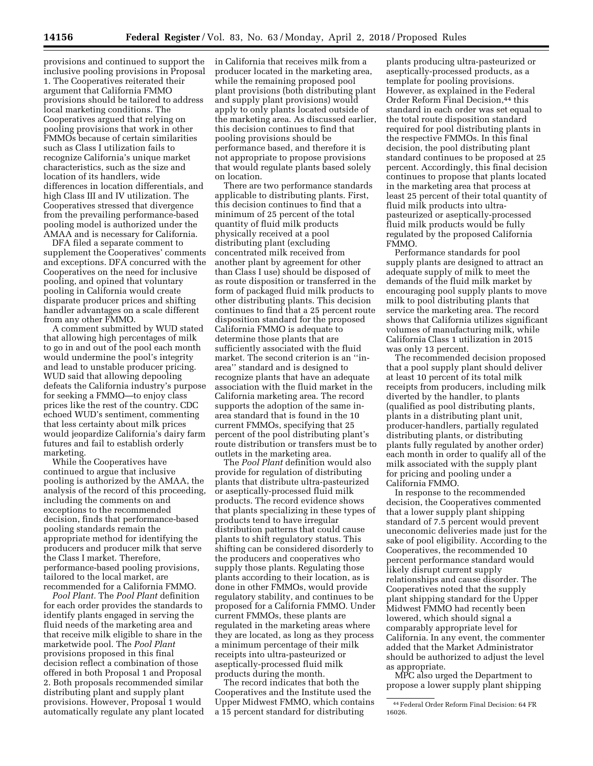provisions and continued to support the inclusive pooling provisions in Proposal 1. The Cooperatives reiterated their argument that California FMMO provisions should be tailored to address local marketing conditions. The Cooperatives argued that relying on pooling provisions that work in other FMMOs because of certain similarities such as Class I utilization fails to recognize California's unique market characteristics, such as the size and location of its handlers, wide differences in location differentials, and high Class III and IV utilization. The Cooperatives stressed that divergence from the prevailing performance-based pooling model is authorized under the AMAA and is necessary for California.

DFA filed a separate comment to supplement the Cooperatives' comments and exceptions. DFA concurred with the Cooperatives on the need for inclusive pooling, and opined that voluntary pooling in California would create disparate producer prices and shifting handler advantages on a scale different from any other FMMO.

A comment submitted by WUD stated that allowing high percentages of milk to go in and out of the pool each month would undermine the pool's integrity and lead to unstable producer pricing. WUD said that allowing depooling defeats the California industry's purpose for seeking a FMMO—to enjoy class prices like the rest of the country. CDC echoed WUD's sentiment, commenting that less certainty about milk prices would jeopardize California's dairy farm futures and fail to establish orderly marketing.

While the Cooperatives have continued to argue that inclusive pooling is authorized by the AMAA, the analysis of the record of this proceeding, including the comments on and exceptions to the recommended decision, finds that performance-based pooling standards remain the appropriate method for identifying the producers and producer milk that serve the Class I market. Therefore, performance-based pooling provisions, tailored to the local market, are recommended for a California FMMO.

*Pool Plant.* The *Pool Plant* definition for each order provides the standards to identify plants engaged in serving the fluid needs of the marketing area and that receive milk eligible to share in the marketwide pool. The *Pool Plant*  provisions proposed in this final decision reflect a combination of those offered in both Proposal 1 and Proposal 2. Both proposals recommended similar distributing plant and supply plant provisions. However, Proposal 1 would automatically regulate any plant located in California that receives milk from a producer located in the marketing area, while the remaining proposed pool plant provisions (both distributing plant and supply plant provisions) would apply to only plants located outside of the marketing area. As discussed earlier, this decision continues to find that pooling provisions should be performance based, and therefore it is not appropriate to propose provisions that would regulate plants based solely on location.

There are two performance standards applicable to distributing plants. First, this decision continues to find that a minimum of 25 percent of the total quantity of fluid milk products physically received at a pool distributing plant (excluding concentrated milk received from another plant by agreement for other than Class I use) should be disposed of as route disposition or transferred in the form of packaged fluid milk products to other distributing plants. This decision continues to find that a 25 percent route disposition standard for the proposed California FMMO is adequate to determine those plants that are sufficiently associated with the fluid market. The second criterion is an ''inarea'' standard and is designed to recognize plants that have an adequate association with the fluid market in the California marketing area. The record supports the adoption of the same inarea standard that is found in the 10 current FMMOs, specifying that 25 percent of the pool distributing plant's route distribution or transfers must be to outlets in the marketing area.

The *Pool Plant* definition would also provide for regulation of distributing plants that distribute ultra-pasteurized or aseptically-processed fluid milk products. The record evidence shows that plants specializing in these types of products tend to have irregular distribution patterns that could cause plants to shift regulatory status. This shifting can be considered disorderly to the producers and cooperatives who supply those plants. Regulating those plants according to their location, as is done in other FMMOs, would provide regulatory stability, and continues to be proposed for a California FMMO. Under current FMMOs, these plants are regulated in the marketing areas where they are located, as long as they process a minimum percentage of their milk receipts into ultra-pasteurized or aseptically-processed fluid milk products during the month.

The record indicates that both the Cooperatives and the Institute used the Upper Midwest FMMO, which contains a 15 percent standard for distributing

plants producing ultra-pasteurized or aseptically-processed products, as a template for pooling provisions. However, as explained in the Federal Order Reform Final Decision,44 this standard in each order was set equal to the total route disposition standard required for pool distributing plants in the respective FMMOs. In this final decision, the pool distributing plant standard continues to be proposed at 25 percent. Accordingly, this final decision continues to propose that plants located in the marketing area that process at least 25 percent of their total quantity of fluid milk products into ultrapasteurized or aseptically-processed fluid milk products would be fully regulated by the proposed California FMMO.

Performance standards for pool supply plants are designed to attract an adequate supply of milk to meet the demands of the fluid milk market by encouraging pool supply plants to move milk to pool distributing plants that service the marketing area. The record shows that California utilizes significant volumes of manufacturing milk, while California Class 1 utilization in 2015 was only 13 percent.

The recommended decision proposed that a pool supply plant should deliver at least 10 percent of its total milk receipts from producers, including milk diverted by the handler, to plants (qualified as pool distributing plants, plants in a distributing plant unit, producer-handlers, partially regulated distributing plants, or distributing plants fully regulated by another order) each month in order to qualify all of the milk associated with the supply plant for pricing and pooling under a California FMMO.

In response to the recommended decision, the Cooperatives commented that a lower supply plant shipping standard of 7.5 percent would prevent uneconomic deliveries made just for the sake of pool eligibility. According to the Cooperatives, the recommended 10 percent performance standard would likely disrupt current supply relationships and cause disorder. The Cooperatives noted that the supply plant shipping standard for the Upper Midwest FMMO had recently been lowered, which should signal a comparably appropriate level for California. In any event, the commenter added that the Market Administrator should be authorized to adjust the level as appropriate.

MPC also urged the Department to propose a lower supply plant shipping

<sup>44</sup>Federal Order Reform Final Decision: 64 FR 16026.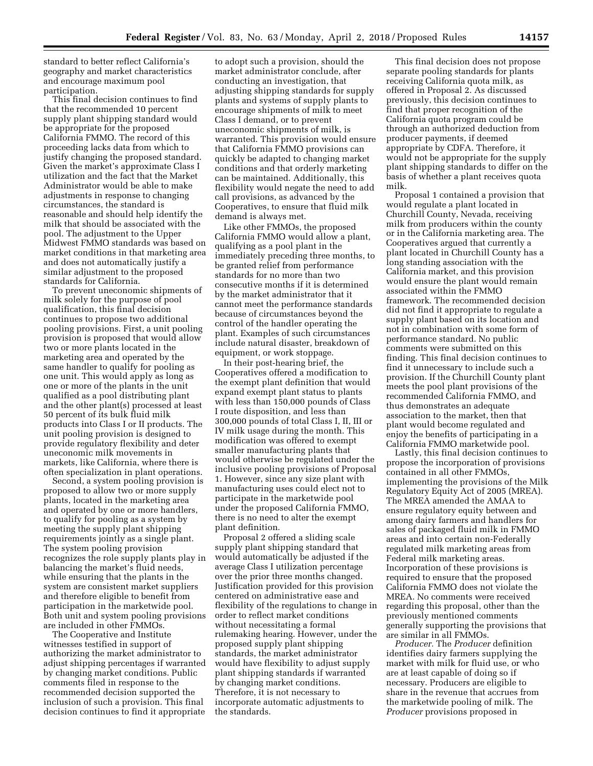standard to better reflect California's geography and market characteristics and encourage maximum pool participation.

This final decision continues to find that the recommended 10 percent supply plant shipping standard would be appropriate for the proposed California FMMO. The record of this proceeding lacks data from which to justify changing the proposed standard. Given the market's approximate Class I utilization and the fact that the Market Administrator would be able to make adjustments in response to changing circumstances, the standard is reasonable and should help identify the milk that should be associated with the pool. The adjustment to the Upper Midwest FMMO standards was based on market conditions in that marketing area and does not automatically justify a similar adjustment to the proposed standards for California.

To prevent uneconomic shipments of milk solely for the purpose of pool qualification, this final decision continues to propose two additional pooling provisions. First, a unit pooling provision is proposed that would allow two or more plants located in the marketing area and operated by the same handler to qualify for pooling as one unit. This would apply as long as one or more of the plants in the unit qualified as a pool distributing plant and the other plant(s) processed at least 50 percent of its bulk fluid milk products into Class I or II products. The unit pooling provision is designed to provide regulatory flexibility and deter uneconomic milk movements in markets, like California, where there is often specialization in plant operations.

Second, a system pooling provision is proposed to allow two or more supply plants, located in the marketing area and operated by one or more handlers, to qualify for pooling as a system by meeting the supply plant shipping requirements jointly as a single plant. The system pooling provision recognizes the role supply plants play in balancing the market's fluid needs, while ensuring that the plants in the system are consistent market suppliers and therefore eligible to benefit from participation in the marketwide pool. Both unit and system pooling provisions are included in other FMMOs.

The Cooperative and Institute witnesses testified in support of authorizing the market administrator to adjust shipping percentages if warranted by changing market conditions. Public comments filed in response to the recommended decision supported the inclusion of such a provision. This final decision continues to find it appropriate

to adopt such a provision, should the market administrator conclude, after conducting an investigation, that adjusting shipping standards for supply plants and systems of supply plants to encourage shipments of milk to meet Class I demand, or to prevent uneconomic shipments of milk, is warranted. This provision would ensure that California FMMO provisions can quickly be adapted to changing market conditions and that orderly marketing can be maintained. Additionally, this flexibility would negate the need to add call provisions, as advanced by the Cooperatives, to ensure that fluid milk demand is always met.

Like other FMMOs, the proposed California FMMO would allow a plant, qualifying as a pool plant in the immediately preceding three months, to be granted relief from performance standards for no more than two consecutive months if it is determined by the market administrator that it cannot meet the performance standards because of circumstances beyond the control of the handler operating the plant. Examples of such circumstances include natural disaster, breakdown of equipment, or work stoppage.

In their post-hearing brief, the Cooperatives offered a modification to the exempt plant definition that would expand exempt plant status to plants with less than 150,000 pounds of Class I route disposition, and less than 300,000 pounds of total Class I, II, III or IV milk usage during the month. This modification was offered to exempt smaller manufacturing plants that would otherwise be regulated under the inclusive pooling provisions of Proposal 1. However, since any size plant with manufacturing uses could elect not to participate in the marketwide pool under the proposed California FMMO, there is no need to alter the exempt plant definition.

Proposal 2 offered a sliding scale supply plant shipping standard that would automatically be adjusted if the average Class I utilization percentage over the prior three months changed. Justification provided for this provision centered on administrative ease and flexibility of the regulations to change in order to reflect market conditions without necessitating a formal rulemaking hearing. However, under the proposed supply plant shipping standards, the market administrator would have flexibility to adjust supply plant shipping standards if warranted by changing market conditions. Therefore, it is not necessary to incorporate automatic adjustments to the standards.

This final decision does not propose separate pooling standards for plants receiving California quota milk, as offered in Proposal 2. As discussed previously, this decision continues to find that proper recognition of the California quota program could be through an authorized deduction from producer payments, if deemed appropriate by CDFA. Therefore, it would not be appropriate for the supply plant shipping standards to differ on the basis of whether a plant receives quota milk.

Proposal 1 contained a provision that would regulate a plant located in Churchill County, Nevada, receiving milk from producers within the county or in the California marketing area. The Cooperatives argued that currently a plant located in Churchill County has a long standing association with the California market, and this provision would ensure the plant would remain associated within the FMMO framework. The recommended decision did not find it appropriate to regulate a supply plant based on its location and not in combination with some form of performance standard. No public comments were submitted on this finding. This final decision continues to find it unnecessary to include such a provision. If the Churchill County plant meets the pool plant provisions of the recommended California FMMO, and thus demonstrates an adequate association to the market, then that plant would become regulated and enjoy the benefits of participating in a California FMMO marketwide pool.

Lastly, this final decision continues to propose the incorporation of provisions contained in all other FMMOs, implementing the provisions of the Milk Regulatory Equity Act of 2005 (MREA). The MREA amended the AMAA to ensure regulatory equity between and among dairy farmers and handlers for sales of packaged fluid milk in FMMO areas and into certain non-Federally regulated milk marketing areas from Federal milk marketing areas. Incorporation of these provisions is required to ensure that the proposed California FMMO does not violate the MREA. No comments were received regarding this proposal, other than the previously mentioned comments generally supporting the provisions that are similar in all FMMOs.

*Producer.* The *Producer* definition identifies dairy farmers supplying the market with milk for fluid use, or who are at least capable of doing so if necessary. Producers are eligible to share in the revenue that accrues from the marketwide pooling of milk. The *Producer* provisions proposed in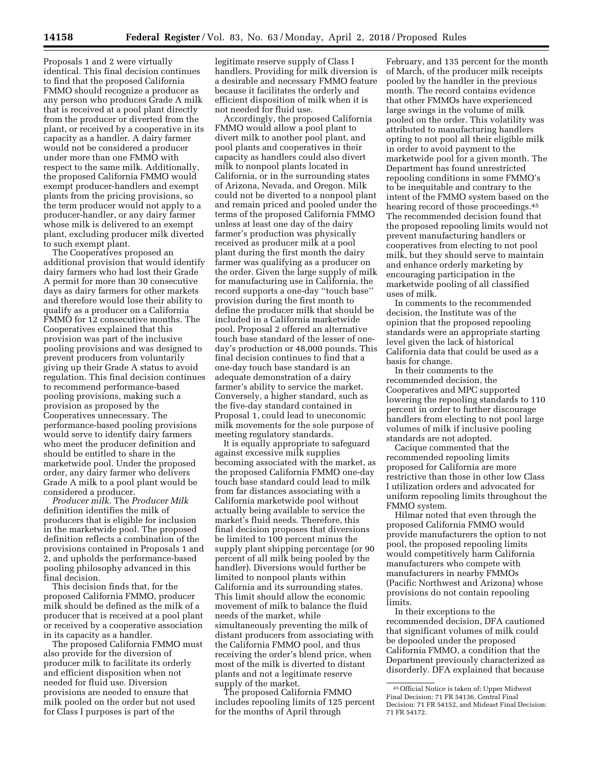Proposals 1 and 2 were virtually identical. This final decision continues to find that the proposed California FMMO should recognize a producer as any person who produces Grade A milk that is received at a pool plant directly from the producer or diverted from the plant, or received by a cooperative in its capacity as a handler. A dairy farmer would not be considered a producer under more than one FMMO with respect to the same milk. Additionally, the proposed California FMMO would exempt producer-handlers and exempt plants from the pricing provisions, so the term producer would not apply to a producer-handler, or any dairy farmer whose milk is delivered to an exempt plant, excluding producer milk diverted to such exempt plant.

The Cooperatives proposed an additional provision that would identify dairy farmers who had lost their Grade A permit for more than 30 consecutive days as dairy farmers for other markets and therefore would lose their ability to qualify as a producer on a California FMMO for 12 consecutive months. The Cooperatives explained that this provision was part of the inclusive pooling provisions and was designed to prevent producers from voluntarily giving up their Grade A status to avoid regulation. This final decision continues to recommend performance-based pooling provisions, making such a provision as proposed by the Cooperatives unnecessary. The performance-based pooling provisions would serve to identify dairy farmers who meet the producer definition and should be entitled to share in the marketwide pool. Under the proposed order, any dairy farmer who delivers Grade A milk to a pool plant would be considered a producer.

*Producer milk.* The *Producer Milk*  definition identifies the milk of producers that is eligible for inclusion in the marketwide pool. The proposed definition reflects a combination of the provisions contained in Proposals 1 and 2, and upholds the performance-based pooling philosophy advanced in this final decision.

This decision finds that, for the proposed California FMMO, producer milk should be defined as the milk of a producer that is received at a pool plant or received by a cooperative association in its capacity as a handler.

The proposed California FMMO must also provide for the diversion of producer milk to facilitate its orderly and efficient disposition when not needed for fluid use. Diversion provisions are needed to ensure that milk pooled on the order but not used for Class I purposes is part of the

legitimate reserve supply of Class I handlers. Providing for milk diversion is a desirable and necessary FMMO feature because it facilitates the orderly and efficient disposition of milk when it is not needed for fluid use.

Accordingly, the proposed California FMMO would allow a pool plant to divert milk to another pool plant, and pool plants and cooperatives in their capacity as handlers could also divert milk to nonpool plants located in California, or in the surrounding states of Arizona, Nevada, and Oregon. Milk could not be diverted to a nonpool plant and remain priced and pooled under the terms of the proposed California FMMO unless at least one day of the dairy farmer's production was physically received as producer milk at a pool plant during the first month the dairy farmer was qualifying as a producer on the order. Given the large supply of milk for manufacturing use in California, the record supports a one-day ''touch base'' provision during the first month to define the producer milk that should be included in a California marketwide pool. Proposal 2 offered an alternative touch base standard of the lesser of oneday's production or 48,000 pounds. This final decision continues to find that a one-day touch base standard is an adequate demonstration of a dairy farmer's ability to service the market. Conversely, a higher standard, such as the five-day standard contained in Proposal 1, could lead to uneconomic milk movements for the sole purpose of meeting regulatory standards.

It is equally appropriate to safeguard against excessive milk supplies becoming associated with the market, as the proposed California FMMO one-day touch base standard could lead to milk from far distances associating with a California marketwide pool without actually being available to service the market's fluid needs. Therefore, this final decision proposes that diversions be limited to 100 percent minus the supply plant shipping percentage (or 90 percent of all milk being pooled by the handler). Diversions would further be limited to nonpool plants within California and its surrounding states. This limit should allow the economic movement of milk to balance the fluid needs of the market, while simultaneously preventing the milk of distant producers from associating with the California FMMO pool, and thus receiving the order's blend price, when most of the milk is diverted to distant plants and not a legitimate reserve supply of the market.

The proposed California FMMO includes repooling limits of 125 percent for the months of April through

February, and 135 percent for the month of March, of the producer milk receipts pooled by the handler in the previous month. The record contains evidence that other FMMOs have experienced large swings in the volume of milk pooled on the order. This volatility was attributed to manufacturing handlers opting to not pool all their eligible milk in order to avoid payment to the marketwide pool for a given month. The Department has found unrestricted repooling conditions in some FMMO's to be inequitable and contrary to the intent of the FMMO system based on the hearing record of those proceedings.<sup>45</sup> The recommended decision found that the proposed repooling limits would not prevent manufacturing handlers or cooperatives from electing to not pool milk, but they should serve to maintain and enhance orderly marketing by encouraging participation in the marketwide pooling of all classified uses of milk.

In comments to the recommended decision, the Institute was of the opinion that the proposed repooling standards were an appropriate starting level given the lack of historical California data that could be used as a basis for change.

In their comments to the recommended decision, the Cooperatives and MPC supported lowering the repooling standards to 110 percent in order to further discourage handlers from electing to not pool large volumes of milk if inclusive pooling standards are not adopted.

Cacique commented that the recommended repooling limits proposed for California are more restrictive than those in other low Class I utilization orders and advocated for uniform repooling limits throughout the FMMO system.

Hilmar noted that even through the proposed California FMMO would provide manufacturers the option to not pool, the proposed repooling limits would competitively harm California manufacturers who compete with manufacturers in nearby FMMOs (Pacific Northwest and Arizona) whose provisions do not contain repooling limits.

In their exceptions to the recommended decision, DFA cautioned that significant volumes of milk could be depooled under the proposed California FMMO, a condition that the Department previously characterized as disorderly. DFA explained that because

<sup>45</sup>Official Notice is taken of: Upper Midwest Final Decision: 71 FR 54136, Central Final Decision: 71 FR 54152, and Mideast Final Decision: 71 FR 54172.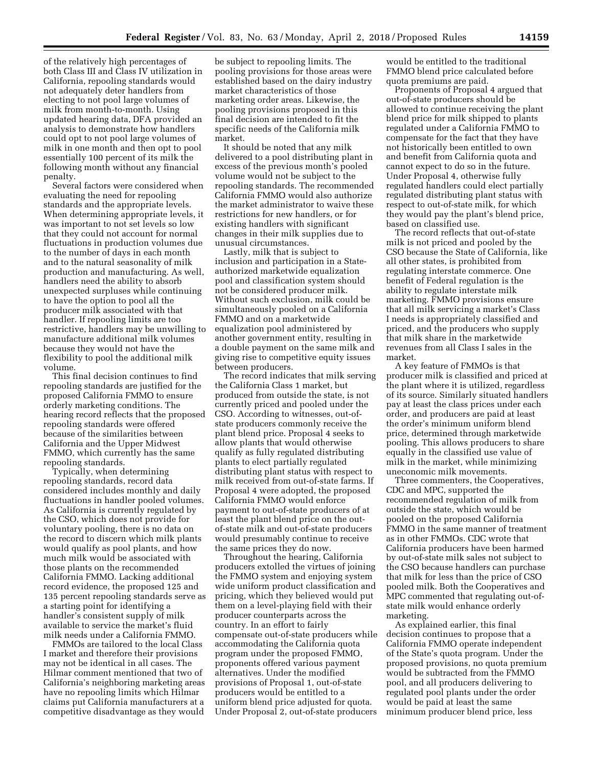of the relatively high percentages of both Class III and Class IV utilization in California, repooling standards would not adequately deter handlers from electing to not pool large volumes of milk from month-to-month. Using updated hearing data, DFA provided an analysis to demonstrate how handlers could opt to not pool large volumes of milk in one month and then opt to pool essentially 100 percent of its milk the following month without any financial penalty.

Several factors were considered when evaluating the need for repooling standards and the appropriate levels. When determining appropriate levels, it was important to not set levels so low that they could not account for normal fluctuations in production volumes due to the number of days in each month and to the natural seasonality of milk production and manufacturing. As well, handlers need the ability to absorb unexpected surpluses while continuing to have the option to pool all the producer milk associated with that handler. If repooling limits are too restrictive, handlers may be unwilling to manufacture additional milk volumes because they would not have the flexibility to pool the additional milk volume.

This final decision continues to find repooling standards are justified for the proposed California FMMO to ensure orderly marketing conditions. The hearing record reflects that the proposed repooling standards were offered because of the similarities between California and the Upper Midwest FMMO, which currently has the same repooling standards.

Typically, when determining repooling standards, record data considered includes monthly and daily fluctuations in handler pooled volumes. As California is currently regulated by the CSO, which does not provide for voluntary pooling, there is no data on the record to discern which milk plants would qualify as pool plants, and how much milk would be associated with those plants on the recommended California FMMO. Lacking additional record evidence, the proposed 125 and 135 percent repooling standards serve as a starting point for identifying a handler's consistent supply of milk available to service the market's fluid milk needs under a California FMMO.

FMMOs are tailored to the local Class I market and therefore their provisions may not be identical in all cases. The Hilmar comment mentioned that two of California's neighboring marketing areas have no repooling limits which Hilmar claims put California manufacturers at a competitive disadvantage as they would

be subject to repooling limits. The pooling provisions for those areas were established based on the dairy industry market characteristics of those marketing order areas. Likewise, the pooling provisions proposed in this final decision are intended to fit the specific needs of the California milk market.

It should be noted that any milk delivered to a pool distributing plant in excess of the previous month's pooled volume would not be subject to the repooling standards. The recommended California FMMO would also authorize the market administrator to waive these restrictions for new handlers, or for existing handlers with significant changes in their milk supplies due to unusual circumstances.

Lastly, milk that is subject to inclusion and participation in a Stateauthorized marketwide equalization pool and classification system should not be considered producer milk. Without such exclusion, milk could be simultaneously pooled on a California FMMO and on a marketwide equalization pool administered by another government entity, resulting in a double payment on the same milk and giving rise to competitive equity issues between producers.

The record indicates that milk serving the California Class 1 market, but produced from outside the state, is not currently priced and pooled under the CSO. According to witnesses, out-ofstate producers commonly receive the plant blend price. Proposal 4 seeks to allow plants that would otherwise qualify as fully regulated distributing plants to elect partially regulated distributing plant status with respect to milk received from out-of-state farms. If Proposal 4 were adopted, the proposed California FMMO would enforce payment to out-of-state producers of at least the plant blend price on the outof-state milk and out-of-state producers would presumably continue to receive the same prices they do now.

Throughout the hearing, California producers extolled the virtues of joining the FMMO system and enjoying system wide uniform product classification and pricing, which they believed would put them on a level-playing field with their producer counterparts across the country. In an effort to fairly compensate out-of-state producers while accommodating the California quota program under the proposed FMMO, proponents offered various payment alternatives. Under the modified provisions of Proposal 1, out-of-state producers would be entitled to a uniform blend price adjusted for quota. Under Proposal 2, out-of-state producers

would be entitled to the traditional FMMO blend price calculated before quota premiums are paid.

Proponents of Proposal 4 argued that out-of-state producers should be allowed to continue receiving the plant blend price for milk shipped to plants regulated under a California FMMO to compensate for the fact that they have not historically been entitled to own and benefit from California quota and cannot expect to do so in the future. Under Proposal 4, otherwise fully regulated handlers could elect partially regulated distributing plant status with respect to out-of-state milk, for which they would pay the plant's blend price, based on classified use.

The record reflects that out-of-state milk is not priced and pooled by the CSO because the State of California, like all other states, is prohibited from regulating interstate commerce. One benefit of Federal regulation is the ability to regulate interstate milk marketing. FMMO provisions ensure that all milk servicing a market's Class I needs is appropriately classified and priced, and the producers who supply that milk share in the marketwide revenues from all Class I sales in the market.

A key feature of FMMOs is that producer milk is classified and priced at the plant where it is utilized, regardless of its source. Similarly situated handlers pay at least the class prices under each order, and producers are paid at least the order's minimum uniform blend price, determined through marketwide pooling. This allows producers to share equally in the classified use value of milk in the market, while minimizing uneconomic milk movements.

Three commenters, the Cooperatives, CDC and MPC, supported the recommended regulation of milk from outside the state, which would be pooled on the proposed California FMMO in the same manner of treatment as in other FMMOs. CDC wrote that California producers have been harmed by out-of-state milk sales not subject to the CSO because handlers can purchase that milk for less than the price of CSO pooled milk. Both the Cooperatives and MPC commented that regulating out-ofstate milk would enhance orderly marketing.

As explained earlier, this final decision continues to propose that a California FMMO operate independent of the State's quota program. Under the proposed provisions, no quota premium would be subtracted from the FMMO pool, and all producers delivering to regulated pool plants under the order would be paid at least the same minimum producer blend price, less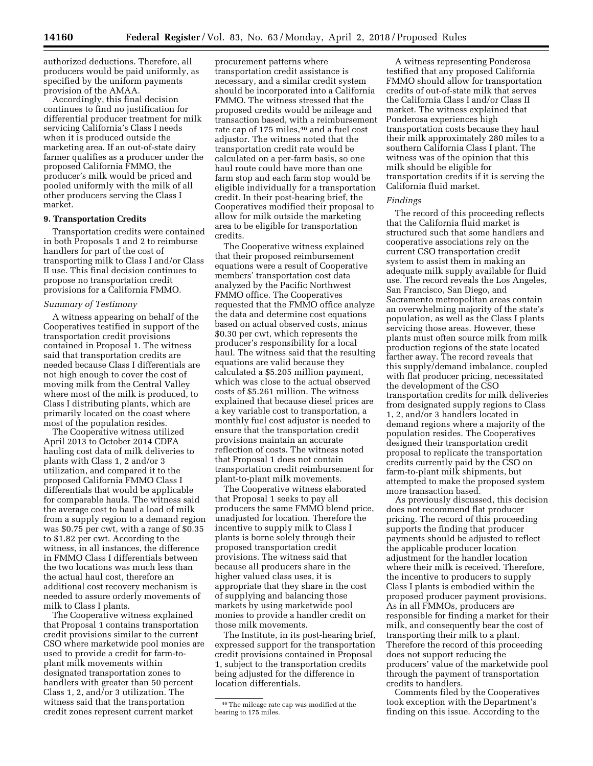authorized deductions. Therefore, all producers would be paid uniformly, as specified by the uniform payments provision of the AMAA.

Accordingly, this final decision continues to find no justification for differential producer treatment for milk servicing California's Class I needs when it is produced outside the marketing area. If an out-of-state dairy farmer qualifies as a producer under the proposed California FMMO, the producer's milk would be priced and pooled uniformly with the milk of all other producers serving the Class I market.

# **9. Transportation Credits**

Transportation credits were contained in both Proposals 1 and 2 to reimburse handlers for part of the cost of transporting milk to Class I and/or Class II use. This final decision continues to propose no transportation credit provisions for a California FMMO.

# *Summary of Testimony*

A witness appearing on behalf of the Cooperatives testified in support of the transportation credit provisions contained in Proposal 1. The witness said that transportation credits are needed because Class I differentials are not high enough to cover the cost of moving milk from the Central Valley where most of the milk is produced, to Class I distributing plants, which are primarily located on the coast where most of the population resides.

The Cooperative witness utilized April 2013 to October 2014 CDFA hauling cost data of milk deliveries to plants with Class 1, 2 and/or 3 utilization, and compared it to the proposed California FMMO Class I differentials that would be applicable for comparable hauls. The witness said the average cost to haul a load of milk from a supply region to a demand region was \$0.75 per cwt, with a range of \$0.35 to \$1.82 per cwt. According to the witness, in all instances, the difference in FMMO Class I differentials between the two locations was much less than the actual haul cost, therefore an additional cost recovery mechanism is needed to assure orderly movements of milk to Class I plants.

The Cooperative witness explained that Proposal 1 contains transportation credit provisions similar to the current CSO where marketwide pool monies are used to provide a credit for farm-toplant milk movements within designated transportation zones to handlers with greater than 50 percent Class 1, 2, and/or 3 utilization. The witness said that the transportation credit zones represent current market

procurement patterns where transportation credit assistance is necessary, and a similar credit system should be incorporated into a California FMMO. The witness stressed that the proposed credits would be mileage and transaction based, with a reimbursement rate cap of 175 miles,<sup>46</sup> and a fuel cost adjustor. The witness noted that the transportation credit rate would be calculated on a per-farm basis, so one haul route could have more than one farm stop and each farm stop would be eligible individually for a transportation credit. In their post-hearing brief, the Cooperatives modified their proposal to allow for milk outside the marketing area to be eligible for transportation credits.

The Cooperative witness explained that their proposed reimbursement equations were a result of Cooperative members' transportation cost data analyzed by the Pacific Northwest FMMO office. The Cooperatives requested that the FMMO office analyze the data and determine cost equations based on actual observed costs, minus \$0.30 per cwt, which represents the producer's responsibility for a local haul. The witness said that the resulting equations are valid because they calculated a \$5.205 million payment, which was close to the actual observed costs of \$5.261 million. The witness explained that because diesel prices are a key variable cost to transportation, a monthly fuel cost adjustor is needed to ensure that the transportation credit provisions maintain an accurate reflection of costs. The witness noted that Proposal 1 does not contain transportation credit reimbursement for plant-to-plant milk movements.

The Cooperative witness elaborated that Proposal 1 seeks to pay all producers the same FMMO blend price, unadjusted for location. Therefore the incentive to supply milk to Class I plants is borne solely through their proposed transportation credit provisions. The witness said that because all producers share in the higher valued class uses, it is appropriate that they share in the cost of supplying and balancing those markets by using marketwide pool monies to provide a handler credit on those milk movements.

The Institute, in its post-hearing brief, expressed support for the transportation credit provisions contained in Proposal 1, subject to the transportation credits being adjusted for the difference in location differentials.

A witness representing Ponderosa testified that any proposed California FMMO should allow for transportation credits of out-of-state milk that serves the California Class I and/or Class II market. The witness explained that Ponderosa experiences high transportation costs because they haul their milk approximately 280 miles to a southern California Class I plant. The witness was of the opinion that this milk should be eligible for transportation credits if it is serving the California fluid market.

# *Findings*

The record of this proceeding reflects that the California fluid market is structured such that some handlers and cooperative associations rely on the current CSO transportation credit system to assist them in making an adequate milk supply available for fluid use. The record reveals the Los Angeles, San Francisco, San Diego, and Sacramento metropolitan areas contain an overwhelming majority of the state's population, as well as the Class I plants servicing those areas. However, these plants must often source milk from milk production regions of the state located farther away. The record reveals that this supply/demand imbalance, coupled with flat producer pricing, necessitated the development of the CSO transportation credits for milk deliveries from designated supply regions to Class 1, 2, and/or 3 handlers located in demand regions where a majority of the population resides. The Cooperatives designed their transportation credit proposal to replicate the transportation credits currently paid by the CSO on farm-to-plant milk shipments, but attempted to make the proposed system more transaction based.

As previously discussed, this decision does not recommend flat producer pricing. The record of this proceeding supports the finding that producer payments should be adjusted to reflect the applicable producer location adjustment for the handler location where their milk is received. Therefore, the incentive to producers to supply Class I plants is embodied within the proposed producer payment provisions. As in all FMMOs, producers are responsible for finding a market for their milk, and consequently bear the cost of transporting their milk to a plant. Therefore the record of this proceeding does not support reducing the producers' value of the marketwide pool through the payment of transportation credits to handlers.

Comments filed by the Cooperatives took exception with the Department's finding on this issue. According to the

<sup>46</sup>The mileage rate cap was modified at the hearing to 175 miles.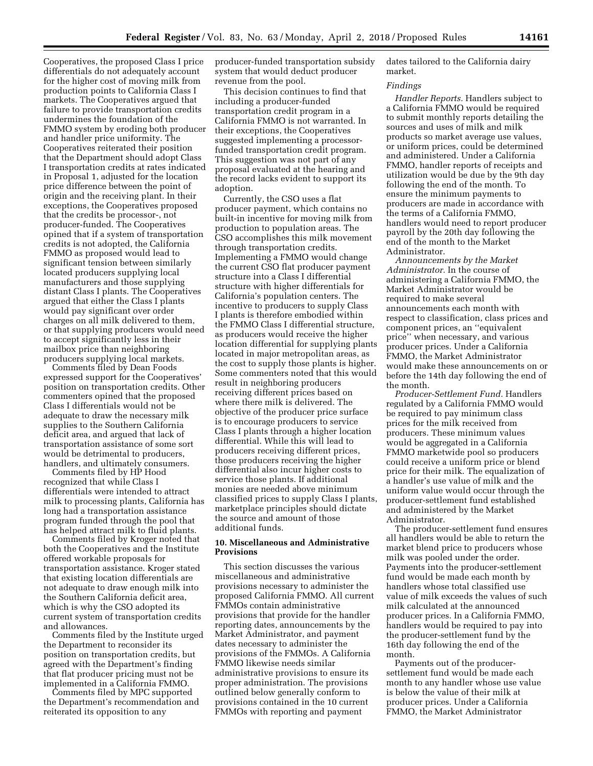Cooperatives, the proposed Class I price differentials do not adequately account for the higher cost of moving milk from production points to California Class I markets. The Cooperatives argued that failure to provide transportation credits undermines the foundation of the FMMO system by eroding both producer and handler price uniformity. The Cooperatives reiterated their position that the Department should adopt Class I transportation credits at rates indicated in Proposal 1, adjusted for the location price difference between the point of origin and the receiving plant. In their exceptions, the Cooperatives proposed that the credits be processor-, not producer-funded. The Cooperatives opined that if a system of transportation credits is not adopted, the California FMMO as proposed would lead to significant tension between similarly located producers supplying local manufacturers and those supplying distant Class I plants. The Cooperatives argued that either the Class I plants would pay significant over order charges on all milk delivered to them, or that supplying producers would need to accept significantly less in their mailbox price than neighboring producers supplying local markets.

Comments filed by Dean Foods expressed support for the Cooperatives' position on transportation credits. Other commenters opined that the proposed Class I differentials would not be adequate to draw the necessary milk supplies to the Southern California deficit area, and argued that lack of transportation assistance of some sort would be detrimental to producers, handlers, and ultimately consumers.

Comments filed by HP Hood recognized that while Class I differentials were intended to attract milk to processing plants, California has long had a transportation assistance program funded through the pool that has helped attract milk to fluid plants.

Comments filed by Kroger noted that both the Cooperatives and the Institute offered workable proposals for transportation assistance. Kroger stated that existing location differentials are not adequate to draw enough milk into the Southern California deficit area, which is why the CSO adopted its current system of transportation credits and allowances.

Comments filed by the Institute urged the Department to reconsider its position on transportation credits, but agreed with the Department's finding that flat producer pricing must not be implemented in a California FMMO.

Comments filed by MPC supported the Department's recommendation and reiterated its opposition to any

producer-funded transportation subsidy system that would deduct producer revenue from the pool.

This decision continues to find that including a producer-funded transportation credit program in a California FMMO is not warranted. In their exceptions, the Cooperatives suggested implementing a processorfunded transportation credit program. This suggestion was not part of any proposal evaluated at the hearing and the record lacks evident to support its adoption.

Currently, the CSO uses a flat producer payment, which contains no built-in incentive for moving milk from production to population areas. The CSO accomplishes this milk movement through transportation credits. Implementing a FMMO would change the current CSO flat producer payment structure into a Class I differential structure with higher differentials for California's population centers. The incentive to producers to supply Class I plants is therefore embodied within the FMMO Class I differential structure, as producers would receive the higher location differential for supplying plants located in major metropolitan areas, as the cost to supply those plants is higher. Some commenters noted that this would result in neighboring producers receiving different prices based on where there milk is delivered. The objective of the producer price surface is to encourage producers to service Class I plants through a higher location differential. While this will lead to producers receiving different prices, those producers receiving the higher differential also incur higher costs to service those plants. If additional monies are needed above minimum classified prices to supply Class I plants, marketplace principles should dictate the source and amount of those additional funds.

# **10. Miscellaneous and Administrative Provisions**

This section discusses the various miscellaneous and administrative provisions necessary to administer the proposed California FMMO. All current FMMOs contain administrative provisions that provide for the handler reporting dates, announcements by the Market Administrator, and payment dates necessary to administer the provisions of the FMMOs. A California FMMO likewise needs similar administrative provisions to ensure its proper administration. The provisions outlined below generally conform to provisions contained in the 10 current FMMOs with reporting and payment

dates tailored to the California dairy market.

### *Findings*

*Handler Reports.* Handlers subject to a California FMMO would be required to submit monthly reports detailing the sources and uses of milk and milk products so market average use values, or uniform prices, could be determined and administered. Under a California FMMO, handler reports of receipts and utilization would be due by the 9th day following the end of the month. To ensure the minimum payments to producers are made in accordance with the terms of a California FMMO, handlers would need to report producer payroll by the 20th day following the end of the month to the Market Administrator.

*Announcements by the Market Administrator.* In the course of administering a California FMMO, the Market Administrator would be required to make several announcements each month with respect to classification, class prices and component prices, an ''equivalent price'' when necessary, and various producer prices. Under a California FMMO, the Market Administrator would make these announcements on or before the 14th day following the end of the month.

*Producer-Settlement Fund.* Handlers regulated by a California FMMO would be required to pay minimum class prices for the milk received from producers. These minimum values would be aggregated in a California FMMO marketwide pool so producers could receive a uniform price or blend price for their milk. The equalization of a handler's use value of milk and the uniform value would occur through the producer-settlement fund established and administered by the Market Administrator.

The producer-settlement fund ensures all handlers would be able to return the market blend price to producers whose milk was pooled under the order. Payments into the producer-settlement fund would be made each month by handlers whose total classified use value of milk exceeds the values of such milk calculated at the announced producer prices. In a California FMMO, handlers would be required to pay into the producer-settlement fund by the 16th day following the end of the month.

Payments out of the producersettlement fund would be made each month to any handler whose use value is below the value of their milk at producer prices. Under a California FMMO, the Market Administrator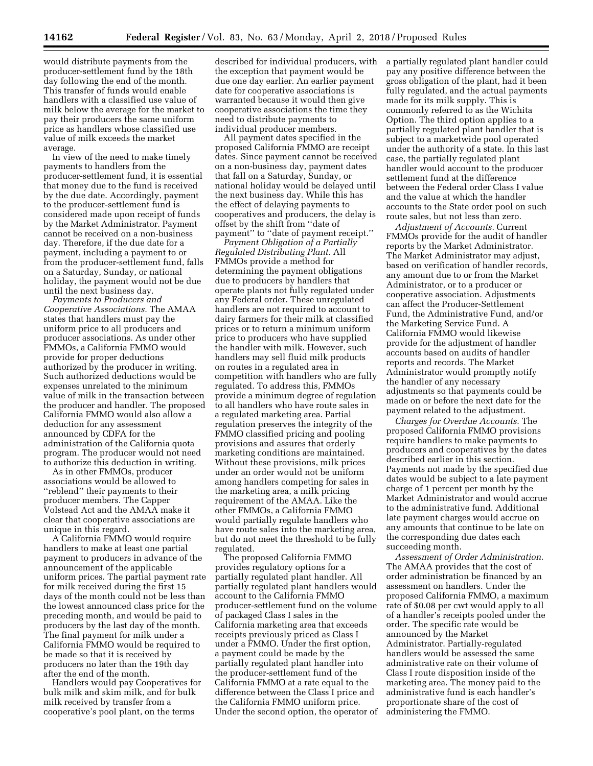would distribute payments from the producer-settlement fund by the 18th day following the end of the month. This transfer of funds would enable handlers with a classified use value of milk below the average for the market to pay their producers the same uniform price as handlers whose classified use value of milk exceeds the market average.

In view of the need to make timely payments to handlers from the producer-settlement fund, it is essential that money due to the fund is received by the due date. Accordingly, payment to the producer-settlement fund is considered made upon receipt of funds by the Market Administrator. Payment cannot be received on a non-business day. Therefore, if the due date for a payment, including a payment to or from the producer-settlement fund, falls on a Saturday, Sunday, or national holiday, the payment would not be due until the next business day.

*Payments to Producers and Cooperative Associations.* The AMAA states that handlers must pay the uniform price to all producers and producer associations. As under other FMMOs, a California FMMO would provide for proper deductions authorized by the producer in writing. Such authorized deductions would be expenses unrelated to the minimum value of milk in the transaction between the producer and handler. The proposed California FMMO would also allow a deduction for any assessment announced by CDFA for the administration of the California quota program. The producer would not need to authorize this deduction in writing.

As in other FMMOs, producer associations would be allowed to ''reblend'' their payments to their producer members. The Capper Volstead Act and the AMAA make it clear that cooperative associations are unique in this regard.

A California FMMO would require handlers to make at least one partial payment to producers in advance of the announcement of the applicable uniform prices. The partial payment rate for milk received during the first 15 days of the month could not be less than the lowest announced class price for the preceding month, and would be paid to producers by the last day of the month. The final payment for milk under a California FMMO would be required to be made so that it is received by producers no later than the 19th day after the end of the month.

Handlers would pay Cooperatives for bulk milk and skim milk, and for bulk milk received by transfer from a cooperative's pool plant, on the terms

described for individual producers, with the exception that payment would be due one day earlier. An earlier payment date for cooperative associations is warranted because it would then give cooperative associations the time they need to distribute payments to individual producer members.

All payment dates specified in the proposed California FMMO are receipt dates. Since payment cannot be received on a non-business day, payment dates that fall on a Saturday, Sunday, or national holiday would be delayed until the next business day. While this has the effect of delaying payments to cooperatives and producers, the delay is offset by the shift from ''date of payment'' to ''date of payment receipt.''

*Payment Obligation of a Partially Regulated Distributing Plant.* All FMMOs provide a method for determining the payment obligations due to producers by handlers that operate plants not fully regulated under any Federal order. These unregulated handlers are not required to account to dairy farmers for their milk at classified prices or to return a minimum uniform price to producers who have supplied the handler with milk. However, such handlers may sell fluid milk products on routes in a regulated area in competition with handlers who are fully regulated. To address this, FMMOs provide a minimum degree of regulation to all handlers who have route sales in a regulated marketing area. Partial regulation preserves the integrity of the FMMO classified pricing and pooling provisions and assures that orderly marketing conditions are maintained. Without these provisions, milk prices under an order would not be uniform among handlers competing for sales in the marketing area, a milk pricing requirement of the AMAA. Like the other FMMOs, a California FMMO would partially regulate handlers who have route sales into the marketing area, but do not meet the threshold to be fully regulated.

The proposed California FMMO provides regulatory options for a partially regulated plant handler. All partially regulated plant handlers would account to the California FMMO producer-settlement fund on the volume of packaged Class I sales in the California marketing area that exceeds receipts previously priced as Class I under a FMMO. Under the first option, a payment could be made by the partially regulated plant handler into the producer-settlement fund of the California FMMO at a rate equal to the difference between the Class I price and the California FMMO uniform price. Under the second option, the operator of a partially regulated plant handler could pay any positive difference between the gross obligation of the plant, had it been fully regulated, and the actual payments made for its milk supply. This is commonly referred to as the Wichita Option. The third option applies to a partially regulated plant handler that is subject to a marketwide pool operated under the authority of a state. In this last case, the partially regulated plant handler would account to the producer settlement fund at the difference between the Federal order Class I value and the value at which the handler accounts to the State order pool on such route sales, but not less than zero.

*Adjustment of Accounts.* Current FMMOs provide for the audit of handler reports by the Market Administrator. The Market Administrator may adjust, based on verification of handler records, any amount due to or from the Market Administrator, or to a producer or cooperative association. Adjustments can affect the Producer-Settlement Fund, the Administrative Fund, and/or the Marketing Service Fund. A California FMMO would likewise provide for the adjustment of handler accounts based on audits of handler reports and records. The Market Administrator would promptly notify the handler of any necessary adjustments so that payments could be made on or before the next date for the payment related to the adjustment.

*Charges for Overdue Accounts.* The proposed California FMMO provisions require handlers to make payments to producers and cooperatives by the dates described earlier in this section. Payments not made by the specified due dates would be subject to a late payment charge of 1 percent per month by the Market Administrator and would accrue to the administrative fund. Additional late payment charges would accrue on any amounts that continue to be late on the corresponding due dates each succeeding month.

*Assessment of Order Administration.*  The AMAA provides that the cost of order administration be financed by an assessment on handlers. Under the proposed California FMMO, a maximum rate of \$0.08 per cwt would apply to all of a handler's receipts pooled under the order. The specific rate would be announced by the Market Administrator. Partially-regulated handlers would be assessed the same administrative rate on their volume of Class I route disposition inside of the marketing area. The money paid to the administrative fund is each handler's proportionate share of the cost of administering the FMMO.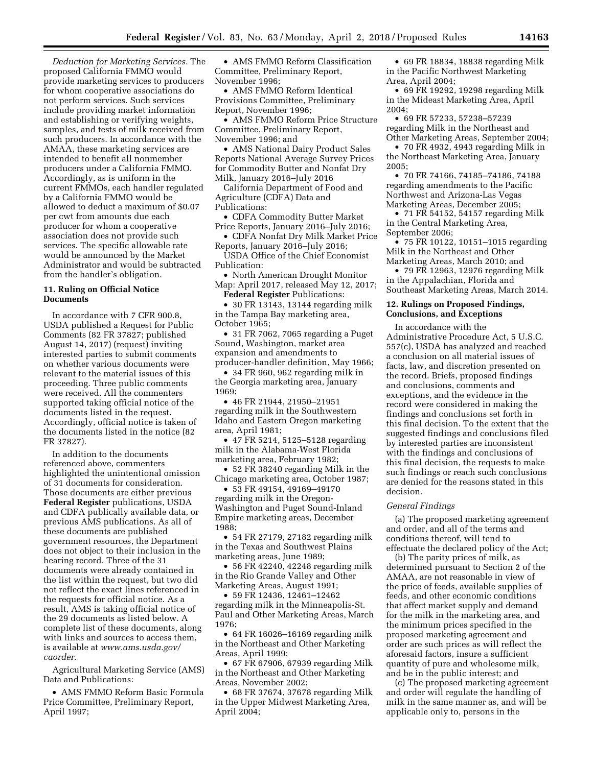*Deduction for Marketing Services.* The proposed California FMMO would provide marketing services to producers for whom cooperative associations do not perform services. Such services include providing market information and establishing or verifying weights, samples, and tests of milk received from such producers. In accordance with the AMAA, these marketing services are intended to benefit all nonmember producers under a California FMMO. Accordingly, as is uniform in the current FMMOs, each handler regulated by a California FMMO would be allowed to deduct a maximum of \$0.07 per cwt from amounts due each producer for whom a cooperative association does not provide such services. The specific allowable rate would be announced by the Market Administrator and would be subtracted from the handler's obligation.

# **11. Ruling on Official Notice Documents**

In accordance with 7 CFR 900.8, USDA published a Request for Public Comments (82 FR 37827; published August 14, 2017) (request) inviting interested parties to submit comments on whether various documents were relevant to the material issues of this proceeding. Three public comments were received. All the commenters supported taking official notice of the documents listed in the request. Accordingly, official notice is taken of the documents listed in the notice (82 FR 37827).

In addition to the documents referenced above, commenters highlighted the unintentional omission of 31 documents for consideration. Those documents are either previous **Federal Register** publications, USDA and CDFA publically available data, or previous AMS publications. As all of these documents are published government resources, the Department does not object to their inclusion in the hearing record. Three of the 31 documents were already contained in the list within the request, but two did not reflect the exact lines referenced in the requests for official notice. As a result, AMS is taking official notice of the 29 documents as listed below. A complete list of these documents, along with links and sources to access them, is available at *[www.ams.usda.gov/](http://www.ams.usda.gov/caorder)  [caorder.](http://www.ams.usda.gov/caorder)* 

Agricultural Marketing Service (AMS) Data and Publications:

• AMS FMMO Reform Basic Formula Price Committee, Preliminary Report, April 1997;

• AMS FMMO Reform Classification Committee, Preliminary Report, November 1996;

• AMS FMMO Reform Identical Provisions Committee, Preliminary Report, November 1996;

• AMS FMMO Reform Price Structure Committee, Preliminary Report, November 1996; and

• AMS National Dairy Product Sales Reports National Average Survey Prices for Commodity Butter and Nonfat Dry Milk, January 2016–July 2016

California Department of Food and Agriculture (CDFA) Data and Publications:

• CDFA Commodity Butter Market Price Reports, January 2016–July 2016;

• CDFA Nonfat Dry Milk Market Price Reports, January 2016–July 2016;

USDA Office of the Chief Economist Publication:

• North American Drought Monitor Map: April 2017, released May 12, 2017;

**Federal Register** Publications:

• 30 FR 13143, 13144 regarding milk in the Tampa Bay marketing area, October 1965;

• 31 FR 7062, 7065 regarding a Puget Sound, Washington, market area expansion and amendments to producer-handler definition, May 1966;

• 34 FR 960, 962 regarding milk in the Georgia marketing area, January 1969;

• 46 FR 21944, 21950–21951 regarding milk in the Southwestern Idaho and Eastern Oregon marketing area, April 1981;

• 47 FR 5214, 5125–5128 regarding milk in the Alabama-West Florida marketing area, February 1982;

• 52 FR 38240 regarding Milk in the Chicago marketing area, October 1987;

• 53 FR 49154, 49169–49170 regarding milk in the Oregon-Washington and Puget Sound-Inland Empire marketing areas, December 1988;

• 54 FR 27179, 27182 regarding milk in the Texas and Southwest Plains marketing areas, June 1989;

• 56 FR 42240, 42248 regarding milk in the Rio Grande Valley and Other Marketing Areas, August 1991;

• 59 FR 12436, 12461–12462 regarding milk in the Minneapolis-St. Paul and Other Marketing Areas, March 1976;

• 64 FR 16026–16169 regarding milk in the Northeast and Other Marketing Areas, April 1999;

• 67 FR 67906, 67939 regarding Milk in the Northeast and Other Marketing Areas, November 2002;

• 68 FR 37674, 37678 regarding Milk in the Upper Midwest Marketing Area, April 2004;

• 69 FR 18834, 18838 regarding Milk in the Pacific Northwest Marketing Area, April 2004;

• 69 FR 19292, 19298 regarding Milk in the Mideast Marketing Area, April 2004;

• 69 FR 57233, 57238–57239 regarding Milk in the Northeast and Other Marketing Areas, September 2004;

• 70 FR 4932, 4943 regarding Milk in the Northeast Marketing Area, January 2005;

• 70 FR 74166, 74185–74186, 74188 regarding amendments to the Pacific Northwest and Arizona-Las Vegas Marketing Areas, December 2005;

• 71 FR 54152, 54157 regarding Milk in the Central Marketing Area, September 2006;

• 75 FR 10122, 10151–1015 regarding Milk in the Northeast and Other Marketing Areas, March 2010; and

• 79 FR 12963, 12976 regarding Milk in the Appalachian, Florida and Southeast Marketing Areas, March 2014.

# **12. Rulings on Proposed Findings, Conclusions, and Exceptions**

In accordance with the Administrative Procedure Act, 5 U.S.C. 557(c), USDA has analyzed and reached a conclusion on all material issues of facts, law, and discretion presented on the record. Briefs, proposed findings and conclusions, comments and exceptions, and the evidence in the record were considered in making the findings and conclusions set forth in this final decision. To the extent that the suggested findings and conclusions filed by interested parties are inconsistent with the findings and conclusions of this final decision, the requests to make such findings or reach such conclusions are denied for the reasons stated in this decision.

# *General Findings*

(a) The proposed marketing agreement and order, and all of the terms and conditions thereof, will tend to effectuate the declared policy of the Act;

(b) The parity prices of milk, as determined pursuant to Section 2 of the AMAA, are not reasonable in view of the price of feeds, available supplies of feeds, and other economic conditions that affect market supply and demand for the milk in the marketing area, and the minimum prices specified in the proposed marketing agreement and order are such prices as will reflect the aforesaid factors, insure a sufficient quantity of pure and wholesome milk, and be in the public interest; and

(c) The proposed marketing agreement and order will regulate the handling of milk in the same manner as, and will be applicable only to, persons in the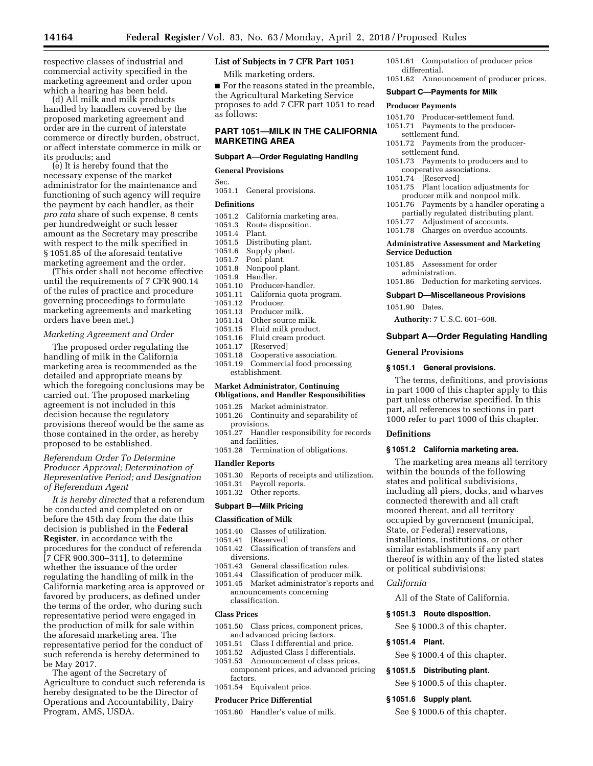respective classes of industrial and commercial activity specified in the marketing agreement and order upon which a hearing has been held.

(d) All milk and milk products handled by handlers covered by the proposed marketing agreement and order are in the current of interstate commerce or directly burden, obstruct, or affect interstate commerce in milk or its products; and

(e) It is hereby found that the necessary expense of the market administrator for the maintenance and functioning of such agency will require the payment by each handler, as their *pro rata* share of such expense, 8 cents per hundredweight or such lesser amount as the Secretary may prescribe with respect to the milk specified in § 1051.85 of the aforesaid tentative marketing agreement and the order.

(This order shall not become effective until the requirements of 7 CFR 900.14 of the rules of practice and procedure governing proceedings to formulate marketing agreements and marketing orders have been met.)

# *Marketing Agreement and Order*

The proposed order regulating the handling of milk in the California marketing area is recommended as the detailed and appropriate means by which the foregoing conclusions may be carried out. The proposed marketing agreement is not included in this decision because the regulatory provisions thereof would be the same as those contained in the order, as hereby proposed to be established.

*Referendum Order To Determine Producer Approval; Determination of Representative Period; and Designation of Referendum Agent* 

*It is hereby directed* that a referendum be conducted and completed on or before the 45th day from the date this decision is published in the **Federal Register**, in accordance with the procedures for the conduct of referenda [7 CFR 900.300–311], to determine whether the issuance of the order regulating the handling of milk in the California marketing area is approved or favored by producers, as defined under the terms of the order, who during such representative period were engaged in the production of milk for sale within the aforesaid marketing area. The representative period for the conduct of such referenda is hereby determined to be May 2017.

The agent of the Secretary of Agriculture to conduct such referenda is hereby designated to be the Director of Operations and Accountability, Dairy Program, AMS, USDA.

# **List of Subjects in 7 CFR Part 1051**

Milk marketing orders.

■ For the reasons stated in the preamble, the Agricultural Marketing Service proposes to add 7 CFR part 1051 to read as follows:

# **PART 1051—MILK IN THE CALIFORNIA MARKETING AREA**

# **Subpart A—Order Regulating Handling**

# **General Provisions**

Sec.

1051.1 General provisions.

#### **Definitions**

- 1051.2 California marketing area.
- Route disposition.<br>Plant
- 1051.4<br>1051.5
- 1051.5 Distributing plant.<br>1051.6 Supply plant.
- 1051.6 Supply plant.<br>1051.7 Pool plant.
- 1051.7 Pool plant.<br>1051.8 Nonpool p
- Nonpool plant.
- 1051.9 Handler.
- 1051.10 Producer-handler.<br>1051.11 California quota pi
- 1051.11 California quota program.
- 1051.12 Producer.<br>1051.13 Producer
- 1051.13 Producer milk.<br>1051.14 Other source m
- 1051.14 Other source milk.<br>1051.15 Fluid milk product
- 1051.15 Fluid milk product.<br>1051.16 Fluid cream product
- 1051.16 Fluid cream product.<br>1051.17 [Reserved]
- 1051.17 [Reserved]<br>1051.18 Cooperativ Cooperative association.
- 1051.19 Commercial food processing
- establishment.

#### **Market Administrator, Continuing Obligations, and Handler Responsibilities**

- 1051.25 Market administrator.
- 1051.26 Continuity and separability of provisions.
- 1051.27 Handler responsibility for records and facilities.
- 1051.28 Termination of obligations.

#### **Handler Reports**

- 1051.30 Reports of receipts and utilization.
- 1051.31 Payroll reports.
- 1051.32 Other reports.

# **Subpart B—Milk Pricing**

#### **Classification of Milk**

- 1051.40 Classes of utilization.
- 1051.41 [Reserved]
- 1051.42 Classification of transfers and diversions.
- 1051.43 General classification rules.
- 1051.44 Classification of producer milk.
- 1051.45 Market administrator's reports and announcements concerning classification.

#### **Class Prices**

- 1051.50 Class prices, component prices, and advanced pricing factors.
- 1051.51 Class I differential and price.
- 1051.52 Adjusted Class I differentials.
- 1051.53 Announcement of class prices, component prices, and advanced pricing factors.

# 1051.54 Equivalent price.

# **Producer Price Differential**

1051.60 Handler's value of milk.

- 1051.61 Computation of producer price differential.
- 1051.62 Announcement of producer prices.

# **Subpart C—Payments for Milk**

# **Producer Payments**

- 1051.70 Producer-settlement fund.
- 1051.71 Payments to the producersettlement fund.
- 1051.72 Payments from the producersettlement fund.
- 1051.73 Payments to producers and to cooperative associations.<br>1051.74 [Reserved]
	- [Reserved]
- 1051.75 Plant location adjustments for
- producer milk and nonpool milk.
- 1051.76 Payments by a handler operating a partially regulated distributing plant.
- 1051.77 Adjustment of accounts.
- 1051.78 Charges on overdue accounts.

### **Administrative Assessment and Marketing Service Deduction**

- 1051.85 Assessment for order administration.
- 1051.86 Deduction for marketing services.

#### **Subpart D—Miscellaneous Provisions**

1051.90 Dates.

**Authority:** 7 U.S.C. 601–608.

### **Subpart A—Order Regulating Handling**

#### **General Provisions**

# **§ 1051.1 General provisions.**

The terms, definitions, and provisions in part 1000 of this chapter apply to this part unless otherwise specified. In this part, all references to sections in part 1000 refer to part 1000 of this chapter.

# **Definitions**

#### **§ 1051.2 California marketing area.**

The marketing area means all territory within the bounds of the following states and political subdivisions, including all piers, docks, and wharves connected therewith and all craft moored thereat, and all territory occupied by government (municipal, State, or Federal) reservations, installations, institutions, or other similar establishments if any part thereof is within any of the listed states or political subdivisions:

# *California*

All of the State of California.

#### **§ 1051.3 Route disposition.**

See § 1000.3 of this chapter.

#### **§ 1051.4 Plant.**

See § 1000.4 of this chapter.

#### **§ 1051.5 Distributing plant.**

See § 1000.5 of this chapter.

#### **§ 1051.6 Supply plant.**

See § 1000.6 of this chapter.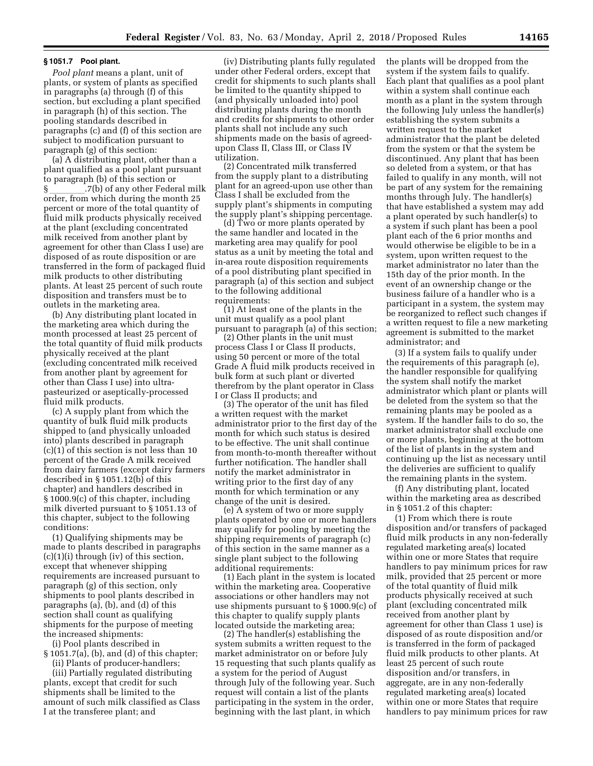# **§ 1051.7 Pool plant.**

*Pool plant* means a plant, unit of plants, or system of plants as specified in paragraphs (a) through (f) of this section, but excluding a plant specified in paragraph (h) of this section. The pooling standards described in paragraphs (c) and (f) of this section are subject to modification pursuant to paragraph (g) of this section:

(a) A distributing plant, other than a plant qualified as a pool plant pursuant to paragraph (b) of this section or § \_\_\_\_\_\_\_.7(b) of any other Federal milk order, from which during the month 25 percent or more of the total quantity of fluid milk products physically received at the plant (excluding concentrated milk received from another plant by agreement for other than Class I use) are disposed of as route disposition or are transferred in the form of packaged fluid milk products to other distributing plants. At least 25 percent of such route disposition and transfers must be to outlets in the marketing area.

(b) Any distributing plant located in the marketing area which during the month processed at least 25 percent of the total quantity of fluid milk products physically received at the plant (excluding concentrated milk received from another plant by agreement for other than Class I use) into ultrapasteurized or aseptically-processed fluid milk products.

(c) A supply plant from which the quantity of bulk fluid milk products shipped to (and physically unloaded into) plants described in paragraph (c)(1) of this section is not less than 10 percent of the Grade A milk received from dairy farmers (except dairy farmers described in § 1051.12(b) of this chapter) and handlers described in § 1000.9(c) of this chapter, including milk diverted pursuant to § 1051.13 of this chapter, subject to the following conditions:

(1) Qualifying shipments may be made to plants described in paragraphs (c)(1)(i) through (iv) of this section, except that whenever shipping requirements are increased pursuant to paragraph (g) of this section, only shipments to pool plants described in paragraphs (a), (b), and (d) of this section shall count as qualifying shipments for the purpose of meeting the increased shipments:

(i) Pool plants described in § 1051.7(a), (b), and (d) of this chapter;

(ii) Plants of producer-handlers;

(iii) Partially regulated distributing plants, except that credit for such shipments shall be limited to the amount of such milk classified as Class I at the transferee plant; and

(iv) Distributing plants fully regulated under other Federal orders, except that credit for shipments to such plants shall be limited to the quantity shipped to (and physically unloaded into) pool distributing plants during the month and credits for shipments to other order plants shall not include any such shipments made on the basis of agreedupon Class II, Class III, or Class IV utilization.

(2) Concentrated milk transferred from the supply plant to a distributing plant for an agreed-upon use other than Class I shall be excluded from the supply plant's shipments in computing the supply plant's shipping percentage.

(d) Two or more plants operated by the same handler and located in the marketing area may qualify for pool status as a unit by meeting the total and in-area route disposition requirements of a pool distributing plant specified in paragraph (a) of this section and subject to the following additional requirements:

(1) At least one of the plants in the unit must qualify as a pool plant pursuant to paragraph (a) of this section;

(2) Other plants in the unit must process Class I or Class II products, using 50 percent or more of the total Grade A fluid milk products received in bulk form at such plant or diverted therefrom by the plant operator in Class I or Class II products; and

(3) The operator of the unit has filed a written request with the market administrator prior to the first day of the month for which such status is desired to be effective. The unit shall continue from month-to-month thereafter without further notification. The handler shall notify the market administrator in writing prior to the first day of any month for which termination or any change of the unit is desired.

(e) A system of two or more supply plants operated by one or more handlers may qualify for pooling by meeting the shipping requirements of paragraph (c) of this section in the same manner as a single plant subject to the following additional requirements:

(1) Each plant in the system is located within the marketing area. Cooperative associations or other handlers may not use shipments pursuant to § 1000.9(c) of this chapter to qualify supply plants located outside the marketing area;

(2) The handler(s) establishing the system submits a written request to the market administrator on or before July 15 requesting that such plants qualify as a system for the period of August through July of the following year. Such request will contain a list of the plants participating in the system in the order, beginning with the last plant, in which

the plants will be dropped from the system if the system fails to qualify. Each plant that qualifies as a pool plant within a system shall continue each month as a plant in the system through the following July unless the handler(s) establishing the system submits a written request to the market administrator that the plant be deleted from the system or that the system be discontinued. Any plant that has been so deleted from a system, or that has failed to qualify in any month, will not be part of any system for the remaining months through July. The handler(s) that have established a system may add a plant operated by such handler(s) to a system if such plant has been a pool plant each of the 6 prior months and would otherwise be eligible to be in a system, upon written request to the market administrator no later than the 15th day of the prior month. In the event of an ownership change or the business failure of a handler who is a participant in a system, the system may be reorganized to reflect such changes if a written request to file a new marketing agreement is submitted to the market administrator; and

(3) If a system fails to qualify under the requirements of this paragraph (e), the handler responsible for qualifying the system shall notify the market administrator which plant or plants will be deleted from the system so that the remaining plants may be pooled as a system. If the handler fails to do so, the market administrator shall exclude one or more plants, beginning at the bottom of the list of plants in the system and continuing up the list as necessary until the deliveries are sufficient to qualify the remaining plants in the system.

(f) Any distributing plant, located within the marketing area as described in § 1051.2 of this chapter:

(1) From which there is route disposition and/or transfers of packaged fluid milk products in any non-federally regulated marketing area(s) located within one or more States that require handlers to pay minimum prices for raw milk, provided that 25 percent or more of the total quantity of fluid milk products physically received at such plant (excluding concentrated milk received from another plant by agreement for other than Class 1 use) is disposed of as route disposition and/or is transferred in the form of packaged fluid milk products to other plants. At least 25 percent of such route disposition and/or transfers, in aggregate, are in any non-federally regulated marketing area(s) located within one or more States that require handlers to pay minimum prices for raw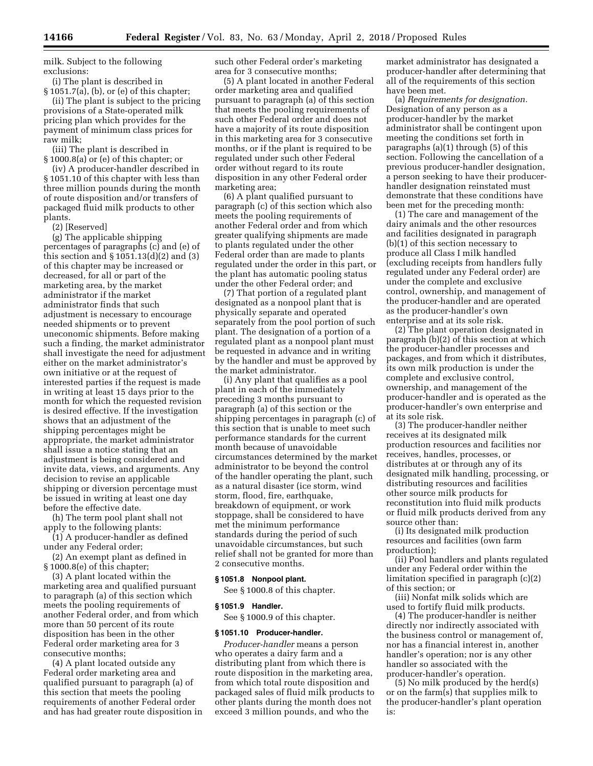milk. Subject to the following exclusions:

(i) The plant is described in § 1051.7(a), (b), or (e) of this chapter;

(ii) The plant is subject to the pricing provisions of a State-operated milk pricing plan which provides for the payment of minimum class prices for raw milk;

(iii) The plant is described in § 1000.8(a) or (e) of this chapter; or

(iv) A producer-handler described in § 1051.10 of this chapter with less than three million pounds during the month of route disposition and/or transfers of packaged fluid milk products to other plants.

(2) [Reserved]

(g) The applicable shipping percentages of paragraphs (c) and (e) of this section and  $\S 1051.13(d)(2)$  and  $(3)$ of this chapter may be increased or decreased, for all or part of the marketing area, by the market administrator if the market administrator finds that such adjustment is necessary to encourage needed shipments or to prevent uneconomic shipments. Before making such a finding, the market administrator shall investigate the need for adjustment either on the market administrator's own initiative or at the request of interested parties if the request is made in writing at least 15 days prior to the month for which the requested revision is desired effective. If the investigation shows that an adjustment of the shipping percentages might be appropriate, the market administrator shall issue a notice stating that an adjustment is being considered and invite data, views, and arguments. Any decision to revise an applicable shipping or diversion percentage must be issued in writing at least one day before the effective date.

(h) The term pool plant shall not apply to the following plants:

(1) A producer-handler as defined under any Federal order;

(2) An exempt plant as defined in § 1000.8(e) of this chapter;

(3) A plant located within the marketing area and qualified pursuant to paragraph (a) of this section which meets the pooling requirements of another Federal order, and from which more than 50 percent of its route disposition has been in the other Federal order marketing area for 3 consecutive months;

(4) A plant located outside any Federal order marketing area and qualified pursuant to paragraph (a) of this section that meets the pooling requirements of another Federal order and has had greater route disposition in such other Federal order's marketing area for 3 consecutive months;

(5) A plant located in another Federal order marketing area and qualified pursuant to paragraph (a) of this section that meets the pooling requirements of such other Federal order and does not have a majority of its route disposition in this marketing area for 3 consecutive months, or if the plant is required to be regulated under such other Federal order without regard to its route disposition in any other Federal order marketing area;

(6) A plant qualified pursuant to paragraph (c) of this section which also meets the pooling requirements of another Federal order and from which greater qualifying shipments are made to plants regulated under the other Federal order than are made to plants regulated under the order in this part, or the plant has automatic pooling status under the other Federal order; and

(7) That portion of a regulated plant designated as a nonpool plant that is physically separate and operated separately from the pool portion of such plant. The designation of a portion of a regulated plant as a nonpool plant must be requested in advance and in writing by the handler and must be approved by the market administrator.

(i) Any plant that qualifies as a pool plant in each of the immediately preceding 3 months pursuant to paragraph (a) of this section or the shipping percentages in paragraph (c) of this section that is unable to meet such performance standards for the current month because of unavoidable circumstances determined by the market administrator to be beyond the control of the handler operating the plant, such as a natural disaster (ice storm, wind storm, flood, fire, earthquake, breakdown of equipment, or work stoppage, shall be considered to have met the minimum performance standards during the period of such unavoidable circumstances, but such relief shall not be granted for more than 2 consecutive months.

# **§ 1051.8 Nonpool plant.**

See § 1000.8 of this chapter.

# **§ 1051.9 Handler.**

See § 1000.9 of this chapter.

# **§ 1051.10 Producer-handler.**

*Producer-handler* means a person who operates a dairy farm and a distributing plant from which there is route disposition in the marketing area, from which total route disposition and packaged sales of fluid milk products to other plants during the month does not exceed 3 million pounds, and who the

market administrator has designated a producer-handler after determining that all of the requirements of this section have been met.

(a) *Requirements for designation.*  Designation of any person as a producer-handler by the market administrator shall be contingent upon meeting the conditions set forth in paragraphs (a)(1) through (5) of this section. Following the cancellation of a previous producer-handler designation, a person seeking to have their producerhandler designation reinstated must demonstrate that these conditions have been met for the preceding month:

(1) The care and management of the dairy animals and the other resources and facilities designated in paragraph (b)(1) of this section necessary to produce all Class I milk handled (excluding receipts from handlers fully regulated under any Federal order) are under the complete and exclusive control, ownership, and management of the producer-handler and are operated as the producer-handler's own enterprise and at its sole risk.

(2) The plant operation designated in paragraph (b)(2) of this section at which the producer-handler processes and packages, and from which it distributes, its own milk production is under the complete and exclusive control, ownership, and management of the producer-handler and is operated as the producer-handler's own enterprise and at its sole risk.

(3) The producer-handler neither receives at its designated milk production resources and facilities nor receives, handles, processes, or distributes at or through any of its designated milk handling, processing, or distributing resources and facilities other source milk products for reconstitution into fluid milk products or fluid milk products derived from any source other than:

(i) Its designated milk production resources and facilities (own farm production);

(ii) Pool handlers and plants regulated under any Federal order within the limitation specified in paragraph (c)(2) of this section; or

(iii) Nonfat milk solids which are used to fortify fluid milk products.

(4) The producer-handler is neither directly nor indirectly associated with the business control or management of, nor has a financial interest in, another handler's operation; nor is any other handler so associated with the producer-handler's operation.

(5) No milk produced by the herd(s) or on the farm(s) that supplies milk to the producer-handler's plant operation is: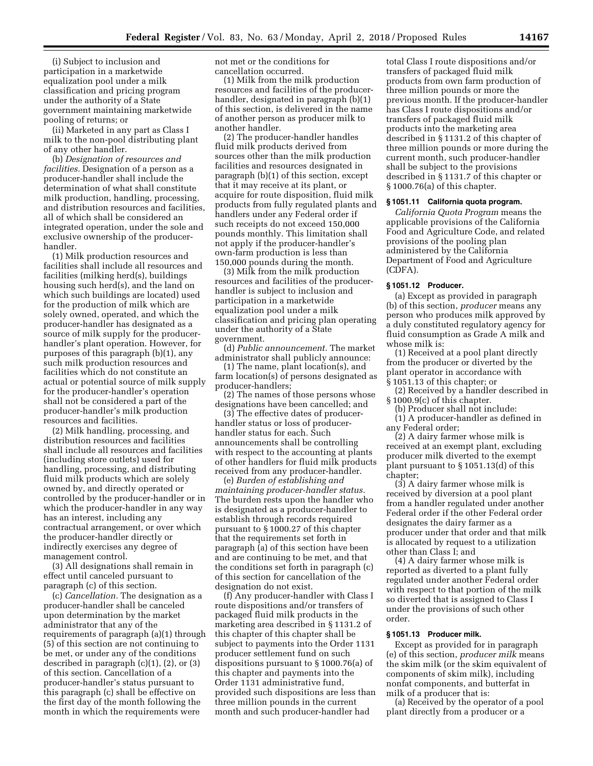(i) Subject to inclusion and participation in a marketwide equalization pool under a milk classification and pricing program under the authority of a State government maintaining marketwide pooling of returns; or

(ii) Marketed in any part as Class I milk to the non-pool distributing plant of any other handler.

(b) *Designation of resources and facilities.* Designation of a person as a producer-handler shall include the determination of what shall constitute milk production, handling, processing, and distribution resources and facilities, all of which shall be considered an integrated operation, under the sole and exclusive ownership of the producerhandler.

(1) Milk production resources and facilities shall include all resources and facilities (milking herd(s), buildings housing such herd(s), and the land on which such buildings are located) used for the production of milk which are solely owned, operated, and which the producer-handler has designated as a source of milk supply for the producerhandler's plant operation. However, for purposes of this paragraph (b)(1), any such milk production resources and facilities which do not constitute an actual or potential source of milk supply for the producer-handler's operation shall not be considered a part of the producer-handler's milk production resources and facilities.

(2) Milk handling, processing, and distribution resources and facilities shall include all resources and facilities (including store outlets) used for handling, processing, and distributing fluid milk products which are solely owned by, and directly operated or controlled by the producer-handler or in which the producer-handler in any way has an interest, including any contractual arrangement, or over which the producer-handler directly or indirectly exercises any degree of management control.

(3) All designations shall remain in effect until canceled pursuant to paragraph (c) of this section.

(c) *Cancellation.* The designation as a producer-handler shall be canceled upon determination by the market administrator that any of the requirements of paragraph (a)(1) through (5) of this section are not continuing to be met, or under any of the conditions described in paragraph (c)(1), (2), or (3) of this section. Cancellation of a producer-handler's status pursuant to this paragraph (c) shall be effective on the first day of the month following the month in which the requirements were

not met or the conditions for cancellation occurred.

(1) Milk from the milk production resources and facilities of the producerhandler, designated in paragraph (b)(1) of this section, is delivered in the name of another person as producer milk to another handler.

(2) The producer-handler handles fluid milk products derived from sources other than the milk production facilities and resources designated in paragraph (b)(1) of this section, except that it may receive at its plant, or acquire for route disposition, fluid milk products from fully regulated plants and handlers under any Federal order if such receipts do not exceed 150,000 pounds monthly. This limitation shall not apply if the producer-handler's own-farm production is less than 150,000 pounds during the month.

(3) Milk from the milk production resources and facilities of the producerhandler is subject to inclusion and participation in a marketwide equalization pool under a milk classification and pricing plan operating under the authority of a State government.

(d) *Public announcement.* The market administrator shall publicly announce:

(1) The name, plant location(s), and farm location(s) of persons designated as producer-handlers;

(2) The names of those persons whose designations have been cancelled; and

(3) The effective dates of producerhandler status or loss of producerhandler status for each. Such announcements shall be controlling with respect to the accounting at plants of other handlers for fluid milk products received from any producer-handler.

(e) *Burden of establishing and maintaining producer-handler status.*  The burden rests upon the handler who is designated as a producer-handler to establish through records required pursuant to § 1000.27 of this chapter that the requirements set forth in paragraph (a) of this section have been and are continuing to be met, and that the conditions set forth in paragraph (c) of this section for cancellation of the designation do not exist.

(f) Any producer-handler with Class I route dispositions and/or transfers of packaged fluid milk products in the marketing area described in § 1131.2 of this chapter of this chapter shall be subject to payments into the Order 1131 producer settlement fund on such dispositions pursuant to § 1000.76(a) of this chapter and payments into the Order 1131 administrative fund, provided such dispositions are less than three million pounds in the current month and such producer-handler had

total Class I route dispositions and/or transfers of packaged fluid milk products from own farm production of three million pounds or more the previous month. If the producer-handler has Class I route dispositions and/or transfers of packaged fluid milk products into the marketing area described in § 1131.2 of this chapter of three million pounds or more during the current month, such producer-handler shall be subject to the provisions described in § 1131.7 of this chapter or § 1000.76(a) of this chapter.

# **§ 1051.11 California quota program.**

*California Quota Program* means the applicable provisions of the California Food and Agriculture Code, and related provisions of the pooling plan administered by the California Department of Food and Agriculture (CDFA).

# **§ 1051.12 Producer.**

(a) Except as provided in paragraph (b) of this section, *producer* means any person who produces milk approved by a duly constituted regulatory agency for fluid consumption as Grade A milk and whose milk is:

(1) Received at a pool plant directly from the producer or diverted by the plant operator in accordance with § 1051.13 of this chapter; or

(2) Received by a handler described in § 1000.9(c) of this chapter.

(b) Producer shall not include:

(1) A producer-handler as defined in any Federal order;

(2) A dairy farmer whose milk is received at an exempt plant, excluding producer milk diverted to the exempt plant pursuant to § 1051.13(d) of this chapter;

(3) A dairy farmer whose milk is received by diversion at a pool plant from a handler regulated under another Federal order if the other Federal order designates the dairy farmer as a producer under that order and that milk is allocated by request to a utilization other than Class I; and

(4) A dairy farmer whose milk is reported as diverted to a plant fully regulated under another Federal order with respect to that portion of the milk so diverted that is assigned to Class I under the provisions of such other order.

#### **§ 1051.13 Producer milk.**

Except as provided for in paragraph (e) of this section, *producer milk* means the skim milk (or the skim equivalent of components of skim milk), including nonfat components, and butterfat in milk of a producer that is:

(a) Received by the operator of a pool plant directly from a producer or a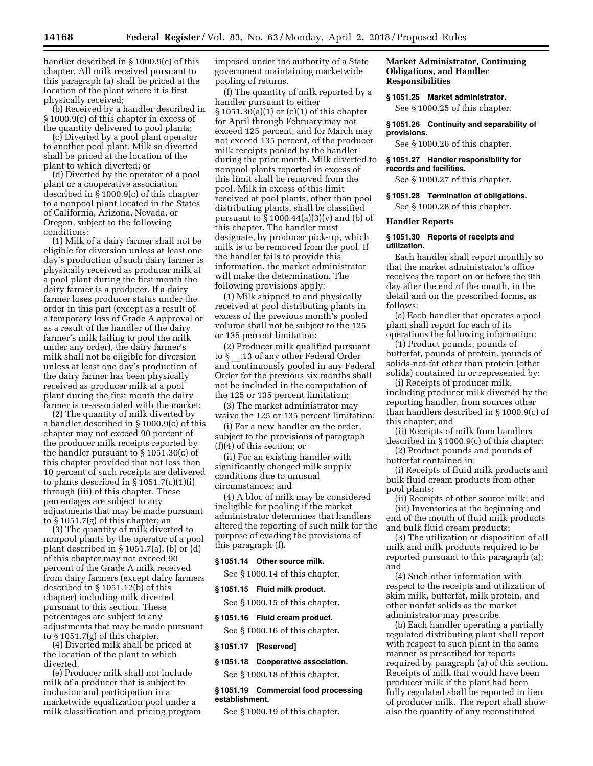handler described in § 1000.9(c) of this chapter. All milk received pursuant to this paragraph (a) shall be priced at the location of the plant where it is first physically received;

(b) Received by a handler described in § 1000.9(c) of this chapter in excess of the quantity delivered to pool plants;

(c) Diverted by a pool plant operator to another pool plant. Milk so diverted shall be priced at the location of the plant to which diverted; or

(d) Diverted by the operator of a pool plant or a cooperative association described in § 1000.9(c) of this chapter to a nonpool plant located in the States of California, Arizona, Nevada, or Oregon, subject to the following conditions:

(1) Milk of a dairy farmer shall not be eligible for diversion unless at least one day's production of such dairy farmer is physically received as producer milk at a pool plant during the first month the dairy farmer is a producer. If a dairy farmer loses producer status under the order in this part (except as a result of a temporary loss of Grade A approval or as a result of the handler of the dairy farmer's milk failing to pool the milk under any order), the dairy farmer's milk shall not be eligible for diversion unless at least one day's production of the dairy farmer has been physically received as producer milk at a pool plant during the first month the dairy farmer is re-associated with the market;

(2) The quantity of milk diverted by a handler described in § 1000.9(c) of this chapter may not exceed 90 percent of the producer milk receipts reported by the handler pursuant to § 1051.30(c) of this chapter provided that not less than 10 percent of such receipts are delivered to plants described in § 1051.7(c)(1)(i) through (iii) of this chapter. These percentages are subject to any adjustments that may be made pursuant to § 1051.7(g) of this chapter; an

(3) The quantity of milk diverted to nonpool plants by the operator of a pool plant described in § 1051.7(a), (b) or (d) of this chapter may not exceed 90 percent of the Grade A milk received from dairy farmers (except dairy farmers described in § 1051.12(b) of this chapter) including milk diverted pursuant to this section. These percentages are subject to any adjustments that may be made pursuant to § 1051.7(g) of this chapter.

(4) Diverted milk shall be priced at the location of the plant to which diverted.

(e) Producer milk shall not include milk of a producer that is subject to inclusion and participation in a marketwide equalization pool under a milk classification and pricing program imposed under the authority of a State government maintaining marketwide pooling of returns.

(f) The quantity of milk reported by a handler pursuant to either § 1051.30(a)(1) or (c)(1) of this chapter for April through February may not exceed 125 percent, and for March may not exceed 135 percent, of the producer milk receipts pooled by the handler during the prior month. Milk diverted to nonpool plants reported in excess of this limit shall be removed from the pool. Milk in excess of this limit received at pool plants, other than pool distributing plants, shall be classified pursuant to  $\S 1000.44(a)(3)(v)$  and (b) of this chapter. The handler must designate, by producer pick-up, which milk is to be removed from the pool. If the handler fails to provide this information, the market administrator will make the determination. The following provisions apply:

(1) Milk shipped to and physically received at pool distributing plants in excess of the previous month's pooled volume shall not be subject to the 125 or 135 percent limitation;

(2) Producer milk qualified pursuant to § .13 of any other Federal Order and continuously pooled in any Federal Order for the previous six months shall not be included in the computation of the 125 or 135 percent limitation;

(3) The market administrator may waive the 125 or 135 percent limitation:

(i) For a new handler on the order, subject to the provisions of paragraph (f)(4) of this section; or

(ii) For an existing handler with significantly changed milk supply conditions due to unusual circumstances; and

(4) A bloc of milk may be considered ineligible for pooling if the market administrator determines that handlers altered the reporting of such milk for the purpose of evading the provisions of this paragraph (f).

#### **§ 1051.14 Other source milk.**

See § 1000.14 of this chapter.

# **§ 1051.15 Fluid milk product.**

See § 1000.15 of this chapter.

# **§ 1051.16 Fluid cream product.**

See § 1000.16 of this chapter.

#### **§ 1051.17 [Reserved]**

**§ 1051.18 Cooperative association.** 

See § 1000.18 of this chapter.

# **§ 1051.19 Commercial food processing establishment.**

See § 1000.19 of this chapter.

# **Market Administrator, Continuing Obligations, and Handler Responsibilities**

#### **§ 1051.25 Market administrator.**

See § 1000.25 of this chapter.

#### **§ 1051.26 Continuity and separability of provisions.**

See § 1000.26 of this chapter.

#### **§ 1051.27 Handler responsibility for records and facilities.**

See § 1000.27 of this chapter.

# **§ 1051.28 Termination of obligations.**  See § 1000.28 of this chapter.

#### **Handler Reports**

# **§ 1051.30 Reports of receipts and utilization.**

Each handler shall report monthly so that the market administrator's office receives the report on or before the 9th day after the end of the month, in the detail and on the prescribed forms, as follows:

(a) Each handler that operates a pool plant shall report for each of its operations the following information:

(1) Product pounds, pounds of butterfat, pounds of protein, pounds of solids-not-fat other than protein (other solids) contained in or represented by:

(i) Receipts of producer milk, including producer milk diverted by the reporting handler, from sources other than handlers described in § 1000.9(c) of this chapter; and

(ii) Receipts of milk from handlers described in § 1000.9(c) of this chapter;

(2) Product pounds and pounds of butterfat contained in:

(i) Receipts of fluid milk products and bulk fluid cream products from other pool plants;

(ii) Receipts of other source milk; and (iii) Inventories at the beginning and end of the month of fluid milk products and bulk fluid cream products;

(3) The utilization or disposition of all milk and milk products required to be reported pursuant to this paragraph (a); and

(4) Such other information with respect to the receipts and utilization of skim milk, butterfat, milk protein, and other nonfat solids as the market administrator may prescribe.

(b) Each handler operating a partially regulated distributing plant shall report with respect to such plant in the same manner as prescribed for reports required by paragraph (a) of this section. Receipts of milk that would have been producer milk if the plant had been fully regulated shall be reported in lieu of producer milk. The report shall show also the quantity of any reconstituted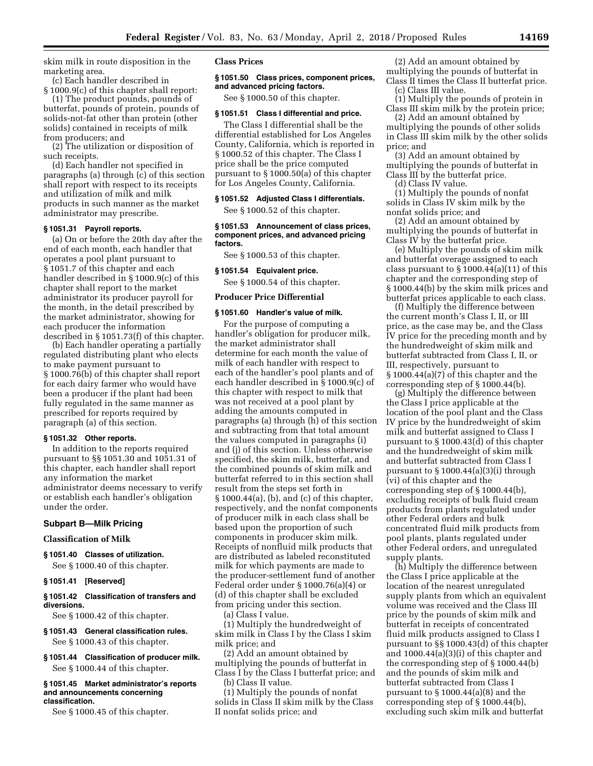skim milk in route disposition in the marketing area.

(c) Each handler described in § 1000.9(c) of this chapter shall report:

(1) The product pounds, pounds of butterfat, pounds of protein, pounds of solids-not-fat other than protein (other solids) contained in receipts of milk from producers; and

(2) The utilization or disposition of such receipts.

(d) Each handler not specified in paragraphs (a) through (c) of this section shall report with respect to its receipts and utilization of milk and milk products in such manner as the market administrator may prescribe.

#### **§ 1051.31 Payroll reports.**

(a) On or before the 20th day after the end of each month, each handler that operates a pool plant pursuant to § 1051.7 of this chapter and each handler described in § 1000.9(c) of this chapter shall report to the market administrator its producer payroll for the month, in the detail prescribed by the market administrator, showing for each producer the information described in § 1051.73(f) of this chapter.

(b) Each handler operating a partially regulated distributing plant who elects to make payment pursuant to § 1000.76(b) of this chapter shall report for each dairy farmer who would have been a producer if the plant had been fully regulated in the same manner as prescribed for reports required by paragraph (a) of this section.

#### **§ 1051.32 Other reports.**

In addition to the reports required pursuant to §§ 1051.30 and 1051.31 of this chapter, each handler shall report any information the market administrator deems necessary to verify or establish each handler's obligation under the order.

# **Subpart B—Milk Pricing**

**Classification of Milk** 

**§ 1051.40 Classes of utilization.**  See § 1000.40 of this chapter.

#### **§ 1051.41 [Reserved]**

# **§ 1051.42 Classification of transfers and diversions.**

See § 1000.42 of this chapter.

- **§ 1051.43 General classification rules.**  See § 1000.43 of this chapter.
- **§ 1051.44 Classification of producer milk.**  See § 1000.44 of this chapter.

#### **§ 1051.45 Market administrator's reports and announcements concerning classification.**

See § 1000.45 of this chapter.

# **Class Prices**

# **§ 1051.50 Class prices, component prices, and advanced pricing factors.**

See § 1000.50 of this chapter.

# **§ 1051.51 Class I differential and price.**

The Class I differential shall be the differential established for Los Angeles County, California, which is reported in § 1000.52 of this chapter. The Class I price shall be the price computed pursuant to § 1000.50(a) of this chapter for Los Angeles County, California.

### **§ 1051.52 Adjusted Class I differentials.**

See § 1000.52 of this chapter.

#### **§ 1051.53 Announcement of class prices, component prices, and advanced pricing factors.**

See § 1000.53 of this chapter.

# **§ 1051.54 Equivalent price.**

See § 1000.54 of this chapter.

# **Producer Price Differential**

# **§ 1051.60 Handler's value of milk.**

For the purpose of computing a handler's obligation for producer milk, the market administrator shall determine for each month the value of milk of each handler with respect to each of the handler's pool plants and of each handler described in § 1000.9(c) of this chapter with respect to milk that was not received at a pool plant by adding the amounts computed in paragraphs (a) through (h) of this section and subtracting from that total amount the values computed in paragraphs (i) and (j) of this section. Unless otherwise specified, the skim milk, butterfat, and the combined pounds of skim milk and butterfat referred to in this section shall result from the steps set forth in § 1000.44(a), (b), and (c) of this chapter, respectively, and the nonfat components of producer milk in each class shall be based upon the proportion of such components in producer skim milk. Receipts of nonfluid milk products that are distributed as labeled reconstituted milk for which payments are made to the producer-settlement fund of another Federal order under § 1000.76(a)(4) or (d) of this chapter shall be excluded from pricing under this section.

(a) Class I value.

(1) Multiply the hundredweight of skim milk in Class I by the Class I skim milk price; and

(2) Add an amount obtained by multiplying the pounds of butterfat in Class I by the Class I butterfat price; and (b) Class II value.

(1) Multiply the pounds of nonfat solids in Class II skim milk by the Class II nonfat solids price; and

(2) Add an amount obtained by multiplying the pounds of butterfat in Class II times the Class II butterfat price. (c) Class III value.

(1) Multiply the pounds of protein in Class III skim milk by the protein price;

(2) Add an amount obtained by multiplying the pounds of other solids in Class III skim milk by the other solids price; and

(3) Add an amount obtained by multiplying the pounds of butterfat in Class III by the butterfat price.

(d) Class IV value.

(1) Multiply the pounds of nonfat solids in Class IV skim milk by the nonfat solids price; and

(2) Add an amount obtained by multiplying the pounds of butterfat in Class IV by the butterfat price.

(e) Multiply the pounds of skim milk and butterfat overage assigned to each class pursuant to  $\S 1000.44(a)(11)$  of this chapter and the corresponding step of § 1000.44(b) by the skim milk prices and butterfat prices applicable to each class.

(f) Multiply the difference between the current month's Class I, II, or III price, as the case may be, and the Class IV price for the preceding month and by the hundredweight of skim milk and butterfat subtracted from Class I, II, or III, respectively, pursuant to § 1000.44(a)(7) of this chapter and the corresponding step of § 1000.44(b).

(g) Multiply the difference between the Class I price applicable at the location of the pool plant and the Class IV price by the hundredweight of skim milk and butterfat assigned to Class I pursuant to § 1000.43(d) of this chapter and the hundredweight of skim milk and butterfat subtracted from Class I pursuant to  $\S 1000.44(a)(3)(i)$  through (vi) of this chapter and the corresponding step of § 1000.44(b), excluding receipts of bulk fluid cream products from plants regulated under other Federal orders and bulk concentrated fluid milk products from pool plants, plants regulated under other Federal orders, and unregulated supply plants.

(h) Multiply the difference between the Class I price applicable at the location of the nearest unregulated supply plants from which an equivalent volume was received and the Class III price by the pounds of skim milk and butterfat in receipts of concentrated fluid milk products assigned to Class I pursuant to §§ 1000.43(d) of this chapter and 1000.44(a)(3)(i) of this chapter and the corresponding step of § 1000.44(b) and the pounds of skim milk and butterfat subtracted from Class I pursuant to  $\S 1000.44(a)(8)$  and the corresponding step of § 1000.44(b), excluding such skim milk and butterfat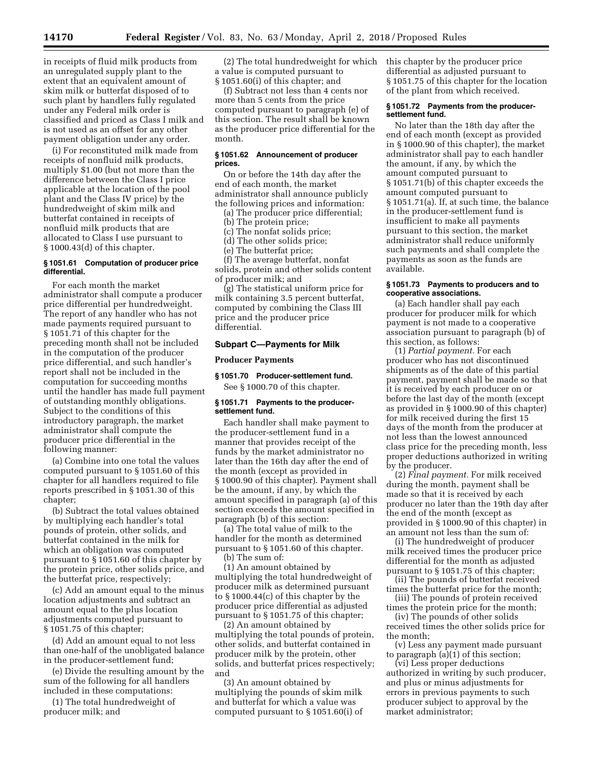in receipts of fluid milk products from an unregulated supply plant to the extent that an equivalent amount of skim milk or butterfat disposed of to such plant by handlers fully regulated under any Federal milk order is classified and priced as Class I milk and is not used as an offset for any other payment obligation under any order.

(i) For reconstituted milk made from receipts of nonfluid milk products, multiply \$1.00 (but not more than the difference between the Class I price applicable at the location of the pool plant and the Class IV price) by the hundredweight of skim milk and butterfat contained in receipts of nonfluid milk products that are allocated to Class I use pursuant to § 1000.43(d) of this chapter.

# **§ 1051.61 Computation of producer price differential.**

For each month the market administrator shall compute a producer price differential per hundredweight. The report of any handler who has not made payments required pursuant to § 1051.71 of this chapter for the preceding month shall not be included in the computation of the producer price differential, and such handler's report shall not be included in the computation for succeeding months until the handler has made full payment of outstanding monthly obligations. Subject to the conditions of this introductory paragraph, the market administrator shall compute the producer price differential in the following manner:

(a) Combine into one total the values computed pursuant to § 1051.60 of this chapter for all handlers required to file reports prescribed in § 1051.30 of this chapter;

(b) Subtract the total values obtained by multiplying each handler's total pounds of protein, other solids, and butterfat contained in the milk for which an obligation was computed pursuant to § 1051.60 of this chapter by the protein price, other solids price, and the butterfat price, respectively;

(c) Add an amount equal to the minus location adjustments and subtract an amount equal to the plus location adjustments computed pursuant to § 1051.75 of this chapter;

(d) Add an amount equal to not less than one-half of the unobligated balance in the producer-settlement fund;

(e) Divide the resulting amount by the sum of the following for all handlers included in these computations:

(1) The total hundredweight of producer milk; and

(2) The total hundredweight for which a value is computed pursuant to § 1051.60(i) of this chapter; and

(f) Subtract not less than 4 cents nor more than 5 cents from the price computed pursuant to paragraph (e) of this section. The result shall be known as the producer price differential for the month.

### **§ 1051.62 Announcement of producer prices.**

On or before the 14th day after the end of each month, the market administrator shall announce publicly

the following prices and information: (a) The producer price differential;

(b) The protein price;

(c) The nonfat solids price;

- (d) The other solids price;
- (e) The butterfat price;

(f) The average butterfat, nonfat solids, protein and other solids content of producer milk; and

(g) The statistical uniform price for milk containing 3.5 percent butterfat, computed by combining the Class III price and the producer price differential.

# **Subpart C—Payments for Milk**

#### **Producer Payments**

# **§ 1051.70 Producer-settlement fund.**

See § 1000.70 of this chapter.

#### **§ 1051.71 Payments to the producersettlement fund.**

Each handler shall make payment to the producer-settlement fund in a manner that provides receipt of the funds by the market administrator no later than the 16th day after the end of the month (except as provided in § 1000.90 of this chapter). Payment shall be the amount, if any, by which the amount specified in paragraph (a) of this section exceeds the amount specified in paragraph (b) of this section:

(a) The total value of milk to the handler for the month as determined pursuant to § 1051.60 of this chapter. (b) The sum of:

(1) An amount obtained by multiplying the total hundredweight of producer milk as determined pursuant to § 1000.44(c) of this chapter by the producer price differential as adjusted pursuant to § 1051.75 of this chapter;

(2) An amount obtained by multiplying the total pounds of protein, other solids, and butterfat contained in producer milk by the protein, other solids, and butterfat prices respectively; and

(3) An amount obtained by multiplying the pounds of skim milk and butterfat for which a value was computed pursuant to § 1051.60(i) of this chapter by the producer price differential as adjusted pursuant to § 1051.75 of this chapter for the location of the plant from which received.

# **§ 1051.72 Payments from the producersettlement fund.**

No later than the 18th day after the end of each month (except as provided in § 1000.90 of this chapter), the market administrator shall pay to each handler the amount, if any, by which the amount computed pursuant to § 1051.71(b) of this chapter exceeds the amount computed pursuant to § 1051.71(a). If, at such time, the balance in the producer-settlement fund is insufficient to make all payments pursuant to this section, the market administrator shall reduce uniformly such payments and shall complete the payments as soon as the funds are available.

# **§ 1051.73 Payments to producers and to cooperative associations.**

(a) Each handler shall pay each producer for producer milk for which payment is not made to a cooperative association pursuant to paragraph (b) of this section, as follows:

(1) *Partial payment.* For each producer who has not discontinued shipments as of the date of this partial payment, payment shall be made so that it is received by each producer on or before the last day of the month (except as provided in § 1000.90 of this chapter) for milk received during the first 15 days of the month from the producer at not less than the lowest announced class price for the preceding month, less proper deductions authorized in writing by the producer.

(2) *Final payment.* For milk received during the month, payment shall be made so that it is received by each producer no later than the 19th day after the end of the month (except as provided in § 1000.90 of this chapter) in an amount not less than the sum of:

(i) The hundredweight of producer milk received times the producer price differential for the month as adjusted pursuant to § 1051.75 of this chapter;

(ii) The pounds of butterfat received times the butterfat price for the month;

(iii) The pounds of protein received times the protein price for the month;

(iv) The pounds of other solids received times the other solids price for the month;

(v) Less any payment made pursuant to paragraph (a)(1) of this section;

(vi) Less proper deductions authorized in writing by such producer, and plus or minus adjustments for errors in previous payments to such producer subject to approval by the market administrator;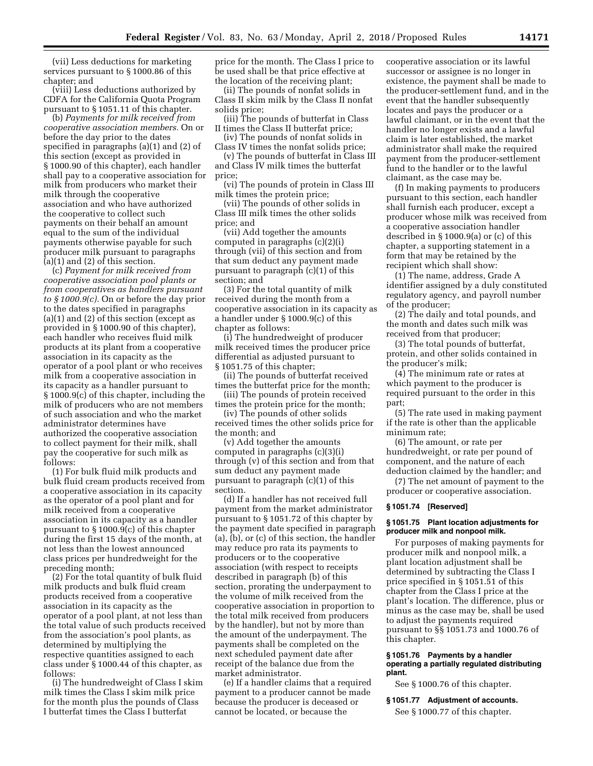(vii) Less deductions for marketing services pursuant to § 1000.86 of this chapter; and

(viii) Less deductions authorized by CDFA for the California Quota Program pursuant to § 1051.11 of this chapter.

(b) *Payments for milk received from cooperative association members.* On or before the day prior to the dates specified in paragraphs (a)(1) and (2) of this section (except as provided in § 1000.90 of this chapter), each handler shall pay to a cooperative association for milk from producers who market their milk through the cooperative association and who have authorized the cooperative to collect such payments on their behalf an amount equal to the sum of the individual payments otherwise payable for such producer milk pursuant to paragraphs (a)(1) and (2) of this section.

(c) *Payment for milk received from cooperative association pool plants or from cooperatives as handlers pursuant to § 1000.9(c).* On or before the day prior to the dates specified in paragraphs (a)(1) and (2) of this section (except as provided in § 1000.90 of this chapter), each handler who receives fluid milk products at its plant from a cooperative association in its capacity as the operator of a pool plant or who receives milk from a cooperative association in its capacity as a handler pursuant to § 1000.9(c) of this chapter, including the milk of producers who are not members of such association and who the market administrator determines have authorized the cooperative association to collect payment for their milk, shall pay the cooperative for such milk as follows:

(1) For bulk fluid milk products and bulk fluid cream products received from a cooperative association in its capacity as the operator of a pool plant and for milk received from a cooperative association in its capacity as a handler pursuant to § 1000.9(c) of this chapter during the first 15 days of the month, at not less than the lowest announced class prices per hundredweight for the preceding month;

(2) For the total quantity of bulk fluid milk products and bulk fluid cream products received from a cooperative association in its capacity as the operator of a pool plant, at not less than the total value of such products received from the association's pool plants, as determined by multiplying the respective quantities assigned to each class under § 1000.44 of this chapter, as follows:

(i) The hundredweight of Class I skim milk times the Class I skim milk price for the month plus the pounds of Class I butterfat times the Class I butterfat

price for the month. The Class I price to be used shall be that price effective at the location of the receiving plant;

(ii) The pounds of nonfat solids in Class II skim milk by the Class II nonfat solids price;

(iii) The pounds of butterfat in Class II times the Class II butterfat price; (iv) The pounds of nonfat solids in

Class IV times the nonfat solids price; (v) The pounds of butterfat in Class III

and Class IV milk times the butterfat price;

(vi) The pounds of protein in Class III milk times the protein price;

(vii) The pounds of other solids in Class III milk times the other solids price; and

(vii) Add together the amounts computed in paragraphs (c)(2)(i) through (vii) of this section and from that sum deduct any payment made pursuant to paragraph (c)(1) of this section; and

(3) For the total quantity of milk received during the month from a cooperative association in its capacity as a handler under § 1000.9(c) of this chapter as follows:

(i) The hundredweight of producer milk received times the producer price differential as adjusted pursuant to § 1051.75 of this chapter;

(ii) The pounds of butterfat received times the butterfat price for the month;

(iii) The pounds of protein received times the protein price for the month;

(iv) The pounds of other solids received times the other solids price for the month; and

(v) Add together the amounts computed in paragraphs (c)(3)(i) through (v) of this section and from that sum deduct any payment made pursuant to paragraph (c)(1) of this section.

(d) If a handler has not received full payment from the market administrator pursuant to § 1051.72 of this chapter by the payment date specified in paragraph (a), (b), or (c) of this section, the handler may reduce pro rata its payments to producers or to the cooperative association (with respect to receipts described in paragraph (b) of this section, prorating the underpayment to the volume of milk received from the cooperative association in proportion to the total milk received from producers by the handler), but not by more than the amount of the underpayment. The payments shall be completed on the next scheduled payment date after receipt of the balance due from the market administrator.

(e) If a handler claims that a required payment to a producer cannot be made because the producer is deceased or cannot be located, or because the

cooperative association or its lawful successor or assignee is no longer in existence, the payment shall be made to the producer-settlement fund, and in the event that the handler subsequently locates and pays the producer or a lawful claimant, or in the event that the handler no longer exists and a lawful claim is later established, the market administrator shall make the required payment from the producer-settlement fund to the handler or to the lawful claimant, as the case may be.

(f) In making payments to producers pursuant to this section, each handler shall furnish each producer, except a producer whose milk was received from a cooperative association handler described in § 1000.9(a) or (c) of this chapter, a supporting statement in a form that may be retained by the recipient which shall show:

(1) The name, address, Grade A identifier assigned by a duly constituted regulatory agency, and payroll number of the producer;

(2) The daily and total pounds, and the month and dates such milk was received from that producer;

(3) The total pounds of butterfat, protein, and other solids contained in the producer's milk;

(4) The minimum rate or rates at which payment to the producer is required pursuant to the order in this part;

(5) The rate used in making payment if the rate is other than the applicable minimum rate;

(6) The amount, or rate per hundredweight, or rate per pound of component, and the nature of each deduction claimed by the handler; and

(7) The net amount of payment to the producer or cooperative association.

# **§ 1051.74 [Reserved]**

# **§ 1051.75 Plant location adjustments for producer milk and nonpool milk.**

For purposes of making payments for producer milk and nonpool milk, a plant location adjustment shall be determined by subtracting the Class I price specified in § 1051.51 of this chapter from the Class I price at the plant's location. The difference, plus or minus as the case may be, shall be used to adjust the payments required pursuant to §§ 1051.73 and 1000.76 of this chapter.

# **§ 1051.76 Payments by a handler operating a partially regulated distributing plant.**

See § 1000.76 of this chapter.

# **§ 1051.77 Adjustment of accounts.**

See § 1000.77 of this chapter.